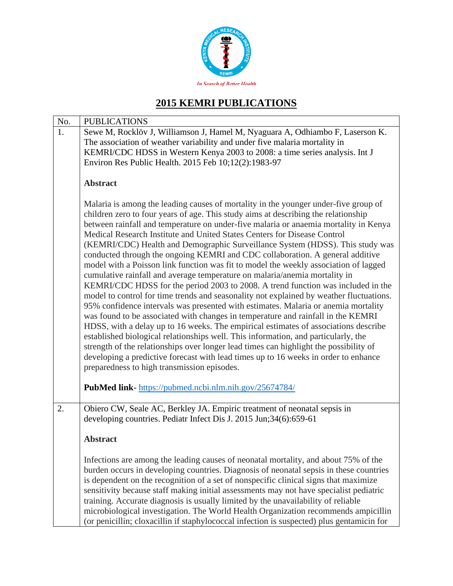

# **2015 KEMRI PUBLICATIONS**

| No. | <b>PUBLICATIONS</b>                                                                                                                                                                                                                                                                                                                                                                                                                                                                                                                                                                                                                                                                                                                                                                                                                                                                                                                                                                                                                                                                                                                                                                                                                                                                                                                                                                                                                                        |
|-----|------------------------------------------------------------------------------------------------------------------------------------------------------------------------------------------------------------------------------------------------------------------------------------------------------------------------------------------------------------------------------------------------------------------------------------------------------------------------------------------------------------------------------------------------------------------------------------------------------------------------------------------------------------------------------------------------------------------------------------------------------------------------------------------------------------------------------------------------------------------------------------------------------------------------------------------------------------------------------------------------------------------------------------------------------------------------------------------------------------------------------------------------------------------------------------------------------------------------------------------------------------------------------------------------------------------------------------------------------------------------------------------------------------------------------------------------------------|
| 1.  | Sewe M, Rocklöv J, Williamson J, Hamel M, Nyaguara A, Odhiambo F, Laserson K.<br>The association of weather variability and under five malaria mortality in<br>KEMRI/CDC HDSS in Western Kenya 2003 to 2008: a time series analysis. Int J                                                                                                                                                                                                                                                                                                                                                                                                                                                                                                                                                                                                                                                                                                                                                                                                                                                                                                                                                                                                                                                                                                                                                                                                                 |
|     | Environ Res Public Health. 2015 Feb 10;12(2):1983-97<br><b>Abstract</b>                                                                                                                                                                                                                                                                                                                                                                                                                                                                                                                                                                                                                                                                                                                                                                                                                                                                                                                                                                                                                                                                                                                                                                                                                                                                                                                                                                                    |
|     | Malaria is among the leading causes of mortality in the younger under-five group of<br>children zero to four years of age. This study aims at describing the relationship<br>between rainfall and temperature on under-five malaria or anaemia mortality in Kenya<br>Medical Research Institute and United States Centers for Disease Control<br>(KEMRI/CDC) Health and Demographic Surveillance System (HDSS). This study was<br>conducted through the ongoing KEMRI and CDC collaboration. A general additive<br>model with a Poisson link function was fit to model the weekly association of lagged<br>cumulative rainfall and average temperature on malaria/anemia mortality in<br>KEMRI/CDC HDSS for the period 2003 to 2008. A trend function was included in the<br>model to control for time trends and seasonality not explained by weather fluctuations.<br>95% confidence intervals was presented with estimates. Malaria or anemia mortality<br>was found to be associated with changes in temperature and rainfall in the KEMRI<br>HDSS, with a delay up to 16 weeks. The empirical estimates of associations describe<br>established biological relationships well. This information, and particularly, the<br>strength of the relationships over longer lead times can highlight the possibility of<br>developing a predictive forecast with lead times up to 16 weeks in order to enhance<br>preparedness to high transmission episodes. |
|     | <b>PubMed link-</b> https://pubmed.ncbi.nlm.nih.gov/25674784/                                                                                                                                                                                                                                                                                                                                                                                                                                                                                                                                                                                                                                                                                                                                                                                                                                                                                                                                                                                                                                                                                                                                                                                                                                                                                                                                                                                              |
| 2.  | Obiero CW, Seale AC, Berkley JA. Empiric treatment of neonatal sepsis in<br>developing countries. Pediatr Infect Dis J. 2015 Jun;34(6):659-61                                                                                                                                                                                                                                                                                                                                                                                                                                                                                                                                                                                                                                                                                                                                                                                                                                                                                                                                                                                                                                                                                                                                                                                                                                                                                                              |
|     | <b>Abstract</b>                                                                                                                                                                                                                                                                                                                                                                                                                                                                                                                                                                                                                                                                                                                                                                                                                                                                                                                                                                                                                                                                                                                                                                                                                                                                                                                                                                                                                                            |
|     | Infections are among the leading causes of neonatal mortality, and about 75% of the<br>burden occurs in developing countries. Diagnosis of neonatal sepsis in these countries<br>is dependent on the recognition of a set of nonspecific clinical signs that maximize<br>sensitivity because staff making initial assessments may not have specialist pediatric<br>training. Accurate diagnosis is usually limited by the unavailability of reliable<br>microbiological investigation. The World Health Organization recommends ampicillin<br>(or penicillin; cloxacillin if staphylococcal infection is suspected) plus gentamicin for                                                                                                                                                                                                                                                                                                                                                                                                                                                                                                                                                                                                                                                                                                                                                                                                                    |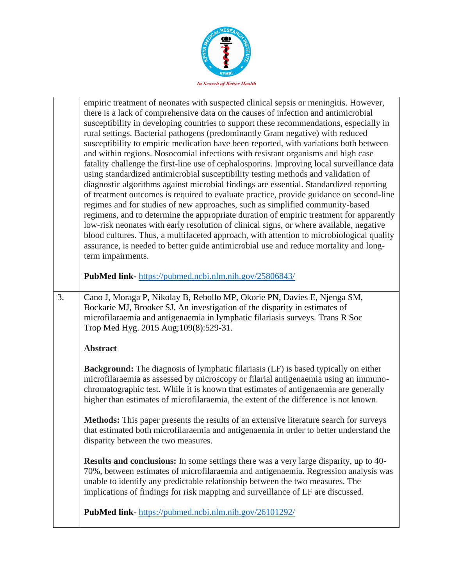

| empiric treatment of neonates with suspected clinical sepsis or meningitis. However,<br>there is a lack of comprehensive data on the causes of infection and antimicrobial<br>susceptibility in developing countries to support these recommendations, especially in<br>rural settings. Bacterial pathogens (predominantly Gram negative) with reduced<br>susceptibility to empiric medication have been reported, with variations both between<br>and within regions. Nosocomial infections with resistant organisms and high case<br>fatality challenge the first-line use of cephalosporins. Improving local surveillance data<br>using standardized antimicrobial susceptibility testing methods and validation of<br>diagnostic algorithms against microbial findings are essential. Standardized reporting<br>of treatment outcomes is required to evaluate practice, provide guidance on second-line<br>regimes and for studies of new approaches, such as simplified community-based<br>regimens, and to determine the appropriate duration of empiric treatment for apparently<br>low-risk neonates with early resolution of clinical signs, or where available, negative<br>blood cultures. Thus, a multifaceted approach, with attention to microbiological quality<br>assurance, is needed to better guide antimicrobial use and reduce mortality and long-<br>term impairments.<br><b>PubMed link-</b> https://pubmed.ncbi.nlm.nih.gov/25806843/ |
|---------------------------------------------------------------------------------------------------------------------------------------------------------------------------------------------------------------------------------------------------------------------------------------------------------------------------------------------------------------------------------------------------------------------------------------------------------------------------------------------------------------------------------------------------------------------------------------------------------------------------------------------------------------------------------------------------------------------------------------------------------------------------------------------------------------------------------------------------------------------------------------------------------------------------------------------------------------------------------------------------------------------------------------------------------------------------------------------------------------------------------------------------------------------------------------------------------------------------------------------------------------------------------------------------------------------------------------------------------------------------------------------------------------------------------------------------------------|
| Cano J, Moraga P, Nikolay B, Rebollo MP, Okorie PN, Davies E, Njenga SM,<br>Bockarie MJ, Brooker SJ. An investigation of the disparity in estimates of<br>microfilaraemia and antigenaemia in lymphatic filariasis surveys. Trans R Soc<br>Trop Med Hyg. 2015 Aug; 109(8): 529-31.                                                                                                                                                                                                                                                                                                                                                                                                                                                                                                                                                                                                                                                                                                                                                                                                                                                                                                                                                                                                                                                                                                                                                                            |
| <b>Abstract</b>                                                                                                                                                                                                                                                                                                                                                                                                                                                                                                                                                                                                                                                                                                                                                                                                                                                                                                                                                                                                                                                                                                                                                                                                                                                                                                                                                                                                                                               |
| <b>Background:</b> The diagnosis of lymphatic filariasis (LF) is based typically on either                                                                                                                                                                                                                                                                                                                                                                                                                                                                                                                                                                                                                                                                                                                                                                                                                                                                                                                                                                                                                                                                                                                                                                                                                                                                                                                                                                    |
| microfilaraemia as assessed by microscopy or filarial antigenaemia using an immuno-<br>chromatographic test. While it is known that estimates of antigenaemia are generally<br>higher than estimates of microfilaraemia, the extent of the difference is not known.                                                                                                                                                                                                                                                                                                                                                                                                                                                                                                                                                                                                                                                                                                                                                                                                                                                                                                                                                                                                                                                                                                                                                                                           |
| Methods: This paper presents the results of an extensive literature search for surveys<br>that estimated both microfilaraemia and antigenaemia in order to better understand the<br>disparity between the two measures.                                                                                                                                                                                                                                                                                                                                                                                                                                                                                                                                                                                                                                                                                                                                                                                                                                                                                                                                                                                                                                                                                                                                                                                                                                       |
| <b>Results and conclusions:</b> In some settings there was a very large disparity, up to 40-<br>70%, between estimates of microfilaraemia and antigenaemia. Regression analysis was<br>unable to identify any predictable relationship between the two measures. The<br>implications of findings for risk mapping and surveillance of LF are discussed.                                                                                                                                                                                                                                                                                                                                                                                                                                                                                                                                                                                                                                                                                                                                                                                                                                                                                                                                                                                                                                                                                                       |
|                                                                                                                                                                                                                                                                                                                                                                                                                                                                                                                                                                                                                                                                                                                                                                                                                                                                                                                                                                                                                                                                                                                                                                                                                                                                                                                                                                                                                                                               |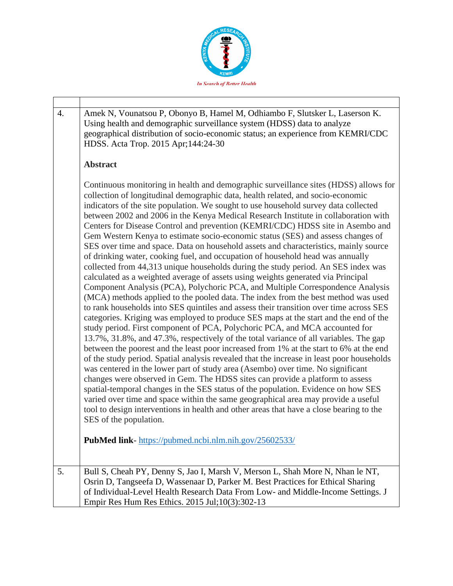

## 4. Amek N, Vounatsou P, Obonyo B, Hamel M, Odhiambo F, Slutsker L, Laserson K. Using health and demographic surveillance system (HDSS) data to analyze geographical distribution of socio-economic status; an experience from KEMRI/CDC HDSS. Acta Trop. 2015 Apr;144:24-30 **Abstract** Continuous monitoring in health and demographic surveillance sites (HDSS) allows for collection of longitudinal demographic data, health related, and socio-economic indicators of the site population. We sought to use household survey data collected between 2002 and 2006 in the Kenya Medical Research Institute in collaboration with Centers for Disease Control and prevention (KEMRI/CDC) HDSS site in Asembo and Gem Western Kenya to estimate socio-economic status (SES) and assess changes of SES over time and space. Data on household assets and characteristics, mainly source of drinking water, cooking fuel, and occupation of household head was annually collected from 44,313 unique households during the study period. An SES index was calculated as a weighted average of assets using weights generated via Principal Component Analysis (PCA), Polychoric PCA, and Multiple Correspondence Analysis (MCA) methods applied to the pooled data. The index from the best method was used to rank households into SES quintiles and assess their transition over time across SES categories. Kriging was employed to produce SES maps at the start and the end of the study period. First component of PCA, Polychoric PCA, and MCA accounted for 13.7%, 31.8%, and 47.3%, respectively of the total variance of all variables. The gap between the poorest and the least poor increased from 1% at the start to 6% at the end of the study period. Spatial analysis revealed that the increase in least poor households was centered in the lower part of study area (Asembo) over time. No significant changes were observed in Gem. The HDSS sites can provide a platform to assess spatial-temporal changes in the SES status of the population. Evidence on how SES varied over time and space within the same geographical area may provide a useful tool to design interventions in health and other areas that have a close bearing to the SES of the population. **PubMed link**- <https://pubmed.ncbi.nlm.nih.gov/25602533/> 5. Bull S, Cheah PY, Denny S, Jao I, Marsh V, Merson L, Shah More N, Nhan le NT, Osrin D, Tangseefa D, Wassenaar D, Parker M. Best Practices for Ethical Sharing of Individual-Level Health Research Data From Low- and Middle-Income Settings. J Empir Res Hum Res Ethics. 2015 Jul;10(3):302-13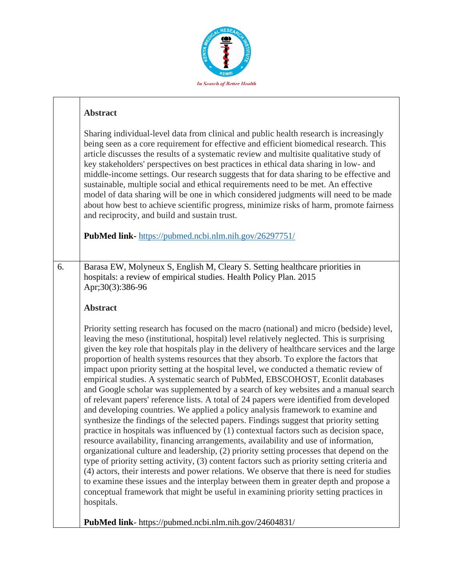

Sharing individual-level data from clinical and public health research is increasingly being seen as a core requirement for effective and efficient biomedical research. This article discusses the results of a systematic review and multisite qualitative study of key stakeholders' perspectives on best practices in ethical data sharing in low- and middle-income settings. Our research suggests that for data sharing to be effective and sustainable, multiple social and ethical requirements need to be met. An effective model of data sharing will be one in which considered judgments will need to be made about how best to achieve scientific progress, minimize risks of harm, promote fairness and reciprocity, and build and sustain trust.

**PubMed link-** <https://pubmed.ncbi.nlm.nih.gov/26297751/>

6. Barasa EW, Molyneux S, English M, Cleary S. Setting healthcare priorities in hospitals: a review of empirical studies. Health Policy Plan. 2015 Apr;30(3):386-96

### **Abstract**

Priority setting research has focused on the macro (national) and micro (bedside) level, leaving the meso (institutional, hospital) level relatively neglected. This is surprising given the key role that hospitals play in the delivery of healthcare services and the large proportion of health systems resources that they absorb. To explore the factors that impact upon priority setting at the hospital level, we conducted a thematic review of empirical studies. A systematic search of PubMed, EBSCOHOST, Econlit databases and Google scholar was supplemented by a search of key websites and a manual search of relevant papers' reference lists. A total of 24 papers were identified from developed and developing countries. We applied a policy analysis framework to examine and synthesize the findings of the selected papers. Findings suggest that priority setting practice in hospitals was influenced by (1) contextual factors such as decision space, resource availability, financing arrangements, availability and use of information, organizational culture and leadership, (2) priority setting processes that depend on the type of priority setting activity, (3) content factors such as priority setting criteria and (4) actors, their interests and power relations. We observe that there is need for studies to examine these issues and the interplay between them in greater depth and propose a conceptual framework that might be useful in examining priority setting practices in hospitals.

**PubMed link**- https://pubmed.ncbi.nlm.nih.gov/24604831/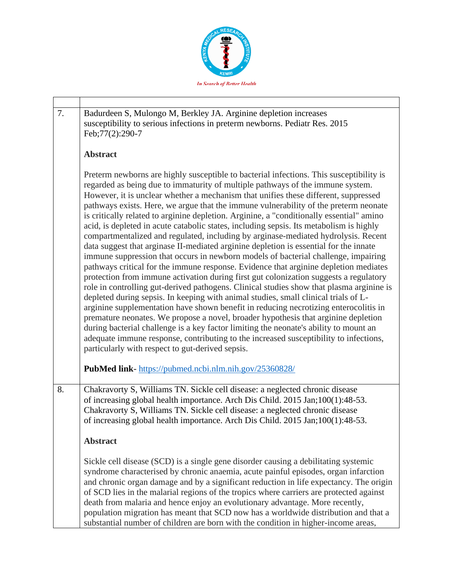

| 7. | Badurdeen S, Mulongo M, Berkley JA. Arginine depletion increases<br>susceptibility to serious infections in preterm newborns. Pediatr Res. 2015<br>Feb;77(2):290-7                                                                                                                                                                                                                                                                                                                                                                                                                                                                                                                                                                                                                                                                                                                                                                                                                                                                                                                                                                                                                                                                                                                                                                                                                                                                                                                                                                                                                                           |
|----|--------------------------------------------------------------------------------------------------------------------------------------------------------------------------------------------------------------------------------------------------------------------------------------------------------------------------------------------------------------------------------------------------------------------------------------------------------------------------------------------------------------------------------------------------------------------------------------------------------------------------------------------------------------------------------------------------------------------------------------------------------------------------------------------------------------------------------------------------------------------------------------------------------------------------------------------------------------------------------------------------------------------------------------------------------------------------------------------------------------------------------------------------------------------------------------------------------------------------------------------------------------------------------------------------------------------------------------------------------------------------------------------------------------------------------------------------------------------------------------------------------------------------------------------------------------------------------------------------------------|
|    | <b>Abstract</b>                                                                                                                                                                                                                                                                                                                                                                                                                                                                                                                                                                                                                                                                                                                                                                                                                                                                                                                                                                                                                                                                                                                                                                                                                                                                                                                                                                                                                                                                                                                                                                                              |
|    | Preterm newborns are highly susceptible to bacterial infections. This susceptibility is<br>regarded as being due to immaturity of multiple pathways of the immune system.<br>However, it is unclear whether a mechanism that unifies these different, suppressed<br>pathways exists. Here, we argue that the immune vulnerability of the preterm neonate<br>is critically related to arginine depletion. Arginine, a "conditionally essential" amino<br>acid, is depleted in acute catabolic states, including sepsis. Its metabolism is highly<br>compartmentalized and regulated, including by arginase-mediated hydrolysis. Recent<br>data suggest that arginase II-mediated arginine depletion is essential for the innate<br>immune suppression that occurs in newborn models of bacterial challenge, impairing<br>pathways critical for the immune response. Evidence that arginine depletion mediates<br>protection from immune activation during first gut colonization suggests a regulatory<br>role in controlling gut-derived pathogens. Clinical studies show that plasma arginine is<br>depleted during sepsis. In keeping with animal studies, small clinical trials of L-<br>arginine supplementation have shown benefit in reducing necrotizing enterocolitis in<br>premature neonates. We propose a novel, broader hypothesis that arginine depletion<br>during bacterial challenge is a key factor limiting the neonate's ability to mount an<br>adequate immune response, contributing to the increased susceptibility to infections,<br>particularly with respect to gut-derived sepsis. |
|    | PubMed link-https://pubmed.ncbi.nlm.nih.gov/25360828/                                                                                                                                                                                                                                                                                                                                                                                                                                                                                                                                                                                                                                                                                                                                                                                                                                                                                                                                                                                                                                                                                                                                                                                                                                                                                                                                                                                                                                                                                                                                                        |
| 8. | Chakravorty S, Williams TN. Sickle cell disease: a neglected chronic disease<br>of increasing global health importance. Arch Dis Child. 2015 Jan;100(1):48-53.<br>Chakravorty S, Williams TN. Sickle cell disease: a neglected chronic disease<br>of increasing global health importance. Arch Dis Child. 2015 Jan; 100(1):48-53.                                                                                                                                                                                                                                                                                                                                                                                                                                                                                                                                                                                                                                                                                                                                                                                                                                                                                                                                                                                                                                                                                                                                                                                                                                                                            |
|    | <b>Abstract</b>                                                                                                                                                                                                                                                                                                                                                                                                                                                                                                                                                                                                                                                                                                                                                                                                                                                                                                                                                                                                                                                                                                                                                                                                                                                                                                                                                                                                                                                                                                                                                                                              |
|    | Sickle cell disease (SCD) is a single gene disorder causing a debilitating systemic<br>syndrome characterised by chronic anaemia, acute painful episodes, organ infarction<br>and chronic organ damage and by a significant reduction in life expectancy. The origin<br>of SCD lies in the malarial regions of the tropics where carriers are protected against<br>death from malaria and hence enjoy an evolutionary advantage. More recently,<br>population migration has meant that SCD now has a worldwide distribution and that a<br>substantial number of children are born with the condition in higher-income areas,                                                                                                                                                                                                                                                                                                                                                                                                                                                                                                                                                                                                                                                                                                                                                                                                                                                                                                                                                                                 |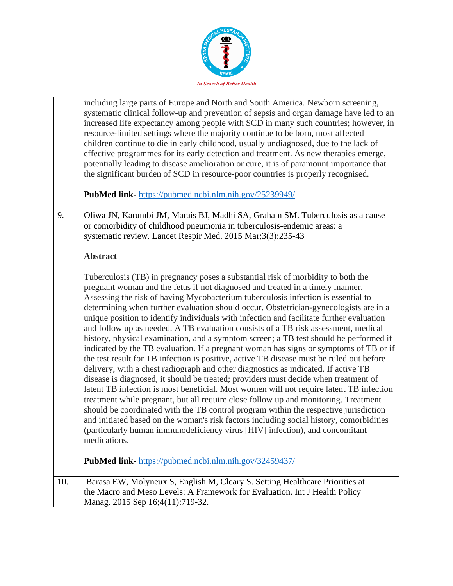

|     | including large parts of Europe and North and South America. Newborn screening,<br>systematic clinical follow-up and prevention of sepsis and organ damage have led to an<br>increased life expectancy among people with SCD in many such countries; however, in<br>resource-limited settings where the majority continue to be born, most affected<br>children continue to die in early childhood, usually undiagnosed, due to the lack of<br>effective programmes for its early detection and treatment. As new therapies emerge,<br>potentially leading to disease amelioration or cure, it is of paramount importance that<br>the significant burden of SCD in resource-poor countries is properly recognised.                                                                                                                                                                                                                                                                                                                                                                                                                                                                                                                                                                                                                                                                                                                                                |
|-----|-------------------------------------------------------------------------------------------------------------------------------------------------------------------------------------------------------------------------------------------------------------------------------------------------------------------------------------------------------------------------------------------------------------------------------------------------------------------------------------------------------------------------------------------------------------------------------------------------------------------------------------------------------------------------------------------------------------------------------------------------------------------------------------------------------------------------------------------------------------------------------------------------------------------------------------------------------------------------------------------------------------------------------------------------------------------------------------------------------------------------------------------------------------------------------------------------------------------------------------------------------------------------------------------------------------------------------------------------------------------------------------------------------------------------------------------------------------------|
|     | PubMed link- https://pubmed.ncbi.nlm.nih.gov/25239949/                                                                                                                                                                                                                                                                                                                                                                                                                                                                                                                                                                                                                                                                                                                                                                                                                                                                                                                                                                                                                                                                                                                                                                                                                                                                                                                                                                                                            |
| 9.  | Oliwa JN, Karumbi JM, Marais BJ, Madhi SA, Graham SM. Tuberculosis as a cause<br>or comorbidity of childhood pneumonia in tuberculosis-endemic areas: a<br>systematic review. Lancet Respir Med. 2015 Mar;3(3):235-43                                                                                                                                                                                                                                                                                                                                                                                                                                                                                                                                                                                                                                                                                                                                                                                                                                                                                                                                                                                                                                                                                                                                                                                                                                             |
|     | <b>Abstract</b>                                                                                                                                                                                                                                                                                                                                                                                                                                                                                                                                                                                                                                                                                                                                                                                                                                                                                                                                                                                                                                                                                                                                                                                                                                                                                                                                                                                                                                                   |
|     | Tuberculosis (TB) in pregnancy poses a substantial risk of morbidity to both the<br>pregnant woman and the fetus if not diagnosed and treated in a timely manner.<br>Assessing the risk of having Mycobacterium tuberculosis infection is essential to<br>determining when further evaluation should occur. Obstetrician-gynecologists are in a<br>unique position to identify individuals with infection and facilitate further evaluation<br>and follow up as needed. A TB evaluation consists of a TB risk assessment, medical<br>history, physical examination, and a symptom screen; a TB test should be performed if<br>indicated by the TB evaluation. If a pregnant woman has signs or symptoms of TB or if<br>the test result for TB infection is positive, active TB disease must be ruled out before<br>delivery, with a chest radiograph and other diagnostics as indicated. If active TB<br>disease is diagnosed, it should be treated; providers must decide when treatment of<br>latent TB infection is most beneficial. Most women will not require latent TB infection<br>treatment while pregnant, but all require close follow up and monitoring. Treatment<br>should be coordinated with the TB control program within the respective jurisdiction<br>and initiated based on the woman's risk factors including social history, comorbidities<br>(particularly human immunodeficiency virus [HIV] infection), and concomitant<br>medications. |
|     | PubMed link-https://pubmed.ncbi.nlm.nih.gov/32459437/                                                                                                                                                                                                                                                                                                                                                                                                                                                                                                                                                                                                                                                                                                                                                                                                                                                                                                                                                                                                                                                                                                                                                                                                                                                                                                                                                                                                             |
| 10. | Barasa EW, Molyneux S, English M, Cleary S. Setting Healthcare Priorities at<br>the Macro and Meso Levels: A Framework for Evaluation. Int J Health Policy<br>Manag. 2015 Sep 16;4(11):719-32.                                                                                                                                                                                                                                                                                                                                                                                                                                                                                                                                                                                                                                                                                                                                                                                                                                                                                                                                                                                                                                                                                                                                                                                                                                                                    |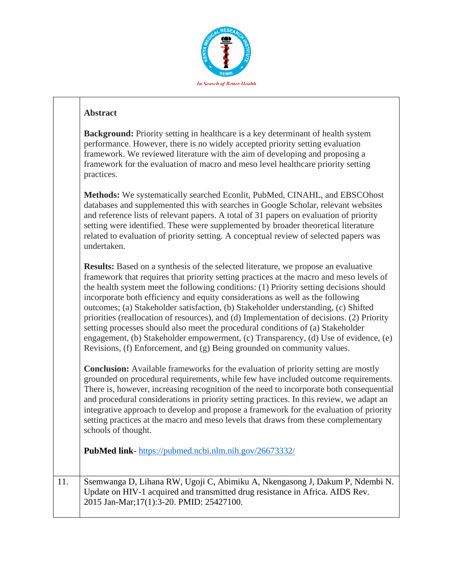

**Background:** Priority setting in healthcare is a key determinant of health system performance. However, there is no widely accepted priority setting evaluation framework. We reviewed literature with the aim of developing and proposing a framework for the evaluation of macro and meso level healthcare priority setting practices.

**Methods:** We systematically searched Econlit, PubMed, CINAHL, and EBSCOhost databases and supplemented this with searches in Google Scholar, relevant websites and reference lists of relevant papers. A total of 31 papers on evaluation of priority setting were identified. These were supplemented by broader theoretical literature related to evaluation of priority setting. A conceptual review of selected papers was undertaken.

**Results:** Based on a synthesis of the selected literature, we propose an evaluative framework that requires that priority setting practices at the macro and meso levels of the health system meet the following conditions: (1) Priority setting decisions should incorporate both efficiency and equity considerations as well as the following outcomes; (a) Stakeholder satisfaction, (b) Stakeholder understanding, (c) Shifted priorities (reallocation of resources), and (d) Implementation of decisions. (2) Priority setting processes should also meet the procedural conditions of (a) Stakeholder engagement, (b) Stakeholder empowerment, (c) Transparency, (d) Use of evidence, (e) Revisions, (f) Enforcement, and (g) Being grounded on community values.

**Conclusion:** Available frameworks for the evaluation of priority setting are mostly grounded on procedural requirements, while few have included outcome requirements. There is, however, increasing recognition of the need to incorporate both consequential and procedural considerations in priority setting practices. In this review, we adapt an integrative approach to develop and propose a framework for the evaluation of priority setting practices at the macro and meso levels that draws from these complementary schools of thought.

**PubMed link**- <https://pubmed.ncbi.nlm.nih.gov/26673332/>

11. Ssemwanga D, Lihana RW, Ugoji C, Abimiku A, Nkengasong J, Dakum P, Ndembi N. Update on HIV-1 acquired and transmitted drug resistance in Africa. AIDS Rev. 2015 Jan-Mar;17(1):3-20. PMID: 25427100.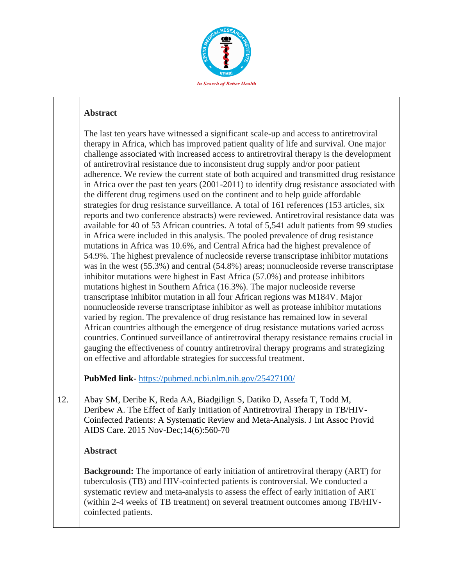

|     | The last ten years have witnessed a significant scale-up and access to antiretroviral<br>therapy in Africa, which has improved patient quality of life and survival. One major<br>challenge associated with increased access to antiretroviral therapy is the development<br>of antiretroviral resistance due to inconsistent drug supply and/or poor patient<br>adherence. We review the current state of both acquired and transmitted drug resistance<br>in Africa over the past ten years (2001-2011) to identify drug resistance associated with<br>the different drug regimens used on the continent and to help guide affordable<br>strategies for drug resistance surveillance. A total of 161 references (153 articles, six<br>reports and two conference abstracts) were reviewed. Antiretroviral resistance data was<br>available for 40 of 53 African countries. A total of 5,541 adult patients from 99 studies<br>in Africa were included in this analysis. The pooled prevalence of drug resistance<br>mutations in Africa was 10.6%, and Central Africa had the highest prevalence of<br>54.9%. The highest prevalence of nucleoside reverse transcriptase inhibitor mutations<br>was in the west (55.3%) and central (54.8%) areas; nonnucleoside reverse transcriptase<br>inhibitor mutations were highest in East Africa (57.0%) and protease inhibitors<br>mutations highest in Southern Africa (16.3%). The major nucleoside reverse<br>transcriptase inhibitor mutation in all four African regions was M184V. Major<br>nonnucleoside reverse transcriptase inhibitor as well as protease inhibitor mutations<br>varied by region. The prevalence of drug resistance has remained low in several<br>African countries although the emergence of drug resistance mutations varied across<br>countries. Continued surveillance of antiretroviral therapy resistance remains crucial in<br>gauging the effectiveness of country antiretroviral therapy programs and strategizing<br>on effective and affordable strategies for successful treatment. |
|-----|-------------------------------------------------------------------------------------------------------------------------------------------------------------------------------------------------------------------------------------------------------------------------------------------------------------------------------------------------------------------------------------------------------------------------------------------------------------------------------------------------------------------------------------------------------------------------------------------------------------------------------------------------------------------------------------------------------------------------------------------------------------------------------------------------------------------------------------------------------------------------------------------------------------------------------------------------------------------------------------------------------------------------------------------------------------------------------------------------------------------------------------------------------------------------------------------------------------------------------------------------------------------------------------------------------------------------------------------------------------------------------------------------------------------------------------------------------------------------------------------------------------------------------------------------------------------------------------------------------------------------------------------------------------------------------------------------------------------------------------------------------------------------------------------------------------------------------------------------------------------------------------------------------------------------------------------------------------------------------------------------------------------------------------------------------------------------|
|     | PubMed link-https://pubmed.ncbi.nlm.nih.gov/25427100/                                                                                                                                                                                                                                                                                                                                                                                                                                                                                                                                                                                                                                                                                                                                                                                                                                                                                                                                                                                                                                                                                                                                                                                                                                                                                                                                                                                                                                                                                                                                                                                                                                                                                                                                                                                                                                                                                                                                                                                                                   |
| 12. | Abay SM, Deribe K, Reda AA, Biadgilign S, Datiko D, Assefa T, Todd M,<br>Deribew A. The Effect of Early Initiation of Antiretroviral Therapy in TB/HIV-<br>Coinfected Patients: A Systematic Review and Meta-Analysis. J Int Assoc Provid<br>AIDS Care. 2015 Nov-Dec; 14(6): 560-70                                                                                                                                                                                                                                                                                                                                                                                                                                                                                                                                                                                                                                                                                                                                                                                                                                                                                                                                                                                                                                                                                                                                                                                                                                                                                                                                                                                                                                                                                                                                                                                                                                                                                                                                                                                     |
|     | <b>Abstract</b>                                                                                                                                                                                                                                                                                                                                                                                                                                                                                                                                                                                                                                                                                                                                                                                                                                                                                                                                                                                                                                                                                                                                                                                                                                                                                                                                                                                                                                                                                                                                                                                                                                                                                                                                                                                                                                                                                                                                                                                                                                                         |
|     | <b>Background:</b> The importance of early initiation of antiretroviral therapy (ART) for<br>tuberculosis (TB) and HIV-coinfected patients is controversial. We conducted a<br>systematic review and meta-analysis to assess the effect of early initiation of ART<br>(within 2-4 weeks of TB treatment) on several treatment outcomes among TB/HIV-<br>coinfected patients.                                                                                                                                                                                                                                                                                                                                                                                                                                                                                                                                                                                                                                                                                                                                                                                                                                                                                                                                                                                                                                                                                                                                                                                                                                                                                                                                                                                                                                                                                                                                                                                                                                                                                            |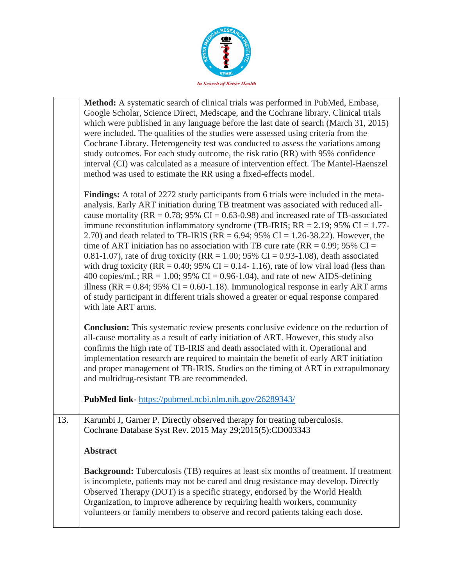

**Method:** A systematic search of clinical trials was performed in PubMed, Embase, Google Scholar, Science Direct, Medscape, and the Cochrane library. Clinical trials which were published in any language before the last date of search (March 31, 2015) were included. The qualities of the studies were assessed using criteria from the Cochrane Library. Heterogeneity test was conducted to assess the variations among study outcomes. For each study outcome, the risk ratio (RR) with 95% confidence interval (CI) was calculated as a measure of intervention effect. The Mantel-Haenszel method was used to estimate the RR using a fixed-effects model. **Findings:** A total of 2272 study participants from 6 trials were included in the metaanalysis. Early ART initiation during TB treatment was associated with reduced allcause mortality ( $RR = 0.78$ ; 95%  $CI = 0.63 - 0.98$ ) and increased rate of TB-associated immune reconstitution inflammatory syndrome (TB-IRIS;  $RR = 2.19$ ;  $95\%$  CI = 1.77-2.70) and death related to TB-IRIS ( $RR = 6.94$ ;  $95\%$  CI = 1.26-38.22). However, the time of ART initiation has no association with TB cure rate ( $RR = 0.99$ ; 95% CI = 0.81-1.07), rate of drug toxicity (RR = 1.00; 95% CI = 0.93-1.08), death associated with drug toxicity (RR =  $0.40$ ; 95% CI =  $0.14$ - 1.16), rate of low viral load (less than 400 copies/mL;  $RR = 1.00$ ; 95% CI = 0.96-1.04), and rate of new AIDS-defining illness (RR =  $0.84$ ; 95% CI =  $0.60$ -1.18). Immunological response in early ART arms of study participant in different trials showed a greater or equal response compared with late ART arms. **Conclusion:** This systematic review presents conclusive evidence on the reduction of all-cause mortality as a result of early initiation of ART. However, this study also confirms the high rate of TB-IRIS and death associated with it. Operational and implementation research are required to maintain the benefit of early ART initiation and proper management of TB-IRIS. Studies on the timing of ART in extrapulmonary and multidrug-resistant TB are recommended. **PubMed link**- <https://pubmed.ncbi.nlm.nih.gov/26289343/> 13. Karumbi J, Garner P. Directly observed therapy for treating tuberculosis. Cochrane Database Syst Rev. 2015 May 29;2015(5):CD003343 **Abstract Background:** Tuberculosis (TB) requires at least six months of treatment. If treatment is incomplete, patients may not be cured and drug resistance may develop. Directly Observed Therapy (DOT) is a specific strategy, endorsed by the World Health Organization, to improve adherence by requiring health workers, community volunteers or family members to observe and record patients taking each dose.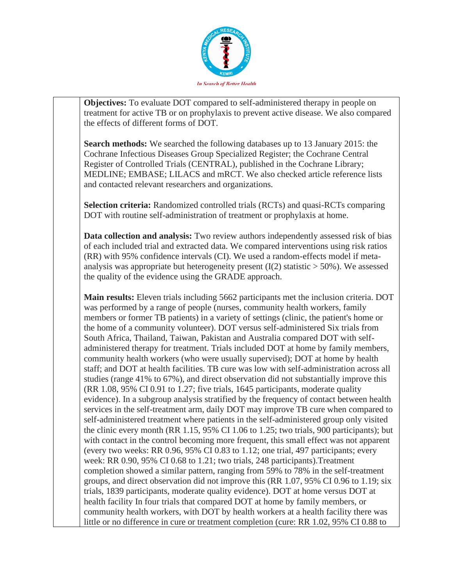

**Objectives:** To evaluate DOT compared to self-administered therapy in people on treatment for active TB or on prophylaxis to prevent active disease. We also compared the effects of different forms of DOT.

**Search methods:** We searched the following databases up to 13 January 2015: the Cochrane Infectious Diseases Group Specialized Register; the Cochrane Central Register of Controlled Trials (CENTRAL), published in the Cochrane Library; MEDLINE; EMBASE; LILACS and mRCT. We also checked article reference lists and contacted relevant researchers and organizations.

**Selection criteria:** Randomized controlled trials (RCTs) and quasi-RCTs comparing DOT with routine self-administration of treatment or prophylaxis at home.

**Data collection and analysis:** Two review authors independently assessed risk of bias of each included trial and extracted data. We compared interventions using risk ratios (RR) with 95% confidence intervals (CI). We used a random-effects model if metaanalysis was appropriate but heterogeneity present  $(I(2)$  statistic  $> 50\%$ ). We assessed the quality of the evidence using the GRADE approach.

**Main results:** Eleven trials including 5662 participants met the inclusion criteria. DOT was performed by a range of people (nurses, community health workers, family members or former TB patients) in a variety of settings (clinic, the patient's home or the home of a community volunteer). DOT versus self-administered Six trials from South Africa, Thailand, Taiwan, Pakistan and Australia compared DOT with selfadministered therapy for treatment. Trials included DOT at home by family members, community health workers (who were usually supervised); DOT at home by health staff; and DOT at health facilities. TB cure was low with self-administration across all studies (range 41% to 67%), and direct observation did not substantially improve this (RR 1.08, 95% CI 0.91 to 1.27; five trials, 1645 participants, moderate quality evidence). In a subgroup analysis stratified by the frequency of contact between health services in the self-treatment arm, daily DOT may improve TB cure when compared to self-administered treatment where patients in the self-administered group only visited the clinic every month (RR 1.15, 95% CI 1.06 to 1.25; two trials, 900 participants); but with contact in the control becoming more frequent, this small effect was not apparent (every two weeks: RR 0.96, 95% CI 0.83 to 1.12; one trial, 497 participants; every week: RR 0.90, 95% CI 0.68 to 1.21; two trials, 248 participants).Treatment completion showed a similar pattern, ranging from 59% to 78% in the self-treatment groups, and direct observation did not improve this (RR 1.07, 95% CI 0.96 to 1.19; six trials, 1839 participants, moderate quality evidence). DOT at home versus DOT at health facility In four trials that compared DOT at home by family members, or community health workers, with DOT by health workers at a health facility there was little or no difference in cure or treatment completion (cure: RR 1.02, 95% CI 0.88 to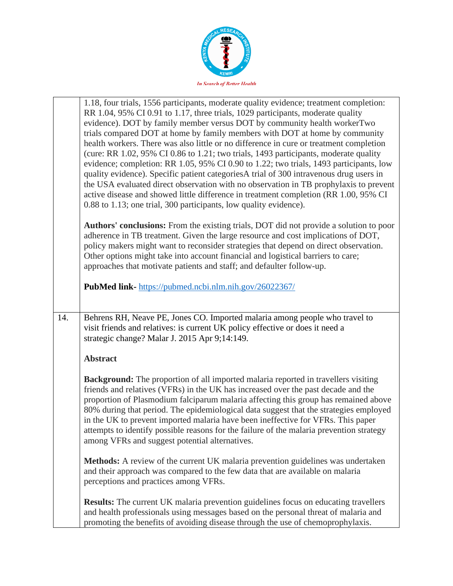

|     | 1.18, four trials, 1556 participants, moderate quality evidence; treatment completion:<br>RR 1.04, 95% CI 0.91 to 1.17, three trials, 1029 participants, moderate quality<br>evidence). DOT by family member versus DOT by community health workerTwo<br>trials compared DOT at home by family members with DOT at home by community<br>health workers. There was also little or no difference in cure or treatment completion<br>(cure: RR 1.02, 95% CI 0.86 to 1.21; two trials, 1493 participants, moderate quality<br>evidence; completion: RR 1.05, 95% CI 0.90 to 1.22; two trials, 1493 participants, low<br>quality evidence). Specific patient categoriesA trial of 300 intravenous drug users in<br>the USA evaluated direct observation with no observation in TB prophylaxis to prevent<br>active disease and showed little difference in treatment completion (RR 1.00, 95% CI<br>0.88 to 1.13; one trial, 300 participants, low quality evidence). |
|-----|------------------------------------------------------------------------------------------------------------------------------------------------------------------------------------------------------------------------------------------------------------------------------------------------------------------------------------------------------------------------------------------------------------------------------------------------------------------------------------------------------------------------------------------------------------------------------------------------------------------------------------------------------------------------------------------------------------------------------------------------------------------------------------------------------------------------------------------------------------------------------------------------------------------------------------------------------------------|
|     | Authors' conclusions: From the existing trials, DOT did not provide a solution to poor<br>adherence in TB treatment. Given the large resource and cost implications of DOT,<br>policy makers might want to reconsider strategies that depend on direct observation.<br>Other options might take into account financial and logistical barriers to care;<br>approaches that motivate patients and staff; and defaulter follow-up.                                                                                                                                                                                                                                                                                                                                                                                                                                                                                                                                 |
|     | PubMed link-https://pubmed.ncbi.nlm.nih.gov/26022367/                                                                                                                                                                                                                                                                                                                                                                                                                                                                                                                                                                                                                                                                                                                                                                                                                                                                                                            |
| 14. | Behrens RH, Neave PE, Jones CO. Imported malaria among people who travel to<br>visit friends and relatives: is current UK policy effective or does it need a<br>strategic change? Malar J. 2015 Apr 9;14:149.                                                                                                                                                                                                                                                                                                                                                                                                                                                                                                                                                                                                                                                                                                                                                    |
|     | <b>Abstract</b>                                                                                                                                                                                                                                                                                                                                                                                                                                                                                                                                                                                                                                                                                                                                                                                                                                                                                                                                                  |
|     | <b>Background:</b> The proportion of all imported malaria reported in travellers visiting<br>friends and relatives (VFRs) in the UK has increased over the past decade and the<br>proportion of Plasmodium falciparum malaria affecting this group has remained above<br>80% during that period. The epidemiological data suggest that the strategies employed<br>in the UK to prevent imported malaria have been ineffective for VFRs. This paper<br>attempts to identify possible reasons for the failure of the malaria prevention strategy<br>among VFRs and suggest potential alternatives.                                                                                                                                                                                                                                                                                                                                                                 |
|     | <b>Methods:</b> A review of the current UK malaria prevention guidelines was undertaken<br>and their approach was compared to the few data that are available on malaria<br>perceptions and practices among VFRs.                                                                                                                                                                                                                                                                                                                                                                                                                                                                                                                                                                                                                                                                                                                                                |
|     | <b>Results:</b> The current UK malaria prevention guidelines focus on educating travellers<br>and health professionals using messages based on the personal threat of malaria and<br>promoting the benefits of avoiding disease through the use of chemoprophylaxis.                                                                                                                                                                                                                                                                                                                                                                                                                                                                                                                                                                                                                                                                                             |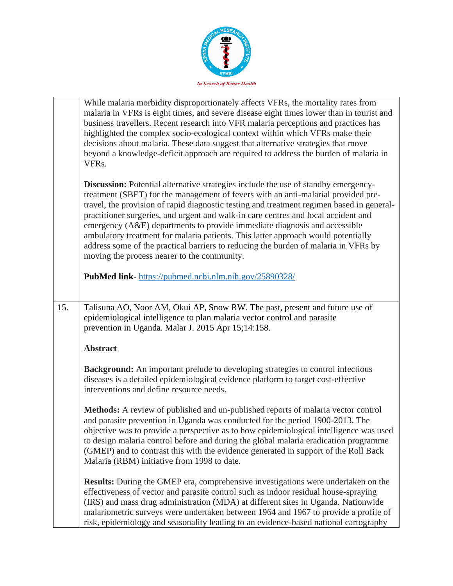

|     | While malaria morbidity disproportionately affects VFRs, the mortality rates from<br>malaria in VFRs is eight times, and severe disease eight times lower than in tourist and<br>business travellers. Recent research into VFR malaria perceptions and practices has<br>highlighted the complex socio-ecological context within which VFRs make their<br>decisions about malaria. These data suggest that alternative strategies that move<br>beyond a knowledge-deficit approach are required to address the burden of malaria in<br>VFR <sub>s</sub> .                                                                                                           |
|-----|--------------------------------------------------------------------------------------------------------------------------------------------------------------------------------------------------------------------------------------------------------------------------------------------------------------------------------------------------------------------------------------------------------------------------------------------------------------------------------------------------------------------------------------------------------------------------------------------------------------------------------------------------------------------|
|     | Discussion: Potential alternative strategies include the use of standby emergency-<br>treatment (SBET) for the management of fevers with an anti-malarial provided pre-<br>travel, the provision of rapid diagnostic testing and treatment regimen based in general-<br>practitioner surgeries, and urgent and walk-in care centres and local accident and<br>emergency (A&E) departments to provide immediate diagnosis and accessible<br>ambulatory treatment for malaria patients. This latter approach would potentially<br>address some of the practical barriers to reducing the burden of malaria in VFRs by<br>moving the process nearer to the community. |
|     | PubMed link-https://pubmed.ncbi.nlm.nih.gov/25890328/                                                                                                                                                                                                                                                                                                                                                                                                                                                                                                                                                                                                              |
| 15. | Talisuna AO, Noor AM, Okui AP, Snow RW. The past, present and future use of<br>epidemiological intelligence to plan malaria vector control and parasite<br>prevention in Uganda. Malar J. 2015 Apr 15;14:158.                                                                                                                                                                                                                                                                                                                                                                                                                                                      |
|     | <b>Abstract</b>                                                                                                                                                                                                                                                                                                                                                                                                                                                                                                                                                                                                                                                    |
|     | <b>Background:</b> An important prelude to developing strategies to control infectious<br>diseases is a detailed epidemiological evidence platform to target cost-effective<br>interventions and define resource needs.                                                                                                                                                                                                                                                                                                                                                                                                                                            |
|     | Methods: A review of published and un-published reports of malaria vector control<br>and parasite prevention in Uganda was conducted for the period 1900-2013. The<br>objective was to provide a perspective as to how epidemiological intelligence was used<br>to design malaria control before and during the global malaria eradication programme<br>(GMEP) and to contrast this with the evidence generated in support of the Roll Back<br>Malaria (RBM) initiative from 1998 to date.                                                                                                                                                                         |
|     | <b>Results:</b> During the GMEP era, comprehensive investigations were undertaken on the<br>effectiveness of vector and parasite control such as indoor residual house-spraying<br>(IRS) and mass drug administration (MDA) at different sites in Uganda. Nationwide<br>malariometric surveys were undertaken between 1964 and 1967 to provide a profile of<br>risk, epidemiology and seasonality leading to an evidence-based national cartography                                                                                                                                                                                                                |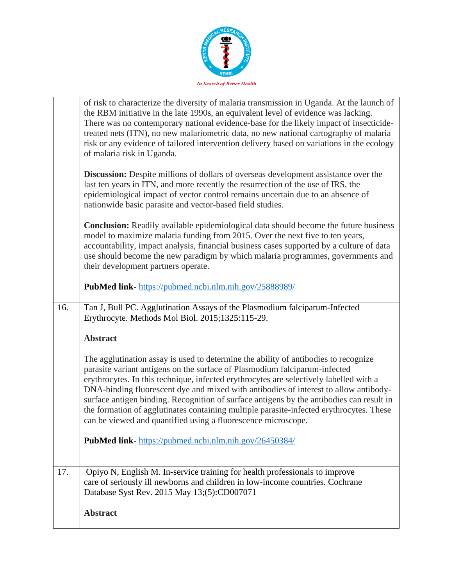

|     | of risk to characterize the diversity of malaria transmission in Uganda. At the launch of<br>the RBM initiative in the late 1990s, an equivalent level of evidence was lacking.<br>There was no contemporary national evidence-base for the likely impact of insecticide-<br>treated nets (ITN), no new malariometric data, no new national cartography of malaria<br>risk or any evidence of tailored intervention delivery based on variations in the ecology<br>of malaria risk in Uganda.                                                                                                               |
|-----|-------------------------------------------------------------------------------------------------------------------------------------------------------------------------------------------------------------------------------------------------------------------------------------------------------------------------------------------------------------------------------------------------------------------------------------------------------------------------------------------------------------------------------------------------------------------------------------------------------------|
|     | Discussion: Despite millions of dollars of overseas development assistance over the<br>last ten years in ITN, and more recently the resurrection of the use of IRS, the<br>epidemiological impact of vector control remains uncertain due to an absence of<br>nationwide basic parasite and vector-based field studies.                                                                                                                                                                                                                                                                                     |
|     | <b>Conclusion:</b> Readily available epidemiological data should become the future business<br>model to maximize malaria funding from 2015. Over the next five to ten years,<br>accountability, impact analysis, financial business cases supported by a culture of data<br>use should become the new paradigm by which malaria programmes, governments and<br>their development partners operate.                                                                                                                                                                                                          |
|     | PubMed link-https://pubmed.ncbi.nlm.nih.gov/25888989/                                                                                                                                                                                                                                                                                                                                                                                                                                                                                                                                                       |
| 16. | Tan J, Bull PC. Agglutination Assays of the Plasmodium falciparum-Infected<br>Erythrocyte. Methods Mol Biol. 2015;1325:115-29.                                                                                                                                                                                                                                                                                                                                                                                                                                                                              |
|     | <b>Abstract</b>                                                                                                                                                                                                                                                                                                                                                                                                                                                                                                                                                                                             |
|     | The agglutination assay is used to determine the ability of antibodies to recognize<br>parasite variant antigens on the surface of Plasmodium falciparum-infected<br>erythrocytes. In this technique, infected erythrocytes are selectively labelled with a<br>DNA-binding fluorescent dye and mixed with antibodies of interest to allow antibody-<br>surface antigen binding. Recognition of surface antigens by the antibodies can result in<br>the formation of agglutinates containing multiple parasite-infected erythrocytes. These<br>can be viewed and quantified using a fluorescence microscope. |
|     | PubMed link- https://pubmed.ncbi.nlm.nih.gov/26450384/                                                                                                                                                                                                                                                                                                                                                                                                                                                                                                                                                      |
| 17. | Opiyo N, English M. In-service training for health professionals to improve<br>care of seriously ill newborns and children in low-income countries. Cochrane<br>Database Syst Rev. 2015 May 13;(5):CD007071                                                                                                                                                                                                                                                                                                                                                                                                 |
|     | <b>Abstract</b>                                                                                                                                                                                                                                                                                                                                                                                                                                                                                                                                                                                             |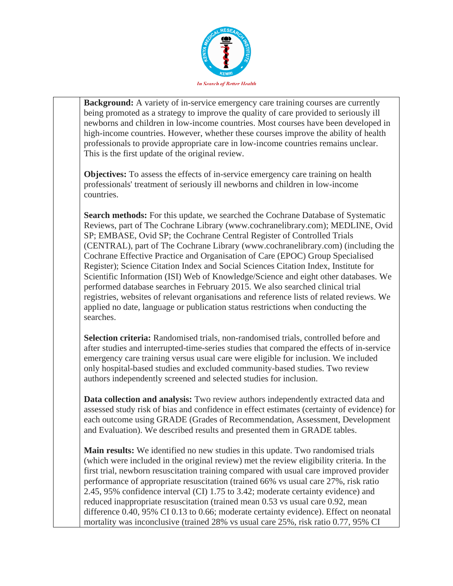

**Background:** A variety of in-service emergency care training courses are currently being promoted as a strategy to improve the quality of care provided to seriously ill newborns and children in low-income countries. Most courses have been developed in high-income countries. However, whether these courses improve the ability of health professionals to provide appropriate care in low-income countries remains unclear. This is the first update of the original review.

**Objectives:** To assess the effects of in-service emergency care training on health professionals' treatment of seriously ill newborns and children in low-income countries.

**Search methods:** For this update, we searched the Cochrane Database of Systematic Reviews, part of The Cochrane Library (www.cochranelibrary.com); MEDLINE, Ovid SP; EMBASE, Ovid SP; the Cochrane Central Register of Controlled Trials (CENTRAL), part of The Cochrane Library (www.cochranelibrary.com) (including the Cochrane Effective Practice and Organisation of Care (EPOC) Group Specialised Register); Science Citation Index and Social Sciences Citation Index, Institute for Scientific Information (ISI) Web of Knowledge/Science and eight other databases. We performed database searches in February 2015. We also searched clinical trial registries, websites of relevant organisations and reference lists of related reviews. We applied no date, language or publication status restrictions when conducting the searches.

**Selection criteria:** Randomised trials, non-randomised trials, controlled before and after studies and interrupted-time-series studies that compared the effects of in-service emergency care training versus usual care were eligible for inclusion. We included only hospital-based studies and excluded community-based studies. Two review authors independently screened and selected studies for inclusion.

**Data collection and analysis:** Two review authors independently extracted data and assessed study risk of bias and confidence in effect estimates (certainty of evidence) for each outcome using GRADE (Grades of Recommendation, Assessment, Development and Evaluation). We described results and presented them in GRADE tables.

**Main results:** We identified no new studies in this update. Two randomised trials (which were included in the original review) met the review eligibility criteria. In the first trial, newborn resuscitation training compared with usual care improved provider performance of appropriate resuscitation (trained 66% vs usual care 27%, risk ratio 2.45, 95% confidence interval (CI) 1.75 to 3.42; moderate certainty evidence) and reduced inappropriate resuscitation (trained mean 0.53 vs usual care 0.92, mean difference 0.40, 95% CI 0.13 to 0.66; moderate certainty evidence). Effect on neonatal mortality was inconclusive (trained 28% vs usual care 25%, risk ratio 0.77, 95% CI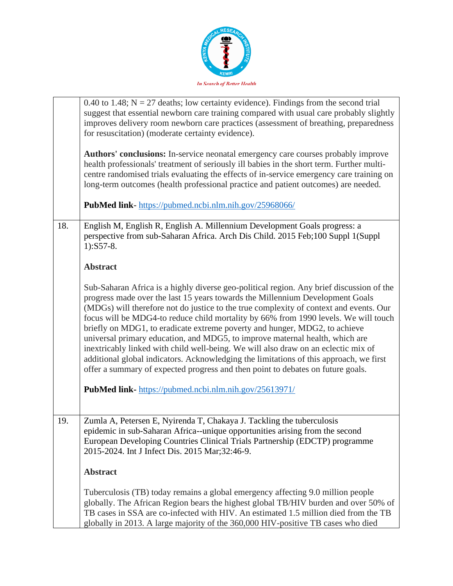

|     | 0.40 to 1.48; $N = 27$ deaths; low certainty evidence). Findings from the second trial<br>suggest that essential newborn care training compared with usual care probably slightly<br>improves delivery room newborn care practices (assessment of breathing, preparedness<br>for resuscitation) (moderate certainty evidence).<br>Authors' conclusions: In-service neonatal emergency care courses probably improve<br>health professionals' treatment of seriously ill babies in the short term. Further multi-<br>centre randomised trials evaluating the effects of in-service emergency care training on<br>long-term outcomes (health professional practice and patient outcomes) are needed.<br><b>PubMed link-</b> https://pubmed.ncbi.nlm.nih.gov/25968066/                         |
|-----|---------------------------------------------------------------------------------------------------------------------------------------------------------------------------------------------------------------------------------------------------------------------------------------------------------------------------------------------------------------------------------------------------------------------------------------------------------------------------------------------------------------------------------------------------------------------------------------------------------------------------------------------------------------------------------------------------------------------------------------------------------------------------------------------|
| 18. | English M, English R, English A. Millennium Development Goals progress: a<br>perspective from sub-Saharan Africa. Arch Dis Child. 2015 Feb;100 Suppl 1(Suppl<br>$1):S57-8.$                                                                                                                                                                                                                                                                                                                                                                                                                                                                                                                                                                                                                 |
|     | <b>Abstract</b>                                                                                                                                                                                                                                                                                                                                                                                                                                                                                                                                                                                                                                                                                                                                                                             |
|     | Sub-Saharan Africa is a highly diverse geo-political region. Any brief discussion of the<br>progress made over the last 15 years towards the Millennium Development Goals<br>(MDGs) will therefore not do justice to the true complexity of context and events. Our<br>focus will be MDG4-to reduce child mortality by 66% from 1990 levels. We will touch<br>briefly on MDG1, to eradicate extreme poverty and hunger, MDG2, to achieve<br>universal primary education, and MDG5, to improve maternal health, which are<br>inextricably linked with child well-being. We will also draw on an eclectic mix of<br>additional global indicators. Acknowledging the limitations of this approach, we first<br>offer a summary of expected progress and then point to debates on future goals. |
|     | PubMed link- https://pubmed.ncbi.nlm.nih.gov/25613971/                                                                                                                                                                                                                                                                                                                                                                                                                                                                                                                                                                                                                                                                                                                                      |
| 19. | Zumla A, Petersen E, Nyirenda T, Chakaya J. Tackling the tuberculosis                                                                                                                                                                                                                                                                                                                                                                                                                                                                                                                                                                                                                                                                                                                       |
|     | epidemic in sub-Saharan Africa--unique opportunities arising from the second<br>European Developing Countries Clinical Trials Partnership (EDCTP) programme<br>2015-2024. Int J Infect Dis. 2015 Mar;32:46-9.                                                                                                                                                                                                                                                                                                                                                                                                                                                                                                                                                                               |
|     | <b>Abstract</b>                                                                                                                                                                                                                                                                                                                                                                                                                                                                                                                                                                                                                                                                                                                                                                             |
|     | Tuberculosis (TB) today remains a global emergency affecting 9.0 million people<br>globally. The African Region bears the highest global TB/HIV burden and over 50% of<br>TB cases in SSA are co-infected with HIV. An estimated 1.5 million died from the TB<br>globally in 2013. A large majority of the 360,000 HIV-positive TB cases who died                                                                                                                                                                                                                                                                                                                                                                                                                                           |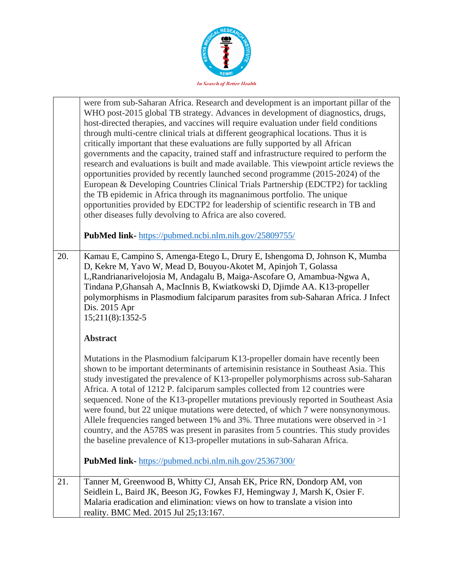

|     | were from sub-Saharan Africa. Research and development is an important pillar of the<br>WHO post-2015 global TB strategy. Advances in development of diagnostics, drugs,<br>host-directed therapies, and vaccines will require evaluation under field conditions<br>through multi-centre clinical trials at different geographical locations. Thus it is<br>critically important that these evaluations are fully supported by all African<br>governments and the capacity, trained staff and infrastructure required to perform the<br>research and evaluations is built and made available. This viewpoint article reviews the<br>opportunities provided by recently launched second programme (2015-2024) of the<br>European & Developing Countries Clinical Trials Partnership (EDCTP2) for tackling<br>the TB epidemic in Africa through its magnanimous portfolio. The unique<br>opportunities provided by EDCTP2 for leadership of scientific research in TB and<br>other diseases fully devolving to Africa are also covered. |
|-----|---------------------------------------------------------------------------------------------------------------------------------------------------------------------------------------------------------------------------------------------------------------------------------------------------------------------------------------------------------------------------------------------------------------------------------------------------------------------------------------------------------------------------------------------------------------------------------------------------------------------------------------------------------------------------------------------------------------------------------------------------------------------------------------------------------------------------------------------------------------------------------------------------------------------------------------------------------------------------------------------------------------------------------------|
|     | PubMed link-https://pubmed.ncbi.nlm.nih.gov/25809755/                                                                                                                                                                                                                                                                                                                                                                                                                                                                                                                                                                                                                                                                                                                                                                                                                                                                                                                                                                                 |
| 20. | Kamau E, Campino S, Amenga-Etego L, Drury E, Ishengoma D, Johnson K, Mumba<br>D, Kekre M, Yavo W, Mead D, Bouyou-Akotet M, Apinjoh T, Golassa<br>L, Randrianarivelojosia M, Andagalu B, Maiga-Ascofare O, Amambua-Ngwa A,<br>Tindana P, Ghansah A, MacInnis B, Kwiatkowski D, Djimde AA. K13-propeller<br>polymorphisms in Plasmodium falciparum parasites from sub-Saharan Africa. J Infect<br>Dis. 2015 Apr<br>15;211(8):1352-5                                                                                                                                                                                                                                                                                                                                                                                                                                                                                                                                                                                                     |
|     | <b>Abstract</b>                                                                                                                                                                                                                                                                                                                                                                                                                                                                                                                                                                                                                                                                                                                                                                                                                                                                                                                                                                                                                       |
|     | Mutations in the Plasmodium falciparum K13-propeller domain have recently been<br>shown to be important determinants of artemisinin resistance in Southeast Asia. This<br>study investigated the prevalence of K13-propeller polymorphisms across sub-Saharan<br>Africa. A total of 1212 P. falciparum samples collected from 12 countries were<br>sequenced. None of the K13-propeller mutations previously reported in Southeast Asia<br>were found, but 22 unique mutations were detected, of which 7 were nonsynonymous.<br>Allele frequencies ranged between 1% and 3%. Three mutations were observed in $>1$<br>country, and the A578S was present in parasites from 5 countries. This study provides<br>the baseline prevalence of K13-propeller mutations in sub-Saharan Africa.                                                                                                                                                                                                                                              |
|     | PubMed link- https://pubmed.ncbi.nlm.nih.gov/25367300/                                                                                                                                                                                                                                                                                                                                                                                                                                                                                                                                                                                                                                                                                                                                                                                                                                                                                                                                                                                |
| 21. | Tanner M, Greenwood B, Whitty CJ, Ansah EK, Price RN, Dondorp AM, von<br>Seidlein L, Baird JK, Beeson JG, Fowkes FJ, Hemingway J, Marsh K, Osier F.<br>Malaria eradication and elimination: views on how to translate a vision into<br>reality. BMC Med. 2015 Jul 25;13:167.                                                                                                                                                                                                                                                                                                                                                                                                                                                                                                                                                                                                                                                                                                                                                          |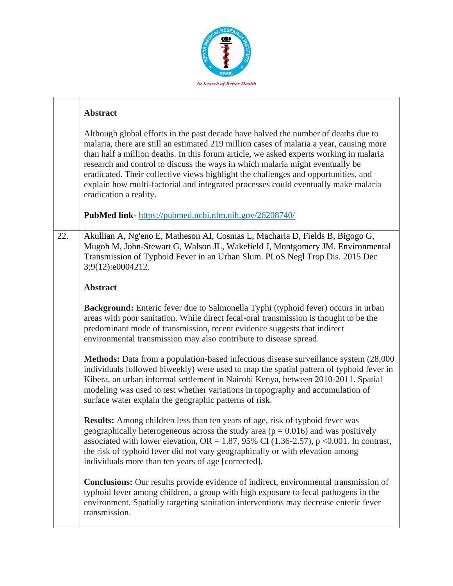

Although global efforts in the past decade have halved the number of deaths due to malaria, there are still an estimated 219 million cases of malaria a year, causing more than half a million deaths. In this forum article, we asked experts working in malaria research and control to discuss the ways in which malaria might eventually be eradicated. Their collective views highlight the challenges and opportunities, and explain how multi-factorial and integrated processes could eventually make malaria eradication a reality.

**PubMed link-** <https://pubmed.ncbi.nlm.nih.gov/26208740/>

22. Akullian A, Ng'eno E, Matheson AI, Cosmas L, Macharia D, Fields B, Bigogo G, Mugoh M, John-Stewart G, Walson JL, Wakefield J, Montgomery JM. Environmental Transmission of Typhoid Fever in an Urban Slum. PLoS Negl Trop Dis. 2015 Dec 3;9(12):e0004212.

### **Abstract**

**Background:** Enteric fever due to Salmonella Typhi (typhoid fever) occurs in urban areas with poor sanitation. While direct fecal-oral transmission is thought to be the predominant mode of transmission, recent evidence suggests that indirect environmental transmission may also contribute to disease spread.

**Methods:** Data from a population-based infectious disease surveillance system (28,000 individuals followed biweekly) were used to map the spatial pattern of typhoid fever in Kibera, an urban informal settlement in Nairobi Kenya, between 2010-2011. Spatial modeling was used to test whether variations in topography and accumulation of surface water explain the geographic patterns of risk.

**Results:** Among children less than ten years of age, risk of typhoid fever was geographically heterogeneous across the study area  $(p = 0.016)$  and was positively associated with lower elevation,  $OR = 1.87$ , 95% CI (1.36-2.57), p <0.001. In contrast, the risk of typhoid fever did not vary geographically or with elevation among individuals more than ten years of age [corrected].

**Conclusions:** Our results provide evidence of indirect, environmental transmission of typhoid fever among children, a group with high exposure to fecal pathogens in the environment. Spatially targeting sanitation interventions may decrease enteric fever transmission.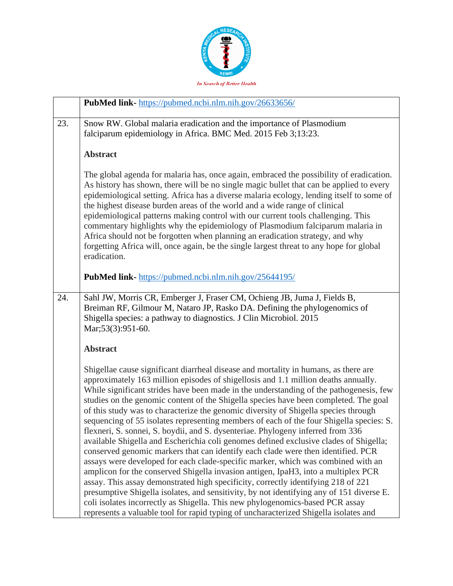

|     | PubMed link- https://pubmed.ncbi.nlm.nih.gov/26633656/                                                                                                                                                                                                                                                                                                                                                                                                                                                                                                                                                                                                                                                                                                                                                                                                                                                                                                                                                                                                                                                                                                                                                                                                                                                                                           |
|-----|--------------------------------------------------------------------------------------------------------------------------------------------------------------------------------------------------------------------------------------------------------------------------------------------------------------------------------------------------------------------------------------------------------------------------------------------------------------------------------------------------------------------------------------------------------------------------------------------------------------------------------------------------------------------------------------------------------------------------------------------------------------------------------------------------------------------------------------------------------------------------------------------------------------------------------------------------------------------------------------------------------------------------------------------------------------------------------------------------------------------------------------------------------------------------------------------------------------------------------------------------------------------------------------------------------------------------------------------------|
| 23. | Snow RW. Global malaria eradication and the importance of Plasmodium<br>falciparum epidemiology in Africa. BMC Med. 2015 Feb 3;13:23.                                                                                                                                                                                                                                                                                                                                                                                                                                                                                                                                                                                                                                                                                                                                                                                                                                                                                                                                                                                                                                                                                                                                                                                                            |
|     | <b>Abstract</b>                                                                                                                                                                                                                                                                                                                                                                                                                                                                                                                                                                                                                                                                                                                                                                                                                                                                                                                                                                                                                                                                                                                                                                                                                                                                                                                                  |
|     | The global agenda for malaria has, once again, embraced the possibility of eradication.<br>As history has shown, there will be no single magic bullet that can be applied to every<br>epidemiological setting. Africa has a diverse malaria ecology, lending itself to some of<br>the highest disease burden areas of the world and a wide range of clinical<br>epidemiological patterns making control with our current tools challenging. This<br>commentary highlights why the epidemiology of Plasmodium falciparum malaria in<br>Africa should not be forgotten when planning an eradication strategy, and why<br>forgetting Africa will, once again, be the single largest threat to any hope for global<br>eradication.                                                                                                                                                                                                                                                                                                                                                                                                                                                                                                                                                                                                                   |
|     | PubMed link-https://pubmed.ncbi.nlm.nih.gov/25644195/                                                                                                                                                                                                                                                                                                                                                                                                                                                                                                                                                                                                                                                                                                                                                                                                                                                                                                                                                                                                                                                                                                                                                                                                                                                                                            |
| 24. | Sahl JW, Morris CR, Emberger J, Fraser CM, Ochieng JB, Juma J, Fields B,<br>Breiman RF, Gilmour M, Nataro JP, Rasko DA. Defining the phylogenomics of<br>Shigella species: a pathway to diagnostics. J Clin Microbiol. 2015<br>Mar;53(3):951-60.                                                                                                                                                                                                                                                                                                                                                                                                                                                                                                                                                                                                                                                                                                                                                                                                                                                                                                                                                                                                                                                                                                 |
|     | <b>Abstract</b>                                                                                                                                                                                                                                                                                                                                                                                                                                                                                                                                                                                                                                                                                                                                                                                                                                                                                                                                                                                                                                                                                                                                                                                                                                                                                                                                  |
|     | Shigellae cause significant diarrheal disease and mortality in humans, as there are<br>approximately 163 million episodes of shigellosis and 1.1 million deaths annually.<br>While significant strides have been made in the understanding of the pathogenesis, few<br>studies on the genomic content of the Shigella species have been completed. The goal<br>of this study was to characterize the genomic diversity of Shigella species through<br>sequencing of 55 isolates representing members of each of the four Shigella species: S.<br>flexneri, S. sonnei, S. boydii, and S. dysenteriae. Phylogeny inferred from 336<br>available Shigella and Escherichia coli genomes defined exclusive clades of Shigella;<br>conserved genomic markers that can identify each clade were then identified. PCR<br>assays were developed for each clade-specific marker, which was combined with an<br>amplicon for the conserved Shigella invasion antigen, IpaH3, into a multiplex PCR<br>assay. This assay demonstrated high specificity, correctly identifying 218 of 221<br>presumptive Shigella isolates, and sensitivity, by not identifying any of 151 diverse E.<br>coli isolates incorrectly as Shigella. This new phylogenomics-based PCR assay<br>represents a valuable tool for rapid typing of uncharacterized Shigella isolates and |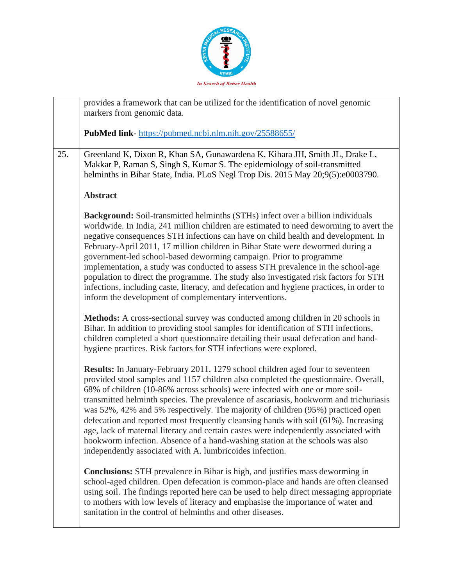

provides a framework that can be utilized for the identification of novel genomic markers from genomic data. **PubMed link**- <https://pubmed.ncbi.nlm.nih.gov/25588655/> 25. Greenland K, Dixon R, Khan SA, Gunawardena K, Kihara JH, Smith JL, Drake L, Makkar P, Raman S, Singh S, Kumar S. The epidemiology of soil-transmitted helminths in Bihar State, India. PLoS Negl Trop Dis. 2015 May 20;9(5):e0003790. **Abstract Background:** Soil-transmitted helminths (STHs) infect over a billion individuals worldwide. In India, 241 million children are estimated to need deworming to avert the negative consequences STH infections can have on child health and development. In February-April 2011, 17 million children in Bihar State were dewormed during a government-led school-based deworming campaign. Prior to programme implementation, a study was conducted to assess STH prevalence in the school-age population to direct the programme. The study also investigated risk factors for STH infections, including caste, literacy, and defecation and hygiene practices, in order to inform the development of complementary interventions. **Methods:** A cross-sectional survey was conducted among children in 20 schools in Bihar. In addition to providing stool samples for identification of STH infections, children completed a short questionnaire detailing their usual defecation and handhygiene practices. Risk factors for STH infections were explored. **Results:** In January-February 2011, 1279 school children aged four to seventeen provided stool samples and 1157 children also completed the questionnaire. Overall, 68% of children (10-86% across schools) were infected with one or more soiltransmitted helminth species. The prevalence of ascariasis, hookworm and trichuriasis was 52%, 42% and 5% respectively. The majority of children (95%) practiced open defecation and reported most frequently cleansing hands with soil (61%). Increasing age, lack of maternal literacy and certain castes were independently associated with hookworm infection. Absence of a hand-washing station at the schools was also independently associated with A. lumbricoides infection. **Conclusions:** STH prevalence in Bihar is high, and justifies mass deworming in school-aged children. Open defecation is common-place and hands are often cleansed using soil. The findings reported here can be used to help direct messaging appropriate to mothers with low levels of literacy and emphasise the importance of water and sanitation in the control of helminths and other diseases.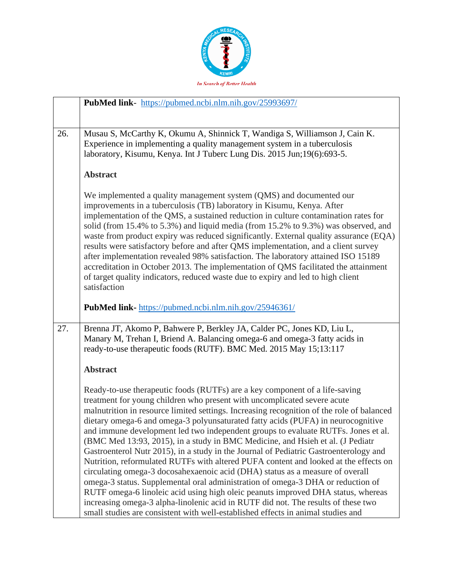

|     | <b>PubMed link-</b> https://pubmed.ncbi.nlm.nih.gov/25993697/                                                                                                                                                                                                                                                                                                                                                                                                                                                                                                                                                                                                                                                                                                                                                                                                                                                                                                                                                                                                                                                                     |
|-----|-----------------------------------------------------------------------------------------------------------------------------------------------------------------------------------------------------------------------------------------------------------------------------------------------------------------------------------------------------------------------------------------------------------------------------------------------------------------------------------------------------------------------------------------------------------------------------------------------------------------------------------------------------------------------------------------------------------------------------------------------------------------------------------------------------------------------------------------------------------------------------------------------------------------------------------------------------------------------------------------------------------------------------------------------------------------------------------------------------------------------------------|
|     |                                                                                                                                                                                                                                                                                                                                                                                                                                                                                                                                                                                                                                                                                                                                                                                                                                                                                                                                                                                                                                                                                                                                   |
| 26. | Musau S, McCarthy K, Okumu A, Shinnick T, Wandiga S, Williamson J, Cain K.<br>Experience in implementing a quality management system in a tuberculosis<br>laboratory, Kisumu, Kenya. Int J Tuberc Lung Dis. 2015 Jun;19(6):693-5.<br><b>Abstract</b>                                                                                                                                                                                                                                                                                                                                                                                                                                                                                                                                                                                                                                                                                                                                                                                                                                                                              |
|     | We implemented a quality management system (QMS) and documented our<br>improvements in a tuberculosis (TB) laboratory in Kisumu, Kenya. After<br>implementation of the QMS, a sustained reduction in culture contamination rates for<br>solid (from 15.4% to 5.3%) and liquid media (from 15.2% to 9.3%) was observed, and<br>waste from product expiry was reduced significantly. External quality assurance (EQA)<br>results were satisfactory before and after QMS implementation, and a client survey<br>after implementation revealed 98% satisfaction. The laboratory attained ISO 15189<br>accreditation in October 2013. The implementation of QMS facilitated the attainment<br>of target quality indicators, reduced waste due to expiry and led to high client<br>satisfaction                                                                                                                                                                                                                                                                                                                                         |
|     | PubMed link- https://pubmed.ncbi.nlm.nih.gov/25946361/                                                                                                                                                                                                                                                                                                                                                                                                                                                                                                                                                                                                                                                                                                                                                                                                                                                                                                                                                                                                                                                                            |
| 27. | Brenna JT, Akomo P, Bahwere P, Berkley JA, Calder PC, Jones KD, Liu L,<br>Manary M, Trehan I, Briend A. Balancing omega-6 and omega-3 fatty acids in<br>ready-to-use therapeutic foods (RUTF). BMC Med. 2015 May 15;13:117                                                                                                                                                                                                                                                                                                                                                                                                                                                                                                                                                                                                                                                                                                                                                                                                                                                                                                        |
|     | <b>Abstract</b>                                                                                                                                                                                                                                                                                                                                                                                                                                                                                                                                                                                                                                                                                                                                                                                                                                                                                                                                                                                                                                                                                                                   |
|     | Ready-to-use therapeutic foods (RUTFs) are a key component of a life-saving<br>treatment for young children who present with uncomplicated severe acute<br>malnutrition in resource limited settings. Increasing recognition of the role of balanced<br>dietary omega-6 and omega-3 polyunsaturated fatty acids (PUFA) in neurocognitive<br>and immune development led two independent groups to evaluate RUTFs. Jones et al.<br>(BMC Med 13:93, 2015), in a study in BMC Medicine, and Hsieh et al. (J Pediatr<br>Gastroenterol Nutr 2015), in a study in the Journal of Pediatric Gastroenterology and<br>Nutrition, reformulated RUTFs with altered PUFA content and looked at the effects on<br>circulating omega-3 docosahexaenoic acid (DHA) status as a measure of overall<br>omega-3 status. Supplemental oral administration of omega-3 DHA or reduction of<br>RUTF omega-6 linoleic acid using high oleic peanuts improved DHA status, whereas<br>increasing omega-3 alpha-linolenic acid in RUTF did not. The results of these two<br>small studies are consistent with well-established effects in animal studies and |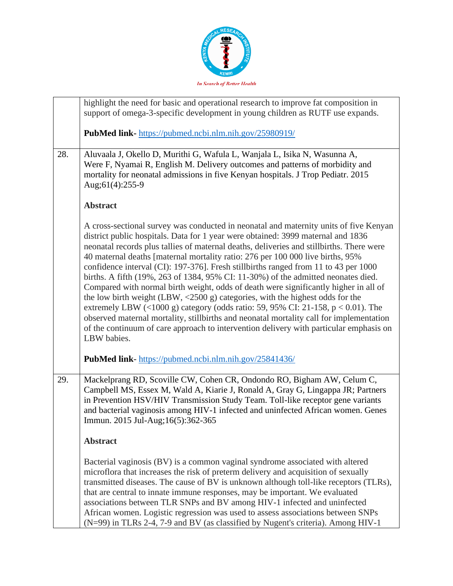

|     | highlight the need for basic and operational research to improve fat composition in<br>support of omega-3-specific development in young children as RUTF use expands.                                                                                                                                                                                                                                                                                                                                                                                                                                                                                                                                                                                                                                                                                                                                                                                                                                      |
|-----|------------------------------------------------------------------------------------------------------------------------------------------------------------------------------------------------------------------------------------------------------------------------------------------------------------------------------------------------------------------------------------------------------------------------------------------------------------------------------------------------------------------------------------------------------------------------------------------------------------------------------------------------------------------------------------------------------------------------------------------------------------------------------------------------------------------------------------------------------------------------------------------------------------------------------------------------------------------------------------------------------------|
|     | PubMed link- https://pubmed.ncbi.nlm.nih.gov/25980919/                                                                                                                                                                                                                                                                                                                                                                                                                                                                                                                                                                                                                                                                                                                                                                                                                                                                                                                                                     |
| 28. | Aluvaala J, Okello D, Murithi G, Wafula L, Wanjala L, Isika N, Wasunna A,<br>Were F, Nyamai R, English M. Delivery outcomes and patterns of morbidity and<br>mortality for neonatal admissions in five Kenyan hospitals. J Trop Pediatr. 2015<br>Aug;61(4):255-9                                                                                                                                                                                                                                                                                                                                                                                                                                                                                                                                                                                                                                                                                                                                           |
|     | <b>Abstract</b>                                                                                                                                                                                                                                                                                                                                                                                                                                                                                                                                                                                                                                                                                                                                                                                                                                                                                                                                                                                            |
|     | A cross-sectional survey was conducted in neonatal and maternity units of five Kenyan<br>district public hospitals. Data for 1 year were obtained: 3999 maternal and 1836<br>neonatal records plus tallies of maternal deaths, deliveries and stillbirths. There were<br>40 maternal deaths [maternal mortality ratio: 276 per 100 000 live births, 95%<br>confidence interval (CI): 197-376]. Fresh stillbirths ranged from 11 to 43 per 1000<br>births. A fifth (19%, 263 of 1384, 95% CI: 11-30%) of the admitted neonates died.<br>Compared with normal birth weight, odds of death were significantly higher in all of<br>the low birth weight $(LBW, < 2500 g)$ categories, with the highest odds for the<br>extremely LBW (<1000 g) category (odds ratio: 59, 95% CI: 21-158, $p < 0.01$ ). The<br>observed maternal mortality, stillbirths and neonatal mortality call for implementation<br>of the continuum of care approach to intervention delivery with particular emphasis on<br>LBW babies. |
|     | PubMed link-https://pubmed.ncbi.nlm.nih.gov/25841436/                                                                                                                                                                                                                                                                                                                                                                                                                                                                                                                                                                                                                                                                                                                                                                                                                                                                                                                                                      |
| 29. | Mackelprang RD, Scoville CW, Cohen CR, Ondondo RO, Bigham AW, Celum C,<br>Campbell MS, Essex M, Wald A, Kiarie J, Ronald A, Gray G, Lingappa JR; Partners<br>in Prevention HSV/HIV Transmission Study Team. Toll-like receptor gene variants<br>and bacterial vaginosis among HIV-1 infected and uninfected African women. Genes<br>Immun. 2015 Jul-Aug;16(5):362-365                                                                                                                                                                                                                                                                                                                                                                                                                                                                                                                                                                                                                                      |
|     | <b>Abstract</b>                                                                                                                                                                                                                                                                                                                                                                                                                                                                                                                                                                                                                                                                                                                                                                                                                                                                                                                                                                                            |
|     | Bacterial vaginosis (BV) is a common vaginal syndrome associated with altered<br>microflora that increases the risk of preterm delivery and acquisition of sexually<br>transmitted diseases. The cause of BV is unknown although toll-like receptors (TLRs),<br>that are central to innate immune responses, may be important. We evaluated<br>associations between TLR SNPs and BV among HIV-1 infected and uninfected<br>African women. Logistic regression was used to assess associations between SNPs<br>(N=99) in TLRs 2-4, 7-9 and BV (as classified by Nugent's criteria). Among HIV-1                                                                                                                                                                                                                                                                                                                                                                                                             |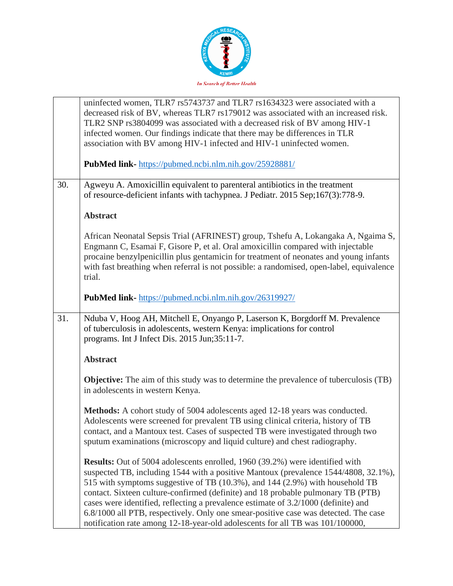

|     | uninfected women, TLR7 rs5743737 and TLR7 rs1634323 were associated with a<br>decreased risk of BV, whereas TLR7 rs179012 was associated with an increased risk.<br>TLR2 SNP rs3804099 was associated with a decreased risk of BV among HIV-1<br>infected women. Our findings indicate that there may be differences in TLR<br>association with BV among HIV-1 infected and HIV-1 uninfected women.                                                                                                                                                                                                          |
|-----|--------------------------------------------------------------------------------------------------------------------------------------------------------------------------------------------------------------------------------------------------------------------------------------------------------------------------------------------------------------------------------------------------------------------------------------------------------------------------------------------------------------------------------------------------------------------------------------------------------------|
|     | <b>PubMed link-</b> https://pubmed.ncbi.nlm.nih.gov/25928881/                                                                                                                                                                                                                                                                                                                                                                                                                                                                                                                                                |
| 30. | Agweyu A. Amoxicillin equivalent to parenteral antibiotics in the treatment<br>of resource-deficient infants with tachypnea. J Pediatr. 2015 Sep;167(3):778-9.                                                                                                                                                                                                                                                                                                                                                                                                                                               |
|     | <b>Abstract</b>                                                                                                                                                                                                                                                                                                                                                                                                                                                                                                                                                                                              |
|     | African Neonatal Sepsis Trial (AFRINEST) group, Tshefu A, Lokangaka A, Ngaima S,<br>Engmann C, Esamai F, Gisore P, et al. Oral amoxicillin compared with injectable<br>procaine benzylpenicillin plus gentamic in for treatment of neonates and young infants<br>with fast breathing when referral is not possible: a randomised, open-label, equivalence<br>trial.                                                                                                                                                                                                                                          |
|     | PubMed link- https://pubmed.ncbi.nlm.nih.gov/26319927/                                                                                                                                                                                                                                                                                                                                                                                                                                                                                                                                                       |
| 31. | Nduba V, Hoog AH, Mitchell E, Onyango P, Laserson K, Borgdorff M. Prevalence<br>of tuberculosis in adolescents, western Kenya: implications for control<br>programs. Int J Infect Dis. 2015 Jun;35:11-7.                                                                                                                                                                                                                                                                                                                                                                                                     |
|     | <b>Abstract</b>                                                                                                                                                                                                                                                                                                                                                                                                                                                                                                                                                                                              |
|     | <b>Objective:</b> The aim of this study was to determine the prevalence of tuberculosis (TB)<br>in adolescents in western Kenya.                                                                                                                                                                                                                                                                                                                                                                                                                                                                             |
|     | Methods: A cohort study of 5004 adolescents aged 12-18 years was conducted.<br>Adolescents were screened for prevalent TB using clinical criteria, history of TB<br>contact, and a Mantoux test. Cases of suspected TB were investigated through two<br>sputum examinations (microscopy and liquid culture) and chest radiography.                                                                                                                                                                                                                                                                           |
|     | <b>Results:</b> Out of 5004 adolescents enrolled, 1960 (39.2%) were identified with<br>suspected TB, including 1544 with a positive Mantoux (prevalence 1544/4808, 32.1%),<br>515 with symptoms suggestive of TB (10.3%), and 144 (2.9%) with household TB<br>contact. Sixteen culture-confirmed (definite) and 18 probable pulmonary TB (PTB)<br>cases were identified, reflecting a prevalence estimate of 3.2/1000 (definite) and<br>6.8/1000 all PTB, respectively. Only one smear-positive case was detected. The case<br>notification rate among 12-18-year-old adolescents for all TB was 101/100000, |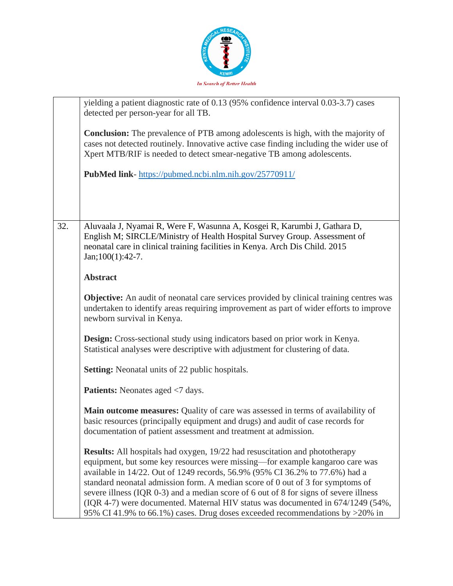

|     | yielding a patient diagnostic rate of 0.13 (95% confidence interval 0.03-3.7) cases<br>detected per person-year for all TB.                                                                                                                                                                                                                                                                                                                                                                                                                                                                      |
|-----|--------------------------------------------------------------------------------------------------------------------------------------------------------------------------------------------------------------------------------------------------------------------------------------------------------------------------------------------------------------------------------------------------------------------------------------------------------------------------------------------------------------------------------------------------------------------------------------------------|
|     | <b>Conclusion:</b> The prevalence of PTB among adolescents is high, with the majority of<br>cases not detected routinely. Innovative active case finding including the wider use of<br>Xpert MTB/RIF is needed to detect smear-negative TB among adolescents.                                                                                                                                                                                                                                                                                                                                    |
|     | <b>PubMed link-</b> https://pubmed.ncbi.nlm.nih.gov/25770911/                                                                                                                                                                                                                                                                                                                                                                                                                                                                                                                                    |
|     |                                                                                                                                                                                                                                                                                                                                                                                                                                                                                                                                                                                                  |
| 32. | Aluvaala J, Nyamai R, Were F, Wasunna A, Kosgei R, Karumbi J, Gathara D,<br>English M; SIRCLE/Ministry of Health Hospital Survey Group. Assessment of<br>neonatal care in clinical training facilities in Kenya. Arch Dis Child. 2015<br>$Jan;100(1):42-7.$                                                                                                                                                                                                                                                                                                                                      |
|     | <b>Abstract</b>                                                                                                                                                                                                                                                                                                                                                                                                                                                                                                                                                                                  |
|     | <b>Objective:</b> An audit of neonatal care services provided by clinical training centres was<br>undertaken to identify areas requiring improvement as part of wider efforts to improve<br>newborn survival in Kenya.                                                                                                                                                                                                                                                                                                                                                                           |
|     | <b>Design:</b> Cross-sectional study using indicators based on prior work in Kenya.<br>Statistical analyses were descriptive with adjustment for clustering of data.                                                                                                                                                                                                                                                                                                                                                                                                                             |
|     | <b>Setting:</b> Neonatal units of 22 public hospitals.                                                                                                                                                                                                                                                                                                                                                                                                                                                                                                                                           |
|     | <b>Patients:</b> Neonates aged <7 days.                                                                                                                                                                                                                                                                                                                                                                                                                                                                                                                                                          |
|     | Main outcome measures: Quality of care was assessed in terms of availability of<br>basic resources (principally equipment and drugs) and audit of case records for<br>documentation of patient assessment and treatment at admission.                                                                                                                                                                                                                                                                                                                                                            |
|     | <b>Results:</b> All hospitals had oxygen, 19/22 had resuscitation and phototherapy<br>equipment, but some key resources were missing—for example kangaroo care was<br>available in 14/22. Out of 1249 records, 56.9% (95% CI 36.2% to 77.6%) had a<br>standard neonatal admission form. A median score of 0 out of 3 for symptoms of<br>severe illness (IQR 0-3) and a median score of 6 out of 8 for signs of severe illness<br>(IQR 4-7) were documented. Maternal HIV status was documented in 674/1249 (54%,<br>95% CI 41.9% to 66.1%) cases. Drug doses exceeded recommendations by >20% in |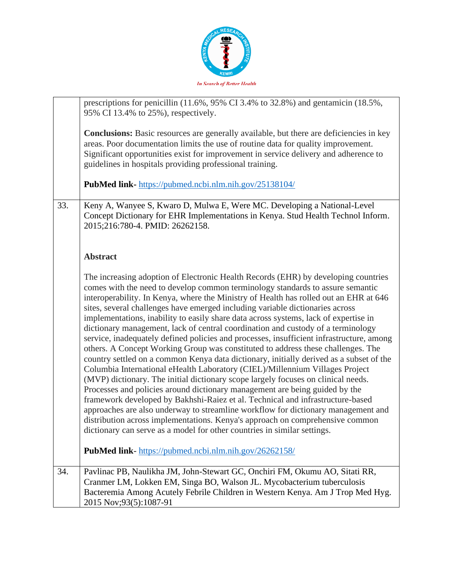

prescriptions for penicillin (11.6%, 95% CI 3.4% to 32.8%) and gentamicin (18.5%, 95% CI 13.4% to 25%), respectively. **Conclusions:** Basic resources are generally available, but there are deficiencies in key areas. Poor documentation limits the use of routine data for quality improvement. Significant opportunities exist for improvement in service delivery and adherence to guidelines in hospitals providing professional training. **PubMed link-** <https://pubmed.ncbi.nlm.nih.gov/25138104/> 33. Keny A, Wanyee S, Kwaro D, Mulwa E, Were MC. Developing a National-Level Concept Dictionary for EHR Implementations in Kenya. Stud Health Technol Inform. 2015;216:780-4. PMID: 26262158. **Abstract** The increasing adoption of Electronic Health Records (EHR) by developing countries comes with the need to develop common terminology standards to assure semantic interoperability. In Kenya, where the Ministry of Health has rolled out an EHR at 646 sites, several challenges have emerged including variable dictionaries across implementations, inability to easily share data across systems, lack of expertise in dictionary management, lack of central coordination and custody of a terminology service, inadequately defined policies and processes, insufficient infrastructure, among others. A Concept Working Group was constituted to address these challenges. The country settled on a common Kenya data dictionary, initially derived as a subset of the Columbia International eHealth Laboratory (CIEL)/Millennium Villages Project (MVP) dictionary. The initial dictionary scope largely focuses on clinical needs. Processes and policies around dictionary management are being guided by the framework developed by Bakhshi-Raiez et al. Technical and infrastructure-based approaches are also underway to streamline workflow for dictionary management and distribution across implementations. Kenya's approach on comprehensive common dictionary can serve as a model for other countries in similar settings. **PubMed link**- <https://pubmed.ncbi.nlm.nih.gov/26262158/> 34. Pavlinac PB, Naulikha JM, John-Stewart GC, Onchiri FM, Okumu AO, Sitati RR, Cranmer LM, Lokken EM, Singa BO, Walson JL. Mycobacterium tuberculosis Bacteremia Among Acutely Febrile Children in Western Kenya. Am J Trop Med Hyg. 2015 Nov;93(5):1087-91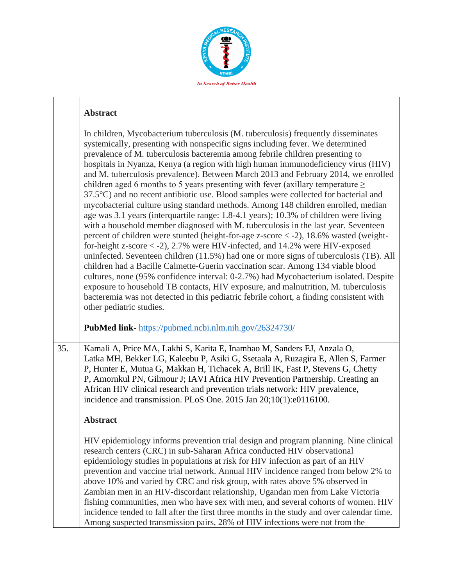

|     | In children, Mycobacterium tuberculosis (M. tuberculosis) frequently disseminates<br>systemically, presenting with nonspecific signs including fever. We determined<br>prevalence of M. tuberculosis bacteremia among febrile children presenting to<br>hospitals in Nyanza, Kenya (a region with high human immunodeficiency virus (HIV)<br>and M. tuberculosis prevalence). Between March 2013 and February 2014, we enrolled<br>children aged 6 months to 5 years presenting with fever (axillary temperature $\geq$<br>37.5°C) and no recent antibiotic use. Blood samples were collected for bacterial and<br>mycobacterial culture using standard methods. Among 148 children enrolled, median<br>age was 3.1 years (interquartile range: 1.8-4.1 years); 10.3% of children were living<br>with a household member diagnosed with M. tuberculosis in the last year. Seventeen<br>percent of children were stunted (height-for-age z-score $\langle$ -2), 18.6% wasted (weight-<br>for-height z-score $\langle -2 \rangle$ , 2.7% were HIV-infected, and 14.2% were HIV-exposed<br>uninfected. Seventeen children (11.5%) had one or more signs of tuberculosis (TB). All<br>children had a Bacille Calmette-Guerin vaccination scar. Among 134 viable blood<br>cultures, none (95% confidence interval: 0-2.7%) had Mycobacterium isolated. Despite<br>exposure to household TB contacts, HIV exposure, and malnutrition, M. tuberculosis<br>bacteremia was not detected in this pediatric febrile cohort, a finding consistent with<br>other pediatric studies.<br>PubMed link- https://pubmed.ncbi.nlm.nih.gov/26324730/ |
|-----|----------------------------------------------------------------------------------------------------------------------------------------------------------------------------------------------------------------------------------------------------------------------------------------------------------------------------------------------------------------------------------------------------------------------------------------------------------------------------------------------------------------------------------------------------------------------------------------------------------------------------------------------------------------------------------------------------------------------------------------------------------------------------------------------------------------------------------------------------------------------------------------------------------------------------------------------------------------------------------------------------------------------------------------------------------------------------------------------------------------------------------------------------------------------------------------------------------------------------------------------------------------------------------------------------------------------------------------------------------------------------------------------------------------------------------------------------------------------------------------------------------------------------------------------------------------------------------------------------------------------------------|
|     |                                                                                                                                                                                                                                                                                                                                                                                                                                                                                                                                                                                                                                                                                                                                                                                                                                                                                                                                                                                                                                                                                                                                                                                                                                                                                                                                                                                                                                                                                                                                                                                                                                  |
| 35. | Kamali A, Price MA, Lakhi S, Karita E, Inambao M, Sanders EJ, Anzala O,<br>Latka MH, Bekker LG, Kaleebu P, Asiki G, Ssetaala A, Ruzagira E, Allen S, Farmer<br>P, Hunter E, Mutua G, Makkan H, Tichacek A, Brill IK, Fast P, Stevens G, Chetty<br>P, Amornkul PN, Gilmour J; IAVI Africa HIV Prevention Partnership. Creating an<br>African HIV clinical research and prevention trials network: HIV prevalence,<br>incidence and transmission. PLoS One. 2015 Jan 20;10(1):e0116100.                                                                                                                                                                                                                                                                                                                                                                                                                                                                                                                                                                                                                                                                                                                                                                                                                                                                                                                                                                                                                                                                                                                                            |
|     | <b>Abstract</b>                                                                                                                                                                                                                                                                                                                                                                                                                                                                                                                                                                                                                                                                                                                                                                                                                                                                                                                                                                                                                                                                                                                                                                                                                                                                                                                                                                                                                                                                                                                                                                                                                  |
|     | HIV epidemiology informs prevention trial design and program planning. Nine clinical<br>research centers (CRC) in sub-Saharan Africa conducted HIV observational<br>epidemiology studies in populations at risk for HIV infection as part of an HIV<br>prevention and vaccine trial network. Annual HIV incidence ranged from below 2% to<br>above 10% and varied by CRC and risk group, with rates above 5% observed in<br>Zambian men in an HIV-discordant relationship, Ugandan men from Lake Victoria<br>fishing communities, men who have sex with men, and several cohorts of women. HIV<br>incidence tended to fall after the first three months in the study and over calendar time.<br>Among suspected transmission pairs, 28% of HIV infections were not from the                                                                                                                                                                                                                                                                                                                                                                                                                                                                                                                                                                                                                                                                                                                                                                                                                                                      |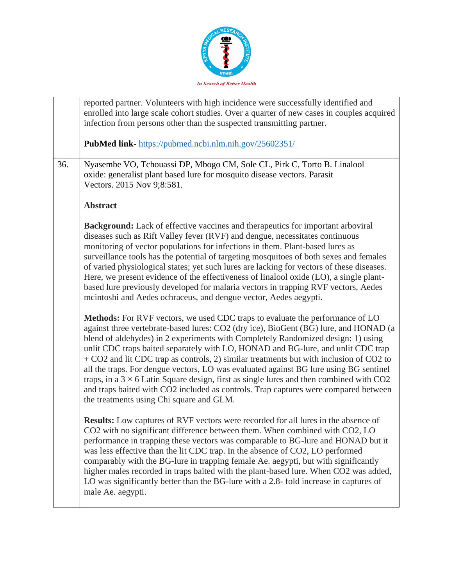

reported partner. Volunteers with high incidence were successfully identified and enrolled into large scale cohort studies. Over a quarter of new cases in couples acquired infection from persons other than the suspected transmitting partner. **PubMed link-** <https://pubmed.ncbi.nlm.nih.gov/25602351/> 36. Nyasembe VO, Tchouassi DP, Mbogo CM, Sole CL, Pirk C, Torto B. Linalool oxide: generalist plant based lure for mosquito disease vectors. Parasit Vectors. 2015 Nov 9;8:581. **Abstract Background:** Lack of effective vaccines and therapeutics for important arboviral diseases such as Rift Valley fever (RVF) and dengue, necessitates continuous monitoring of vector populations for infections in them. Plant-based lures as surveillance tools has the potential of targeting mosquitoes of both sexes and females of varied physiological states; yet such lures are lacking for vectors of these diseases. Here, we present evidence of the effectiveness of linalool oxide (LO), a single plantbased lure previously developed for malaria vectors in trapping RVF vectors, Aedes mcintoshi and Aedes ochraceus, and dengue vector, Aedes aegypti. **Methods:** For RVF vectors, we used CDC traps to evaluate the performance of LO against three vertebrate-based lures: CO2 (dry ice), BioGent (BG) lure, and HONAD (a blend of aldehydes) in 2 experiments with Completely Randomized design: 1) using unlit CDC traps baited separately with LO, HONAD and BG-lure, and unlit CDC trap + CO2 and lit CDC trap as controls, 2) similar treatments but with inclusion of CO2 to all the traps. For dengue vectors, LO was evaluated against BG lure using BG sentinel traps, in a  $3 \times 6$  Latin Square design, first as single lures and then combined with CO2 and traps baited with CO2 included as controls. Trap captures were compared between the treatments using Chi square and GLM. **Results:** Low captures of RVF vectors were recorded for all lures in the absence of CO2 with no significant difference between them. When combined with CO2, LO performance in trapping these vectors was comparable to BG-lure and HONAD but it was less effective than the lit CDC trap. In the absence of CO2, LO performed comparably with the BG-lure in trapping female Ae. aegypti, but with significantly higher males recorded in traps baited with the plant-based lure. When CO2 was added, LO was significantly better than the BG-lure with a 2.8- fold increase in captures of male Ae. aegypti.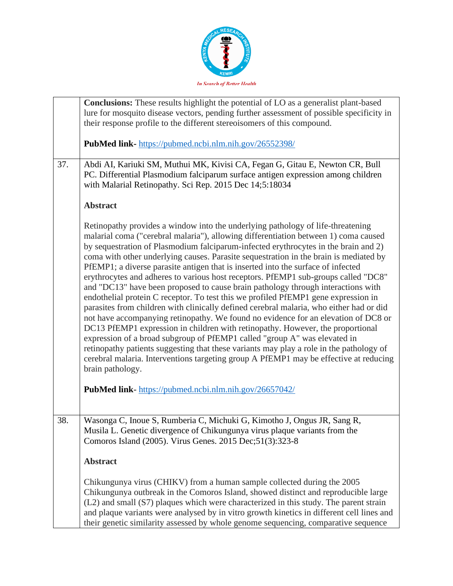

|     | Conclusions: These results highlight the potential of LO as a generalist plant-based<br>lure for mosquito disease vectors, pending further assessment of possible specificity in<br>their response profile to the different stereoisomers of this compound.                                                                                                                                                                                                                                                                                                                                                                                                                                                                                                                                                                                                                                                                                                                                                                                                                                                                                                                                                                                                        |
|-----|--------------------------------------------------------------------------------------------------------------------------------------------------------------------------------------------------------------------------------------------------------------------------------------------------------------------------------------------------------------------------------------------------------------------------------------------------------------------------------------------------------------------------------------------------------------------------------------------------------------------------------------------------------------------------------------------------------------------------------------------------------------------------------------------------------------------------------------------------------------------------------------------------------------------------------------------------------------------------------------------------------------------------------------------------------------------------------------------------------------------------------------------------------------------------------------------------------------------------------------------------------------------|
|     | PubMed link- https://pubmed.ncbi.nlm.nih.gov/26552398/                                                                                                                                                                                                                                                                                                                                                                                                                                                                                                                                                                                                                                                                                                                                                                                                                                                                                                                                                                                                                                                                                                                                                                                                             |
| 37. | Abdi AI, Kariuki SM, Muthui MK, Kivisi CA, Fegan G, Gitau E, Newton CR, Bull<br>PC. Differential Plasmodium falciparum surface antigen expression among children<br>with Malarial Retinopathy. Sci Rep. 2015 Dec 14;5:18034                                                                                                                                                                                                                                                                                                                                                                                                                                                                                                                                                                                                                                                                                                                                                                                                                                                                                                                                                                                                                                        |
|     | <b>Abstract</b>                                                                                                                                                                                                                                                                                                                                                                                                                                                                                                                                                                                                                                                                                                                                                                                                                                                                                                                                                                                                                                                                                                                                                                                                                                                    |
|     | Retinopathy provides a window into the underlying pathology of life-threatening<br>malarial coma ("cerebral malaria"), allowing differentiation between 1) coma caused<br>by sequestration of Plasmodium falciparum-infected erythrocytes in the brain and 2)<br>coma with other underlying causes. Parasite sequestration in the brain is mediated by<br>PfEMP1; a diverse parasite antigen that is inserted into the surface of infected<br>erythrocytes and adheres to various host receptors. PfEMP1 sub-groups called "DC8"<br>and "DC13" have been proposed to cause brain pathology through interactions with<br>endothelial protein C receptor. To test this we profiled PfEMP1 gene expression in<br>parasites from children with clinically defined cerebral malaria, who either had or did<br>not have accompanying retinopathy. We found no evidence for an elevation of DC8 or<br>DC13 PfEMP1 expression in children with retinopathy. However, the proportional<br>expression of a broad subgroup of PfEMP1 called "group A" was elevated in<br>retinopathy patients suggesting that these variants may play a role in the pathology of<br>cerebral malaria. Interventions targeting group A PfEMP1 may be effective at reducing<br>brain pathology. |
|     | PubMed link-https://pubmed.ncbi.nlm.nih.gov/26657042/                                                                                                                                                                                                                                                                                                                                                                                                                                                                                                                                                                                                                                                                                                                                                                                                                                                                                                                                                                                                                                                                                                                                                                                                              |
| 38. | Wasonga C, Inoue S, Rumberia C, Michuki G, Kimotho J, Ongus JR, Sang R,<br>Musila L. Genetic divergence of Chikungunya virus plaque variants from the<br>Comoros Island (2005). Virus Genes. 2015 Dec; 51(3): 323-8                                                                                                                                                                                                                                                                                                                                                                                                                                                                                                                                                                                                                                                                                                                                                                                                                                                                                                                                                                                                                                                |
|     | <b>Abstract</b>                                                                                                                                                                                                                                                                                                                                                                                                                                                                                                                                                                                                                                                                                                                                                                                                                                                                                                                                                                                                                                                                                                                                                                                                                                                    |
|     | Chikungunya virus (CHIKV) from a human sample collected during the 2005<br>Chikungunya outbreak in the Comoros Island, showed distinct and reproducible large<br>(L2) and small (S7) plaques which were characterized in this study. The parent strain<br>and plaque variants were analysed by in vitro growth kinetics in different cell lines and<br>their genetic similarity assessed by whole genome sequencing, comparative sequence                                                                                                                                                                                                                                                                                                                                                                                                                                                                                                                                                                                                                                                                                                                                                                                                                          |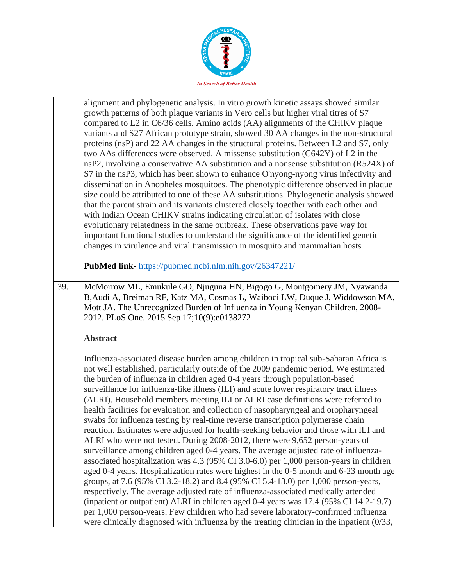

|     | alignment and phylogenetic analysis. In vitro growth kinetic assays showed similar<br>growth patterns of both plaque variants in Vero cells but higher viral titres of S7<br>compared to L2 in C6/36 cells. Amino acids (AA) alignments of the CHIKV plaque<br>variants and S27 African prototype strain, showed 30 AA changes in the non-structural<br>proteins (nsP) and 22 AA changes in the structural proteins. Between L2 and S7, only<br>two AAs differences were observed. A missense substitution (C642Y) of L2 in the<br>nsP2, involving a conservative AA substitution and a nonsense substitution (R524X) of<br>S7 in the nsP3, which has been shown to enhance O'nyong-nyong virus infectivity and<br>dissemination in Anopheles mosquitoes. The phenotypic difference observed in plaque<br>size could be attributed to one of these AA substitutions. Phylogenetic analysis showed<br>that the parent strain and its variants clustered closely together with each other and<br>with Indian Ocean CHIKV strains indicating circulation of isolates with close<br>evolutionary relatedness in the same outbreak. These observations pave way for<br>important functional studies to understand the significance of the identified genetic<br>changes in virulence and viral transmission in mosquito and mammalian hosts<br>PubMed link-https://pubmed.ncbi.nlm.nih.gov/26347221/                                                                                                                                      |
|-----|--------------------------------------------------------------------------------------------------------------------------------------------------------------------------------------------------------------------------------------------------------------------------------------------------------------------------------------------------------------------------------------------------------------------------------------------------------------------------------------------------------------------------------------------------------------------------------------------------------------------------------------------------------------------------------------------------------------------------------------------------------------------------------------------------------------------------------------------------------------------------------------------------------------------------------------------------------------------------------------------------------------------------------------------------------------------------------------------------------------------------------------------------------------------------------------------------------------------------------------------------------------------------------------------------------------------------------------------------------------------------------------------------------------------------------------------------------------------------------------------------------------------------------------|
| 39. | McMorrow ML, Emukule GO, Njuguna HN, Bigogo G, Montgomery JM, Nyawanda<br>B, Audi A, Breiman RF, Katz MA, Cosmas L, Waiboci LW, Duque J, Widdowson MA,<br>Mott JA. The Unrecognized Burden of Influenza in Young Kenyan Children, 2008-<br>2012. PLoS One. 2015 Sep 17;10(9):e0138272                                                                                                                                                                                                                                                                                                                                                                                                                                                                                                                                                                                                                                                                                                                                                                                                                                                                                                                                                                                                                                                                                                                                                                                                                                                |
|     | <b>Abstract</b>                                                                                                                                                                                                                                                                                                                                                                                                                                                                                                                                                                                                                                                                                                                                                                                                                                                                                                                                                                                                                                                                                                                                                                                                                                                                                                                                                                                                                                                                                                                      |
|     | Influenza-associated disease burden among children in tropical sub-Saharan Africa is<br>not well established, particularly outside of the 2009 pandemic period. We estimated<br>the burden of influenza in children aged 0-4 years through population-based<br>surveillance for influenza-like illness (ILI) and acute lower respiratory tract illness<br>(ALRI). Household members meeting ILI or ALRI case definitions were referred to<br>health facilities for evaluation and collection of nasopharyngeal and oropharyngeal<br>swabs for influenza testing by real-time reverse transcription polymerase chain<br>reaction. Estimates were adjusted for health-seeking behavior and those with ILI and<br>ALRI who were not tested. During 2008-2012, there were 9,652 person-years of<br>surveillance among children aged 0-4 years. The average adjusted rate of influenza-<br>associated hospitalization was 4.3 (95% CI 3.0-6.0) per 1,000 person-years in children<br>aged 0-4 years. Hospitalization rates were highest in the 0-5 month and 6-23 month age<br>groups, at 7.6 (95% CI 3.2-18.2) and 8.4 (95% CI 5.4-13.0) per 1,000 person-years,<br>respectively. The average adjusted rate of influenza-associated medically attended<br>(inpatient or outpatient) ALRI in children aged 0-4 years was 17.4 (95% CI 14.2-19.7)<br>per 1,000 person-years. Few children who had severe laboratory-confirmed influenza<br>were clinically diagnosed with influenza by the treating clinician in the inpatient $(0/33, 0)$ |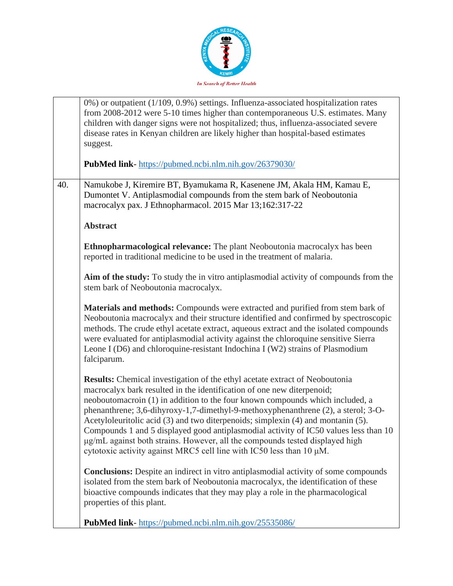

|     | 0%) or outpatient (1/109, 0.9%) settings. Influenza-associated hospitalization rates<br>from 2008-2012 were 5-10 times higher than contemporaneous U.S. estimates. Many<br>children with danger signs were not hospitalized; thus, influenza-associated severe                                                                                                                                                                                                                                                                                                                                                                                                         |
|-----|------------------------------------------------------------------------------------------------------------------------------------------------------------------------------------------------------------------------------------------------------------------------------------------------------------------------------------------------------------------------------------------------------------------------------------------------------------------------------------------------------------------------------------------------------------------------------------------------------------------------------------------------------------------------|
|     | disease rates in Kenyan children are likely higher than hospital-based estimates<br>suggest.                                                                                                                                                                                                                                                                                                                                                                                                                                                                                                                                                                           |
|     | PubMed link-https://pubmed.ncbi.nlm.nih.gov/26379030/                                                                                                                                                                                                                                                                                                                                                                                                                                                                                                                                                                                                                  |
| 40. | Namukobe J, Kiremire BT, Byamukama R, Kasenene JM, Akala HM, Kamau E,<br>Dumontet V. Antiplasmodial compounds from the stem bark of Neoboutonia<br>macrocalyx pax. J Ethnopharmacol. 2015 Mar 13;162:317-22                                                                                                                                                                                                                                                                                                                                                                                                                                                            |
|     | <b>Abstract</b>                                                                                                                                                                                                                                                                                                                                                                                                                                                                                                                                                                                                                                                        |
|     | Ethnopharmacological relevance: The plant Neoboutonia macrocalyx has been<br>reported in traditional medicine to be used in the treatment of malaria.                                                                                                                                                                                                                                                                                                                                                                                                                                                                                                                  |
|     | <b>Aim of the study:</b> To study the in vitro antiplasmodial activity of compounds from the<br>stem bark of Neoboutonia macrocalyx.                                                                                                                                                                                                                                                                                                                                                                                                                                                                                                                                   |
|     | Materials and methods: Compounds were extracted and purified from stem bark of<br>Neoboutonia macrocalyx and their structure identified and confirmed by spectroscopic<br>methods. The crude ethyl acetate extract, aqueous extract and the isolated compounds<br>were evaluated for antiplasmodial activity against the chloroquine sensitive Sierra<br>Leone I (D6) and chloroquine-resistant Indochina I (W2) strains of Plasmodium<br>falciparum.                                                                                                                                                                                                                  |
|     | <b>Results:</b> Chemical investigation of the ethyl acetate extract of Neoboutonia<br>macrocalyx bark resulted in the identification of one new diterpenoid;<br>neoboutomacroin (1) in addition to the four known compounds which included, a<br>phenanthrene; 3,6-dihyroxy-1,7-dimethyl-9-methoxyphenanthrene (2), a sterol; 3-O-<br>Acetyloleuritolic acid (3) and two diterpenoids; simplexin (4) and montanin (5).<br>Compounds 1 and 5 displayed good antiplasmodial activity of IC50 values less than 10<br>µg/mL against both strains. However, all the compounds tested displayed high<br>cytotoxic activity against MRC5 cell line with IC50 less than 10 μM. |
|     | <b>Conclusions:</b> Despite an indirect in vitro antiplasmodial activity of some compounds<br>isolated from the stem bark of Neoboutonia macrocalyx, the identification of these<br>bioactive compounds indicates that they may play a role in the pharmacological<br>properties of this plant.                                                                                                                                                                                                                                                                                                                                                                        |
|     | PubMed link-https://pubmed.ncbi.nlm.nih.gov/25535086/                                                                                                                                                                                                                                                                                                                                                                                                                                                                                                                                                                                                                  |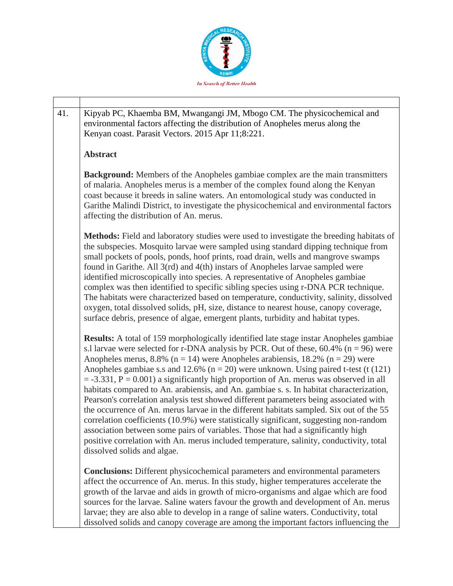

41. Kipyab PC, Khaemba BM, Mwangangi JM, Mbogo CM. The physicochemical and environmental factors affecting the distribution of Anopheles merus along the Kenyan coast. Parasit Vectors. 2015 Apr 11;8:221. **Abstract Background:** Members of the Anopheles gambiae complex are the main transmitters of malaria. Anopheles merus is a member of the complex found along the Kenyan coast because it breeds in saline waters. An entomological study was conducted in Garithe Malindi District, to investigate the physicochemical and environmental factors affecting the distribution of An. merus. **Methods:** Field and laboratory studies were used to investigate the breeding habitats of the subspecies. Mosquito larvae were sampled using standard dipping technique from small pockets of pools, ponds, hoof prints, road drain, wells and mangrove swamps found in Garithe. All 3(rd) and 4(th) instars of Anopheles larvae sampled were identified microscopically into species. A representative of Anopheles gambiae complex was then identified to specific sibling species using r-DNA PCR technique. The habitats were characterized based on temperature, conductivity, salinity, dissolved oxygen, total dissolved solids, pH, size, distance to nearest house, canopy coverage, surface debris, presence of algae, emergent plants, turbidity and habitat types. **Results:** A total of 159 morphologically identified late stage instar Anopheles gambiae s.l larvae were selected for r-DNA analysis by PCR. Out of these,  $60.4\%$  ( $n = 96$ ) were Anopheles merus, 8.8% (n = 14) were Anopheles arabiensis, 18.2% (n = 29) were Anopheles gambiae s.s and 12.6% ( $n = 20$ ) were unknown. Using paired t-test (t (121)  $= -3.331$ ,  $P = 0.001$ ) a significantly high proportion of An. merus was observed in all habitats compared to An. arabiensis, and An. gambiae s. s. In habitat characterization, Pearson's correlation analysis test showed different parameters being associated with the occurrence of An. merus larvae in the different habitats sampled. Six out of the 55 correlation coefficients (10.9%) were statistically significant, suggesting non-random association between some pairs of variables. Those that had a significantly high positive correlation with An. merus included temperature, salinity, conductivity, total dissolved solids and algae. **Conclusions:** Different physicochemical parameters and environmental parameters affect the occurrence of An. merus. In this study, higher temperatures accelerate the growth of the larvae and aids in growth of micro-organisms and algae which are food sources for the larvae. Saline waters favour the growth and development of An. merus larvae; they are also able to develop in a range of saline waters. Conductivity, total dissolved solids and canopy coverage are among the important factors influencing the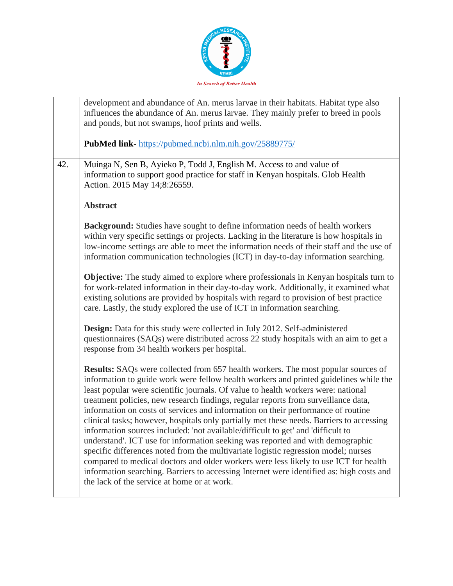

|     | development and abundance of An. merus larvae in their habitats. Habitat type also<br>influences the abundance of An. merus larvae. They mainly prefer to breed in pools<br>and ponds, but not swamps, hoof prints and wells.                                                                                                                                                                                                                                                                                                                                                                                                                                                                                                                                                                                                                                                                                                                                                                                                               |
|-----|---------------------------------------------------------------------------------------------------------------------------------------------------------------------------------------------------------------------------------------------------------------------------------------------------------------------------------------------------------------------------------------------------------------------------------------------------------------------------------------------------------------------------------------------------------------------------------------------------------------------------------------------------------------------------------------------------------------------------------------------------------------------------------------------------------------------------------------------------------------------------------------------------------------------------------------------------------------------------------------------------------------------------------------------|
|     | PubMed link-https://pubmed.ncbi.nlm.nih.gov/25889775/                                                                                                                                                                                                                                                                                                                                                                                                                                                                                                                                                                                                                                                                                                                                                                                                                                                                                                                                                                                       |
| 42. | Muinga N, Sen B, Ayieko P, Todd J, English M. Access to and value of<br>information to support good practice for staff in Kenyan hospitals. Glob Health<br>Action. 2015 May 14;8:26559.                                                                                                                                                                                                                                                                                                                                                                                                                                                                                                                                                                                                                                                                                                                                                                                                                                                     |
|     | <b>Abstract</b>                                                                                                                                                                                                                                                                                                                                                                                                                                                                                                                                                                                                                                                                                                                                                                                                                                                                                                                                                                                                                             |
|     | <b>Background:</b> Studies have sought to define information needs of health workers<br>within very specific settings or projects. Lacking in the literature is how hospitals in<br>low-income settings are able to meet the information needs of their staff and the use of<br>information communication technologies (ICT) in day-to-day information searching.                                                                                                                                                                                                                                                                                                                                                                                                                                                                                                                                                                                                                                                                           |
|     | <b>Objective:</b> The study aimed to explore where professionals in Kenyan hospitals turn to<br>for work-related information in their day-to-day work. Additionally, it examined what<br>existing solutions are provided by hospitals with regard to provision of best practice<br>care. Lastly, the study explored the use of ICT in information searching.                                                                                                                                                                                                                                                                                                                                                                                                                                                                                                                                                                                                                                                                                |
|     | <b>Design:</b> Data for this study were collected in July 2012. Self-administered<br>questionnaires (SAQs) were distributed across 22 study hospitals with an aim to get a<br>response from 34 health workers per hospital.                                                                                                                                                                                                                                                                                                                                                                                                                                                                                                                                                                                                                                                                                                                                                                                                                 |
|     | <b>Results:</b> SAQs were collected from 657 health workers. The most popular sources of<br>information to guide work were fellow health workers and printed guidelines while the<br>least popular were scientific journals. Of value to health workers were: national<br>treatment policies, new research findings, regular reports from surveillance data,<br>information on costs of services and information on their performance of routine<br>clinical tasks; however, hospitals only partially met these needs. Barriers to accessing<br>information sources included: 'not available/difficult to get' and 'difficult to<br>understand'. ICT use for information seeking was reported and with demographic<br>specific differences noted from the multivariate logistic regression model; nurses<br>compared to medical doctors and older workers were less likely to use ICT for health<br>information searching. Barriers to accessing Internet were identified as: high costs and<br>the lack of the service at home or at work. |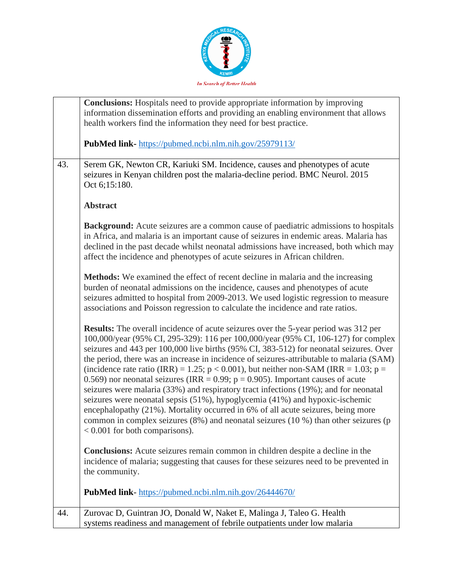

|     | <b>Conclusions:</b> Hospitals need to provide appropriate information by improving<br>information dissemination efforts and providing an enabling environment that allows<br>health workers find the information they need for best practice.                                                                                                                                                                                                                                                                                                                                                                                                                                                                                                                                                                                                                                                                                                         |
|-----|-------------------------------------------------------------------------------------------------------------------------------------------------------------------------------------------------------------------------------------------------------------------------------------------------------------------------------------------------------------------------------------------------------------------------------------------------------------------------------------------------------------------------------------------------------------------------------------------------------------------------------------------------------------------------------------------------------------------------------------------------------------------------------------------------------------------------------------------------------------------------------------------------------------------------------------------------------|
|     | PubMed link-https://pubmed.ncbi.nlm.nih.gov/25979113/                                                                                                                                                                                                                                                                                                                                                                                                                                                                                                                                                                                                                                                                                                                                                                                                                                                                                                 |
| 43. | Serem GK, Newton CR, Kariuki SM. Incidence, causes and phenotypes of acute<br>seizures in Kenyan children post the malaria-decline period. BMC Neurol. 2015<br>Oct 6;15:180.                                                                                                                                                                                                                                                                                                                                                                                                                                                                                                                                                                                                                                                                                                                                                                          |
|     | <b>Abstract</b>                                                                                                                                                                                                                                                                                                                                                                                                                                                                                                                                                                                                                                                                                                                                                                                                                                                                                                                                       |
|     | <b>Background:</b> Acute seizures are a common cause of paediatric admissions to hospitals<br>in Africa, and malaria is an important cause of seizures in endemic areas. Malaria has<br>declined in the past decade whilst neonatal admissions have increased, both which may<br>affect the incidence and phenotypes of acute seizures in African children.                                                                                                                                                                                                                                                                                                                                                                                                                                                                                                                                                                                           |
|     | <b>Methods:</b> We examined the effect of recent decline in malaria and the increasing<br>burden of neonatal admissions on the incidence, causes and phenotypes of acute<br>seizures admitted to hospital from 2009-2013. We used logistic regression to measure<br>associations and Poisson regression to calculate the incidence and rate ratios.                                                                                                                                                                                                                                                                                                                                                                                                                                                                                                                                                                                                   |
|     | <b>Results:</b> The overall incidence of acute seizures over the 5-year period was 312 per<br>100,000/year (95% CI, 295-329): 116 per 100,000/year (95% CI, 106-127) for complex<br>seizures and 443 per 100,000 live births (95% CI, 383-512) for neonatal seizures. Over<br>the period, there was an increase in incidence of seizures-attributable to malaria (SAM)<br>(incidence rate ratio (IRR) = 1.25; $p < 0.001$ ), but neither non-SAM (IRR = 1.03; $p =$<br>0.569) nor neonatal seizures (IRR = $0.99$ ; p = 0.905). Important causes of acute<br>seizures were malaria (33%) and respiratory tract infections (19%); and for neonatal<br>seizures were neonatal sepsis (51%), hypoglycemia (41%) and hypoxic-ischemic<br>encephalopathy (21%). Mortality occurred in 6% of all acute seizures, being more<br>common in complex seizures $(8\%)$ and neonatal seizures $(10\%)$ than other seizures (p<br>$< 0.001$ for both comparisons). |
|     | <b>Conclusions:</b> Acute seizures remain common in children despite a decline in the<br>incidence of malaria; suggesting that causes for these seizures need to be prevented in<br>the community.                                                                                                                                                                                                                                                                                                                                                                                                                                                                                                                                                                                                                                                                                                                                                    |
|     | <b>PubMed link-</b> https://pubmed.ncbi.nlm.nih.gov/26444670/                                                                                                                                                                                                                                                                                                                                                                                                                                                                                                                                                                                                                                                                                                                                                                                                                                                                                         |
| 44. | Zurovac D, Guintran JO, Donald W, Naket E, Malinga J, Taleo G. Health<br>systems readiness and management of febrile outpatients under low malaria                                                                                                                                                                                                                                                                                                                                                                                                                                                                                                                                                                                                                                                                                                                                                                                                    |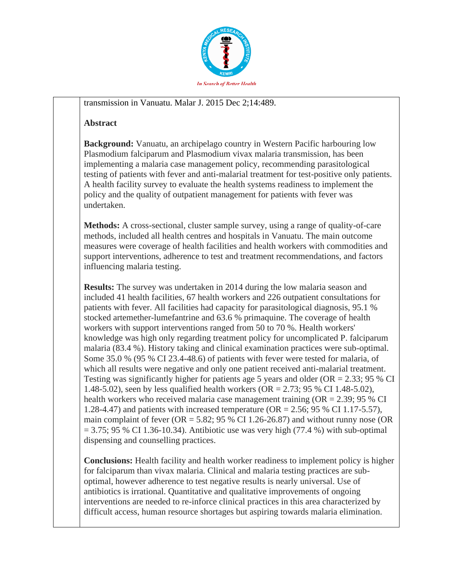

transmission in Vanuatu. Malar J. 2015 Dec 2;14:489.

### **Abstract**

**Background:** Vanuatu, an archipelago country in Western Pacific harbouring low Plasmodium falciparum and Plasmodium vivax malaria transmission, has been implementing a malaria case management policy, recommending parasitological testing of patients with fever and anti-malarial treatment for test-positive only patients. A health facility survey to evaluate the health systems readiness to implement the policy and the quality of outpatient management for patients with fever was undertaken.

**Methods:** A cross-sectional, cluster sample survey, using a range of quality-of-care methods, included all health centres and hospitals in Vanuatu. The main outcome measures were coverage of health facilities and health workers with commodities and support interventions, adherence to test and treatment recommendations, and factors influencing malaria testing.

**Results:** The survey was undertaken in 2014 during the low malaria season and included 41 health facilities, 67 health workers and 226 outpatient consultations for patients with fever. All facilities had capacity for parasitological diagnosis, 95.1 % stocked artemether-lumefantrine and 63.6 % primaquine. The coverage of health workers with support interventions ranged from 50 to 70 %. Health workers' knowledge was high only regarding treatment policy for uncomplicated P. falciparum malaria (83.4 %). History taking and clinical examination practices were sub-optimal. Some 35.0 % (95 % CI 23.4-48.6) of patients with fever were tested for malaria, of which all results were negative and only one patient received anti-malarial treatment. Testing was significantly higher for patients age 5 years and older ( $OR = 2.33$ ; 95 % CI 1.48-5.02), seen by less qualified health workers (OR = 2.73; 95 % CI 1.48-5.02), health workers who received malaria case management training ( $OR = 2.39$ ; 95 % CI 1.28-4.47) and patients with increased temperature  $(OR = 2.56; 95\% \text{ CI} 1.17-5.57)$ , main complaint of fever ( $OR = 5.82$ ; 95 % CI 1.26-26.87) and without runny nose ( $OR$  $= 3.75$ ; 95 % CI 1.36-10.34). Antibiotic use was very high (77.4 %) with sub-optimal dispensing and counselling practices.

**Conclusions:** Health facility and health worker readiness to implement policy is higher for falciparum than vivax malaria. Clinical and malaria testing practices are suboptimal, however adherence to test negative results is nearly universal. Use of antibiotics is irrational. Quantitative and qualitative improvements of ongoing interventions are needed to re-inforce clinical practices in this area characterized by difficult access, human resource shortages but aspiring towards malaria elimination.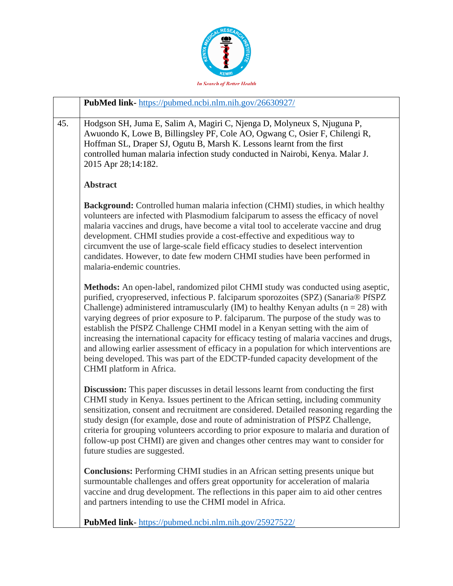

|     | <b>PubMed link-</b> https://pubmed.ncbi.nlm.nih.gov/26630927/                                                                                                                                                                                                                                                                                                                                                                                                                                                                                                                                                                                                                                                                                   |
|-----|-------------------------------------------------------------------------------------------------------------------------------------------------------------------------------------------------------------------------------------------------------------------------------------------------------------------------------------------------------------------------------------------------------------------------------------------------------------------------------------------------------------------------------------------------------------------------------------------------------------------------------------------------------------------------------------------------------------------------------------------------|
| 45. | Hodgson SH, Juma E, Salim A, Magiri C, Njenga D, Molyneux S, Njuguna P,<br>Awuondo K, Lowe B, Billingsley PF, Cole AO, Ogwang C, Osier F, Chilengi R,<br>Hoffman SL, Draper SJ, Ogutu B, Marsh K. Lessons learnt from the first<br>controlled human malaria infection study conducted in Nairobi, Kenya. Malar J.<br>2015 Apr 28;14:182.                                                                                                                                                                                                                                                                                                                                                                                                        |
|     | <b>Abstract</b>                                                                                                                                                                                                                                                                                                                                                                                                                                                                                                                                                                                                                                                                                                                                 |
|     | Background: Controlled human malaria infection (CHMI) studies, in which healthy<br>volunteers are infected with Plasmodium falciparum to assess the efficacy of novel<br>malaria vaccines and drugs, have become a vital tool to accelerate vaccine and drug<br>development. CHMI studies provide a cost-effective and expeditious way to<br>circumvent the use of large-scale field efficacy studies to deselect intervention<br>candidates. However, to date few modern CHMI studies have been performed in<br>malaria-endemic countries.                                                                                                                                                                                                     |
|     | Methods: An open-label, randomized pilot CHMI study was conducted using aseptic,<br>purified, cryopreserved, infectious P. falciparum sporozoites (SPZ) (Sanaria® PfSPZ<br>Challenge) administered intramuscularly (IM) to healthy Kenyan adults ( $n = 28$ ) with<br>varying degrees of prior exposure to P. falciparum. The purpose of the study was to<br>establish the PfSPZ Challenge CHMI model in a Kenyan setting with the aim of<br>increasing the international capacity for efficacy testing of malaria vaccines and drugs,<br>and allowing earlier assessment of efficacy in a population for which interventions are<br>being developed. This was part of the EDCTP-funded capacity development of the<br>CHMI platform in Africa. |
|     | <b>Discussion:</b> This paper discusses in detail lessons learnt from conducting the first<br>CHMI study in Kenya. Issues pertinent to the African setting, including community<br>sensitization, consent and recruitment are considered. Detailed reasoning regarding the<br>study design (for example, dose and route of administration of PfSPZ Challenge,<br>criteria for grouping volunteers according to prior exposure to malaria and duration of<br>follow-up post CHMI) are given and changes other centres may want to consider for<br>future studies are suggested.                                                                                                                                                                  |
|     | <b>Conclusions:</b> Performing CHMI studies in an African setting presents unique but<br>surmountable challenges and offers great opportunity for acceleration of malaria<br>vaccine and drug development. The reflections in this paper aim to aid other centres<br>and partners intending to use the CHMI model in Africa.                                                                                                                                                                                                                                                                                                                                                                                                                    |
|     | PubMed link- https://pubmed.ncbi.nlm.nih.gov/25927522/                                                                                                                                                                                                                                                                                                                                                                                                                                                                                                                                                                                                                                                                                          |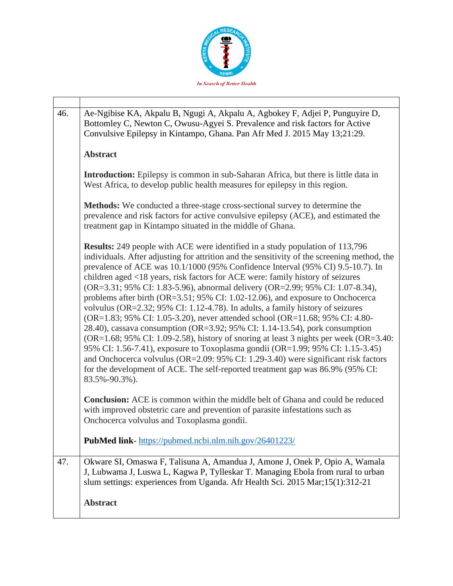

| 46. | Ae-Ngibise KA, Akpalu B, Ngugi A, Akpalu A, Agbokey F, Adjei P, Punguyire D,<br>Bottomley C, Newton C, Owusu-Agyei S. Prevalence and risk factors for Active<br>Convulsive Epilepsy in Kintampo, Ghana. Pan Afr Med J. 2015 May 13;21:29.                                                                                                                                                                                                                                                                                                                                                                                                                                                                                                                                                                                                                                                                                                                                                                                                                                                                                                        |
|-----|--------------------------------------------------------------------------------------------------------------------------------------------------------------------------------------------------------------------------------------------------------------------------------------------------------------------------------------------------------------------------------------------------------------------------------------------------------------------------------------------------------------------------------------------------------------------------------------------------------------------------------------------------------------------------------------------------------------------------------------------------------------------------------------------------------------------------------------------------------------------------------------------------------------------------------------------------------------------------------------------------------------------------------------------------------------------------------------------------------------------------------------------------|
|     | <b>Abstract</b>                                                                                                                                                                                                                                                                                                                                                                                                                                                                                                                                                                                                                                                                                                                                                                                                                                                                                                                                                                                                                                                                                                                                  |
|     | <b>Introduction:</b> Epilepsy is common in sub-Saharan Africa, but there is little data in<br>West Africa, to develop public health measures for epilepsy in this region.                                                                                                                                                                                                                                                                                                                                                                                                                                                                                                                                                                                                                                                                                                                                                                                                                                                                                                                                                                        |
|     | <b>Methods:</b> We conducted a three-stage cross-sectional survey to determine the<br>prevalence and risk factors for active convulsive epilepsy (ACE), and estimated the<br>treatment gap in Kintampo situated in the middle of Ghana.                                                                                                                                                                                                                                                                                                                                                                                                                                                                                                                                                                                                                                                                                                                                                                                                                                                                                                          |
|     | <b>Results:</b> 249 people with ACE were identified in a study population of 113,796<br>individuals. After adjusting for attrition and the sensitivity of the screening method, the<br>prevalence of ACE was 10.1/1000 (95% Confidence Interval (95% CI) 9.5-10.7). In<br>children aged <18 years, risk factors for ACE were: family history of seizures<br>(OR=3.31; 95% CI: 1.83-5.96), abnormal delivery (OR=2.99; 95% CI: 1.07-8.34),<br>problems after birth (OR=3.51; 95% CI: 1.02-12.06), and exposure to Onchocerca<br>volvulus (OR=2.32; 95% CI: 1.12-4.78). In adults, a family history of seizures<br>(OR=1.83; 95% CI: 1.05-3.20), never attended school (OR=11.68; 95% CI: 4.80-<br>28.40), cassava consumption (OR=3.92; 95% CI: 1.14-13.54), pork consumption<br>(OR=1.68; 95% CI: 1.09-2.58), history of snoring at least 3 nights per week (OR=3.40:<br>95% CI: 1.56-7.41), exposure to Toxoplasma gondii (OR=1.99; 95% CI: 1.15-3.45)<br>and Onchocerca volvulus (OR=2.09: 95% CI: 1.29-3.40) were significant risk factors<br>for the development of ACE. The self-reported treatment gap was 86.9% (95% CI:<br>83.5%-90.3%). |
|     | <b>Conclusion:</b> ACE is common within the middle belt of Ghana and could be reduced<br>with improved obstetric care and prevention of parasite infestations such as<br>Onchocerca volvulus and Toxoplasma gondii.                                                                                                                                                                                                                                                                                                                                                                                                                                                                                                                                                                                                                                                                                                                                                                                                                                                                                                                              |
|     | <b>PubMed link-</b> https://pubmed.ncbi.nlm.nih.gov/26401223/                                                                                                                                                                                                                                                                                                                                                                                                                                                                                                                                                                                                                                                                                                                                                                                                                                                                                                                                                                                                                                                                                    |
| 47. | Okware SI, Omaswa F, Talisuna A, Amandua J, Amone J, Onek P, Opio A, Wamala<br>J, Lubwama J, Luswa L, Kagwa P, Tylleskar T. Managing Ebola from rural to urban<br>slum settings: experiences from Uganda. Afr Health Sci. 2015 Mar;15(1):312-21                                                                                                                                                                                                                                                                                                                                                                                                                                                                                                                                                                                                                                                                                                                                                                                                                                                                                                  |
|     | <b>Abstract</b>                                                                                                                                                                                                                                                                                                                                                                                                                                                                                                                                                                                                                                                                                                                                                                                                                                                                                                                                                                                                                                                                                                                                  |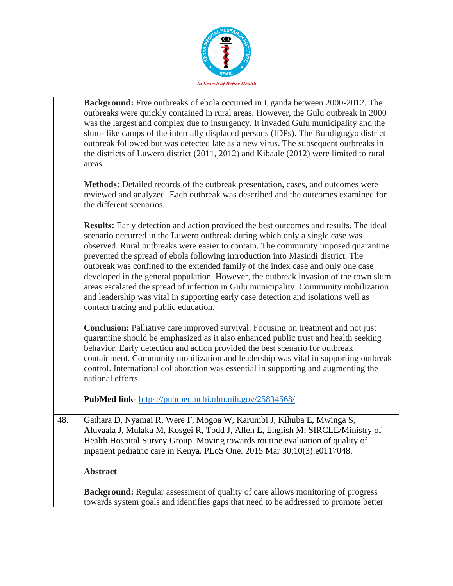

|     | Background: Five outbreaks of ebola occurred in Uganda between 2000-2012. The<br>outbreaks were quickly contained in rural areas. However, the Gulu outbreak in 2000<br>was the largest and complex due to insurgency. It invaded Gulu municipality and the<br>slum-like camps of the internally displaced persons (IDPs). The Bundigugyo district<br>outbreak followed but was detected late as a new virus. The subsequent outbreaks in<br>the districts of Luwero district (2011, 2012) and Kibaale (2012) were limited to rural<br>areas.                                                                                                                                                                                                     |
|-----|---------------------------------------------------------------------------------------------------------------------------------------------------------------------------------------------------------------------------------------------------------------------------------------------------------------------------------------------------------------------------------------------------------------------------------------------------------------------------------------------------------------------------------------------------------------------------------------------------------------------------------------------------------------------------------------------------------------------------------------------------|
|     | Methods: Detailed records of the outbreak presentation, cases, and outcomes were<br>reviewed and analyzed. Each outbreak was described and the outcomes examined for<br>the different scenarios.                                                                                                                                                                                                                                                                                                                                                                                                                                                                                                                                                  |
|     | Results: Early detection and action provided the best outcomes and results. The ideal<br>scenario occurred in the Luwero outbreak during which only a single case was<br>observed. Rural outbreaks were easier to contain. The community imposed quarantine<br>prevented the spread of ebola following introduction into Masindi district. The<br>outbreak was confined to the extended family of the index case and only one case<br>developed in the general population. However, the outbreak invasion of the town slum<br>areas escalated the spread of infection in Gulu municipality. Community mobilization<br>and leadership was vital in supporting early case detection and isolations well as<br>contact tracing and public education. |
|     | <b>Conclusion:</b> Palliative care improved survival. Focusing on treatment and not just<br>quarantine should be emphasized as it also enhanced public trust and health seeking<br>behavior. Early detection and action provided the best scenario for outbreak<br>containment. Community mobilization and leadership was vital in supporting outbreak<br>control. International collaboration was essential in supporting and augmenting the<br>national efforts.<br>PubMed link-https://pubmed.ncbi.nlm.nih.gov/25834568/                                                                                                                                                                                                                       |
|     |                                                                                                                                                                                                                                                                                                                                                                                                                                                                                                                                                                                                                                                                                                                                                   |
| 48. | Gathara D, Nyamai R, Were F, Mogoa W, Karumbi J, Kihuba E, Mwinga S,<br>Aluvaala J, Mulaku M, Kosgei R, Todd J, Allen E, English M; SIRCLE/Ministry of<br>Health Hospital Survey Group. Moving towards routine evaluation of quality of<br>inpatient pediatric care in Kenya. PLoS One. 2015 Mar 30;10(3):e0117048.                                                                                                                                                                                                                                                                                                                                                                                                                               |
|     | <b>Abstract</b>                                                                                                                                                                                                                                                                                                                                                                                                                                                                                                                                                                                                                                                                                                                                   |
|     | <b>Background:</b> Regular assessment of quality of care allows monitoring of progress<br>towards system goals and identifies gaps that need to be addressed to promote better                                                                                                                                                                                                                                                                                                                                                                                                                                                                                                                                                                    |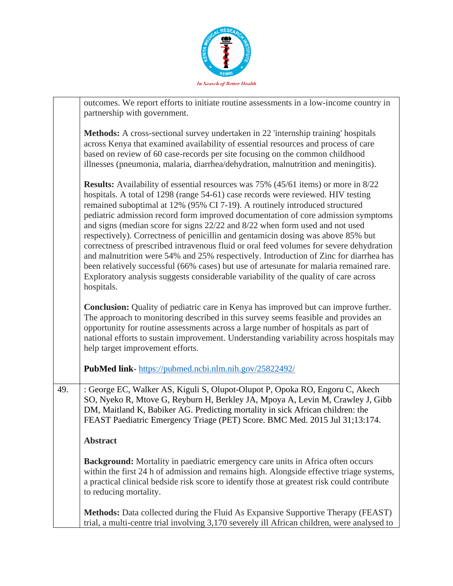

|     | outcomes. We report efforts to initiate routine assessments in a low-income country in      |
|-----|---------------------------------------------------------------------------------------------|
|     | partnership with government.                                                                |
|     |                                                                                             |
|     | Methods: A cross-sectional survey undertaken in 22 'internship training' hospitals          |
|     | across Kenya that examined availability of essential resources and process of care          |
|     |                                                                                             |
|     | based on review of 60 case-records per site focusing on the common childhood                |
|     | illnesses (pneumonia, malaria, diarrhea/dehydration, malnutrition and meningitis).          |
|     |                                                                                             |
|     | <b>Results:</b> Availability of essential resources was 75% (45/61 items) or more in 8/22   |
|     |                                                                                             |
|     | hospitals. A total of 1298 (range 54-61) case records were reviewed. HIV testing            |
|     | remained suboptimal at 12% (95% CI 7-19). A routinely introduced structured                 |
|     | pediatric admission record form improved documentation of core admission symptoms           |
|     | and signs (median score for signs 22/22 and 8/22 when form used and not used                |
|     |                                                                                             |
|     | respectively). Correctness of penicillin and gentamic in dosing was above 85% but           |
|     | correctness of prescribed intravenous fluid or oral feed volumes for severe dehydration     |
|     | and malnutrition were 54% and 25% respectively. Introduction of Zinc for diarrhea has       |
|     | been relatively successful (66% cases) but use of artesunate for malaria remained rare.     |
|     | Exploratory analysis suggests considerable variability of the quality of care across        |
|     |                                                                                             |
|     | hospitals.                                                                                  |
|     |                                                                                             |
|     | <b>Conclusion:</b> Quality of pediatric care in Kenya has improved but can improve further. |
|     | The approach to monitoring described in this survey seems feasible and provides an          |
|     | opportunity for routine assessments across a large number of hospitals as part of           |
|     | national efforts to sustain improvement. Understanding variability across hospitals may     |
|     |                                                                                             |
|     | help target improvement efforts.                                                            |
|     |                                                                                             |
|     | PubMed link-https://pubmed.ncbi.nlm.nih.gov/25822492/                                       |
|     |                                                                                             |
| 49. | : George EC, Walker AS, Kiguli S, Olupot-Olupot P, Opoka RO, Engoru C, Akech                |
|     | SO, Nyeko R, Mtove G, Reyburn H, Berkley JA, Mpoya A, Levin M, Crawley J, Gibb              |
|     |                                                                                             |
|     | DM, Maitland K, Babiker AG. Predicting mortality in sick African children: the              |
|     | FEAST Paediatric Emergency Triage (PET) Score. BMC Med. 2015 Jul 31;13:174.                 |
|     |                                                                                             |
|     | <b>Abstract</b>                                                                             |
|     |                                                                                             |
|     | <b>Background:</b> Mortality in paediatric emergency care units in Africa often occurs      |
|     | within the first 24 h of admission and remains high. Alongside effective triage systems,    |
|     |                                                                                             |
|     | a practical clinical bedside risk score to identify those at greatest risk could contribute |
|     | to reducing mortality.                                                                      |
|     |                                                                                             |
|     | <b>Methods:</b> Data collected during the Fluid As Expansive Supportive Therapy (FEAST)     |
|     | trial, a multi-centre trial involving 3,170 severely ill African children, were analysed to |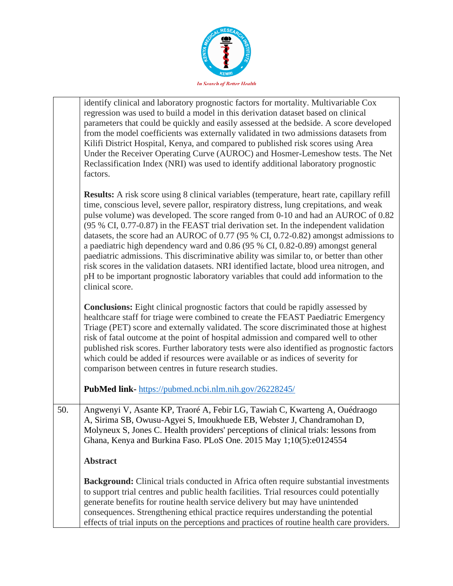

|     | identify clinical and laboratory prognostic factors for mortality. Multivariable Cox<br>regression was used to build a model in this derivation dataset based on clinical<br>parameters that could be quickly and easily assessed at the bedside. A score developed<br>from the model coefficients was externally validated in two admissions datasets from<br>Kilifi District Hospital, Kenya, and compared to published risk scores using Area<br>Under the Receiver Operating Curve (AUROC) and Hosmer-Lemeshow tests. The Net<br>Reclassification Index (NRI) was used to identify additional laboratory prognostic<br>factors.                                                                                                                                                                                                             |
|-----|-------------------------------------------------------------------------------------------------------------------------------------------------------------------------------------------------------------------------------------------------------------------------------------------------------------------------------------------------------------------------------------------------------------------------------------------------------------------------------------------------------------------------------------------------------------------------------------------------------------------------------------------------------------------------------------------------------------------------------------------------------------------------------------------------------------------------------------------------|
|     | Results: A risk score using 8 clinical variables (temperature, heart rate, capillary refill<br>time, conscious level, severe pallor, respiratory distress, lung crepitations, and weak<br>pulse volume) was developed. The score ranged from 0-10 and had an AUROC of 0.82<br>(95 % CI, 0.77-0.87) in the FEAST trial derivation set. In the independent validation<br>datasets, the score had an AUROC of 0.77 (95 % CI, 0.72-0.82) amongst admissions to<br>a paediatric high dependency ward and 0.86 (95 % CI, 0.82-0.89) amongst general<br>paediatric admissions. This discriminative ability was similar to, or better than other<br>risk scores in the validation datasets. NRI identified lactate, blood urea nitrogen, and<br>pH to be important prognostic laboratory variables that could add information to the<br>clinical score. |
|     | <b>Conclusions:</b> Eight clinical prognostic factors that could be rapidly assessed by<br>healthcare staff for triage were combined to create the FEAST Paediatric Emergency<br>Triage (PET) score and externally validated. The score discriminated those at highest<br>risk of fatal outcome at the point of hospital admission and compared well to other<br>published risk scores. Further laboratory tests were also identified as prognostic factors<br>which could be added if resources were available or as indices of severity for<br>comparison between centres in future research studies.                                                                                                                                                                                                                                         |
|     | PubMed link- https://pubmed.ncbi.nlm.nih.gov/26228245/                                                                                                                                                                                                                                                                                                                                                                                                                                                                                                                                                                                                                                                                                                                                                                                          |
| 50. | Angwenyi V, Asante KP, Traoré A, Febir LG, Tawiah C, Kwarteng A, Ouédraogo<br>A, Sirima SB, Owusu-Agyei S, Imoukhuede EB, Webster J, Chandramohan D,<br>Molyneux S, Jones C. Health providers' perceptions of clinical trials: lessons from<br>Ghana, Kenya and Burkina Faso. PLoS One. 2015 May 1;10(5):e0124554                                                                                                                                                                                                                                                                                                                                                                                                                                                                                                                               |
|     | <b>Abstract</b>                                                                                                                                                                                                                                                                                                                                                                                                                                                                                                                                                                                                                                                                                                                                                                                                                                 |
|     | <b>Background:</b> Clinical trials conducted in Africa often require substantial investments<br>to support trial centres and public health facilities. Trial resources could potentially<br>generate benefits for routine health service delivery but may have unintended<br>consequences. Strengthening ethical practice requires understanding the potential<br>effects of trial inputs on the perceptions and practices of routine health care providers.                                                                                                                                                                                                                                                                                                                                                                                    |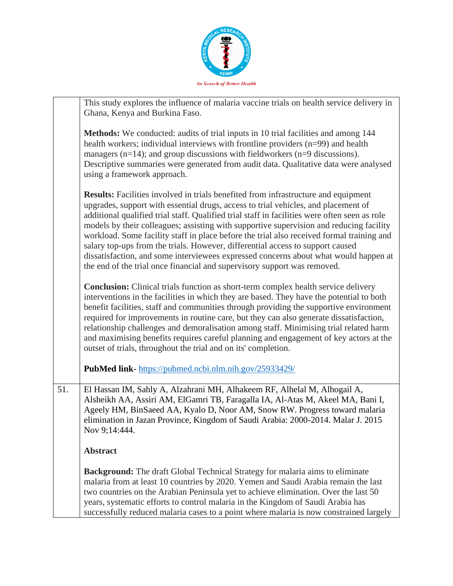

|     | This study explores the influence of malaria vaccine trials on health service delivery in<br>Ghana, Kenya and Burkina Faso.                                                                                                                                                                                                                                                                                                                                                                                                                                                                                                                                                                                                    |
|-----|--------------------------------------------------------------------------------------------------------------------------------------------------------------------------------------------------------------------------------------------------------------------------------------------------------------------------------------------------------------------------------------------------------------------------------------------------------------------------------------------------------------------------------------------------------------------------------------------------------------------------------------------------------------------------------------------------------------------------------|
|     | <b>Methods:</b> We conducted: audits of trial inputs in 10 trial facilities and among 144<br>health workers; individual interviews with frontline providers (n=99) and health<br>managers $(n=14)$ ; and group discussions with fieldworkers $(n=9$ discussions).<br>Descriptive summaries were generated from audit data. Qualitative data were analysed<br>using a framework approach.                                                                                                                                                                                                                                                                                                                                       |
|     | <b>Results:</b> Facilities involved in trials benefited from infrastructure and equipment<br>upgrades, support with essential drugs, access to trial vehicles, and placement of<br>additional qualified trial staff. Qualified trial staff in facilities were often seen as role<br>models by their colleagues; assisting with supportive supervision and reducing facility<br>workload. Some facility staff in place before the trial also received formal training and<br>salary top-ups from the trials. However, differential access to support caused<br>dissatisfaction, and some interviewees expressed concerns about what would happen at<br>the end of the trial once financial and supervisory support was removed. |
|     | <b>Conclusion:</b> Clinical trials function as short-term complex health service delivery<br>interventions in the facilities in which they are based. They have the potential to both<br>benefit facilities, staff and communities through providing the supportive environment<br>required for improvements in routine care, but they can also generate dissatisfaction,<br>relationship challenges and demoralisation among staff. Minimising trial related harm<br>and maximising benefits requires careful planning and engagement of key actors at the<br>outset of trials, throughout the trial and on its' completion.                                                                                                  |
|     | PubMed link- https://pubmed.ncbi.nlm.nih.gov/25933429/                                                                                                                                                                                                                                                                                                                                                                                                                                                                                                                                                                                                                                                                         |
| 51. | El Hassan IM, Sahly A, Alzahrani MH, Alhakeem RF, Alhelal M, Alhogail A,<br>Alsheikh AA, Assiri AM, ElGamri TB, Faragalla IA, Al-Atas M, Akeel MA, Bani I,<br>Ageely HM, BinSaeed AA, Kyalo D, Noor AM, Snow RW. Progress toward malaria<br>elimination in Jazan Province, Kingdom of Saudi Arabia: 2000-2014. Malar J. 2015<br>Nov 9;14:444.                                                                                                                                                                                                                                                                                                                                                                                  |
|     | <b>Abstract</b>                                                                                                                                                                                                                                                                                                                                                                                                                                                                                                                                                                                                                                                                                                                |
|     | <b>Background:</b> The draft Global Technical Strategy for malaria aims to eliminate<br>malaria from at least 10 countries by 2020. Yemen and Saudi Arabia remain the last<br>two countries on the Arabian Peninsula yet to achieve elimination. Over the last 50<br>years, systematic efforts to control malaria in the Kingdom of Saudi Arabia has<br>successfully reduced malaria cases to a point where malaria is now constrained largely                                                                                                                                                                                                                                                                                 |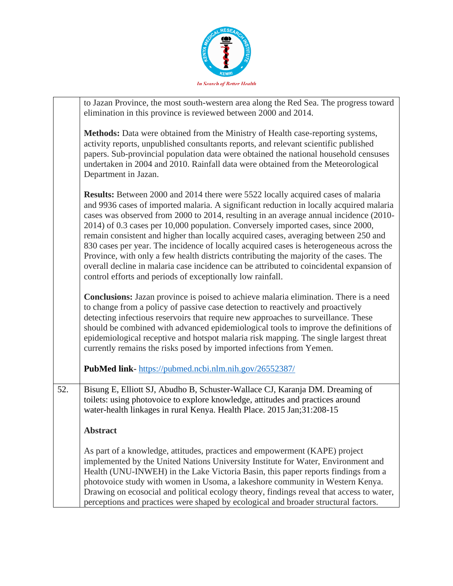

| elimination in this province is reviewed between 2000 and 2014.<br>Methods: Data were obtained from the Ministry of Health case-reporting systems,<br>activity reports, unpublished consultants reports, and relevant scientific published<br>undertaken in 2004 and 2010. Rainfall data were obtained from the Meteorological<br>Department in Jazan.<br><b>Results:</b> Between 2000 and 2014 there were 5522 locally acquired cases of malaria<br>2014) of 0.3 cases per 10,000 population. Conversely imported cases, since 2000,<br>remain consistent and higher than locally acquired cases, averaging between 250 and<br>Province, with only a few health districts contributing the majority of the cases. The<br>control efforts and periods of exceptionally low rainfall.<br>to change from a policy of passive case detection to reactively and proactively<br>detecting infectious reservoirs that require new approaches to surveillance. These<br>epidemiological receptive and hotspot malaria risk mapping. The single largest threat<br>currently remains the risks posed by imported infections from Yemen.<br>PubMed link-https://pubmed.ncbi.nlm.nih.gov/26552387/<br>52.<br>Bisung E, Elliott SJ, Abudho B, Schuster-Wallace CJ, Karanja DM. Dreaming of<br>toilets: using photovoice to explore knowledge, attitudes and practices around<br>water-health linkages in rural Kenya. Health Place. 2015 Jan;31:208-15<br><b>Abstract</b><br>As part of a knowledge, attitudes, practices and empowerment (KAPE) project<br>implemented by the United Nations University Institute for Water, Environment and |                                                                                                                                                                                                                                                                                                                                                                         |
|-----------------------------------------------------------------------------------------------------------------------------------------------------------------------------------------------------------------------------------------------------------------------------------------------------------------------------------------------------------------------------------------------------------------------------------------------------------------------------------------------------------------------------------------------------------------------------------------------------------------------------------------------------------------------------------------------------------------------------------------------------------------------------------------------------------------------------------------------------------------------------------------------------------------------------------------------------------------------------------------------------------------------------------------------------------------------------------------------------------------------------------------------------------------------------------------------------------------------------------------------------------------------------------------------------------------------------------------------------------------------------------------------------------------------------------------------------------------------------------------------------------------------------------------------------------------------------------------------------------------------------------|-------------------------------------------------------------------------------------------------------------------------------------------------------------------------------------------------------------------------------------------------------------------------------------------------------------------------------------------------------------------------|
|                                                                                                                                                                                                                                                                                                                                                                                                                                                                                                                                                                                                                                                                                                                                                                                                                                                                                                                                                                                                                                                                                                                                                                                                                                                                                                                                                                                                                                                                                                                                                                                                                                   | to Jazan Province, the most south-western area along the Red Sea. The progress toward                                                                                                                                                                                                                                                                                   |
|                                                                                                                                                                                                                                                                                                                                                                                                                                                                                                                                                                                                                                                                                                                                                                                                                                                                                                                                                                                                                                                                                                                                                                                                                                                                                                                                                                                                                                                                                                                                                                                                                                   | papers. Sub-provincial population data were obtained the national household censuses                                                                                                                                                                                                                                                                                    |
|                                                                                                                                                                                                                                                                                                                                                                                                                                                                                                                                                                                                                                                                                                                                                                                                                                                                                                                                                                                                                                                                                                                                                                                                                                                                                                                                                                                                                                                                                                                                                                                                                                   | and 9936 cases of imported malaria. A significant reduction in locally acquired malaria<br>cases was observed from 2000 to 2014, resulting in an average annual incidence (2010-<br>830 cases per year. The incidence of locally acquired cases is heterogeneous across the<br>overall decline in malaria case incidence can be attributed to coincidental expansion of |
|                                                                                                                                                                                                                                                                                                                                                                                                                                                                                                                                                                                                                                                                                                                                                                                                                                                                                                                                                                                                                                                                                                                                                                                                                                                                                                                                                                                                                                                                                                                                                                                                                                   | <b>Conclusions:</b> Jazan province is poised to achieve malaria elimination. There is a need<br>should be combined with advanced epidemiological tools to improve the definitions of                                                                                                                                                                                    |
|                                                                                                                                                                                                                                                                                                                                                                                                                                                                                                                                                                                                                                                                                                                                                                                                                                                                                                                                                                                                                                                                                                                                                                                                                                                                                                                                                                                                                                                                                                                                                                                                                                   |                                                                                                                                                                                                                                                                                                                                                                         |
|                                                                                                                                                                                                                                                                                                                                                                                                                                                                                                                                                                                                                                                                                                                                                                                                                                                                                                                                                                                                                                                                                                                                                                                                                                                                                                                                                                                                                                                                                                                                                                                                                                   |                                                                                                                                                                                                                                                                                                                                                                         |
|                                                                                                                                                                                                                                                                                                                                                                                                                                                                                                                                                                                                                                                                                                                                                                                                                                                                                                                                                                                                                                                                                                                                                                                                                                                                                                                                                                                                                                                                                                                                                                                                                                   |                                                                                                                                                                                                                                                                                                                                                                         |
| photovoice study with women in Usoma, a lakeshore community in Western Kenya.<br>perceptions and practices were shaped by ecological and broader structural factors.                                                                                                                                                                                                                                                                                                                                                                                                                                                                                                                                                                                                                                                                                                                                                                                                                                                                                                                                                                                                                                                                                                                                                                                                                                                                                                                                                                                                                                                              | Health (UNU-INWEH) in the Lake Victoria Basin, this paper reports findings from a<br>Drawing on ecosocial and political ecology theory, findings reveal that access to water,                                                                                                                                                                                           |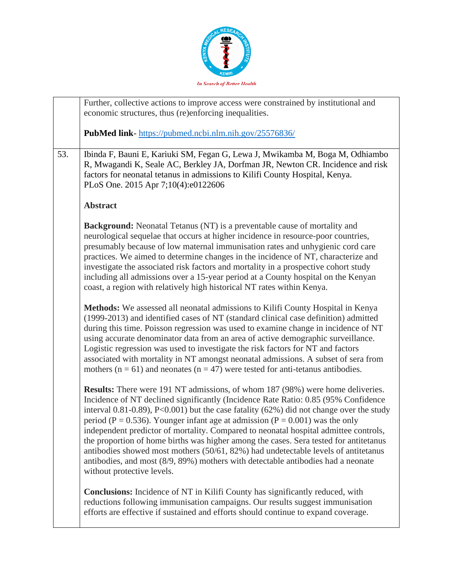

Further, collective actions to improve access were constrained by institutional and economic structures, thus (re)enforcing inequalities. **PubMed link**- <https://pubmed.ncbi.nlm.nih.gov/25576836/> 53. Ibinda F, Bauni E, Kariuki SM, Fegan G, Lewa J, Mwikamba M, Boga M, Odhiambo R, Mwagandi K, Seale AC, Berkley JA, Dorfman JR, Newton CR. Incidence and risk factors for neonatal tetanus in admissions to Kilifi County Hospital, Kenya. PLoS One. 2015 Apr 7;10(4):e0122606 **Abstract Background:** Neonatal Tetanus (NT) is a preventable cause of mortality and neurological sequelae that occurs at higher incidence in resource-poor countries, presumably because of low maternal immunisation rates and unhygienic cord care practices. We aimed to determine changes in the incidence of NT, characterize and investigate the associated risk factors and mortality in a prospective cohort study including all admissions over a 15-year period at a County hospital on the Kenyan coast, a region with relatively high historical NT rates within Kenya. **Methods:** We assessed all neonatal admissions to Kilifi County Hospital in Kenya (1999-2013) and identified cases of NT (standard clinical case definition) admitted during this time. Poisson regression was used to examine change in incidence of NT using accurate denominator data from an area of active demographic surveillance. Logistic regression was used to investigate the risk factors for NT and factors associated with mortality in NT amongst neonatal admissions. A subset of sera from mothers ( $n = 61$ ) and neonates ( $n = 47$ ) were tested for anti-tetanus antibodies. **Results:** There were 191 NT admissions, of whom 187 (98%) were home deliveries. Incidence of NT declined significantly (Incidence Rate Ratio: 0.85 (95% Confidence interval  $(0.81-0.89)$ , P<0.001) but the case fatality (62%) did not change over the study period (P = 0.536). Younger infant age at admission (P = 0.001) was the only independent predictor of mortality. Compared to neonatal hospital admittee controls, the proportion of home births was higher among the cases. Sera tested for antitetanus antibodies showed most mothers (50/61, 82%) had undetectable levels of antitetanus antibodies, and most (8/9, 89%) mothers with detectable antibodies had a neonate without protective levels. **Conclusions:** Incidence of NT in Kilifi County has significantly reduced, with reductions following immunisation campaigns. Our results suggest immunisation efforts are effective if sustained and efforts should continue to expand coverage.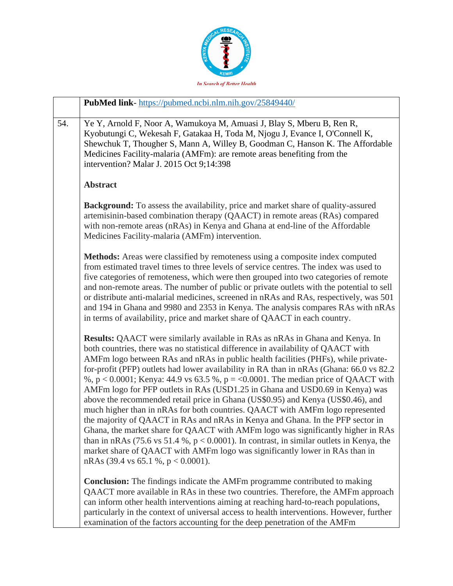

|     | PubMed link- https://pubmed.ncbi.nlm.nih.gov/25849440/                                                                                                                                                                                                                                                                                                                                                                                                                                                                                                                                                                                                                                                                                                                                                                                                                                                                                                                                                                                                                                            |
|-----|---------------------------------------------------------------------------------------------------------------------------------------------------------------------------------------------------------------------------------------------------------------------------------------------------------------------------------------------------------------------------------------------------------------------------------------------------------------------------------------------------------------------------------------------------------------------------------------------------------------------------------------------------------------------------------------------------------------------------------------------------------------------------------------------------------------------------------------------------------------------------------------------------------------------------------------------------------------------------------------------------------------------------------------------------------------------------------------------------|
| 54. | Ye Y, Arnold F, Noor A, Wamukoya M, Amuasi J, Blay S, Mberu B, Ren R,<br>Kyobutungi C, Wekesah F, Gatakaa H, Toda M, Njogu J, Evance I, O'Connell K,<br>Shewchuk T, Thougher S, Mann A, Willey B, Goodman C, Hanson K. The Affordable<br>Medicines Facility-malaria (AMFm): are remote areas benefiting from the<br>intervention? Malar J. 2015 Oct 9;14:398                                                                                                                                                                                                                                                                                                                                                                                                                                                                                                                                                                                                                                                                                                                                      |
|     | <b>Abstract</b>                                                                                                                                                                                                                                                                                                                                                                                                                                                                                                                                                                                                                                                                                                                                                                                                                                                                                                                                                                                                                                                                                   |
|     | <b>Background:</b> To assess the availability, price and market share of quality-assured<br>artemisinin-based combination therapy (QAACT) in remote areas (RAs) compared<br>with non-remote areas (nRAs) in Kenya and Ghana at end-line of the Affordable<br>Medicines Facility-malaria (AMFm) intervention.                                                                                                                                                                                                                                                                                                                                                                                                                                                                                                                                                                                                                                                                                                                                                                                      |
|     | <b>Methods:</b> Areas were classified by remoteness using a composite index computed<br>from estimated travel times to three levels of service centres. The index was used to<br>five categories of remoteness, which were then grouped into two categories of remote<br>and non-remote areas. The number of public or private outlets with the potential to sell<br>or distribute anti-malarial medicines, screened in nRAs and RAs, respectively, was 501<br>and 194 in Ghana and 9980 and 2353 in Kenya. The analysis compares RAs with nRAs<br>in terms of availability, price and market share of QAACT in each country.                                                                                                                                                                                                                                                                                                                                                                                                                                                                     |
|     | Results: QAACT were similarly available in RAs as nRAs in Ghana and Kenya. In<br>both countries, there was no statistical difference in availability of QAACT with<br>AMFm logo between RAs and nRAs in public health facilities (PHFs), while private-<br>for-profit (PFP) outlets had lower availability in RA than in nRAs (Ghana: 66.0 vs 82.2)<br>%, $p < 0.0001$ ; Kenya: 44.9 vs 63.5 %, $p = 0.0001$ . The median price of QAACT with<br>AMFm logo for PFP outlets in RAs (USD1.25 in Ghana and USD0.69 in Kenya) was<br>above the recommended retail price in Ghana (US\$0.95) and Kenya (US\$0.46), and<br>much higher than in nRAs for both countries. QAACT with AMFm logo represented<br>the majority of QAACT in RAs and nRAs in Kenya and Ghana. In the PFP sector in<br>Ghana, the market share for QAACT with AMFm logo was significantly higher in RAs<br>than in nRAs (75.6 vs 51.4 %, $p < 0.0001$ ). In contrast, in similar outlets in Kenya, the<br>market share of QAACT with AMFm logo was significantly lower in RAs than in<br>$nRAs$ (39.4 vs 65.1 %, $p < 0.0001$ ). |
|     | <b>Conclusion:</b> The findings indicate the AMFm programme contributed to making<br>QAACT more available in RAs in these two countries. Therefore, the AMFm approach<br>can inform other health interventions aiming at reaching hard-to-reach populations,<br>particularly in the context of universal access to health interventions. However, further                                                                                                                                                                                                                                                                                                                                                                                                                                                                                                                                                                                                                                                                                                                                         |

examination of the factors accounting for the deep penetration of the AMFm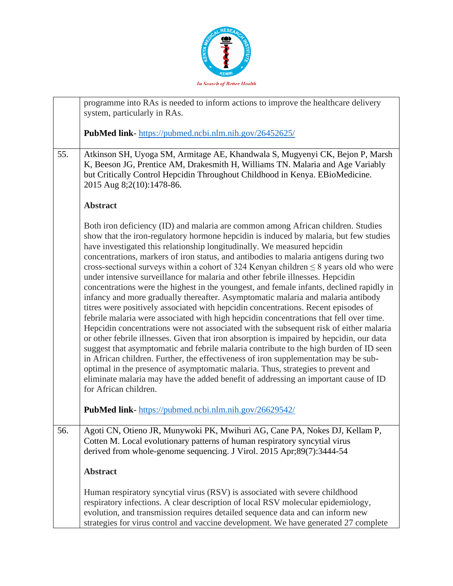

|     | programme into RAs is needed to inform actions to improve the healthcare delivery<br>system, particularly in RAs.                                                                                                                                                                                                                                                                                                                                                                                                                                                                                                                                                                                                                                                                                                                                                                                                                                                                                                                                                                                                                                                                                                                                                                                                                                                                                                                                                         |
|-----|---------------------------------------------------------------------------------------------------------------------------------------------------------------------------------------------------------------------------------------------------------------------------------------------------------------------------------------------------------------------------------------------------------------------------------------------------------------------------------------------------------------------------------------------------------------------------------------------------------------------------------------------------------------------------------------------------------------------------------------------------------------------------------------------------------------------------------------------------------------------------------------------------------------------------------------------------------------------------------------------------------------------------------------------------------------------------------------------------------------------------------------------------------------------------------------------------------------------------------------------------------------------------------------------------------------------------------------------------------------------------------------------------------------------------------------------------------------------------|
|     | <b>PubMed link-</b> https://pubmed.ncbi.nlm.nih.gov/26452625/                                                                                                                                                                                                                                                                                                                                                                                                                                                                                                                                                                                                                                                                                                                                                                                                                                                                                                                                                                                                                                                                                                                                                                                                                                                                                                                                                                                                             |
| 55. | Atkinson SH, Uyoga SM, Armitage AE, Khandwala S, Mugyenyi CK, Bejon P, Marsh<br>K, Beeson JG, Prentice AM, Drakesmith H, Williams TN. Malaria and Age Variably<br>but Critically Control Hepcidin Throughout Childhood in Kenya. EBioMedicine.<br>2015 Aug 8;2(10):1478-86.                                                                                                                                                                                                                                                                                                                                                                                                                                                                                                                                                                                                                                                                                                                                                                                                                                                                                                                                                                                                                                                                                                                                                                                               |
|     | <b>Abstract</b>                                                                                                                                                                                                                                                                                                                                                                                                                                                                                                                                                                                                                                                                                                                                                                                                                                                                                                                                                                                                                                                                                                                                                                                                                                                                                                                                                                                                                                                           |
|     | Both iron deficiency (ID) and malaria are common among African children. Studies<br>show that the iron-regulatory hormone hepcidin is induced by malaria, but few studies<br>have investigated this relationship longitudinally. We measured hepcidin<br>concentrations, markers of iron status, and antibodies to malaria antigens during two<br>cross-sectional surveys within a cohort of 324 Kenyan children $\leq$ 8 years old who were<br>under intensive surveillance for malaria and other febrile illnesses. Hepcidin<br>concentrations were the highest in the youngest, and female infants, declined rapidly in<br>infancy and more gradually thereafter. Asymptomatic malaria and malaria antibody<br>titres were positively associated with hepcidin concentrations. Recent episodes of<br>febrile malaria were associated with high hepcidin concentrations that fell over time.<br>Hepcidin concentrations were not associated with the subsequent risk of either malaria<br>or other febrile illnesses. Given that iron absorption is impaired by hepcidin, our data<br>suggest that asymptomatic and febrile malaria contribute to the high burden of ID seen<br>in African children. Further, the effectiveness of iron supplementation may be sub-<br>optimal in the presence of asymptomatic malaria. Thus, strategies to prevent and<br>eliminate malaria may have the added benefit of addressing an important cause of ID<br>for African children. |
|     | PubMed link-https://pubmed.ncbi.nlm.nih.gov/26629542/                                                                                                                                                                                                                                                                                                                                                                                                                                                                                                                                                                                                                                                                                                                                                                                                                                                                                                                                                                                                                                                                                                                                                                                                                                                                                                                                                                                                                     |
| 56. | Agoti CN, Otieno JR, Munywoki PK, Mwihuri AG, Cane PA, Nokes DJ, Kellam P,<br>Cotten M. Local evolutionary patterns of human respiratory syncytial virus<br>derived from whole-genome sequencing. J Virol. 2015 Apr;89(7):3444-54                                                                                                                                                                                                                                                                                                                                                                                                                                                                                                                                                                                                                                                                                                                                                                                                                                                                                                                                                                                                                                                                                                                                                                                                                                         |
|     | <b>Abstract</b>                                                                                                                                                                                                                                                                                                                                                                                                                                                                                                                                                                                                                                                                                                                                                                                                                                                                                                                                                                                                                                                                                                                                                                                                                                                                                                                                                                                                                                                           |
|     | Human respiratory syncytial virus (RSV) is associated with severe childhood<br>respiratory infections. A clear description of local RSV molecular epidemiology,<br>evolution, and transmission requires detailed sequence data and can inform new<br>strategies for virus control and vaccine development. We have generated 27 complete                                                                                                                                                                                                                                                                                                                                                                                                                                                                                                                                                                                                                                                                                                                                                                                                                                                                                                                                                                                                                                                                                                                                  |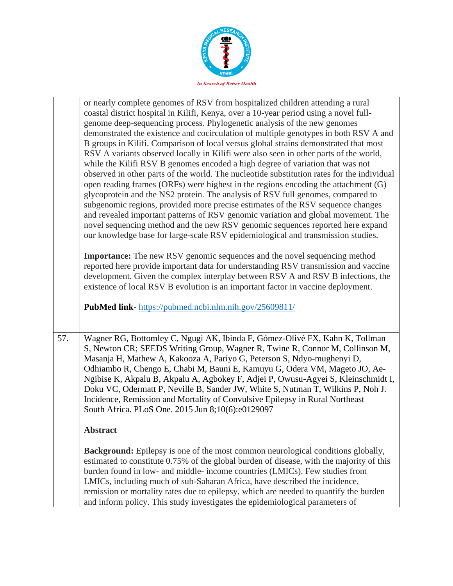

|     | or nearly complete genomes of RSV from hospitalized children attending a rural<br>coastal district hospital in Kilifi, Kenya, over a 10-year period using a novel full-<br>genome deep-sequencing process. Phylogenetic analysis of the new genomes<br>demonstrated the existence and cocirculation of multiple genotypes in both RSV A and<br>B groups in Kilifi. Comparison of local versus global strains demonstrated that most<br>RSV A variants observed locally in Kilifi were also seen in other parts of the world,<br>while the Kilifi RSV B genomes encoded a high degree of variation that was not<br>observed in other parts of the world. The nucleotide substitution rates for the individual<br>open reading frames (ORFs) were highest in the regions encoding the attachment (G)<br>glycoprotein and the NS2 protein. The analysis of RSV full genomes, compared to<br>subgenomic regions, provided more precise estimates of the RSV sequence changes<br>and revealed important patterns of RSV genomic variation and global movement. The<br>novel sequencing method and the new RSV genomic sequences reported here expand<br>our knowledge base for large-scale RSV epidemiological and transmission studies.<br><b>Importance:</b> The new RSV genomic sequences and the novel sequencing method<br>reported here provide important data for understanding RSV transmission and vaccine<br>development. Given the complex interplay between RSV A and RSV B infections, the<br>existence of local RSV B evolution is an important factor in vaccine deployment. |
|-----|----------------------------------------------------------------------------------------------------------------------------------------------------------------------------------------------------------------------------------------------------------------------------------------------------------------------------------------------------------------------------------------------------------------------------------------------------------------------------------------------------------------------------------------------------------------------------------------------------------------------------------------------------------------------------------------------------------------------------------------------------------------------------------------------------------------------------------------------------------------------------------------------------------------------------------------------------------------------------------------------------------------------------------------------------------------------------------------------------------------------------------------------------------------------------------------------------------------------------------------------------------------------------------------------------------------------------------------------------------------------------------------------------------------------------------------------------------------------------------------------------------------------------------------------------------------------------------------|
|     | PubMed link-https://pubmed.ncbi.nlm.nih.gov/25609811/                                                                                                                                                                                                                                                                                                                                                                                                                                                                                                                                                                                                                                                                                                                                                                                                                                                                                                                                                                                                                                                                                                                                                                                                                                                                                                                                                                                                                                                                                                                                  |
|     |                                                                                                                                                                                                                                                                                                                                                                                                                                                                                                                                                                                                                                                                                                                                                                                                                                                                                                                                                                                                                                                                                                                                                                                                                                                                                                                                                                                                                                                                                                                                                                                        |
| 57. | Wagner RG, Bottomley C, Ngugi AK, Ibinda F, Gómez-Olivé FX, Kahn K, Tollman<br>S, Newton CR; SEEDS Writing Group, Wagner R, Twine R, Connor M, Collinson M,<br>Masanja H, Mathew A, Kakooza A, Pariyo G, Peterson S, Ndyo-mughenyi D,<br>Odhiambo R, Chengo E, Chabi M, Bauni E, Kamuyu G, Odera VM, Mageto JO, Ae-<br>Ngibise K, Akpalu B, Akpalu A, Agbokey F, Adjei P, Owusu-Agyei S, Kleinschmidt I,<br>Doku VC, Odermatt P, Neville B, Sander JW, White S, Nutman T, Wilkins P, Noh J.<br>Incidence, Remission and Mortality of Convulsive Epilepsy in Rural Northeast<br>South Africa. PLoS One. 2015 Jun 8;10(6):e0129097                                                                                                                                                                                                                                                                                                                                                                                                                                                                                                                                                                                                                                                                                                                                                                                                                                                                                                                                                       |
|     | <b>Abstract</b>                                                                                                                                                                                                                                                                                                                                                                                                                                                                                                                                                                                                                                                                                                                                                                                                                                                                                                                                                                                                                                                                                                                                                                                                                                                                                                                                                                                                                                                                                                                                                                        |
|     | <b>Background:</b> Epilepsy is one of the most common neurological conditions globally,<br>estimated to constitute 0.75% of the global burden of disease, with the majority of this<br>burden found in low- and middle- income countries (LMICs). Few studies from<br>LMICs, including much of sub-Saharan Africa, have described the incidence,<br>remission or mortality rates due to epilepsy, which are needed to quantify the burden<br>and inform policy. This study investigates the epidemiological parameters of                                                                                                                                                                                                                                                                                                                                                                                                                                                                                                                                                                                                                                                                                                                                                                                                                                                                                                                                                                                                                                                              |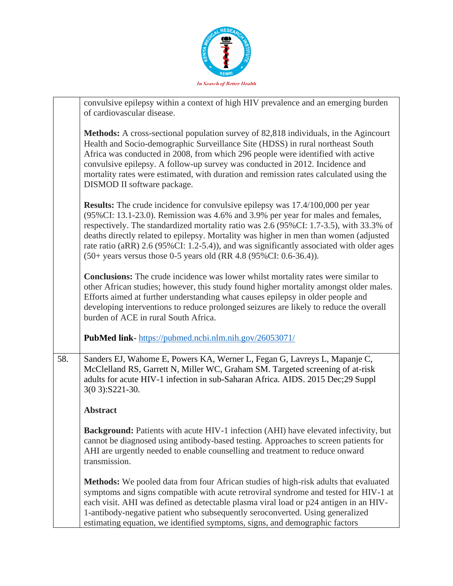

|     | convulsive epilepsy within a context of high HIV prevalence and an emerging burden<br>of cardiovascular disease.                                                                                                                                                                                                                                                                                                                                                                                                              |
|-----|-------------------------------------------------------------------------------------------------------------------------------------------------------------------------------------------------------------------------------------------------------------------------------------------------------------------------------------------------------------------------------------------------------------------------------------------------------------------------------------------------------------------------------|
|     | Methods: A cross-sectional population survey of 82,818 individuals, in the Agincourt<br>Health and Socio-demographic Surveillance Site (HDSS) in rural northeast South<br>Africa was conducted in 2008, from which 296 people were identified with active<br>convulsive epilepsy. A follow-up survey was conducted in 2012. Incidence and<br>mortality rates were estimated, with duration and remission rates calculated using the<br>DISMOD II software package.                                                            |
|     | <b>Results:</b> The crude incidence for convulsive epilepsy was 17.4/100,000 per year<br>(95%CI: 13.1-23.0). Remission was 4.6% and 3.9% per year for males and females,<br>respectively. The standardized mortality ratio was 2.6 (95%CI: 1.7-3.5), with 33.3% of<br>deaths directly related to epilepsy. Mortality was higher in men than women (adjusted<br>rate ratio (aRR) 2.6 (95% CI: 1.2-5.4)), and was significantly associated with older ages<br>(50+ years versus those 0-5 years old (RR 4.8 (95%CI: 0.6-36.4)). |
|     | <b>Conclusions:</b> The crude incidence was lower whilst mortality rates were similar to<br>other African studies; however, this study found higher mortality amongst older males.<br>Efforts aimed at further understanding what causes epilepsy in older people and<br>developing interventions to reduce prolonged seizures are likely to reduce the overall<br>burden of ACE in rural South Africa.                                                                                                                       |
|     | PubMed link-https://pubmed.ncbi.nlm.nih.gov/26053071/                                                                                                                                                                                                                                                                                                                                                                                                                                                                         |
| 58. | Sanders EJ, Wahome E, Powers KA, Werner L, Fegan G, Lavreys L, Mapanje C,<br>McClelland RS, Garrett N, Miller WC, Graham SM. Targeted screening of at-risk<br>adults for acute HIV-1 infection in sub-Saharan Africa. AIDS. 2015 Dec;29 Suppl<br>3(0 3):S221-30.                                                                                                                                                                                                                                                              |
|     | <b>Abstract</b>                                                                                                                                                                                                                                                                                                                                                                                                                                                                                                               |
|     | <b>Background:</b> Patients with acute HIV-1 infection (AHI) have elevated infectivity, but<br>cannot be diagnosed using antibody-based testing. Approaches to screen patients for<br>AHI are urgently needed to enable counselling and treatment to reduce onward<br>transmission.                                                                                                                                                                                                                                           |
|     | Methods: We pooled data from four African studies of high-risk adults that evaluated<br>symptoms and signs compatible with acute retroviral syndrome and tested for HIV-1 at<br>each visit. AHI was defined as detectable plasma viral load or p24 antigen in an HIV-<br>1-antibody-negative patient who subsequently seroconverted. Using generalized<br>estimating equation, we identified symptoms, signs, and demographic factors                                                                                         |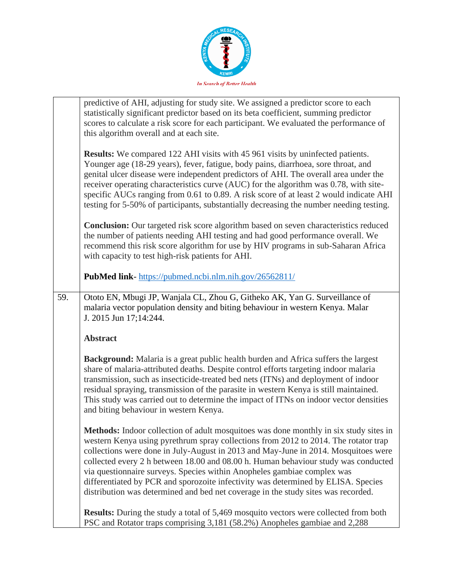

|     | predictive of AHI, adjusting for study site. We assigned a predictor score to each<br>statistically significant predictor based on its beta coefficient, summing predictor<br>scores to calculate a risk score for each participant. We evaluated the performance of<br>this algorithm overall and at each site.                                                                                                                                                                                                                                                                                              |
|-----|---------------------------------------------------------------------------------------------------------------------------------------------------------------------------------------------------------------------------------------------------------------------------------------------------------------------------------------------------------------------------------------------------------------------------------------------------------------------------------------------------------------------------------------------------------------------------------------------------------------|
|     | <b>Results:</b> We compared 122 AHI visits with 45 961 visits by uninfected patients.<br>Younger age (18-29 years), fever, fatigue, body pains, diarrhoea, sore throat, and<br>genital ulcer disease were independent predictors of AHI. The overall area under the<br>receiver operating characteristics curve (AUC) for the algorithm was 0.78, with site-<br>specific AUCs ranging from 0.61 to 0.89. A risk score of at least 2 would indicate AHI<br>testing for 5-50% of participants, substantially decreasing the number needing testing.                                                             |
|     | <b>Conclusion:</b> Our targeted risk score algorithm based on seven characteristics reduced<br>the number of patients needing AHI testing and had good performance overall. We<br>recommend this risk score algorithm for use by HIV programs in sub-Saharan Africa<br>with capacity to test high-risk patients for AHI.                                                                                                                                                                                                                                                                                      |
|     | PubMed link- https://pubmed.ncbi.nlm.nih.gov/26562811/                                                                                                                                                                                                                                                                                                                                                                                                                                                                                                                                                        |
| 59. | Ototo EN, Mbugi JP, Wanjala CL, Zhou G, Githeko AK, Yan G. Surveillance of<br>malaria vector population density and biting behaviour in western Kenya. Malar<br>J. 2015 Jun 17;14:244.                                                                                                                                                                                                                                                                                                                                                                                                                        |
|     | <b>Abstract</b>                                                                                                                                                                                                                                                                                                                                                                                                                                                                                                                                                                                               |
|     | <b>Background:</b> Malaria is a great public health burden and Africa suffers the largest<br>share of malaria-attributed deaths. Despite control efforts targeting indoor malaria<br>transmission, such as insecticide-treated bed nets (ITNs) and deployment of indoor<br>residual spraying, transmission of the parasite in western Kenya is still maintained.<br>This study was carried out to determine the impact of ITNs on indoor vector densities<br>and biting behaviour in western Kenya.                                                                                                           |
|     | Methods: Indoor collection of adult mosquitoes was done monthly in six study sites in<br>western Kenya using pyrethrum spray collections from 2012 to 2014. The rotator trap<br>collections were done in July-August in 2013 and May-June in 2014. Mosquitoes were<br>collected every 2 h between 18.00 and 08.00 h. Human behaviour study was conducted<br>via questionnaire surveys. Species within Anopheles gambiae complex was<br>differentiated by PCR and sporozoite infectivity was determined by ELISA. Species<br>distribution was determined and bed net coverage in the study sites was recorded. |
|     | <b>Results:</b> During the study a total of 5,469 mosquito vectors were collected from both<br>PSC and Rotator traps comprising 3,181 (58.2%) Anopheles gambiae and 2,288                                                                                                                                                                                                                                                                                                                                                                                                                                     |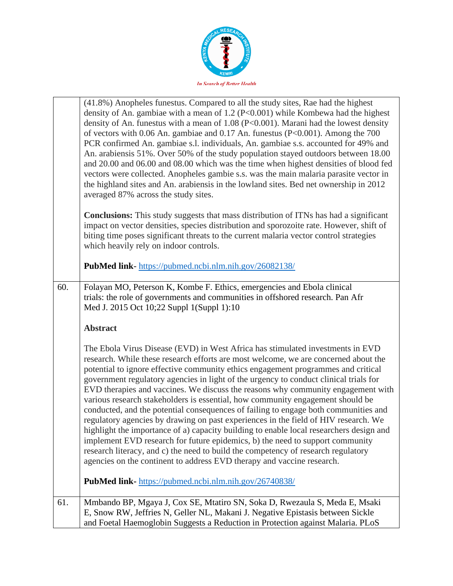

|     | (41.8%) Anopheles funestus. Compared to all the study sites, Rae had the highest<br>density of An. gambiae with a mean of $1.2$ (P<0.001) while Kombewa had the highest<br>density of An. funestus with a mean of $1.08$ (P<0.001). Marani had the lowest density<br>of vectors with 0.06 An. gambiae and 0.17 An. funestus (P<0.001). Among the 700<br>PCR confirmed An. gambiae s.l. individuals, An. gambiae s.s. accounted for 49% and<br>An. arabiensis 51%. Over 50% of the study population stayed outdoors between 18.00<br>and 20.00 and 06.00 and 08.00 which was the time when highest densities of blood fed<br>vectors were collected. Anopheles gambie s.s. was the main malaria parasite vector in<br>the highland sites and An. arabiensis in the lowland sites. Bed net ownership in 2012<br>averaged 87% across the study sites.                                                                                                                                                                                                 |
|-----|----------------------------------------------------------------------------------------------------------------------------------------------------------------------------------------------------------------------------------------------------------------------------------------------------------------------------------------------------------------------------------------------------------------------------------------------------------------------------------------------------------------------------------------------------------------------------------------------------------------------------------------------------------------------------------------------------------------------------------------------------------------------------------------------------------------------------------------------------------------------------------------------------------------------------------------------------------------------------------------------------------------------------------------------------|
|     | <b>Conclusions:</b> This study suggests that mass distribution of ITNs has had a significant<br>impact on vector densities, species distribution and sporozoite rate. However, shift of<br>biting time poses significant threats to the current malaria vector control strategies<br>which heavily rely on indoor controls.                                                                                                                                                                                                                                                                                                                                                                                                                                                                                                                                                                                                                                                                                                                        |
|     | PubMed link- https://pubmed.ncbi.nlm.nih.gov/26082138/                                                                                                                                                                                                                                                                                                                                                                                                                                                                                                                                                                                                                                                                                                                                                                                                                                                                                                                                                                                             |
| 60. | Folayan MO, Peterson K, Kombe F. Ethics, emergencies and Ebola clinical<br>trials: the role of governments and communities in offshored research. Pan Afr<br>Med J. 2015 Oct 10;22 Suppl 1(Suppl 1):10                                                                                                                                                                                                                                                                                                                                                                                                                                                                                                                                                                                                                                                                                                                                                                                                                                             |
|     | <b>Abstract</b>                                                                                                                                                                                                                                                                                                                                                                                                                                                                                                                                                                                                                                                                                                                                                                                                                                                                                                                                                                                                                                    |
|     | The Ebola Virus Disease (EVD) in West Africa has stimulated investments in EVD<br>research. While these research efforts are most welcome, we are concerned about the<br>potential to ignore effective community ethics engagement programmes and critical<br>government regulatory agencies in light of the urgency to conduct clinical trials for<br>EVD therapies and vaccines. We discuss the reasons why community engagement with<br>various research stakeholders is essential, how community engagement should be<br>conducted, and the potential consequences of failing to engage both communities and<br>regulatory agencies by drawing on past experiences in the field of HIV research. We<br>highlight the importance of a) capacity building to enable local researchers design and<br>implement EVD research for future epidemics, b) the need to support community<br>research literacy, and c) the need to build the competency of research regulatory<br>agencies on the continent to address EVD therapy and vaccine research. |
|     | <b>PubMed link-</b> https://pubmed.ncbi.nlm.nih.gov/26740838/                                                                                                                                                                                                                                                                                                                                                                                                                                                                                                                                                                                                                                                                                                                                                                                                                                                                                                                                                                                      |
| 61. | Mmbando BP, Mgaya J, Cox SE, Mtatiro SN, Soka D, Rwezaula S, Meda E, Msaki<br>E, Snow RW, Jeffries N, Geller NL, Makani J. Negative Epistasis between Sickle<br>and Foetal Haemoglobin Suggests a Reduction in Protection against Malaria. PLoS                                                                                                                                                                                                                                                                                                                                                                                                                                                                                                                                                                                                                                                                                                                                                                                                    |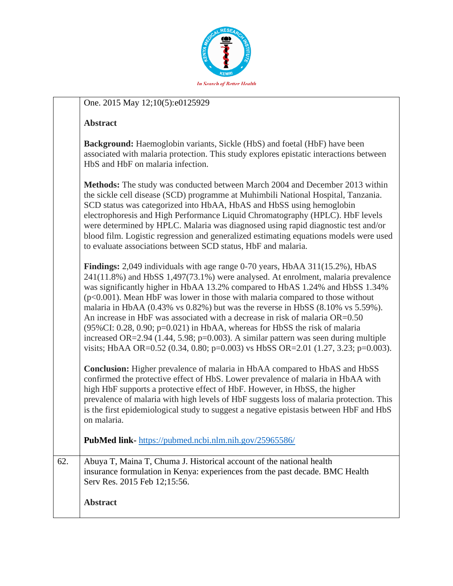

### One. 2015 May 12;10(5):e0125929

### **Abstract**

**Background:** Haemoglobin variants, Sickle (HbS) and foetal (HbF) have been associated with malaria protection. This study explores epistatic interactions between HbS and HbF on malaria infection.

**Methods:** The study was conducted between March 2004 and December 2013 within the sickle cell disease (SCD) programme at Muhimbili National Hospital, Tanzania. SCD status was categorized into HbAA, HbAS and HbSS using hemoglobin electrophoresis and High Performance Liquid Chromatography (HPLC). HbF levels were determined by HPLC. Malaria was diagnosed using rapid diagnostic test and/or blood film. Logistic regression and generalized estimating equations models were used to evaluate associations between SCD status, HbF and malaria.

**Findings:** 2,049 individuals with age range 0-70 years, HbAA 311(15.2%), HbAS 241(11.8%) and HbSS 1,497(73.1%) were analysed. At enrolment, malaria prevalence was significantly higher in HbAA 13.2% compared to HbAS 1.24% and HbSS 1.34% (p<0.001). Mean HbF was lower in those with malaria compared to those without malaria in HbAA (0.43% vs 0.82%) but was the reverse in HbSS (8.10% vs 5.59%). An increase in HbF was associated with a decrease in risk of malaria OR=0.50  $(95\% CI: 0.28, 0.90; p=0.021)$  in HbAA, whereas for HbSS the risk of malaria increased OR=2.94 (1.44, 5.98; p=0.003). A similar pattern was seen during multiple visits; HbAA OR= $0.52$  (0.34, 0.80; p= $0.003$ ) vs HbSS OR= $2.01$  (1.27, 3.23; p= $0.003$ ).

**Conclusion:** Higher prevalence of malaria in HbAA compared to HbAS and HbSS confirmed the protective effect of HbS. Lower prevalence of malaria in HbAA with high HbF supports a protective effect of HbF. However, in HbSS, the higher prevalence of malaria with high levels of HbF suggests loss of malaria protection. This is the first epidemiological study to suggest a negative epistasis between HbF and HbS on malaria.

**PubMed link-** <https://pubmed.ncbi.nlm.nih.gov/25965586/>

| 62. | Abuya T, Maina T, Chuma J. Historical account of the national health<br>insurance formulation in Kenya: experiences from the past decade. BMC Health<br>Serv Res. 2015 Feb 12;15:56. |
|-----|--------------------------------------------------------------------------------------------------------------------------------------------------------------------------------------|
|     | <b>Abstract</b>                                                                                                                                                                      |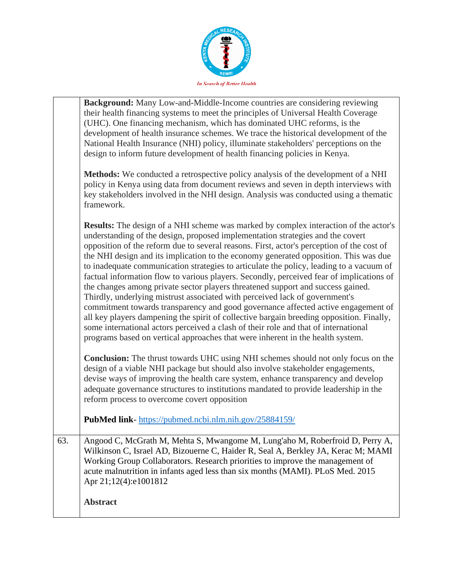

|     | Background: Many Low-and-Middle-Income countries are considering reviewing<br>their health financing systems to meet the principles of Universal Health Coverage<br>(UHC). One financing mechanism, which has dominated UHC reforms, is the<br>development of health insurance schemes. We trace the historical development of the<br>National Health Insurance (NHI) policy, illuminate stakeholders' perceptions on the<br>design to inform future development of health financing policies in Kenya.                                                                                                                                                                                                                                                                                                                                                                                                                                                                                                                                                                                                                                                                           |
|-----|-----------------------------------------------------------------------------------------------------------------------------------------------------------------------------------------------------------------------------------------------------------------------------------------------------------------------------------------------------------------------------------------------------------------------------------------------------------------------------------------------------------------------------------------------------------------------------------------------------------------------------------------------------------------------------------------------------------------------------------------------------------------------------------------------------------------------------------------------------------------------------------------------------------------------------------------------------------------------------------------------------------------------------------------------------------------------------------------------------------------------------------------------------------------------------------|
|     | Methods: We conducted a retrospective policy analysis of the development of a NHI<br>policy in Kenya using data from document reviews and seven in depth interviews with<br>key stakeholders involved in the NHI design. Analysis was conducted using a thematic<br>framework.                                                                                                                                                                                                                                                                                                                                                                                                                                                                                                                                                                                                                                                                                                                                                                                                                                                                                                    |
|     | <b>Results:</b> The design of a NHI scheme was marked by complex interaction of the actor's<br>understanding of the design, proposed implementation strategies and the covert<br>opposition of the reform due to several reasons. First, actor's perception of the cost of<br>the NHI design and its implication to the economy generated opposition. This was due<br>to inadequate communication strategies to articulate the policy, leading to a vacuum of<br>factual information flow to various players. Secondly, perceived fear of implications of<br>the changes among private sector players threatened support and success gained.<br>Thirdly, underlying mistrust associated with perceived lack of government's<br>commitment towards transparency and good governance affected active engagement of<br>all key players dampening the spirit of collective bargain breeding opposition. Finally,<br>some international actors perceived a clash of their role and that of international<br>programs based on vertical approaches that were inherent in the health system.<br><b>Conclusion:</b> The thrust towards UHC using NHI schemes should not only focus on the |
|     | design of a viable NHI package but should also involve stakeholder engagements,<br>devise ways of improving the health care system, enhance transparency and develop<br>adequate governance structures to institutions mandated to provide leadership in the<br>reform process to overcome covert opposition                                                                                                                                                                                                                                                                                                                                                                                                                                                                                                                                                                                                                                                                                                                                                                                                                                                                      |
|     | PubMed link- https://pubmed.ncbi.nlm.nih.gov/25884159/                                                                                                                                                                                                                                                                                                                                                                                                                                                                                                                                                                                                                                                                                                                                                                                                                                                                                                                                                                                                                                                                                                                            |
| 63. | Angood C, McGrath M, Mehta S, Mwangome M, Lung'aho M, Roberfroid D, Perry A,<br>Wilkinson C, Israel AD, Bizouerne C, Haider R, Seal A, Berkley JA, Kerac M; MAMI<br>Working Group Collaborators. Research priorities to improve the management of<br>acute malnutrition in infants aged less than six months (MAMI). PLoS Med. 2015<br>Apr 21;12(4):e1001812                                                                                                                                                                                                                                                                                                                                                                                                                                                                                                                                                                                                                                                                                                                                                                                                                      |
|     | <b>Abstract</b>                                                                                                                                                                                                                                                                                                                                                                                                                                                                                                                                                                                                                                                                                                                                                                                                                                                                                                                                                                                                                                                                                                                                                                   |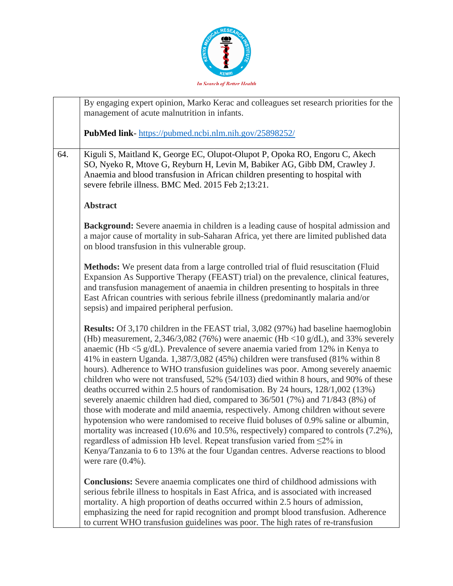

|     | By engaging expert opinion, Marko Kerac and colleagues set research priorities for the<br>management of acute malnutrition in infants.                                                                                                                                                                                                                                                                                                                                                                                                                                                                                                                                                                                                                                                                                                                                                                                                                                                                                                                                                                                                                                           |
|-----|----------------------------------------------------------------------------------------------------------------------------------------------------------------------------------------------------------------------------------------------------------------------------------------------------------------------------------------------------------------------------------------------------------------------------------------------------------------------------------------------------------------------------------------------------------------------------------------------------------------------------------------------------------------------------------------------------------------------------------------------------------------------------------------------------------------------------------------------------------------------------------------------------------------------------------------------------------------------------------------------------------------------------------------------------------------------------------------------------------------------------------------------------------------------------------|
|     | <b>PubMed link-</b> https://pubmed.ncbi.nlm.nih.gov/25898252/                                                                                                                                                                                                                                                                                                                                                                                                                                                                                                                                                                                                                                                                                                                                                                                                                                                                                                                                                                                                                                                                                                                    |
| 64. | Kiguli S, Maitland K, George EC, Olupot-Olupot P, Opoka RO, Engoru C, Akech<br>SO, Nyeko R, Mtove G, Reyburn H, Levin M, Babiker AG, Gibb DM, Crawley J.<br>Anaemia and blood transfusion in African children presenting to hospital with<br>severe febrile illness. BMC Med. 2015 Feb 2;13:21.                                                                                                                                                                                                                                                                                                                                                                                                                                                                                                                                                                                                                                                                                                                                                                                                                                                                                  |
|     | <b>Abstract</b>                                                                                                                                                                                                                                                                                                                                                                                                                                                                                                                                                                                                                                                                                                                                                                                                                                                                                                                                                                                                                                                                                                                                                                  |
|     | <b>Background:</b> Severe anaemia in children is a leading cause of hospital admission and<br>a major cause of mortality in sub-Saharan Africa, yet there are limited published data<br>on blood transfusion in this vulnerable group.                                                                                                                                                                                                                                                                                                                                                                                                                                                                                                                                                                                                                                                                                                                                                                                                                                                                                                                                           |
|     | Methods: We present data from a large controlled trial of fluid resuscitation (Fluid<br>Expansion As Supportive Therapy (FEAST) trial) on the prevalence, clinical features,<br>and transfusion management of anaemia in children presenting to hospitals in three<br>East African countries with serious febrile illness (predominantly malaria and/or<br>sepsis) and impaired peripheral perfusion.                                                                                                                                                                                                                                                                                                                                                                                                                                                                                                                                                                                                                                                                                                                                                                            |
|     | <b>Results:</b> Of 3,170 children in the FEAST trial, 3,082 (97%) had baseline haemoglobin<br>(Hb) measurement, 2,346/3,082 (76%) were anaemic (Hb <10 g/dL), and 33% severely<br>anaemic (Hb $\leq$ $g/dL$ ). Prevalence of severe anaemia varied from 12% in Kenya to<br>41% in eastern Uganda. 1,387/3,082 (45%) children were transfused (81% within 8<br>hours). Adherence to WHO transfusion guidelines was poor. Among severely anaemic<br>children who were not transfused, 52% (54/103) died within 8 hours, and 90% of these<br>deaths occurred within 2.5 hours of randomisation. By 24 hours, 128/1,002 (13%)<br>severely anaemic children had died, compared to 36/501 (7%) and 71/843 (8%) of<br>those with moderate and mild anaemia, respectively. Among children without severe<br>hypotension who were randomised to receive fluid boluses of 0.9% saline or albumin,<br>mortality was increased (10.6% and 10.5%, respectively) compared to controls (7.2%),<br>regardless of admission Hb level. Repeat transfusion varied from $\leq 2\%$ in<br>Kenya/Tanzania to 6 to 13% at the four Ugandan centres. Adverse reactions to blood<br>were rare $(0.4\%)$ . |
|     | <b>Conclusions:</b> Severe anaemia complicates one third of childhood admissions with<br>serious febrile illness to hospitals in East Africa, and is associated with increased<br>mortality. A high proportion of deaths occurred within 2.5 hours of admission,<br>emphasizing the need for rapid recognition and prompt blood transfusion. Adherence<br>to current WHO transfusion guidelines was poor. The high rates of re-transfusion                                                                                                                                                                                                                                                                                                                                                                                                                                                                                                                                                                                                                                                                                                                                       |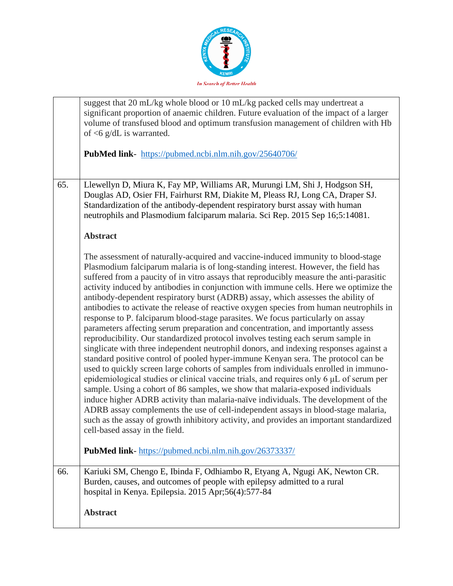

|     | suggest that 20 mL/kg whole blood or 10 mL/kg packed cells may undertreat a<br>significant proportion of anaemic children. Future evaluation of the impact of a larger<br>volume of transfused blood and optimum transfusion management of children with Hb<br>of $\langle 6 \text{ g/d}$ L is warranted.                                                                                                                                                                                                                                                                                                                                                                                                                                                                                                                                                                                                                                                                                                                                                                                                                                                                                                                                                                                                                                                                                                                                                                                                                                                       |
|-----|-----------------------------------------------------------------------------------------------------------------------------------------------------------------------------------------------------------------------------------------------------------------------------------------------------------------------------------------------------------------------------------------------------------------------------------------------------------------------------------------------------------------------------------------------------------------------------------------------------------------------------------------------------------------------------------------------------------------------------------------------------------------------------------------------------------------------------------------------------------------------------------------------------------------------------------------------------------------------------------------------------------------------------------------------------------------------------------------------------------------------------------------------------------------------------------------------------------------------------------------------------------------------------------------------------------------------------------------------------------------------------------------------------------------------------------------------------------------------------------------------------------------------------------------------------------------|
|     | <b>PubMed link-</b> https://pubmed.ncbi.nlm.nih.gov/25640706/                                                                                                                                                                                                                                                                                                                                                                                                                                                                                                                                                                                                                                                                                                                                                                                                                                                                                                                                                                                                                                                                                                                                                                                                                                                                                                                                                                                                                                                                                                   |
| 65. | Llewellyn D, Miura K, Fay MP, Williams AR, Murungi LM, Shi J, Hodgson SH,<br>Douglas AD, Osier FH, Fairhurst RM, Diakite M, Pleass RJ, Long CA, Draper SJ.<br>Standardization of the antibody-dependent respiratory burst assay with human<br>neutrophils and Plasmodium falciparum malaria. Sci Rep. 2015 Sep 16;5:14081.                                                                                                                                                                                                                                                                                                                                                                                                                                                                                                                                                                                                                                                                                                                                                                                                                                                                                                                                                                                                                                                                                                                                                                                                                                      |
|     | <b>Abstract</b>                                                                                                                                                                                                                                                                                                                                                                                                                                                                                                                                                                                                                                                                                                                                                                                                                                                                                                                                                                                                                                                                                                                                                                                                                                                                                                                                                                                                                                                                                                                                                 |
|     | The assessment of naturally-acquired and vaccine-induced immunity to blood-stage<br>Plasmodium falciparum malaria is of long-standing interest. However, the field has<br>suffered from a paucity of in vitro assays that reproducibly measure the anti-parasitic<br>activity induced by antibodies in conjunction with immune cells. Here we optimize the<br>antibody-dependent respiratory burst (ADRB) assay, which assesses the ability of<br>antibodies to activate the release of reactive oxygen species from human neutrophils in<br>response to P. falciparum blood-stage parasites. We focus particularly on assay<br>parameters affecting serum preparation and concentration, and importantly assess<br>reproducibility. Our standardized protocol involves testing each serum sample in<br>singlicate with three independent neutrophil donors, and indexing responses against a<br>standard positive control of pooled hyper-immune Kenyan sera. The protocol can be<br>used to quickly screen large cohorts of samples from individuals enrolled in immuno-<br>epidemiological studies or clinical vaccine trials, and requires only 6 µL of serum per<br>sample. Using a cohort of 86 samples, we show that malaria-exposed individuals<br>induce higher ADRB activity than malaria-naïve individuals. The development of the<br>ADRB assay complements the use of cell-independent assays in blood-stage malaria,<br>such as the assay of growth inhibitory activity, and provides an important standardized<br>cell-based assay in the field. |
|     | PubMed link-https://pubmed.ncbi.nlm.nih.gov/26373337/                                                                                                                                                                                                                                                                                                                                                                                                                                                                                                                                                                                                                                                                                                                                                                                                                                                                                                                                                                                                                                                                                                                                                                                                                                                                                                                                                                                                                                                                                                           |
| 66. | Kariuki SM, Chengo E, Ibinda F, Odhiambo R, Etyang A, Ngugi AK, Newton CR.<br>Burden, causes, and outcomes of people with epilepsy admitted to a rural<br>hospital in Kenya. Epilepsia. 2015 Apr;56(4):577-84                                                                                                                                                                                                                                                                                                                                                                                                                                                                                                                                                                                                                                                                                                                                                                                                                                                                                                                                                                                                                                                                                                                                                                                                                                                                                                                                                   |
|     | <b>Abstract</b>                                                                                                                                                                                                                                                                                                                                                                                                                                                                                                                                                                                                                                                                                                                                                                                                                                                                                                                                                                                                                                                                                                                                                                                                                                                                                                                                                                                                                                                                                                                                                 |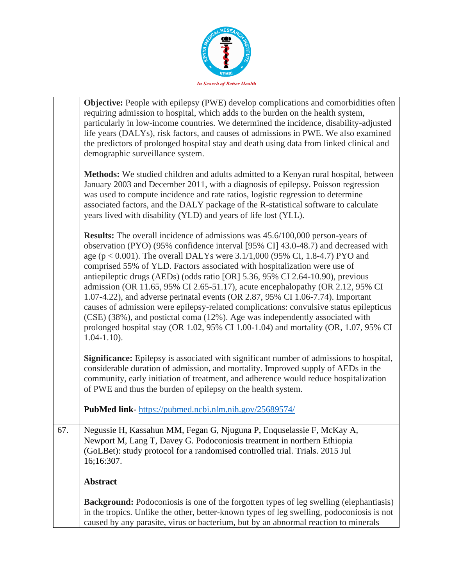

|     | <b>Objective:</b> People with epilepsy (PWE) develop complications and comorbidities often<br>requiring admission to hospital, which adds to the burden on the health system,<br>particularly in low-income countries. We determined the incidence, disability-adjusted<br>life years (DALYs), risk factors, and causes of admissions in PWE. We also examined<br>the predictors of prolonged hospital stay and death using data from linked clinical and<br>demographic surveillance system.<br>Methods: We studied children and adults admitted to a Kenyan rural hospital, between<br>January 2003 and December 2011, with a diagnosis of epilepsy. Poisson regression<br>was used to compute incidence and rate ratios, logistic regression to determine                                                                                                                                                                                                                                                                |
|-----|-----------------------------------------------------------------------------------------------------------------------------------------------------------------------------------------------------------------------------------------------------------------------------------------------------------------------------------------------------------------------------------------------------------------------------------------------------------------------------------------------------------------------------------------------------------------------------------------------------------------------------------------------------------------------------------------------------------------------------------------------------------------------------------------------------------------------------------------------------------------------------------------------------------------------------------------------------------------------------------------------------------------------------|
|     | associated factors, and the DALY package of the R-statistical software to calculate<br>years lived with disability (YLD) and years of life lost (YLL).<br><b>Results:</b> The overall incidence of admissions was 45.6/100,000 person-years of<br>observation (PYO) (95% confidence interval [95% CI] 43.0-48.7) and decreased with<br>age ( $p < 0.001$ ). The overall DALYs were 3.1/1,000 (95% CI, 1.8-4.7) PYO and<br>comprised 55% of YLD. Factors associated with hospitalization were use of<br>antiepileptic drugs (AEDs) (odds ratio [OR] 5.36, 95% CI 2.64-10.90), previous<br>admission (OR 11.65, 95% CI 2.65-51.17), acute encephalopathy (OR 2.12, 95% CI<br>1.07-4.22), and adverse perinatal events (OR 2.87, 95% CI 1.06-7.74). Important<br>causes of admission were epilepsy-related complications: convulsive status epilepticus<br>(CSE) (38%), and postictal coma (12%). Age was independently associated with<br>prolonged hospital stay (OR 1.02, 95% CI 1.00-1.04) and mortality (OR, 1.07, 95% CI |
|     | $1.04 - 1.10$ .<br>Significance: Epilepsy is associated with significant number of admissions to hospital,<br>considerable duration of admission, and mortality. Improved supply of AEDs in the<br>community, early initiation of treatment, and adherence would reduce hospitalization<br>of PWE and thus the burden of epilepsy on the health system.<br>PubMed link-https://pubmed.ncbi.nlm.nih.gov/25689574/                                                                                                                                                                                                                                                                                                                                                                                                                                                                                                                                                                                                            |
| 67. | Negussie H, Kassahun MM, Fegan G, Njuguna P, Enquselassie F, McKay A,<br>Newport M, Lang T, Davey G. Podoconiosis treatment in northern Ethiopia<br>(GoLBet): study protocol for a randomised controlled trial. Trials. 2015 Jul<br>16;16:307.                                                                                                                                                                                                                                                                                                                                                                                                                                                                                                                                                                                                                                                                                                                                                                              |
|     | Abstract<br><b>Background:</b> Podoconiosis is one of the forgotten types of leg swelling (elephantiasis)<br>in the tropics. Unlike the other, better-known types of leg swelling, podoconiosis is not                                                                                                                                                                                                                                                                                                                                                                                                                                                                                                                                                                                                                                                                                                                                                                                                                      |
|     | caused by any parasite, virus or bacterium, but by an abnormal reaction to minerals                                                                                                                                                                                                                                                                                                                                                                                                                                                                                                                                                                                                                                                                                                                                                                                                                                                                                                                                         |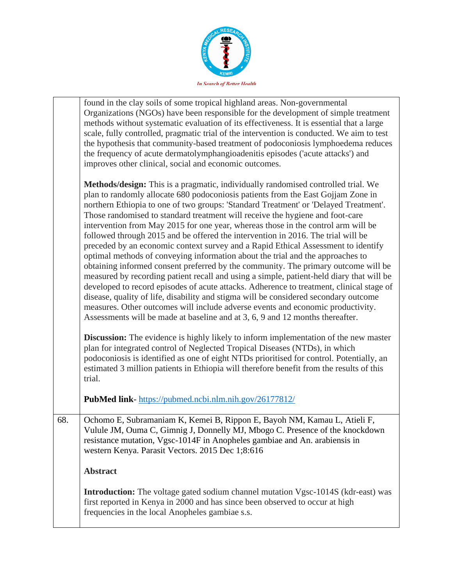

|     | found in the clay soils of some tropical highland areas. Non-governmental<br>Organizations (NGOs) have been responsible for the development of simple treatment<br>methods without systematic evaluation of its effectiveness. It is essential that a large<br>scale, fully controlled, pragmatic trial of the intervention is conducted. We aim to test<br>the hypothesis that community-based treatment of podoconiosis lymphoedema reduces<br>the frequency of acute dermatolymphangioadenitis episodes ('acute attacks') and<br>improves other clinical, social and economic outcomes.                                                                                                                                                                                                                                                                                                                                                                                                                                                                                                                                                                                                                                               |
|-----|------------------------------------------------------------------------------------------------------------------------------------------------------------------------------------------------------------------------------------------------------------------------------------------------------------------------------------------------------------------------------------------------------------------------------------------------------------------------------------------------------------------------------------------------------------------------------------------------------------------------------------------------------------------------------------------------------------------------------------------------------------------------------------------------------------------------------------------------------------------------------------------------------------------------------------------------------------------------------------------------------------------------------------------------------------------------------------------------------------------------------------------------------------------------------------------------------------------------------------------|
|     | Methods/design: This is a pragmatic, individually randomised controlled trial. We<br>plan to randomly allocate 680 podoconiosis patients from the East Gojjam Zone in<br>northern Ethiopia to one of two groups: 'Standard Treatment' or 'Delayed Treatment'.<br>Those randomised to standard treatment will receive the hygiene and foot-care<br>intervention from May 2015 for one year, whereas those in the control arm will be<br>followed through 2015 and be offered the intervention in 2016. The trial will be<br>preceded by an economic context survey and a Rapid Ethical Assessment to identify<br>optimal methods of conveying information about the trial and the approaches to<br>obtaining informed consent preferred by the community. The primary outcome will be<br>measured by recording patient recall and using a simple, patient-held diary that will be<br>developed to record episodes of acute attacks. Adherence to treatment, clinical stage of<br>disease, quality of life, disability and stigma will be considered secondary outcome<br>measures. Other outcomes will include adverse events and economic productivity.<br>Assessments will be made at baseline and at 3, 6, 9 and 12 months thereafter. |
|     | <b>Discussion:</b> The evidence is highly likely to inform implementation of the new master<br>plan for integrated control of Neglected Tropical Diseases (NTDs), in which<br>podoconiosis is identified as one of eight NTDs prioritised for control. Potentially, an<br>estimated 3 million patients in Ethiopia will therefore benefit from the results of this<br>trial.<br><b>PubMed link-</b> https://pubmed.ncbi.nlm.nih.gov/26177812/                                                                                                                                                                                                                                                                                                                                                                                                                                                                                                                                                                                                                                                                                                                                                                                            |
|     |                                                                                                                                                                                                                                                                                                                                                                                                                                                                                                                                                                                                                                                                                                                                                                                                                                                                                                                                                                                                                                                                                                                                                                                                                                          |
| 68. | Ochomo E, Subramaniam K, Kemei B, Rippon E, Bayoh NM, Kamau L, Atieli F,<br>Vulule JM, Ouma C, Gimnig J, Donnelly MJ, Mbogo C. Presence of the knockdown<br>resistance mutation, Vgsc-1014F in Anopheles gambiae and An. arabiensis in<br>western Kenya. Parasit Vectors. 2015 Dec 1;8:616                                                                                                                                                                                                                                                                                                                                                                                                                                                                                                                                                                                                                                                                                                                                                                                                                                                                                                                                               |
|     | <b>Abstract</b>                                                                                                                                                                                                                                                                                                                                                                                                                                                                                                                                                                                                                                                                                                                                                                                                                                                                                                                                                                                                                                                                                                                                                                                                                          |
|     | <b>Introduction:</b> The voltage gated sodium channel mutation Vgsc-1014S (kdr-east) was<br>first reported in Kenya in 2000 and has since been observed to occur at high<br>frequencies in the local Anopheles gambiae s.s.                                                                                                                                                                                                                                                                                                                                                                                                                                                                                                                                                                                                                                                                                                                                                                                                                                                                                                                                                                                                              |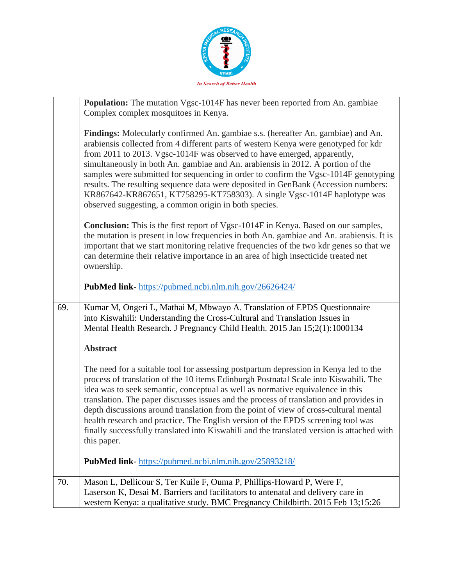

|     | <b>Population:</b> The mutation Vgsc-1014F has never been reported from An. gambiae                                                                                                                                                                                                                                                                                                                                                                                                                                                                                                                                                                                                                                                                                                                                                                                                                                                                                                                                                             |
|-----|-------------------------------------------------------------------------------------------------------------------------------------------------------------------------------------------------------------------------------------------------------------------------------------------------------------------------------------------------------------------------------------------------------------------------------------------------------------------------------------------------------------------------------------------------------------------------------------------------------------------------------------------------------------------------------------------------------------------------------------------------------------------------------------------------------------------------------------------------------------------------------------------------------------------------------------------------------------------------------------------------------------------------------------------------|
|     | Complex complex mosquitoes in Kenya.                                                                                                                                                                                                                                                                                                                                                                                                                                                                                                                                                                                                                                                                                                                                                                                                                                                                                                                                                                                                            |
|     | Findings: Molecularly confirmed An. gambiae s.s. (hereafter An. gambiae) and An.<br>arabiensis collected from 4 different parts of western Kenya were genotyped for kdr<br>from 2011 to 2013. Vgsc-1014F was observed to have emerged, apparently,<br>simultaneously in both An. gambiae and An. arabiensis in 2012. A portion of the<br>samples were submitted for sequencing in order to confirm the Vgsc-1014F genotyping<br>results. The resulting sequence data were deposited in GenBank (Accession numbers:<br>KR867642-KR867651, KT758295-KT758303). A single Vgsc-1014F haplotype was<br>observed suggesting, a common origin in both species.<br><b>Conclusion:</b> This is the first report of Vgsc-1014F in Kenya. Based on our samples,<br>the mutation is present in low frequencies in both An. gambiae and An. arabiensis. It is<br>important that we start monitoring relative frequencies of the two kdr genes so that we<br>can determine their relative importance in an area of high insecticide treated net<br>ownership. |
|     | PubMed link-https://pubmed.ncbi.nlm.nih.gov/26626424/                                                                                                                                                                                                                                                                                                                                                                                                                                                                                                                                                                                                                                                                                                                                                                                                                                                                                                                                                                                           |
| 69. | Kumar M, Ongeri L, Mathai M, Mbwayo A. Translation of EPDS Questionnaire<br>into Kiswahili: Understanding the Cross-Cultural and Translation Issues in<br>Mental Health Research. J Pregnancy Child Health. 2015 Jan 15;2(1):1000134                                                                                                                                                                                                                                                                                                                                                                                                                                                                                                                                                                                                                                                                                                                                                                                                            |
|     | <b>Abstract</b>                                                                                                                                                                                                                                                                                                                                                                                                                                                                                                                                                                                                                                                                                                                                                                                                                                                                                                                                                                                                                                 |
|     | The need for a suitable tool for assessing postpartum depression in Kenya led to the<br>process of translation of the 10 items Edinburgh Postnatal Scale into Kiswahili. The<br>idea was to seek semantic, conceptual as well as normative equivalence in this<br>translation. The paper discusses issues and the process of translation and provides in<br>depth discussions around translation from the point of view of cross-cultural mental<br>health research and practice. The English version of the EPDS screening tool was<br>finally successfully translated into Kiswahili and the translated version is attached with<br>this paper.                                                                                                                                                                                                                                                                                                                                                                                               |
|     | <b>PubMed link-</b> https://pubmed.ncbi.nlm.nih.gov/25893218/                                                                                                                                                                                                                                                                                                                                                                                                                                                                                                                                                                                                                                                                                                                                                                                                                                                                                                                                                                                   |
| 70. | Mason L, Dellicour S, Ter Kuile F, Ouma P, Phillips-Howard P, Were F,<br>Laserson K, Desai M. Barriers and facilitators to antenatal and delivery care in<br>western Kenya: a qualitative study. BMC Pregnancy Childbirth. 2015 Feb 13;15:26                                                                                                                                                                                                                                                                                                                                                                                                                                                                                                                                                                                                                                                                                                                                                                                                    |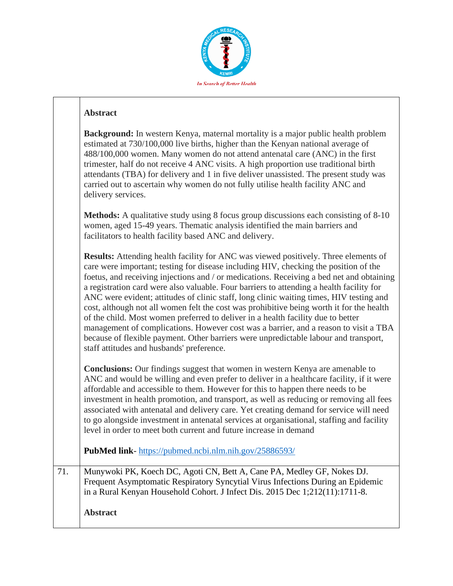

## **Abstract**

**Background:** In western Kenya, maternal mortality is a major public health problem estimated at 730/100,000 live births, higher than the Kenyan national average of 488/100,000 women. Many women do not attend antenatal care (ANC) in the first trimester, half do not receive 4 ANC visits. A high proportion use traditional birth attendants (TBA) for delivery and 1 in five deliver unassisted. The present study was carried out to ascertain why women do not fully utilise health facility ANC and delivery services.

**Methods:** A qualitative study using 8 focus group discussions each consisting of 8-10 women, aged 15-49 years. Thematic analysis identified the main barriers and facilitators to health facility based ANC and delivery.

**Results:** Attending health facility for ANC was viewed positively. Three elements of care were important; testing for disease including HIV, checking the position of the foetus, and receiving injections and / or medications. Receiving a bed net and obtaining a registration card were also valuable. Four barriers to attending a health facility for ANC were evident; attitudes of clinic staff, long clinic waiting times, HIV testing and cost, although not all women felt the cost was prohibitive being worth it for the health of the child. Most women preferred to deliver in a health facility due to better management of complications. However cost was a barrier, and a reason to visit a TBA because of flexible payment. Other barriers were unpredictable labour and transport, staff attitudes and husbands' preference.

**Conclusions:** Our findings suggest that women in western Kenya are amenable to ANC and would be willing and even prefer to deliver in a healthcare facility, if it were affordable and accessible to them. However for this to happen there needs to be investment in health promotion, and transport, as well as reducing or removing all fees associated with antenatal and delivery care. Yet creating demand for service will need to go alongside investment in antenatal services at organisational, staffing and facility level in order to meet both current and future increase in demand

**PubMed link**- <https://pubmed.ncbi.nlm.nih.gov/25886593/>

71. Munywoki PK, Koech DC, Agoti CN, Bett A, Cane PA, Medley GF, Nokes DJ. Frequent Asymptomatic Respiratory Syncytial Virus Infections During an Epidemic in a Rural Kenyan Household Cohort. J Infect Dis. 2015 Dec 1;212(11):1711-8.

**Abstract**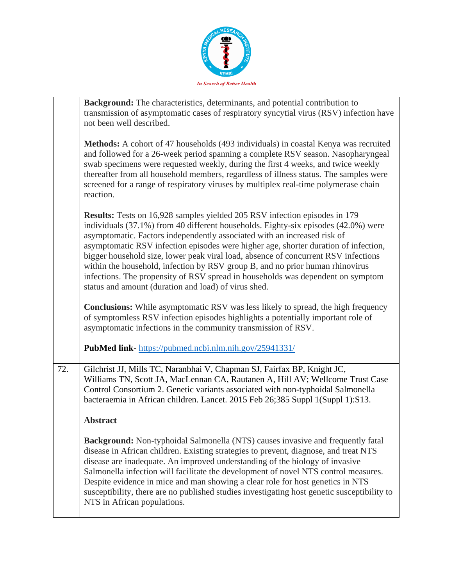

|     | Background: The characteristics, determinants, and potential contribution to<br>transmission of asymptomatic cases of respiratory syncytial virus (RSV) infection have<br>not been well described.                                                                                                                                                                                                                                                                                                                                                                                                                                                           |
|-----|--------------------------------------------------------------------------------------------------------------------------------------------------------------------------------------------------------------------------------------------------------------------------------------------------------------------------------------------------------------------------------------------------------------------------------------------------------------------------------------------------------------------------------------------------------------------------------------------------------------------------------------------------------------|
|     | <b>Methods:</b> A cohort of 47 households (493 individuals) in coastal Kenya was recruited<br>and followed for a 26-week period spanning a complete RSV season. Nasopharyngeal<br>swab specimens were requested weekly, during the first 4 weeks, and twice weekly<br>thereafter from all household members, regardless of illness status. The samples were<br>screened for a range of respiratory viruses by multiplex real-time polymerase chain<br>reaction.                                                                                                                                                                                              |
|     | <b>Results:</b> Tests on 16,928 samples yielded 205 RSV infection episodes in 179<br>individuals (37.1%) from 40 different households. Eighty-six episodes (42.0%) were<br>asymptomatic. Factors independently associated with an increased risk of<br>asymptomatic RSV infection episodes were higher age, shorter duration of infection,<br>bigger household size, lower peak viral load, absence of concurrent RSV infections<br>within the household, infection by RSV group B, and no prior human rhinovirus<br>infections. The propensity of RSV spread in households was dependent on symptom<br>status and amount (duration and load) of virus shed. |
|     | <b>Conclusions:</b> While asymptomatic RSV was less likely to spread, the high frequency<br>of symptomless RSV infection episodes highlights a potentially important role of<br>asymptomatic infections in the community transmission of RSV.                                                                                                                                                                                                                                                                                                                                                                                                                |
|     | <b>PubMed link-</b> https://pubmed.ncbi.nlm.nih.gov/25941331/                                                                                                                                                                                                                                                                                                                                                                                                                                                                                                                                                                                                |
| 72. | Gilchrist JJ, Mills TC, Naranbhai V, Chapman SJ, Fairfax BP, Knight JC,<br>Williams TN, Scott JA, MacLennan CA, Rautanen A, Hill AV; Wellcome Trust Case<br>Control Consortium 2. Genetic variants associated with non-typhoidal Salmonella<br>bacteraemia in African children. Lancet. 2015 Feb 26;385 Suppl 1(Suppl 1):S13.                                                                                                                                                                                                                                                                                                                                |
|     | <b>Abstract</b>                                                                                                                                                                                                                                                                                                                                                                                                                                                                                                                                                                                                                                              |
|     | Background: Non-typhoidal Salmonella (NTS) causes invasive and frequently fatal<br>disease in African children. Existing strategies to prevent, diagnose, and treat NTS<br>disease are inadequate. An improved understanding of the biology of invasive<br>Salmonella infection will facilitate the development of novel NTS control measures.<br>Despite evidence in mice and man showing a clear role for host genetics in NTS<br>susceptibility, there are no published studies investigating host genetic susceptibility to<br>NTS in African populations.                                                                                               |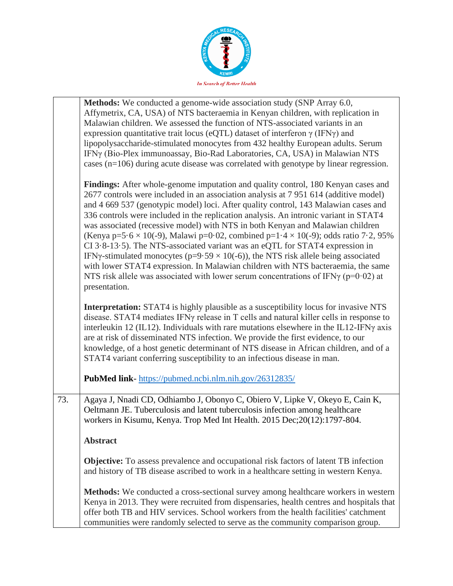

|     | Methods: We conducted a genome-wide association study (SNP Array 6.0,<br>Affymetrix, CA, USA) of NTS bacteraemia in Kenyan children, with replication in<br>Malawian children. We assessed the function of NTS-associated variants in an<br>expression quantitative trait locus (eQTL) dataset of interferon $\gamma$ (IFN $\gamma$ ) and<br>lipopolysaccharide-stimulated monocytes from 432 healthy European adults. Serum<br>IFNy (Bio-Plex immunoassay, Bio-Rad Laboratories, CA, USA) in Malawian NTS<br>cases $(n=106)$ during acute disease was correlated with genotype by linear regression.                                                                                                                                                                                                                                                                                                                           |
|-----|---------------------------------------------------------------------------------------------------------------------------------------------------------------------------------------------------------------------------------------------------------------------------------------------------------------------------------------------------------------------------------------------------------------------------------------------------------------------------------------------------------------------------------------------------------------------------------------------------------------------------------------------------------------------------------------------------------------------------------------------------------------------------------------------------------------------------------------------------------------------------------------------------------------------------------|
|     | Findings: After whole-genome imputation and quality control, 180 Kenyan cases and<br>2677 controls were included in an association analysis at 7 951 614 (additive model)<br>and 4 669 537 (genotypic model) loci. After quality control, 143 Malawian cases and<br>336 controls were included in the replication analysis. An intronic variant in STAT4<br>was associated (recessive model) with NTS in both Kenyan and Malawian children<br>(Kenya p=5.6 $\times$ 10(-9), Malawi p=0.02, combined p=1.4 $\times$ 10(-9); odds ratio 7.2, 95%<br>CI 3.8-13.5). The NTS-associated variant was an eQTL for STAT4 expression in<br>IFNy-stimulated monocytes ( $p=9.59 \times 10(-6)$ ), the NTS risk allele being associated<br>with lower STAT4 expression. In Malawian children with NTS bacteraemia, the same<br>NTS risk allele was associated with lower serum concentrations of IFN $\gamma$ (p=0.02) at<br>presentation. |
|     | <b>Interpretation:</b> STAT4 is highly plausible as a susceptibility locus for invasive NTS<br>disease. STAT4 mediates IFNy release in T cells and natural killer cells in response to<br>interleukin 12 (IL12). Individuals with rare mutations elsewhere in the IL12-IFN $\gamma$ axis<br>are at risk of disseminated NTS infection. We provide the first evidence, to our<br>knowledge, of a host genetic determinant of NTS disease in African children, and of a<br>STAT4 variant conferring susceptibility to an infectious disease in man.                                                                                                                                                                                                                                                                                                                                                                               |
|     | PubMed link-https://pubmed.ncbi.nlm.nih.gov/26312835/                                                                                                                                                                                                                                                                                                                                                                                                                                                                                                                                                                                                                                                                                                                                                                                                                                                                           |
| 73. | Agaya J, Nnadi CD, Odhiambo J, Obonyo C, Obiero V, Lipke V, Okeyo E, Cain K,<br>Oeltmann JE. Tuberculosis and latent tuberculosis infection among healthcare<br>workers in Kisumu, Kenya. Trop Med Int Health. 2015 Dec;20(12):1797-804.                                                                                                                                                                                                                                                                                                                                                                                                                                                                                                                                                                                                                                                                                        |
|     | <b>Abstract</b>                                                                                                                                                                                                                                                                                                                                                                                                                                                                                                                                                                                                                                                                                                                                                                                                                                                                                                                 |
|     | <b>Objective:</b> To assess prevalence and occupational risk factors of latent TB infection<br>and history of TB disease ascribed to work in a healthcare setting in western Kenya.                                                                                                                                                                                                                                                                                                                                                                                                                                                                                                                                                                                                                                                                                                                                             |
|     | Methods: We conducted a cross-sectional survey among healthcare workers in western<br>Kenya in 2013. They were recruited from dispensaries, health centres and hospitals that<br>offer both TB and HIV services. School workers from the health facilities' catchment<br>communities were randomly selected to serve as the community comparison group.                                                                                                                                                                                                                                                                                                                                                                                                                                                                                                                                                                         |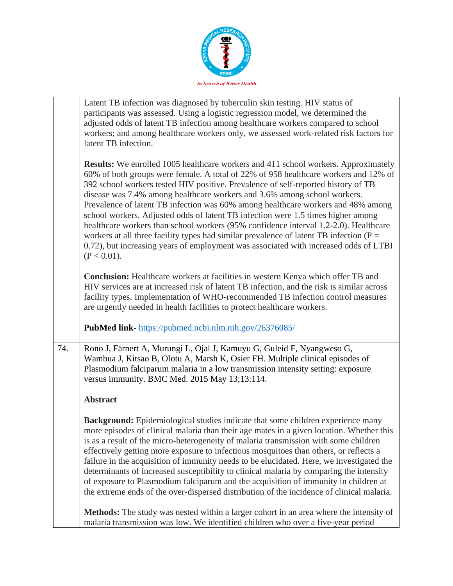|     | <b>RESEA</b>                                                                                                                                                                                                                                                                                                                                                                                                                                                                                                                                                                                                                                                                                                                                                                                                             |
|-----|--------------------------------------------------------------------------------------------------------------------------------------------------------------------------------------------------------------------------------------------------------------------------------------------------------------------------------------------------------------------------------------------------------------------------------------------------------------------------------------------------------------------------------------------------------------------------------------------------------------------------------------------------------------------------------------------------------------------------------------------------------------------------------------------------------------------------|
|     | <b>In Search of Better Health</b>                                                                                                                                                                                                                                                                                                                                                                                                                                                                                                                                                                                                                                                                                                                                                                                        |
|     | Latent TB infection was diagnosed by tuberculin skin testing. HIV status of<br>participants was assessed. Using a logistic regression model, we determined the<br>adjusted odds of latent TB infection among healthcare workers compared to school<br>workers; and among healthcare workers only, we assessed work-related risk factors for<br>latent TB infection.                                                                                                                                                                                                                                                                                                                                                                                                                                                      |
|     | <b>Results:</b> We enrolled 1005 healthcare workers and 411 school workers. Approximately<br>60% of both groups were female. A total of 22% of 958 healthcare workers and 12% of<br>392 school workers tested HIV positive. Prevalence of self-reported history of TB<br>disease was 7.4% among healthcare workers and 3.6% among school workers.<br>Prevalence of latent TB infection was 60% among healthcare workers and 48% among<br>school workers. Adjusted odds of latent TB infection were 1.5 times higher among<br>healthcare workers than school workers (95% confidence interval 1.2-2.0). Healthcare<br>workers at all three facility types had similar prevalence of latent TB infection ( $P =$<br>0.72), but increasing years of employment was associated with increased odds of LTBI<br>$(P < 0.01)$ . |
|     | <b>Conclusion:</b> Healthcare workers at facilities in western Kenya which offer TB and<br>HIV services are at increased risk of latent TB infection, and the risk is similar across<br>facility types. Implementation of WHO-recommended TB infection control measures<br>are urgently needed in health facilities to protect healthcare workers.                                                                                                                                                                                                                                                                                                                                                                                                                                                                       |
|     | <b>PubMed link-</b> https://pubmed.ncbi.nlm.nih.gov/26376085/                                                                                                                                                                                                                                                                                                                                                                                                                                                                                                                                                                                                                                                                                                                                                            |
| 74. | Rono J, Färnert A, Murungi L, Ojal J, Kamuyu G, Guleid F, Nyangweso G,<br>Wambua J, Kitsao B, Olotu A, Marsh K, Osier FH. Multiple clinical episodes of<br>Plasmodium falciparum malaria in a low transmission intensity setting: exposure<br>versus immunity. BMC Med. 2015 May 13;13:114.                                                                                                                                                                                                                                                                                                                                                                                                                                                                                                                              |
|     | <b>Abstract</b>                                                                                                                                                                                                                                                                                                                                                                                                                                                                                                                                                                                                                                                                                                                                                                                                          |
|     | <b>Background:</b> Epidemiological studies indicate that some children experience many<br>more episodes of clinical malaria than their age mates in a given location. Whether this<br>is as a result of the micro-heterogeneity of malaria transmission with some children<br>effectively getting more exposure to infectious mosquitoes than others, or reflects a<br>failure in the acquisition of immunity needs to be elucidated. Here, we investigated the<br>determinants of increased susceptibility to clinical malaria by comparing the intensity<br>of exposure to Plasmodium falciparum and the acquisition of immunity in children at<br>the extreme ends of the over-dispersed distribution of the incidence of clinical malaria.                                                                           |

**Methods:** The study was nested within a larger cohort in an area where the intensity of malaria transmission was low. We identified children who over a five-year period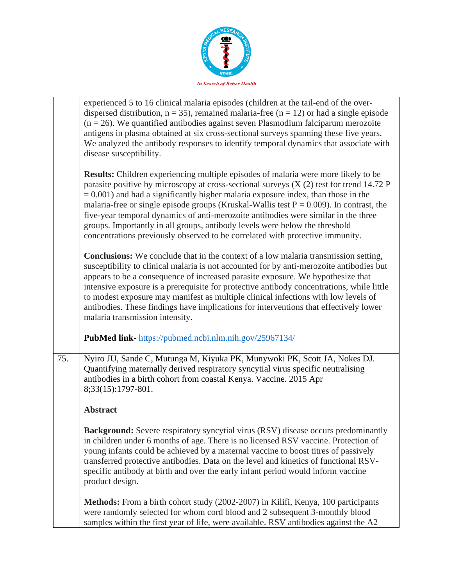

|     | experienced 5 to 16 clinical malaria episodes (children at the tail-end of the over-<br>dispersed distribution, $n = 35$ ), remained malaria-free ( $n = 12$ ) or had a single episode<br>$(n = 26)$ . We quantified antibodies against seven Plasmodium falciparum merozoite<br>antigens in plasma obtained at six cross-sectional surveys spanning these five years.<br>We analyzed the antibody responses to identify temporal dynamics that associate with<br>disease susceptibility.                                                                                                                                           |
|-----|-------------------------------------------------------------------------------------------------------------------------------------------------------------------------------------------------------------------------------------------------------------------------------------------------------------------------------------------------------------------------------------------------------------------------------------------------------------------------------------------------------------------------------------------------------------------------------------------------------------------------------------|
|     | <b>Results:</b> Children experiencing multiple episodes of malaria were more likely to be<br>parasite positive by microscopy at cross-sectional surveys $(X (2)$ test for trend 14.72 P<br>$= 0.001$ ) and had a significantly higher malaria exposure index, than those in the<br>malaria-free or single episode groups (Kruskal-Wallis test $P = 0.009$ ). In contrast, the<br>five-year temporal dynamics of anti-merozoite antibodies were similar in the three<br>groups. Importantly in all groups, antibody levels were below the threshold<br>concentrations previously observed to be correlated with protective immunity. |
|     | Conclusions: We conclude that in the context of a low malaria transmission setting,<br>susceptibility to clinical malaria is not accounted for by anti-merozoite antibodies but<br>appears to be a consequence of increased parasite exposure. We hypothesize that<br>intensive exposure is a prerequisite for protective antibody concentrations, while little<br>to modest exposure may manifest as multiple clinical infections with low levels of<br>antibodies. These findings have implications for interventions that effectively lower<br>malaria transmission intensity.                                                   |
|     | <b>PubMed link-</b> https://pubmed.ncbi.nlm.nih.gov/25967134/                                                                                                                                                                                                                                                                                                                                                                                                                                                                                                                                                                       |
| 75. | Nyiro JU, Sande C, Mutunga M, Kiyuka PK, Munywoki PK, Scott JA, Nokes DJ.<br>Quantifying maternally derived respiratory syncytial virus specific neutralising<br>antibodies in a birth cohort from coastal Kenya. Vaccine. 2015 Apr<br>8;33(15):1797-801.                                                                                                                                                                                                                                                                                                                                                                           |
|     | <b>Abstract</b>                                                                                                                                                                                                                                                                                                                                                                                                                                                                                                                                                                                                                     |
|     | Background: Severe respiratory syncytial virus (RSV) disease occurs predominantly<br>in children under 6 months of age. There is no licensed RSV vaccine. Protection of<br>young infants could be achieved by a maternal vaccine to boost titres of passively<br>transferred protective antibodies. Data on the level and kinetics of functional RSV-<br>specific antibody at birth and over the early infant period would inform vaccine<br>product design.                                                                                                                                                                        |
|     | <b>Methods:</b> From a birth cohort study (2002-2007) in Kilifi, Kenya, 100 participants<br>were randomly selected for whom cord blood and 2 subsequent 3-monthly blood<br>samples within the first year of life, were available. RSV antibodies against the A2                                                                                                                                                                                                                                                                                                                                                                     |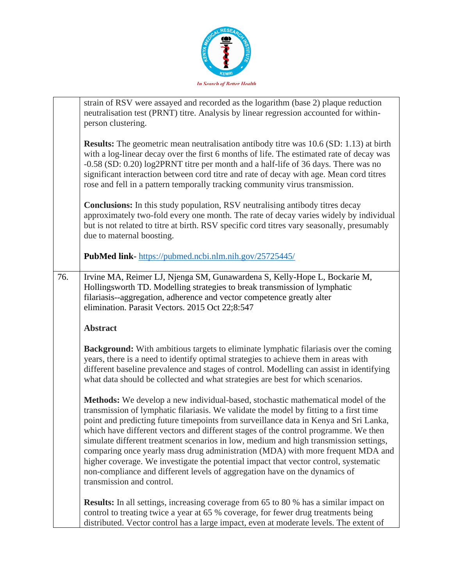

|     | strain of RSV were assayed and recorded as the logarithm (base 2) plaque reduction<br>neutralisation test (PRNT) titre. Analysis by linear regression accounted for within-<br>person clustering.                                                                                                                                                                                                                                                                                                                                                                                                                                                                                                                                         |
|-----|-------------------------------------------------------------------------------------------------------------------------------------------------------------------------------------------------------------------------------------------------------------------------------------------------------------------------------------------------------------------------------------------------------------------------------------------------------------------------------------------------------------------------------------------------------------------------------------------------------------------------------------------------------------------------------------------------------------------------------------------|
|     | <b>Results:</b> The geometric mean neutralisation antibody titre was 10.6 (SD: 1.13) at birth<br>with a log-linear decay over the first 6 months of life. The estimated rate of decay was<br>-0.58 (SD: 0.20) log2PRNT titre per month and a half-life of 36 days. There was no<br>significant interaction between cord titre and rate of decay with age. Mean cord titres<br>rose and fell in a pattern temporally tracking community virus transmission.                                                                                                                                                                                                                                                                                |
|     | <b>Conclusions:</b> In this study population, RSV neutralising antibody titres decay<br>approximately two-fold every one month. The rate of decay varies widely by individual<br>but is not related to titre at birth. RSV specific cord titres vary seasonally, presumably<br>due to maternal boosting.                                                                                                                                                                                                                                                                                                                                                                                                                                  |
|     | PubMed link-https://pubmed.ncbi.nlm.nih.gov/25725445/                                                                                                                                                                                                                                                                                                                                                                                                                                                                                                                                                                                                                                                                                     |
| 76. | Irvine MA, Reimer LJ, Njenga SM, Gunawardena S, Kelly-Hope L, Bockarie M,<br>Hollingsworth TD. Modelling strategies to break transmission of lymphatic<br>filariasis--aggregation, adherence and vector competence greatly alter<br>elimination. Parasit Vectors. 2015 Oct 22;8:547                                                                                                                                                                                                                                                                                                                                                                                                                                                       |
|     | <b>Abstract</b>                                                                                                                                                                                                                                                                                                                                                                                                                                                                                                                                                                                                                                                                                                                           |
|     | <b>Background:</b> With ambitious targets to eliminate lymphatic filariasis over the coming<br>years, there is a need to identify optimal strategies to achieve them in areas with<br>different baseline prevalence and stages of control. Modelling can assist in identifying<br>what data should be collected and what strategies are best for which scenarios.                                                                                                                                                                                                                                                                                                                                                                         |
|     | Methods: We develop a new individual-based, stochastic mathematical model of the<br>transmission of lymphatic filariasis. We validate the model by fitting to a first time<br>point and predicting future timepoints from surveillance data in Kenya and Sri Lanka,<br>which have different vectors and different stages of the control programme. We then<br>simulate different treatment scenarios in low, medium and high transmission settings,<br>comparing once yearly mass drug administration (MDA) with more frequent MDA and<br>higher coverage. We investigate the potential impact that vector control, systematic<br>non-compliance and different levels of aggregation have on the dynamics of<br>transmission and control. |
|     | <b>Results:</b> In all settings, increasing coverage from 65 to 80 % has a similar impact on<br>control to treating twice a year at 65 % coverage, for fewer drug treatments being<br>distributed. Vector control has a large impact, even at moderate levels. The extent of                                                                                                                                                                                                                                                                                                                                                                                                                                                              |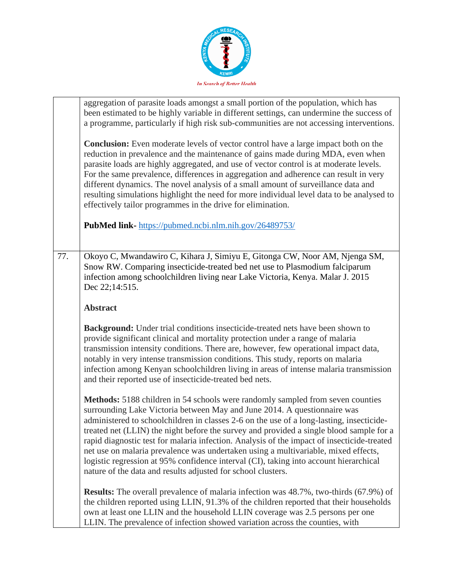

|     | aggregation of parasite loads amongst a small portion of the population, which has<br>been estimated to be highly variable in different settings, can undermine the success of<br>a programme, particularly if high risk sub-communities are not accessing interventions.                                                                                                                                                                                                                                                                                                                                                                                                                             |
|-----|-------------------------------------------------------------------------------------------------------------------------------------------------------------------------------------------------------------------------------------------------------------------------------------------------------------------------------------------------------------------------------------------------------------------------------------------------------------------------------------------------------------------------------------------------------------------------------------------------------------------------------------------------------------------------------------------------------|
|     | <b>Conclusion:</b> Even moderate levels of vector control have a large impact both on the<br>reduction in prevalence and the maintenance of gains made during MDA, even when<br>parasite loads are highly aggregated, and use of vector control is at moderate levels.<br>For the same prevalence, differences in aggregation and adherence can result in very<br>different dynamics. The novel analysis of a small amount of surveillance data and<br>resulting simulations highlight the need for more individual level data to be analysed to<br>effectively tailor programmes in the drive for elimination.                                                                                       |
|     | PubMed link- https://pubmed.ncbi.nlm.nih.gov/26489753/                                                                                                                                                                                                                                                                                                                                                                                                                                                                                                                                                                                                                                                |
| 77. | Okoyo C, Mwandawiro C, Kihara J, Simiyu E, Gitonga CW, Noor AM, Njenga SM,<br>Snow RW. Comparing insecticide-treated bed net use to Plasmodium falciparum<br>infection among schoolchildren living near Lake Victoria, Kenya. Malar J. 2015<br>Dec 22;14:515.                                                                                                                                                                                                                                                                                                                                                                                                                                         |
|     | <b>Abstract</b>                                                                                                                                                                                                                                                                                                                                                                                                                                                                                                                                                                                                                                                                                       |
|     | <b>Background:</b> Under trial conditions insecticide-treated nets have been shown to<br>provide significant clinical and mortality protection under a range of malaria<br>transmission intensity conditions. There are, however, few operational impact data,<br>notably in very intense transmission conditions. This study, reports on malaria<br>infection among Kenyan schoolchildren living in areas of intense malaria transmission<br>and their reported use of insecticide-treated bed nets.                                                                                                                                                                                                 |
|     | <b>Methods:</b> 5188 children in 54 schools were randomly sampled from seven counties<br>surrounding Lake Victoria between May and June 2014. A questionnaire was<br>administered to schoolchildren in classes 2-6 on the use of a long-lasting, insecticide-<br>treated net (LLIN) the night before the survey and provided a single blood sample for a<br>rapid diagnostic test for malaria infection. Analysis of the impact of insecticide-treated<br>net use on malaria prevalence was undertaken using a multivariable, mixed effects,<br>logistic regression at 95% confidence interval (CI), taking into account hierarchical<br>nature of the data and results adjusted for school clusters. |
|     | <b>Results:</b> The overall prevalence of malaria infection was 48.7%, two-thirds (67.9%) of<br>the children reported using LLIN, 91.3% of the children reported that their households<br>own at least one LLIN and the household LLIN coverage was 2.5 persons per one<br>LLIN. The prevalence of infection showed variation across the counties, with                                                                                                                                                                                                                                                                                                                                               |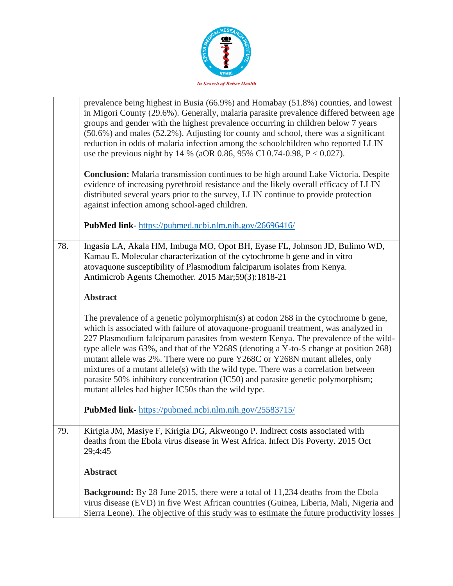

|     | prevalence being highest in Busia (66.9%) and Homabay (51.8%) counties, and lowest<br>in Migori County (29.6%). Generally, malaria parasite prevalence differed between age<br>groups and gender with the highest prevalence occurring in children below 7 years<br>(50.6%) and males (52.2%). Adjusting for county and school, there was a significant<br>reduction in odds of malaria infection among the schoolchildren who reported LLIN<br>use the previous night by 14 % (aOR 0.86, 95% CI 0.74-0.98, P < 0.027).                                                                                                                                                   |
|-----|---------------------------------------------------------------------------------------------------------------------------------------------------------------------------------------------------------------------------------------------------------------------------------------------------------------------------------------------------------------------------------------------------------------------------------------------------------------------------------------------------------------------------------------------------------------------------------------------------------------------------------------------------------------------------|
|     | <b>Conclusion:</b> Malaria transmission continues to be high around Lake Victoria. Despite<br>evidence of increasing pyrethroid resistance and the likely overall efficacy of LLIN<br>distributed several years prior to the survey, LLIN continue to provide protection<br>against infection among school-aged children.                                                                                                                                                                                                                                                                                                                                                 |
|     | PubMed link-https://pubmed.ncbi.nlm.nih.gov/26696416/                                                                                                                                                                                                                                                                                                                                                                                                                                                                                                                                                                                                                     |
| 78. | Ingasia LA, Akala HM, Imbuga MO, Opot BH, Eyase FL, Johnson JD, Bulimo WD,<br>Kamau E. Molecular characterization of the cytochrome b gene and in vitro<br>atovaquone susceptibility of Plasmodium falciparum isolates from Kenya.<br>Antimicrob Agents Chemother. 2015 Mar;59(3):1818-21                                                                                                                                                                                                                                                                                                                                                                                 |
|     | <b>Abstract</b>                                                                                                                                                                                                                                                                                                                                                                                                                                                                                                                                                                                                                                                           |
|     | The prevalence of a genetic polymorphism(s) at codon 268 in the cytochrome b gene,<br>which is associated with failure of atovaquone-proguanil treatment, was analyzed in<br>227 Plasmodium falciparum parasites from western Kenya. The prevalence of the wild-<br>type allele was 63%, and that of the Y268S (denoting a Y-to-S change at position 268)<br>mutant allele was 2%. There were no pure Y268C or Y268N mutant alleles, only<br>mixtures of a mutant allele(s) with the wild type. There was a correlation between<br>parasite 50% inhibitory concentration (IC50) and parasite genetic polymorphism;<br>mutant alleles had higher IC50s than the wild type. |
|     | <b>PubMed link-</b> https://pubmed.ncbi.nlm.nih.gov/25583715/                                                                                                                                                                                                                                                                                                                                                                                                                                                                                                                                                                                                             |
| 79. | Kirigia JM, Masiye F, Kirigia DG, Akweongo P. Indirect costs associated with<br>deaths from the Ebola virus disease in West Africa. Infect Dis Poverty. 2015 Oct<br>29;4:45                                                                                                                                                                                                                                                                                                                                                                                                                                                                                               |
|     | <b>Abstract</b>                                                                                                                                                                                                                                                                                                                                                                                                                                                                                                                                                                                                                                                           |
|     | <b>Background:</b> By 28 June 2015, there were a total of 11,234 deaths from the Ebola<br>virus disease (EVD) in five West African countries (Guinea, Liberia, Mali, Nigeria and<br>Sierra Leone). The objective of this study was to estimate the future productivity losses                                                                                                                                                                                                                                                                                                                                                                                             |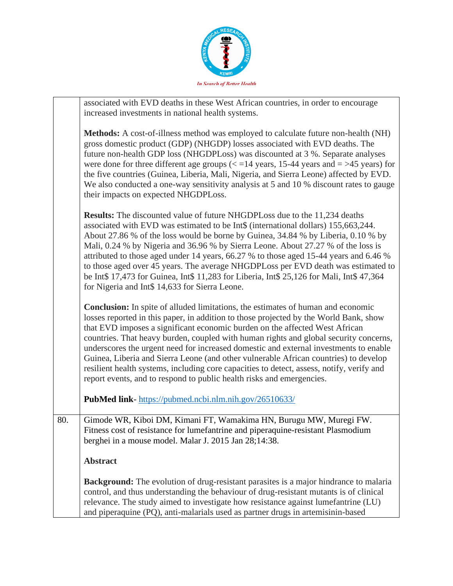

|     | associated with EVD deaths in these West African countries, in order to encourage<br>increased investments in national health systems.                                                                                                                                                                                                                                                                                                                                                                                                                                                                                                                                                                          |
|-----|-----------------------------------------------------------------------------------------------------------------------------------------------------------------------------------------------------------------------------------------------------------------------------------------------------------------------------------------------------------------------------------------------------------------------------------------------------------------------------------------------------------------------------------------------------------------------------------------------------------------------------------------------------------------------------------------------------------------|
|     | Methods: A cost-of-illness method was employed to calculate future non-health (NH)<br>gross domestic product (GDP) (NHGDP) losses associated with EVD deaths. The<br>future non-health GDP loss (NHGDPLoss) was discounted at 3 %. Separate analyses<br>were done for three different age groups ( $\lt$ =14 years, 15-44 years and = >45 years) for<br>the five countries (Guinea, Liberia, Mali, Nigeria, and Sierra Leone) affected by EVD.<br>We also conducted a one-way sensitivity analysis at 5 and 10 % discount rates to gauge<br>their impacts on expected NHGDPLoss.                                                                                                                                |
|     | <b>Results:</b> The discounted value of future NHGDPLoss due to the 11,234 deaths<br>associated with EVD was estimated to be Int\$ (international dollars) 155,663,244.<br>About 27.86 % of the loss would be borne by Guinea, 34.84 % by Liberia, 0.10 % by<br>Mali, 0.24 % by Nigeria and 36.96 % by Sierra Leone. About 27.27 % of the loss is<br>attributed to those aged under 14 years, 66.27 % to those aged 15-44 years and 6.46 %<br>to those aged over 45 years. The average NHGDPLoss per EVD death was estimated to<br>be Int\$ 17,473 for Guinea, Int\$ 11,283 for Liberia, Int\$ 25,126 for Mali, Int\$ 47,364<br>for Nigeria and Int\$ 14,633 for Sierra Leone.                                  |
|     | <b>Conclusion:</b> In spite of alluded limitations, the estimates of human and economic<br>losses reported in this paper, in addition to those projected by the World Bank, show<br>that EVD imposes a significant economic burden on the affected West African<br>countries. That heavy burden, coupled with human rights and global security concerns,<br>underscores the urgent need for increased domestic and external investments to enable<br>Guinea, Liberia and Sierra Leone (and other vulnerable African countries) to develop<br>resilient health systems, including core capacities to detect, assess, notify, verify and<br>report events, and to respond to public health risks and emergencies. |
|     | PubMed link-https://pubmed.ncbi.nlm.nih.gov/26510633/                                                                                                                                                                                                                                                                                                                                                                                                                                                                                                                                                                                                                                                           |
| 80. | Gimode WR, Kiboi DM, Kimani FT, Wamakima HN, Burugu MW, Muregi FW.<br>Fitness cost of resistance for lumefantrine and piperaquine-resistant Plasmodium<br>berghei in a mouse model. Malar J. 2015 Jan 28;14:38.                                                                                                                                                                                                                                                                                                                                                                                                                                                                                                 |
|     | <b>Abstract</b>                                                                                                                                                                                                                                                                                                                                                                                                                                                                                                                                                                                                                                                                                                 |
|     | <b>Background:</b> The evolution of drug-resistant parasites is a major hindrance to malaria<br>control, and thus understanding the behaviour of drug-resistant mutants is of clinical<br>relevance. The study aimed to investigate how resistance against lumefantrine (LU)<br>and piperaquine (PQ), anti-malarials used as partner drugs in artemisinin-based                                                                                                                                                                                                                                                                                                                                                 |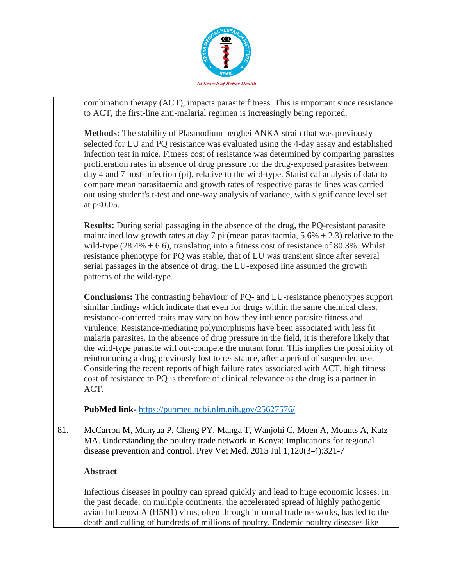

|     | combination therapy (ACT), impacts parasite fitness. This is important since resistance<br>to ACT, the first-line anti-malarial regimen is increasingly being reported.                                                                                                                                                                                                                                                                                                                                                                                                                                                                                                                                                                                                                                                                  |
|-----|------------------------------------------------------------------------------------------------------------------------------------------------------------------------------------------------------------------------------------------------------------------------------------------------------------------------------------------------------------------------------------------------------------------------------------------------------------------------------------------------------------------------------------------------------------------------------------------------------------------------------------------------------------------------------------------------------------------------------------------------------------------------------------------------------------------------------------------|
|     | Methods: The stability of Plasmodium berghei ANKA strain that was previously<br>selected for LU and PQ resistance was evaluated using the 4-day assay and established<br>infection test in mice. Fitness cost of resistance was determined by comparing parasites<br>proliferation rates in absence of drug pressure for the drug-exposed parasites between<br>day 4 and 7 post-infection (pi), relative to the wild-type. Statistical analysis of data to<br>compare mean parasitaemia and growth rates of respective parasite lines was carried<br>out using student's t-test and one-way analysis of variance, with significance level set<br>at $p<0.05$ .                                                                                                                                                                           |
|     | <b>Results:</b> During serial passaging in the absence of the drug, the PQ-resistant parasite<br>maintained low growth rates at day 7 pi (mean parasitaemia, $5.6\% \pm 2.3$ ) relative to the<br>wild-type (28.4% $\pm$ 6.6), translating into a fitness cost of resistance of 80.3%. Whilst<br>resistance phenotype for PQ was stable, that of LU was transient since after several<br>serial passages in the absence of drug, the LU-exposed line assumed the growth<br>patterns of the wild-type.                                                                                                                                                                                                                                                                                                                                    |
|     | <b>Conclusions:</b> The contrasting behaviour of PQ- and LU-resistance phenotypes support<br>similar findings which indicate that even for drugs within the same chemical class,<br>resistance-conferred traits may vary on how they influence parasite fitness and<br>virulence. Resistance-mediating polymorphisms have been associated with less fit<br>malaria parasites. In the absence of drug pressure in the field, it is therefore likely that<br>the wild-type parasite will out-compete the mutant form. This implies the possibility of<br>reintroducing a drug previously lost to resistance, after a period of suspended use.<br>Considering the recent reports of high failure rates associated with ACT, high fitness<br>cost of resistance to PQ is therefore of clinical relevance as the drug is a partner in<br>ACT. |
|     | PubMed link-https://pubmed.ncbi.nlm.nih.gov/25627576/                                                                                                                                                                                                                                                                                                                                                                                                                                                                                                                                                                                                                                                                                                                                                                                    |
| 81. | McCarron M, Munyua P, Cheng PY, Manga T, Wanjohi C, Moen A, Mounts A, Katz<br>MA. Understanding the poultry trade network in Kenya: Implications for regional<br>disease prevention and control. Prev Vet Med. 2015 Jul 1;120(3-4):321-7                                                                                                                                                                                                                                                                                                                                                                                                                                                                                                                                                                                                 |
|     | <b>Abstract</b>                                                                                                                                                                                                                                                                                                                                                                                                                                                                                                                                                                                                                                                                                                                                                                                                                          |
|     | Infectious diseases in poultry can spread quickly and lead to huge economic losses. In<br>the past decade, on multiple continents, the accelerated spread of highly pathogenic<br>avian Influenza A (H5N1) virus, often through informal trade networks, has led to the<br>death and culling of hundreds of millions of poultry. Endemic poultry diseases like                                                                                                                                                                                                                                                                                                                                                                                                                                                                           |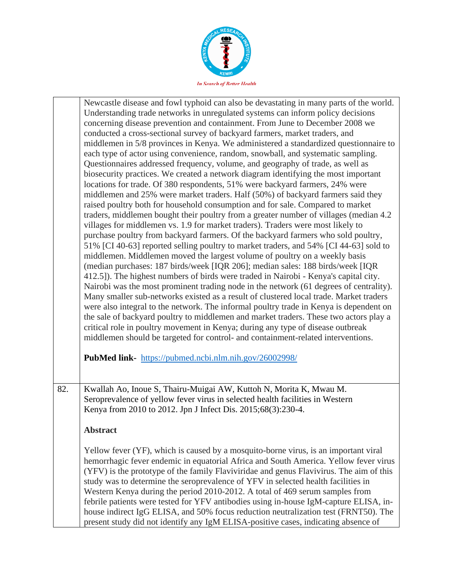

|     | Newcastle disease and fowl typhoid can also be devastating in many parts of the world.<br>Understanding trade networks in unregulated systems can inform policy decisions<br>concerning disease prevention and containment. From June to December 2008 we<br>conducted a cross-sectional survey of backyard farmers, market traders, and<br>middlemen in 5/8 provinces in Kenya. We administered a standardized questionnaire to<br>each type of actor using convenience, random, snowball, and systematic sampling.<br>Questionnaires addressed frequency, volume, and geography of trade, as well as<br>biosecurity practices. We created a network diagram identifying the most important<br>locations for trade. Of 380 respondents, 51% were backyard farmers, 24% were<br>middlemen and 25% were market traders. Half (50%) of backyard farmers said they<br>raised poultry both for household consumption and for sale. Compared to market<br>traders, middlemen bought their poultry from a greater number of villages (median 4.2<br>villages for middlemen vs. 1.9 for market traders). Traders were most likely to<br>purchase poultry from backyard farmers. Of the backyard farmers who sold poultry,<br>51% [CI 40-63] reported selling poultry to market traders, and 54% [CI 44-63] sold to<br>middlemen. Middlemen moved the largest volume of poultry on a weekly basis<br>(median purchases: 187 birds/week [IQR 206]; median sales: 188 birds/week [IQR<br>412.5]). The highest numbers of birds were traded in Nairobi - Kenya's capital city.<br>Nairobi was the most prominent trading node in the network (61 degrees of centrality).<br>Many smaller sub-networks existed as a result of clustered local trade. Market traders<br>were also integral to the network. The informal poultry trade in Kenya is dependent on<br>the sale of backyard poultry to middlemen and market traders. These two actors play a<br>critical role in poultry movement in Kenya; during any type of disease outbreak<br>middlemen should be targeted for control- and containment-related interventions.<br>PubMed link- https://pubmed.ncbi.nlm.nih.gov/26002998/ |
|-----|-----------------------------------------------------------------------------------------------------------------------------------------------------------------------------------------------------------------------------------------------------------------------------------------------------------------------------------------------------------------------------------------------------------------------------------------------------------------------------------------------------------------------------------------------------------------------------------------------------------------------------------------------------------------------------------------------------------------------------------------------------------------------------------------------------------------------------------------------------------------------------------------------------------------------------------------------------------------------------------------------------------------------------------------------------------------------------------------------------------------------------------------------------------------------------------------------------------------------------------------------------------------------------------------------------------------------------------------------------------------------------------------------------------------------------------------------------------------------------------------------------------------------------------------------------------------------------------------------------------------------------------------------------------------------------------------------------------------------------------------------------------------------------------------------------------------------------------------------------------------------------------------------------------------------------------------------------------------------------------------------------------------------------------------------------------------------------------------------------------------------------------------------------------------------------|
| 82. | Kwallah Ao, Inoue S, Thairu-Muigai AW, Kuttoh N, Morita K, Mwau M.<br>Seroprevalence of yellow fever virus in selected health facilities in Western<br>Kenya from 2010 to 2012. Jpn J Infect Dis. 2015;68(3):230-4.                                                                                                                                                                                                                                                                                                                                                                                                                                                                                                                                                                                                                                                                                                                                                                                                                                                                                                                                                                                                                                                                                                                                                                                                                                                                                                                                                                                                                                                                                                                                                                                                                                                                                                                                                                                                                                                                                                                                                         |
|     | <b>Abstract</b>                                                                                                                                                                                                                                                                                                                                                                                                                                                                                                                                                                                                                                                                                                                                                                                                                                                                                                                                                                                                                                                                                                                                                                                                                                                                                                                                                                                                                                                                                                                                                                                                                                                                                                                                                                                                                                                                                                                                                                                                                                                                                                                                                             |
|     | Yellow fever (YF), which is caused by a mosquito-borne virus, is an important viral<br>hemorrhagic fever endemic in equatorial Africa and South America. Yellow fever virus<br>(YFV) is the prototype of the family Flaviviridae and genus Flavivirus. The aim of this<br>study was to determine the seroprevalence of YFV in selected health facilities in<br>Western Kenya during the period 2010-2012. A total of 469 serum samples from<br>febrile patients were tested for YFV antibodies using in-house IgM-capture ELISA, in-<br>house indirect IgG ELISA, and 50% focus reduction neutralization test (FRNT50). The<br>present study did not identify any IgM ELISA-positive cases, indicating absence of                                                                                                                                                                                                                                                                                                                                                                                                                                                                                                                                                                                                                                                                                                                                                                                                                                                                                                                                                                                                                                                                                                                                                                                                                                                                                                                                                                                                                                                           |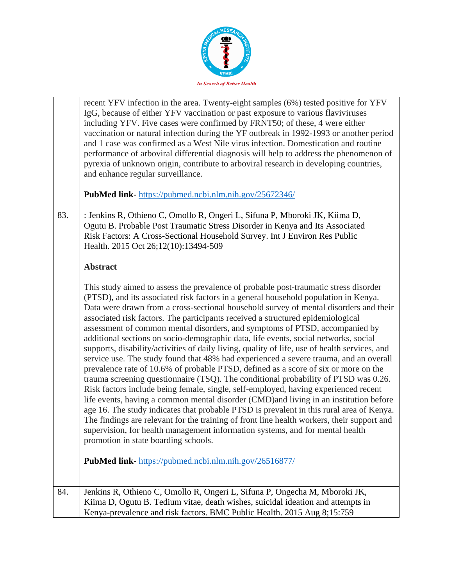

|     | recent YFV infection in the area. Twenty-eight samples (6%) tested positive for YFV<br>IgG, because of either YFV vaccination or past exposure to various flaviviruses<br>including YFV. Five cases were confirmed by FRNT50; of these, 4 were either<br>vaccination or natural infection during the YF outbreak in 1992-1993 or another period<br>and 1 case was confirmed as a West Nile virus infection. Domestication and routine<br>performance of arboviral differential diagnosis will help to address the phenomenon of<br>pyrexia of unknown origin, contribute to arboviral research in developing countries,<br>and enhance regular surveillance.<br>PubMed link-https://pubmed.ncbi.nlm.nih.gov/25672346/                                                                                                                                                                                                                                                                                                                                                                                                                                                                                                                                                                                                                                                                                                                                              |
|-----|--------------------------------------------------------------------------------------------------------------------------------------------------------------------------------------------------------------------------------------------------------------------------------------------------------------------------------------------------------------------------------------------------------------------------------------------------------------------------------------------------------------------------------------------------------------------------------------------------------------------------------------------------------------------------------------------------------------------------------------------------------------------------------------------------------------------------------------------------------------------------------------------------------------------------------------------------------------------------------------------------------------------------------------------------------------------------------------------------------------------------------------------------------------------------------------------------------------------------------------------------------------------------------------------------------------------------------------------------------------------------------------------------------------------------------------------------------------------|
| 83. | : Jenkins R, Othieno C, Omollo R, Ongeri L, Sifuna P, Mboroki JK, Kiima D,<br>Ogutu B. Probable Post Traumatic Stress Disorder in Kenya and Its Associated<br>Risk Factors: A Cross-Sectional Household Survey. Int J Environ Res Public<br>Health. 2015 Oct 26;12(10):13494-509                                                                                                                                                                                                                                                                                                                                                                                                                                                                                                                                                                                                                                                                                                                                                                                                                                                                                                                                                                                                                                                                                                                                                                                   |
|     | <b>Abstract</b>                                                                                                                                                                                                                                                                                                                                                                                                                                                                                                                                                                                                                                                                                                                                                                                                                                                                                                                                                                                                                                                                                                                                                                                                                                                                                                                                                                                                                                                    |
|     | This study aimed to assess the prevalence of probable post-traumatic stress disorder<br>(PTSD), and its associated risk factors in a general household population in Kenya.<br>Data were drawn from a cross-sectional household survey of mental disorders and their<br>associated risk factors. The participants received a structured epidemiological<br>assessment of common mental disorders, and symptoms of PTSD, accompanied by<br>additional sections on socio-demographic data, life events, social networks, social<br>supports, disability/activities of daily living, quality of life, use of health services, and<br>service use. The study found that 48% had experienced a severe trauma, and an overall<br>prevalence rate of 10.6% of probable PTSD, defined as a score of six or more on the<br>trauma screening questionnaire (TSQ). The conditional probability of PTSD was 0.26.<br>Risk factors include being female, single, self-employed, having experienced recent<br>life events, having a common mental disorder (CMD) and living in an institution before<br>age 16. The study indicates that probable PTSD is prevalent in this rural area of Kenya.<br>The findings are relevant for the training of front line health workers, their support and<br>supervision, for health management information systems, and for mental health<br>promotion in state boarding schools.<br>PubMed link-https://pubmed.ncbi.nlm.nih.gov/26516877/ |
|     |                                                                                                                                                                                                                                                                                                                                                                                                                                                                                                                                                                                                                                                                                                                                                                                                                                                                                                                                                                                                                                                                                                                                                                                                                                                                                                                                                                                                                                                                    |
| 84. | Jenkins R, Othieno C, Omollo R, Ongeri L, Sifuna P, Ongecha M, Mboroki JK,<br>Kiima D, Ogutu B. Tedium vitae, death wishes, suicidal ideation and attempts in<br>Kenya-prevalence and risk factors. BMC Public Health. 2015 Aug 8;15:759                                                                                                                                                                                                                                                                                                                                                                                                                                                                                                                                                                                                                                                                                                                                                                                                                                                                                                                                                                                                                                                                                                                                                                                                                           |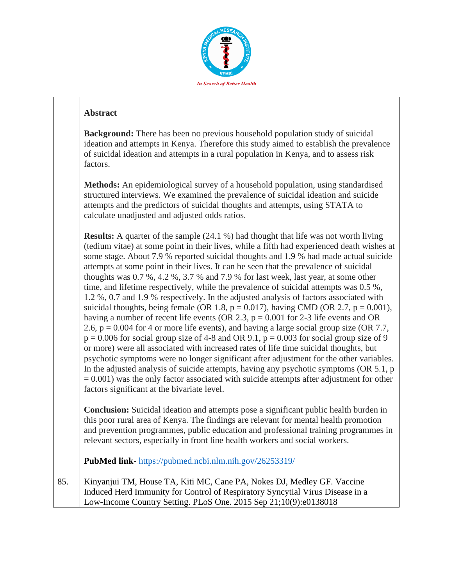

## **Abstract**

**Background:** There has been no previous household population study of suicidal ideation and attempts in Kenya. Therefore this study aimed to establish the prevalence of suicidal ideation and attempts in a rural population in Kenya, and to assess risk factors.

**Methods:** An epidemiological survey of a household population, using standardised structured interviews. We examined the prevalence of suicidal ideation and suicide attempts and the predictors of suicidal thoughts and attempts, using STATA to calculate unadjusted and adjusted odds ratios.

**Results:** A quarter of the sample (24.1 %) had thought that life was not worth living (tedium vitae) at some point in their lives, while a fifth had experienced death wishes at some stage. About 7.9 % reported suicidal thoughts and 1.9 % had made actual suicide attempts at some point in their lives. It can be seen that the prevalence of suicidal thoughts was 0.7 %, 4.2 %, 3.7 % and 7.9 % for last week, last year, at some other time, and lifetime respectively, while the prevalence of suicidal attempts was 0.5 %, 1.2 %, 0.7 and 1.9 % respectively. In the adjusted analysis of factors associated with suicidal thoughts, being female (OR 1.8,  $p = 0.017$ ), having CMD (OR 2.7,  $p = 0.001$ ), having a number of recent life events (OR 2.3,  $p = 0.001$  for 2-3 life events and OR 2.6,  $p = 0.004$  for 4 or more life events), and having a large social group size (OR 7.7,  $p = 0.006$  for social group size of 4-8 and OR 9.1,  $p = 0.003$  for social group size of 9 or more) were all associated with increased rates of life time suicidal thoughts, but psychotic symptoms were no longer significant after adjustment for the other variables. In the adjusted analysis of suicide attempts, having any psychotic symptoms (OR 5.1, p  $= 0.001$ ) was the only factor associated with suicide attempts after adjustment for other factors significant at the bivariate level.

**Conclusion:** Suicidal ideation and attempts pose a significant public health burden in this poor rural area of Kenya. The findings are relevant for mental health promotion and prevention programmes, public education and professional training programmes in relevant sectors, especially in front line health workers and social workers.

**PubMed link**- <https://pubmed.ncbi.nlm.nih.gov/26253319/>

85. Kinyanjui TM, House TA, Kiti MC, Cane PA, Nokes DJ, Medley GF. Vaccine Induced Herd Immunity for Control of Respiratory Syncytial Virus Disease in a Low-Income Country Setting. PLoS One. 2015 Sep 21;10(9):e0138018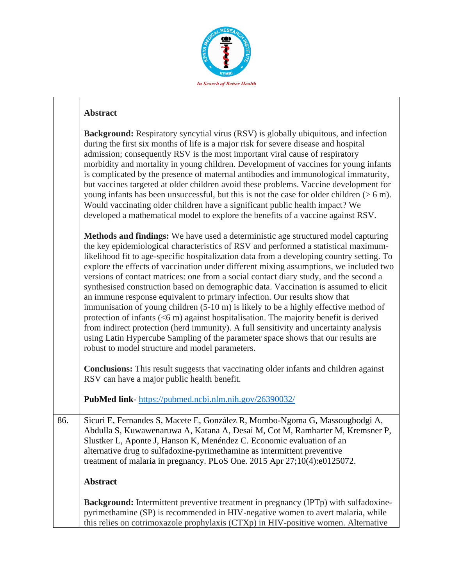

# **Abstract**

|     | <b>Background:</b> Respiratory syncytial virus (RSV) is globally ubiquitous, and infection<br>during the first six months of life is a major risk for severe disease and hospital<br>admission; consequently RSV is the most important viral cause of respiratory<br>morbidity and mortality in young children. Development of vaccines for young infants<br>is complicated by the presence of maternal antibodies and immunological immaturity,<br>but vaccines targeted at older children avoid these problems. Vaccine development for<br>young infants has been unsuccessful, but this is not the case for older children $(6 \text{ m})$ .<br>Would vaccinating older children have a significant public health impact? We<br>developed a mathematical model to explore the benefits of a vaccine against RSV.                                                                                                                                                                                                                                     |
|-----|---------------------------------------------------------------------------------------------------------------------------------------------------------------------------------------------------------------------------------------------------------------------------------------------------------------------------------------------------------------------------------------------------------------------------------------------------------------------------------------------------------------------------------------------------------------------------------------------------------------------------------------------------------------------------------------------------------------------------------------------------------------------------------------------------------------------------------------------------------------------------------------------------------------------------------------------------------------------------------------------------------------------------------------------------------|
|     | Methods and findings: We have used a deterministic age structured model capturing<br>the key epidemiological characteristics of RSV and performed a statistical maximum-<br>likelihood fit to age-specific hospitalization data from a developing country setting. To<br>explore the effects of vaccination under different mixing assumptions, we included two<br>versions of contact matrices: one from a social contact diary study, and the second a<br>synthesised construction based on demographic data. Vaccination is assumed to elicit<br>an immune response equivalent to primary infection. Our results show that<br>immunisation of young children (5-10 m) is likely to be a highly effective method of<br>protection of infants $(6 \text{ m})$ against hospitalisation. The majority benefit is derived<br>from indirect protection (herd immunity). A full sensitivity and uncertainty analysis<br>using Latin Hypercube Sampling of the parameter space shows that our results are<br>robust to model structure and model parameters. |
|     | <b>Conclusions:</b> This result suggests that vaccinating older infants and children against<br>RSV can have a major public health benefit.                                                                                                                                                                                                                                                                                                                                                                                                                                                                                                                                                                                                                                                                                                                                                                                                                                                                                                             |
|     | PubMed link-https://pubmed.ncbi.nlm.nih.gov/26390032/                                                                                                                                                                                                                                                                                                                                                                                                                                                                                                                                                                                                                                                                                                                                                                                                                                                                                                                                                                                                   |
| 86. | Sicuri E, Fernandes S, Macete E, González R, Mombo-Ngoma G, Massougbodgi A,<br>Abdulla S, Kuwawenaruwa A, Katana A, Desai M, Cot M, Ramharter M, Kremsner P,<br>Slustker L, Aponte J, Hanson K, Menéndez C. Economic evaluation of an<br>alternative drug to sulfadoxine-pyrimethamine as intermittent preventive<br>treatment of malaria in pregnancy. PLoS One. 2015 Apr 27;10(4):e0125072.                                                                                                                                                                                                                                                                                                                                                                                                                                                                                                                                                                                                                                                           |
|     | Abstract                                                                                                                                                                                                                                                                                                                                                                                                                                                                                                                                                                                                                                                                                                                                                                                                                                                                                                                                                                                                                                                |
|     | <b>Background:</b> Intermittent preventive treatment in pregnancy (IPTp) with sulfadoxine-<br>pyrimethamine (SP) is recommended in HIV-negative women to avert malaria, while<br>this relies on cotrimoxazole prophylaxis (CTXp) in HIV-positive women. Alternative                                                                                                                                                                                                                                                                                                                                                                                                                                                                                                                                                                                                                                                                                                                                                                                     |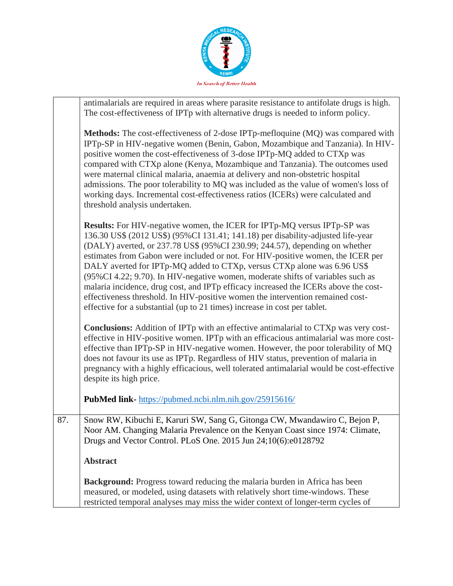

|     | antimalarials are required in areas where parasite resistance to antifolate drugs is high.<br>The cost-effectiveness of IPTp with alternative drugs is needed to inform policy.                                                                                                                                                                                                                                                                                                                                                                                                                                                                                                                                                                           |
|-----|-----------------------------------------------------------------------------------------------------------------------------------------------------------------------------------------------------------------------------------------------------------------------------------------------------------------------------------------------------------------------------------------------------------------------------------------------------------------------------------------------------------------------------------------------------------------------------------------------------------------------------------------------------------------------------------------------------------------------------------------------------------|
|     | Methods: The cost-effectiveness of 2-dose IPTp-mefloquine (MQ) was compared with<br>IPTp-SP in HIV-negative women (Benin, Gabon, Mozambique and Tanzania). In HIV-<br>positive women the cost-effectiveness of 3-dose IPTp-MQ added to CTXp was<br>compared with CTXp alone (Kenya, Mozambique and Tanzania). The outcomes used<br>were maternal clinical malaria, anaemia at delivery and non-obstetric hospital<br>admissions. The poor tolerability to MQ was included as the value of women's loss of<br>working days. Incremental cost-effectiveness ratios (ICERs) were calculated and<br>threshold analysis undertaken.                                                                                                                            |
|     | <b>Results:</b> For HIV-negative women, the ICER for IPTp-MQ versus IPTp-SP was<br>136.30 US\$ (2012 US\$) (95%CI 131.41; 141.18) per disability-adjusted life-year<br>(DALY) averted, or 237.78 US\$ (95%CI 230.99; 244.57), depending on whether<br>estimates from Gabon were included or not. For HIV-positive women, the ICER per<br>DALY averted for IPTp-MQ added to CTXp, versus CTXp alone was 6.96 US\$<br>(95%CI 4.22; 9.70). In HIV-negative women, moderate shifts of variables such as<br>malaria incidence, drug cost, and IPTp efficacy increased the ICERs above the cost-<br>effectiveness threshold. In HIV-positive women the intervention remained cost-<br>effective for a substantial (up to 21 times) increase in cost per tablet. |
|     | <b>Conclusions:</b> Addition of IPTp with an effective antimalarial to CTXp was very cost-<br>effective in HIV-positive women. IPTp with an efficacious antimalarial was more cost-<br>effective than IPTp-SP in HIV-negative women. However, the poor tolerability of MQ<br>does not favour its use as IPTp. Regardless of HIV status, prevention of malaria in<br>pregnancy with a highly efficacious, well tolerated antimalarial would be cost-effective<br>despite its high price.                                                                                                                                                                                                                                                                   |
|     | PubMed link- https://pubmed.ncbi.nlm.nih.gov/25915616/                                                                                                                                                                                                                                                                                                                                                                                                                                                                                                                                                                                                                                                                                                    |
| 87. | Snow RW, Kibuchi E, Karuri SW, Sang G, Gitonga CW, Mwandawiro C, Bejon P,<br>Noor AM. Changing Malaria Prevalence on the Kenyan Coast since 1974: Climate,<br>Drugs and Vector Control. PLoS One. 2015 Jun 24;10(6):e0128792                                                                                                                                                                                                                                                                                                                                                                                                                                                                                                                              |
|     | <b>Abstract</b>                                                                                                                                                                                                                                                                                                                                                                                                                                                                                                                                                                                                                                                                                                                                           |
|     | <b>Background:</b> Progress toward reducing the malaria burden in Africa has been<br>measured, or modeled, using datasets with relatively short time-windows. These<br>restricted temporal analyses may miss the wider context of longer-term cycles of                                                                                                                                                                                                                                                                                                                                                                                                                                                                                                   |
|     |                                                                                                                                                                                                                                                                                                                                                                                                                                                                                                                                                                                                                                                                                                                                                           |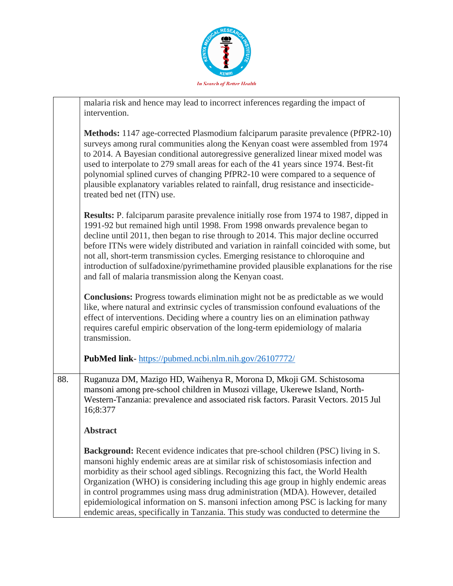

|     | malaria risk and hence may lead to incorrect inferences regarding the impact of<br>intervention.                                                                                                                                                                                                                                                                                                                                                                                                                                                                                                                    |
|-----|---------------------------------------------------------------------------------------------------------------------------------------------------------------------------------------------------------------------------------------------------------------------------------------------------------------------------------------------------------------------------------------------------------------------------------------------------------------------------------------------------------------------------------------------------------------------------------------------------------------------|
|     | Methods: 1147 age-corrected Plasmodium falciparum parasite prevalence (PfPR2-10)<br>surveys among rural communities along the Kenyan coast were assembled from 1974<br>to 2014. A Bayesian conditional autoregressive generalized linear mixed model was<br>used to interpolate to 279 small areas for each of the 41 years since 1974. Best-fit<br>polynomial splined curves of changing PfPR2-10 were compared to a sequence of<br>plausible explanatory variables related to rainfall, drug resistance and insecticide-<br>treated bed net (ITN) use.                                                            |
|     | <b>Results:</b> P. falciparum parasite prevalence initially rose from 1974 to 1987, dipped in<br>1991-92 but remained high until 1998. From 1998 onwards prevalence began to<br>decline until 2011, then began to rise through to 2014. This major decline occurred<br>before ITNs were widely distributed and variation in rainfall coincided with some, but<br>not all, short-term transmission cycles. Emerging resistance to chloroquine and<br>introduction of sulfadoxine/pyrimethamine provided plausible explanations for the rise<br>and fall of malaria transmission along the Kenyan coast.              |
|     | <b>Conclusions:</b> Progress towards elimination might not be as predictable as we would<br>like, where natural and extrinsic cycles of transmission confound evaluations of the<br>effect of interventions. Deciding where a country lies on an elimination pathway<br>requires careful empiric observation of the long-term epidemiology of malaria<br>transmission.                                                                                                                                                                                                                                              |
|     | PubMed link-https://pubmed.ncbi.nlm.nih.gov/26107772/                                                                                                                                                                                                                                                                                                                                                                                                                                                                                                                                                               |
| 88. | Ruganuza DM, Mazigo HD, Waihenya R, Morona D, Mkoji GM. Schistosoma<br>mansoni among pre-school children in Musozi village, Ukerewe Island, North-<br>Western-Tanzania: prevalence and associated risk factors. Parasit Vectors. 2015 Jul<br>16;8:377                                                                                                                                                                                                                                                                                                                                                               |
|     | <b>Abstract</b>                                                                                                                                                                                                                                                                                                                                                                                                                                                                                                                                                                                                     |
|     | <b>Background:</b> Recent evidence indicates that pre-school children (PSC) living in S.<br>mansoni highly endemic areas are at similar risk of schistosomiasis infection and<br>morbidity as their school aged siblings. Recognizing this fact, the World Health<br>Organization (WHO) is considering including this age group in highly endemic areas<br>in control programmes using mass drug administration (MDA). However, detailed<br>epidemiological information on S. mansoni infection among PSC is lacking for many<br>endemic areas, specifically in Tanzania. This study was conducted to determine the |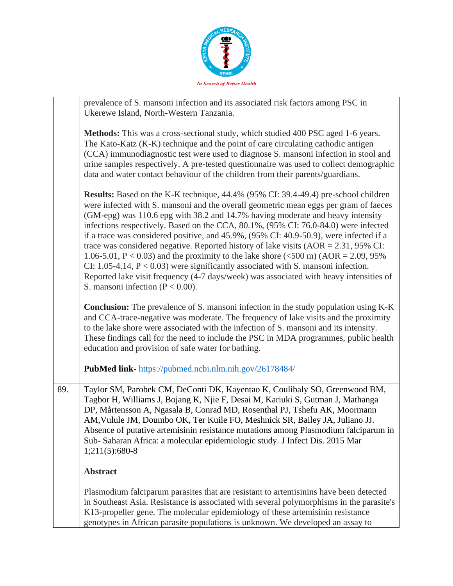

|     | prevalence of S. mansoni infection and its associated risk factors among PSC in<br>Ukerewe Island, North-Western Tanzania.                                                                                                                                                                                                                                                                                                                                                                                                                                                                                                                                                                                                                                                                                                                                                        |
|-----|-----------------------------------------------------------------------------------------------------------------------------------------------------------------------------------------------------------------------------------------------------------------------------------------------------------------------------------------------------------------------------------------------------------------------------------------------------------------------------------------------------------------------------------------------------------------------------------------------------------------------------------------------------------------------------------------------------------------------------------------------------------------------------------------------------------------------------------------------------------------------------------|
|     | <b>Methods:</b> This was a cross-sectional study, which studied 400 PSC aged 1-6 years.<br>The Kato-Katz (K-K) technique and the point of care circulating cathodic antigen<br>(CCA) immunodiagnostic test were used to diagnose S. mansoni infection in stool and<br>urine samples respectively. A pre-tested questionnaire was used to collect demographic<br>data and water contact behaviour of the children from their parents/guardians.                                                                                                                                                                                                                                                                                                                                                                                                                                    |
|     | <b>Results:</b> Based on the K-K technique, 44.4% (95% CI: 39.4-49.4) pre-school children<br>were infected with S. mansoni and the overall geometric mean eggs per gram of faeces<br>(GM-epg) was 110.6 epg with 38.2 and 14.7% having moderate and heavy intensity<br>infections respectively. Based on the CCA, 80.1%, (95% CI: 76.0-84.0) were infected<br>if a trace was considered positive, and 45.9%, (95% CI: 40.9-50.9), were infected if a<br>trace was considered negative. Reported history of lake visits $(AOR = 2.31, 95\% \text{ CI:})$<br>1.06-5.01, P < 0.03) and the proximity to the lake shore $(<500 \text{ m})$ (AOR = 2.09, 95%<br>CI: 1.05-4.14, $P < 0.03$ ) were significantly associated with S. mansoni infection.<br>Reported lake visit frequency (4-7 days/week) was associated with heavy intensities of<br>S. mansoni infection ( $P < 0.00$ ). |
|     | <b>Conclusion:</b> The prevalence of S. mansoni infection in the study population using K-K<br>and CCA-trace-negative was moderate. The frequency of lake visits and the proximity<br>to the lake shore were associated with the infection of S. mansoni and its intensity.<br>These findings call for the need to include the PSC in MDA programmes, public health<br>education and provision of safe water for bathing.                                                                                                                                                                                                                                                                                                                                                                                                                                                         |
|     | PubMed link-https://pubmed.ncbi.nlm.nih.gov/26178484/                                                                                                                                                                                                                                                                                                                                                                                                                                                                                                                                                                                                                                                                                                                                                                                                                             |
| 89. | Taylor SM, Parobek CM, DeConti DK, Kayentao K, Coulibaly SO, Greenwood BM,<br>Tagbor H, Williams J, Bojang K, Njie F, Desai M, Kariuki S, Gutman J, Mathanga<br>DP, Mårtensson A, Ngasala B, Conrad MD, Rosenthal PJ, Tshefu AK, Moormann<br>AM, Vulule JM, Doumbo OK, Ter Kuile FO, Meshnick SR, Bailey JA, Juliano JJ.<br>Absence of putative artemisinin resistance mutations among Plasmodium falciparum in<br>Sub-Saharan Africa: a molecular epidemiologic study. J Infect Dis. 2015 Mar<br>$1;211(5):680-8$                                                                                                                                                                                                                                                                                                                                                                |
|     | <b>Abstract</b>                                                                                                                                                                                                                                                                                                                                                                                                                                                                                                                                                                                                                                                                                                                                                                                                                                                                   |
|     | Plasmodium falciparum parasites that are resistant to artemisinins have been detected<br>in Southeast Asia. Resistance is associated with several polymorphisms in the parasite's<br>K13-propeller gene. The molecular epidemiology of these artemisinin resistance<br>genotypes in African parasite populations is unknown. We developed an assay to                                                                                                                                                                                                                                                                                                                                                                                                                                                                                                                             |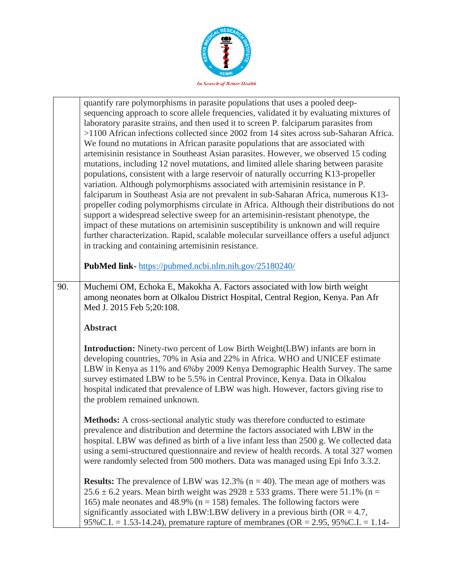

|     | quantify rare polymorphisms in parasite populations that uses a pooled deep-<br>sequencing approach to score allele frequencies, validated it by evaluating mixtures of<br>laboratory parasite strains, and then used it to screen P. falciparum parasites from<br>>1100 African infections collected since 2002 from 14 sites across sub-Saharan Africa.<br>We found no mutations in African parasite populations that are associated with<br>artemisinin resistance in Southeast Asian parasites. However, we observed 15 coding<br>mutations, including 12 novel mutations, and limited allele sharing between parasite<br>populations, consistent with a large reservoir of naturally occurring K13-propeller<br>variation. Although polymorphisms associated with artemisinin resistance in P.<br>falciparum in Southeast Asia are not prevalent in sub-Saharan Africa, numerous K13-<br>propeller coding polymorphisms circulate in Africa. Although their distributions do not<br>support a widespread selective sweep for an artemisinin-resistant phenotype, the<br>impact of these mutations on artemisinin susceptibility is unknown and will require<br>further characterization. Rapid, scalable molecular surveillance offers a useful adjunct<br>in tracking and containing artemisinin resistance.<br>PubMed link- https://pubmed.ncbi.nlm.nih.gov/25180240/ |
|-----|------------------------------------------------------------------------------------------------------------------------------------------------------------------------------------------------------------------------------------------------------------------------------------------------------------------------------------------------------------------------------------------------------------------------------------------------------------------------------------------------------------------------------------------------------------------------------------------------------------------------------------------------------------------------------------------------------------------------------------------------------------------------------------------------------------------------------------------------------------------------------------------------------------------------------------------------------------------------------------------------------------------------------------------------------------------------------------------------------------------------------------------------------------------------------------------------------------------------------------------------------------------------------------------------------------------------------------------------------------------------------|
|     |                                                                                                                                                                                                                                                                                                                                                                                                                                                                                                                                                                                                                                                                                                                                                                                                                                                                                                                                                                                                                                                                                                                                                                                                                                                                                                                                                                              |
| 90. | Muchemi OM, Echoka E, Makokha A. Factors associated with low birth weight<br>among neonates born at Olkalou District Hospital, Central Region, Kenya. Pan Afr<br>Med J. 2015 Feb 5;20:108.                                                                                                                                                                                                                                                                                                                                                                                                                                                                                                                                                                                                                                                                                                                                                                                                                                                                                                                                                                                                                                                                                                                                                                                   |
|     | <b>Abstract</b>                                                                                                                                                                                                                                                                                                                                                                                                                                                                                                                                                                                                                                                                                                                                                                                                                                                                                                                                                                                                                                                                                                                                                                                                                                                                                                                                                              |
|     | <b>Introduction:</b> Ninety-two percent of Low Birth Weight(LBW) infants are born in<br>developing countries, 70% in Asia and 22% in Africa. WHO and UNICEF estimate<br>LBW in Kenya as 11% and 6% by 2009 Kenya Demographic Health Survey. The same<br>survey estimated LBW to be 5.5% in Central Province, Kenya. Data in Olkalou<br>hospital indicated that prevalence of LBW was high. However, factors giving rise to<br>the problem remained unknown.                                                                                                                                                                                                                                                                                                                                                                                                                                                                                                                                                                                                                                                                                                                                                                                                                                                                                                                  |
|     | Methods: A cross-sectional analytic study was therefore conducted to estimate<br>prevalence and distribution and determine the factors associated with LBW in the<br>hospital. LBW was defined as birth of a live infant less than 2500 g. We collected data<br>using a semi-structured questionnaire and review of health records. A total 327 women<br>were randomly selected from 500 mothers. Data was managed using Epi Info 3.3.2.                                                                                                                                                                                                                                                                                                                                                                                                                                                                                                                                                                                                                                                                                                                                                                                                                                                                                                                                     |
|     | <b>Results:</b> The prevalence of LBW was 12.3% ( $n = 40$ ). The mean age of mothers was<br>$25.6 \pm 6.2$ years. Mean birth weight was $2928 \pm 533$ grams. There were 51.1% (n =<br>165) male neonates and 48.9% ( $n = 158$ ) females. The following factors were<br>significantly associated with LBW:LBW delivery in a previous birth ( $OR = 4.7$ ,<br>95% C.I. = 1.53-14.24), premature rapture of membranes (OR = 2.95, 95% C.I. = 1.14-                                                                                                                                                                                                                                                                                                                                                                                                                                                                                                                                                                                                                                                                                                                                                                                                                                                                                                                           |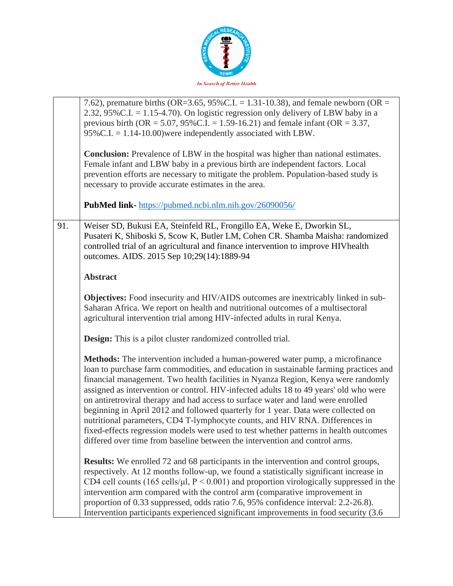

|     | 7.62), premature births (OR=3.65, 95% C.I. = 1.31-10.38), and female newborn (OR =<br>2.32, 95% C.I. = 1.15-4.70). On logistic regression only delivery of LBW baby in a<br>previous birth (OR = 5.07, 95% C.I. = 1.59-16.21) and female infant (OR = 3.37,<br>$95\%$ C.I. = 1.14-10.00) were independently associated with LBW.                                                                                                                                                                                                                                                                                                                                                                                                                                                      |
|-----|---------------------------------------------------------------------------------------------------------------------------------------------------------------------------------------------------------------------------------------------------------------------------------------------------------------------------------------------------------------------------------------------------------------------------------------------------------------------------------------------------------------------------------------------------------------------------------------------------------------------------------------------------------------------------------------------------------------------------------------------------------------------------------------|
|     | <b>Conclusion:</b> Prevalence of LBW in the hospital was higher than national estimates.<br>Female infant and LBW baby in a previous birth are independent factors. Local<br>prevention efforts are necessary to mitigate the problem. Population-based study is<br>necessary to provide accurate estimates in the area.                                                                                                                                                                                                                                                                                                                                                                                                                                                              |
|     | <b>PubMed link-</b> https://pubmed.ncbi.nlm.nih.gov/26090056/                                                                                                                                                                                                                                                                                                                                                                                                                                                                                                                                                                                                                                                                                                                         |
| 91. | Weiser SD, Bukusi EA, Steinfeld RL, Frongillo EA, Weke E, Dworkin SL,<br>Pusateri K, Shiboski S, Scow K, Butler LM, Cohen CR. Shamba Maisha: randomized<br>controlled trial of an agricultural and finance intervention to improve HIV health<br>outcomes. AIDS. 2015 Sep 10;29(14):1889-94                                                                                                                                                                                                                                                                                                                                                                                                                                                                                           |
|     | <b>Abstract</b>                                                                                                                                                                                                                                                                                                                                                                                                                                                                                                                                                                                                                                                                                                                                                                       |
|     | <b>Objectives:</b> Food insecurity and HIV/AIDS outcomes are inextricably linked in sub-<br>Saharan Africa. We report on health and nutritional outcomes of a multisectoral<br>agricultural intervention trial among HIV-infected adults in rural Kenya.                                                                                                                                                                                                                                                                                                                                                                                                                                                                                                                              |
|     | <b>Design:</b> This is a pilot cluster randomized controlled trial.                                                                                                                                                                                                                                                                                                                                                                                                                                                                                                                                                                                                                                                                                                                   |
|     | Methods: The intervention included a human-powered water pump, a microfinance<br>loan to purchase farm commodities, and education in sustainable farming practices and<br>financial management. Two health facilities in Nyanza Region, Kenya were randomly<br>assigned as intervention or control. HIV-infected adults 18 to 49 years' old who were<br>on antiretroviral therapy and had access to surface water and land were enrolled<br>beginning in April 2012 and followed quarterly for 1 year. Data were collected on<br>nutritional parameters, CD4 T-lymphocyte counts, and HIV RNA. Differences in<br>fixed-effects regression models were used to test whether patterns in health outcomes<br>differed over time from baseline between the intervention and control arms. |
|     | <b>Results:</b> We enrolled 72 and 68 participants in the intervention and control groups,<br>respectively. At 12 months follow-up, we found a statistically significant increase in<br>CD4 cell counts (165 cells/ $\mu$ l, P < 0.001) and proportion virologically suppressed in the<br>intervention arm compared with the control arm (comparative improvement in<br>proportion of 0.33 suppressed, odds ratio 7.6, 95% confidence interval: 2.2-26.8).<br>Intervention participants experienced significant improvements in food security (3.6)                                                                                                                                                                                                                                   |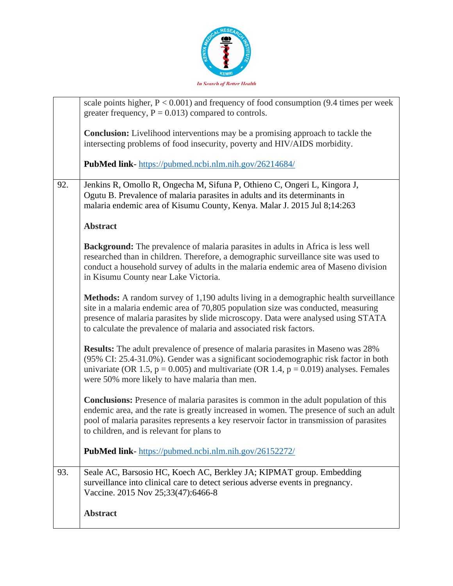

|     | scale points higher, $P < 0.001$ ) and frequency of food consumption (9.4 times per week                                                                                                                                                                                                                                                     |
|-----|----------------------------------------------------------------------------------------------------------------------------------------------------------------------------------------------------------------------------------------------------------------------------------------------------------------------------------------------|
|     | greater frequency, $P = 0.013$ ) compared to controls.                                                                                                                                                                                                                                                                                       |
|     | <b>Conclusion:</b> Livelihood interventions may be a promising approach to tackle the<br>intersecting problems of food insecurity, poverty and HIV/AIDS morbidity.                                                                                                                                                                           |
|     | PubMed link-https://pubmed.ncbi.nlm.nih.gov/26214684/                                                                                                                                                                                                                                                                                        |
| 92. | Jenkins R, Omollo R, Ongecha M, Sifuna P, Othieno C, Ongeri L, Kingora J,<br>Ogutu B. Prevalence of malaria parasites in adults and its determinants in<br>malaria endemic area of Kisumu County, Kenya. Malar J. 2015 Jul 8;14:263                                                                                                          |
|     | <b>Abstract</b>                                                                                                                                                                                                                                                                                                                              |
|     | <b>Background:</b> The prevalence of malaria parasites in adults in Africa is less well<br>researched than in children. Therefore, a demographic surveillance site was used to<br>conduct a household survey of adults in the malaria endemic area of Maseno division<br>in Kisumu County near Lake Victoria.                                |
|     | <b>Methods:</b> A random survey of 1,190 adults living in a demographic health surveillance<br>site in a malaria endemic area of 70,805 population size was conducted, measuring<br>presence of malaria parasites by slide microscopy. Data were analysed using STATA<br>to calculate the prevalence of malaria and associated risk factors. |
|     | <b>Results:</b> The adult prevalence of presence of malaria parasites in Maseno was 28%<br>(95% CI: 25.4-31.0%). Gender was a significant sociodemographic risk factor in both<br>univariate (OR 1.5, $p = 0.005$ ) and multivariate (OR 1.4, $p = 0.019$ ) analyses. Females<br>were 50% more likely to have malaria than men.              |
|     | <b>Conclusions:</b> Presence of malaria parasites is common in the adult population of this<br>endemic area, and the rate is greatly increased in women. The presence of such an adult<br>pool of malaria parasites represents a key reservoir factor in transmission of parasites<br>to children, and is relevant for plans to              |
|     | <b>PubMed link-</b> https://pubmed.ncbi.nlm.nih.gov/26152272/                                                                                                                                                                                                                                                                                |
| 93. | Seale AC, Barsosio HC, Koech AC, Berkley JA; KIPMAT group. Embedding<br>surveillance into clinical care to detect serious adverse events in pregnancy.<br>Vaccine. 2015 Nov 25;33(47):6466-8                                                                                                                                                 |
|     | <b>Abstract</b>                                                                                                                                                                                                                                                                                                                              |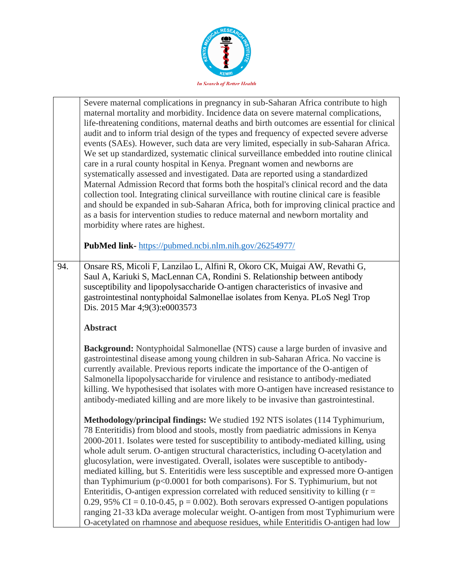

|     | Severe maternal complications in pregnancy in sub-Saharan Africa contribute to high<br>maternal mortality and morbidity. Incidence data on severe maternal complications,<br>life-threatening conditions, maternal deaths and birth outcomes are essential for clinical<br>audit and to inform trial design of the types and frequency of expected severe adverse<br>events (SAEs). However, such data are very limited, especially in sub-Saharan Africa.<br>We set up standardized, systematic clinical surveillance embedded into routine clinical<br>care in a rural county hospital in Kenya. Pregnant women and newborns are<br>systematically assessed and investigated. Data are reported using a standardized<br>Maternal Admission Record that forms both the hospital's clinical record and the data<br>collection tool. Integrating clinical surveillance with routine clinical care is feasible<br>and should be expanded in sub-Saharan Africa, both for improving clinical practice and<br>as a basis for intervention studies to reduce maternal and newborn mortality and<br>morbidity where rates are highest. |
|-----|----------------------------------------------------------------------------------------------------------------------------------------------------------------------------------------------------------------------------------------------------------------------------------------------------------------------------------------------------------------------------------------------------------------------------------------------------------------------------------------------------------------------------------------------------------------------------------------------------------------------------------------------------------------------------------------------------------------------------------------------------------------------------------------------------------------------------------------------------------------------------------------------------------------------------------------------------------------------------------------------------------------------------------------------------------------------------------------------------------------------------------|
|     | PubMed link-https://pubmed.ncbi.nlm.nih.gov/26254977/                                                                                                                                                                                                                                                                                                                                                                                                                                                                                                                                                                                                                                                                                                                                                                                                                                                                                                                                                                                                                                                                            |
| 94. | Onsare RS, Micoli F, Lanzilao L, Alfini R, Okoro CK, Muigai AW, Revathi G,<br>Saul A, Kariuki S, MacLennan CA, Rondini S. Relationship between antibody<br>susceptibility and lipopolysaccharide O-antigen characteristics of invasive and<br>gastrointestinal nontyphoidal Salmonellae isolates from Kenya. PLoS Negl Trop<br>Dis. 2015 Mar 4;9(3):e0003573                                                                                                                                                                                                                                                                                                                                                                                                                                                                                                                                                                                                                                                                                                                                                                     |
|     | <b>Abstract</b>                                                                                                                                                                                                                                                                                                                                                                                                                                                                                                                                                                                                                                                                                                                                                                                                                                                                                                                                                                                                                                                                                                                  |
|     | Background: Nontyphoidal Salmonellae (NTS) cause a large burden of invasive and<br>gastrointestinal disease among young children in sub-Saharan Africa. No vaccine is<br>currently available. Previous reports indicate the importance of the O-antigen of<br>Salmonella lipopolysaccharide for virulence and resistance to antibody-mediated<br>killing. We hypothesised that isolates with more O-antigen have increased resistance to<br>antibody-mediated killing and are more likely to be invasive than gastrointestinal.                                                                                                                                                                                                                                                                                                                                                                                                                                                                                                                                                                                                  |
|     | Methodology/principal findings: We studied 192 NTS isolates (114 Typhimurium,<br>78 Enteritidis) from blood and stools, mostly from paediatric admissions in Kenya<br>2000-2011. Isolates were tested for susceptibility to antibody-mediated killing, using<br>whole adult serum. O-antigen structural characteristics, including O-acetylation and<br>glucosylation, were investigated. Overall, isolates were susceptible to antibody-<br>mediated killing, but S. Enteritidis were less susceptible and expressed more O-antigen<br>than Typhimurium ( $p<0.0001$ for both comparisons). For S. Typhimurium, but not<br>Enteritidis, O-antigen expression correlated with reduced sensitivity to killing $(r =$<br>0.29, 95% CI = $0.10$ -0.45, p = 0.002). Both serovars expressed O-antigen populations<br>ranging 21-33 kDa average molecular weight. O-antigen from most Typhimurium were<br>O-acetylated on rhamnose and abequose residues, while Enteritidis O-antigen had low                                                                                                                                         |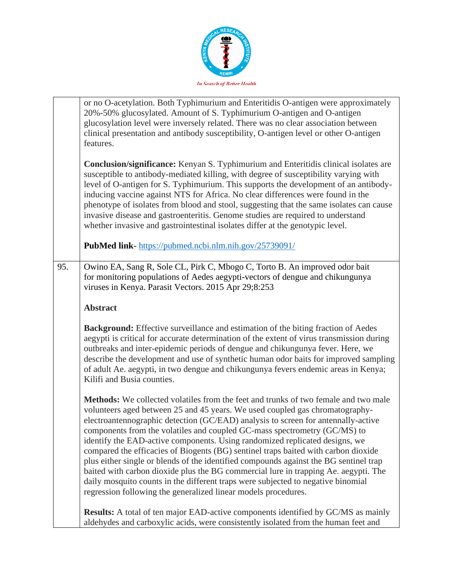

|     | or no O-acetylation. Both Typhimurium and Enteritidis O-antigen were approximately<br>20%-50% glucosylated. Amount of S. Typhimurium O-antigen and O-antigen<br>glucosylation level were inversely related. There was no clear association between<br>clinical presentation and antibody susceptibility, O-antigen level or other O-antigen<br>features.                                                                                                                                                                                                                                                                                                                                                                                                                                                                                         |
|-----|--------------------------------------------------------------------------------------------------------------------------------------------------------------------------------------------------------------------------------------------------------------------------------------------------------------------------------------------------------------------------------------------------------------------------------------------------------------------------------------------------------------------------------------------------------------------------------------------------------------------------------------------------------------------------------------------------------------------------------------------------------------------------------------------------------------------------------------------------|
|     | <b>Conclusion/significance:</b> Kenyan S. Typhimurium and Enteritidis clinical isolates are<br>susceptible to antibody-mediated killing, with degree of susceptibility varying with<br>level of O-antigen for S. Typhimurium. This supports the development of an antibody-<br>inducing vaccine against NTS for Africa. No clear differences were found in the<br>phenotype of isolates from blood and stool, suggesting that the same isolates can cause<br>invasive disease and gastroenteritis. Genome studies are required to understand<br>whether invasive and gastrointestinal isolates differ at the genotypic level.                                                                                                                                                                                                                    |
|     | PubMed link- https://pubmed.ncbi.nlm.nih.gov/25739091/                                                                                                                                                                                                                                                                                                                                                                                                                                                                                                                                                                                                                                                                                                                                                                                           |
| 95. | Owino EA, Sang R, Sole CL, Pirk C, Mbogo C, Torto B. An improved odor bait<br>for monitoring populations of Aedes aegypti-vectors of dengue and chikungunya<br>viruses in Kenya. Parasit Vectors. 2015 Apr 29;8:253                                                                                                                                                                                                                                                                                                                                                                                                                                                                                                                                                                                                                              |
|     | <b>Abstract</b>                                                                                                                                                                                                                                                                                                                                                                                                                                                                                                                                                                                                                                                                                                                                                                                                                                  |
|     | <b>Background:</b> Effective surveillance and estimation of the biting fraction of Aedes<br>aegypti is critical for accurate determination of the extent of virus transmission during<br>outbreaks and inter-epidemic periods of dengue and chikungunya fever. Here, we<br>describe the development and use of synthetic human odor baits for improved sampling<br>of adult Ae. aegypti, in two dengue and chikungunya fevers endemic areas in Kenya;<br>Kilifi and Busia counties.                                                                                                                                                                                                                                                                                                                                                              |
|     | Methods: We collected volatiles from the feet and trunks of two female and two male<br>volunteers aged between 25 and 45 years. We used coupled gas chromatography-<br>electroantennographic detection (GC/EAD) analysis to screen for antennally-active<br>components from the volatiles and coupled GC-mass spectrometry (GC/MS) to<br>identify the EAD-active components. Using randomized replicated designs, we<br>compared the efficacies of Biogents (BG) sentinel traps baited with carbon dioxide<br>plus either single or blends of the identified compounds against the BG sentinel trap<br>baited with carbon dioxide plus the BG commercial lure in trapping Ae. aegypti. The<br>daily mosquito counts in the different traps were subjected to negative binomial<br>regression following the generalized linear models procedures. |
|     | <b>Results:</b> A total of ten major EAD-active components identified by GC/MS as mainly<br>aldehydes and carboxylic acids, were consistently isolated from the human feet and                                                                                                                                                                                                                                                                                                                                                                                                                                                                                                                                                                                                                                                                   |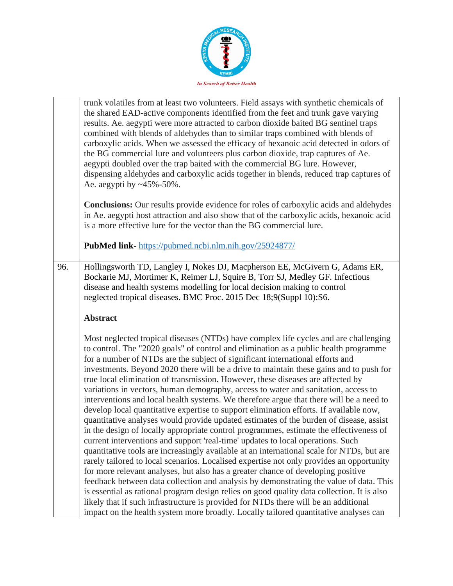

|     | trunk volatiles from at least two volunteers. Field assays with synthetic chemicals of<br>the shared EAD-active components identified from the feet and trunk gave varying<br>results. Ae. aegypti were more attracted to carbon dioxide baited BG sentinel traps<br>combined with blends of aldehydes than to similar traps combined with blends of<br>carboxylic acids. When we assessed the efficacy of hexanoic acid detected in odors of<br>the BG commercial lure and volunteers plus carbon dioxide, trap captures of Ae.<br>aegypti doubled over the trap baited with the commercial BG lure. However,<br>dispensing aldehydes and carboxylic acids together in blends, reduced trap captures of<br>Ae. aegypti by ~45%-50%.                                                                                                                                                                                                                                                                                                                                                                                                                                                                                                                                                                                                                                                                                                                                                                                                                                                                                                             |
|-----|--------------------------------------------------------------------------------------------------------------------------------------------------------------------------------------------------------------------------------------------------------------------------------------------------------------------------------------------------------------------------------------------------------------------------------------------------------------------------------------------------------------------------------------------------------------------------------------------------------------------------------------------------------------------------------------------------------------------------------------------------------------------------------------------------------------------------------------------------------------------------------------------------------------------------------------------------------------------------------------------------------------------------------------------------------------------------------------------------------------------------------------------------------------------------------------------------------------------------------------------------------------------------------------------------------------------------------------------------------------------------------------------------------------------------------------------------------------------------------------------------------------------------------------------------------------------------------------------------------------------------------------------------|
|     | <b>Conclusions:</b> Our results provide evidence for roles of carboxylic acids and aldehydes<br>in Ae. aegypti host attraction and also show that of the carboxylic acids, hexanoic acid<br>is a more effective lure for the vector than the BG commercial lure.                                                                                                                                                                                                                                                                                                                                                                                                                                                                                                                                                                                                                                                                                                                                                                                                                                                                                                                                                                                                                                                                                                                                                                                                                                                                                                                                                                                 |
|     | PubMed link- https://pubmed.ncbi.nlm.nih.gov/25924877/                                                                                                                                                                                                                                                                                                                                                                                                                                                                                                                                                                                                                                                                                                                                                                                                                                                                                                                                                                                                                                                                                                                                                                                                                                                                                                                                                                                                                                                                                                                                                                                           |
| 96. | Hollingsworth TD, Langley I, Nokes DJ, Macpherson EE, McGivern G, Adams ER,<br>Bockarie MJ, Mortimer K, Reimer LJ, Squire B, Torr SJ, Medley GF. Infectious<br>disease and health systems modelling for local decision making to control<br>neglected tropical diseases. BMC Proc. 2015 Dec 18;9(Suppl 10):S6.                                                                                                                                                                                                                                                                                                                                                                                                                                                                                                                                                                                                                                                                                                                                                                                                                                                                                                                                                                                                                                                                                                                                                                                                                                                                                                                                   |
|     | <b>Abstract</b>                                                                                                                                                                                                                                                                                                                                                                                                                                                                                                                                                                                                                                                                                                                                                                                                                                                                                                                                                                                                                                                                                                                                                                                                                                                                                                                                                                                                                                                                                                                                                                                                                                  |
|     | Most neglected tropical diseases (NTDs) have complex life cycles and are challenging<br>to control. The "2020 goals" of control and elimination as a public health programme<br>for a number of NTDs are the subject of significant international efforts and<br>investments. Beyond 2020 there will be a drive to maintain these gains and to push for<br>true local elimination of transmission. However, these diseases are affected by<br>variations in vectors, human demography, access to water and sanitation, access to<br>interventions and local health systems. We therefore argue that there will be a need to<br>develop local quantitative expertise to support elimination efforts. If available now,<br>quantitative analyses would provide updated estimates of the burden of disease, assist<br>in the design of locally appropriate control programmes, estimate the effectiveness of<br>current interventions and support 'real-time' updates to local operations. Such<br>quantitative tools are increasingly available at an international scale for NTDs, but are<br>rarely tailored to local scenarios. Localised expertise not only provides an opportunity<br>for more relevant analyses, but also has a greater chance of developing positive<br>feedback between data collection and analysis by demonstrating the value of data. This<br>is essential as rational program design relies on good quality data collection. It is also<br>likely that if such infrastructure is provided for NTDs there will be an additional<br>impact on the health system more broadly. Locally tailored quantitative analyses can |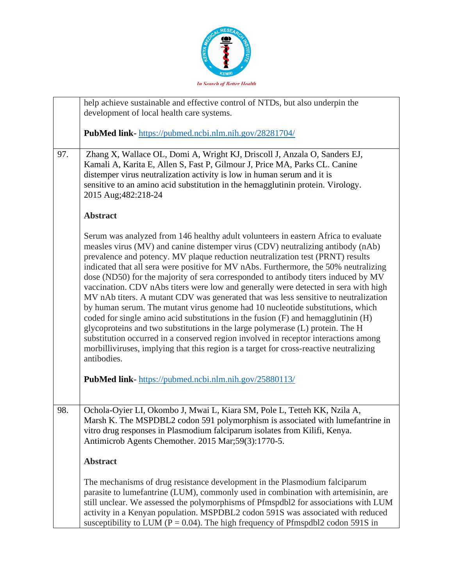

|     | help achieve sustainable and effective control of NTDs, but also underpin the<br>development of local health care systems.                                                                                                                                                                                                                                                                                                                                                                                                                                                                                                                                                                                                                                                                                                                                                                                                                                                                                                                                                   |
|-----|------------------------------------------------------------------------------------------------------------------------------------------------------------------------------------------------------------------------------------------------------------------------------------------------------------------------------------------------------------------------------------------------------------------------------------------------------------------------------------------------------------------------------------------------------------------------------------------------------------------------------------------------------------------------------------------------------------------------------------------------------------------------------------------------------------------------------------------------------------------------------------------------------------------------------------------------------------------------------------------------------------------------------------------------------------------------------|
|     | PubMed link- https://pubmed.ncbi.nlm.nih.gov/28281704/                                                                                                                                                                                                                                                                                                                                                                                                                                                                                                                                                                                                                                                                                                                                                                                                                                                                                                                                                                                                                       |
| 97. | Zhang X, Wallace OL, Domi A, Wright KJ, Driscoll J, Anzala O, Sanders EJ,<br>Kamali A, Karita E, Allen S, Fast P, Gilmour J, Price MA, Parks CL. Canine<br>distemper virus neutralization activity is low in human serum and it is<br>sensitive to an amino acid substitution in the hemagglutinin protein. Virology.<br>2015 Aug; 482: 218-24                                                                                                                                                                                                                                                                                                                                                                                                                                                                                                                                                                                                                                                                                                                               |
|     | <b>Abstract</b>                                                                                                                                                                                                                                                                                                                                                                                                                                                                                                                                                                                                                                                                                                                                                                                                                                                                                                                                                                                                                                                              |
|     | Serum was analyzed from 146 healthy adult volunteers in eastern Africa to evaluate<br>measles virus (MV) and canine distemper virus (CDV) neutralizing antibody (nAb)<br>prevalence and potency. MV plaque reduction neutralization test (PRNT) results<br>indicated that all sera were positive for MV nAbs. Furthermore, the 50% neutralizing<br>dose (ND50) for the majority of sera corresponded to antibody titers induced by MV<br>vaccination. CDV nAbs titers were low and generally were detected in sera with high<br>MV nAb titers. A mutant CDV was generated that was less sensitive to neutralization<br>by human serum. The mutant virus genome had 10 nucleotide substitutions, which<br>coded for single amino acid substitutions in the fusion (F) and hemagglutinin (H)<br>glycoproteins and two substitutions in the large polymerase (L) protein. The H<br>substitution occurred in a conserved region involved in receptor interactions among<br>morbilliviruses, implying that this region is a target for cross-reactive neutralizing<br>antibodies. |
|     | PubMed link-https://pubmed.ncbi.nlm.nih.gov/25880113/                                                                                                                                                                                                                                                                                                                                                                                                                                                                                                                                                                                                                                                                                                                                                                                                                                                                                                                                                                                                                        |
|     |                                                                                                                                                                                                                                                                                                                                                                                                                                                                                                                                                                                                                                                                                                                                                                                                                                                                                                                                                                                                                                                                              |
| 98. | Ochola-Oyier LI, Okombo J, Mwai L, Kiara SM, Pole L, Tetteh KK, Nzila A,<br>Marsh K. The MSPDBL2 codon 591 polymorphism is associated with lumefantrine in<br>vitro drug responses in Plasmodium falciparum isolates from Kilifi, Kenya.<br>Antimicrob Agents Chemother. 2015 Mar;59(3):1770-5.                                                                                                                                                                                                                                                                                                                                                                                                                                                                                                                                                                                                                                                                                                                                                                              |
|     | <b>Abstract</b>                                                                                                                                                                                                                                                                                                                                                                                                                                                                                                                                                                                                                                                                                                                                                                                                                                                                                                                                                                                                                                                              |
|     | The mechanisms of drug resistance development in the Plasmodium falciparum<br>parasite to lumefantrine (LUM), commonly used in combination with artemisinin, are<br>still unclear. We assessed the polymorphisms of Pfmspdbl2 for associations with LUM<br>activity in a Kenyan population. MSPDBL2 codon 591S was associated with reduced<br>susceptibility to LUM ( $P = 0.04$ ). The high frequency of Pfmspdbl2 codon 591S in                                                                                                                                                                                                                                                                                                                                                                                                                                                                                                                                                                                                                                            |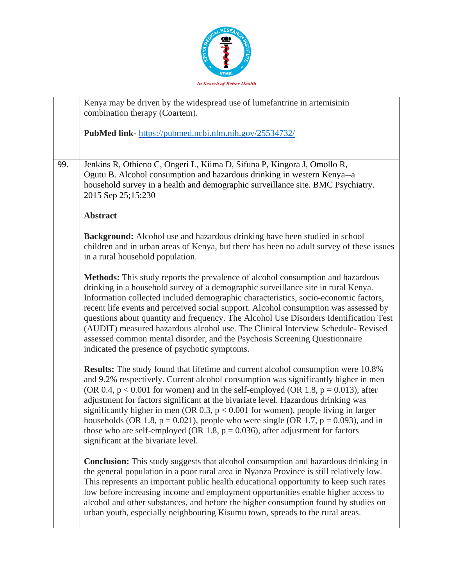

|     | Kenya may be driven by the widespread use of lumefantrine in artemisinin<br>combination therapy (Coartem).                                                                                                                                                                                                                                                                                                                                                                                                                                                                                                                                                                      |
|-----|---------------------------------------------------------------------------------------------------------------------------------------------------------------------------------------------------------------------------------------------------------------------------------------------------------------------------------------------------------------------------------------------------------------------------------------------------------------------------------------------------------------------------------------------------------------------------------------------------------------------------------------------------------------------------------|
|     | <b>PubMed link-</b> https://pubmed.ncbi.nlm.nih.gov/25534732/                                                                                                                                                                                                                                                                                                                                                                                                                                                                                                                                                                                                                   |
| 99. | Jenkins R, Othieno C, Ongeri L, Kiima D, Sifuna P, Kingora J, Omollo R,<br>Ogutu B. Alcohol consumption and hazardous drinking in western Kenya--a<br>household survey in a health and demographic surveillance site. BMC Psychiatry.<br>2015 Sep 25;15:230                                                                                                                                                                                                                                                                                                                                                                                                                     |
|     | <b>Abstract</b>                                                                                                                                                                                                                                                                                                                                                                                                                                                                                                                                                                                                                                                                 |
|     | <b>Background:</b> Alcohol use and hazardous drinking have been studied in school<br>children and in urban areas of Kenya, but there has been no adult survey of these issues<br>in a rural household population.                                                                                                                                                                                                                                                                                                                                                                                                                                                               |
|     | <b>Methods:</b> This study reports the prevalence of alcohol consumption and hazardous<br>drinking in a household survey of a demographic surveillance site in rural Kenya.<br>Information collected included demographic characteristics, socio-economic factors,<br>recent life events and perceived social support. Alcohol consumption was assessed by<br>questions about quantity and frequency. The Alcohol Use Disorders Identification Test<br>(AUDIT) measured hazardous alcohol use. The Clinical Interview Schedule-Revised<br>assessed common mental disorder, and the Psychosis Screening Questionnaire<br>indicated the presence of psychotic symptoms.           |
|     | <b>Results:</b> The study found that lifetime and current alcohol consumption were 10.8%<br>and 9.2% respectively. Current alcohol consumption was significantly higher in men<br>(OR 0.4, $p < 0.001$ for women) and in the self-employed (OR 1.8, $p = 0.013$ ), after<br>adjustment for factors significant at the bivariate level. Hazardous drinking was<br>significantly higher in men (OR $0.3$ , $p < 0.001$ for women), people living in larger<br>households (OR 1.8, $p = 0.021$ ), people who were single (OR 1.7, $p = 0.093$ ), and in<br>those who are self-employed (OR 1.8, $p = 0.036$ ), after adjustment for factors<br>significant at the bivariate level. |
|     | Conclusion: This study suggests that alcohol consumption and hazardous drinking in<br>the general population in a poor rural area in Nyanza Province is still relatively low.<br>This represents an important public health educational opportunity to keep such rates<br>low before increasing income and employment opportunities enable higher access to<br>alcohol and other substances, and before the higher consumption found by studies on<br>urban youth, especially neighbouring Kisumu town, spreads to the rural areas.                                                                                                                                             |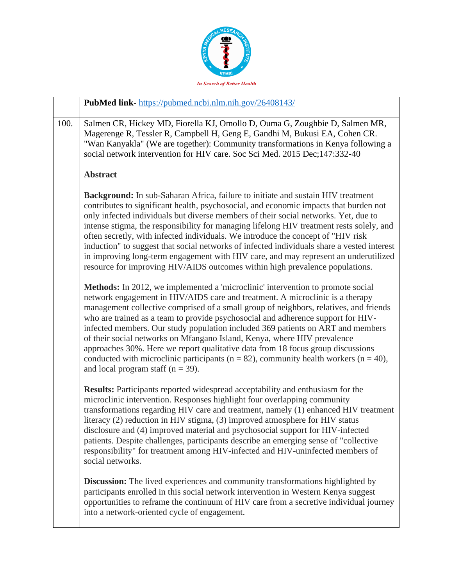

**PubMed link-** <https://pubmed.ncbi.nlm.nih.gov/26408143/> 100. Salmen CR, Hickey MD, Fiorella KJ, Omollo D, Ouma G, Zoughbie D, Salmen MR, Magerenge R, Tessler R, Campbell H, Geng E, Gandhi M, Bukusi EA, Cohen CR. "Wan Kanyakla" (We are together): Community transformations in Kenya following a social network intervention for HIV care. Soc Sci Med. 2015 Dec;147:332-40 **Abstract Background:** In sub-Saharan Africa, failure to initiate and sustain HIV treatment contributes to significant health, psychosocial, and economic impacts that burden not only infected individuals but diverse members of their social networks. Yet, due to intense stigma, the responsibility for managing lifelong HIV treatment rests solely, and often secretly, with infected individuals. We introduce the concept of "HIV risk induction" to suggest that social networks of infected individuals share a vested interest in improving long-term engagement with HIV care, and may represent an underutilized resource for improving HIV/AIDS outcomes within high prevalence populations. **Methods:** In 2012, we implemented a 'microclinic' intervention to promote social network engagement in HIV/AIDS care and treatment. A microclinic is a therapy management collective comprised of a small group of neighbors, relatives, and friends who are trained as a team to provide psychosocial and adherence support for HIVinfected members. Our study population included 369 patients on ART and members of their social networks on Mfangano Island, Kenya, where HIV prevalence approaches 30%. Here we report qualitative data from 18 focus group discussions conducted with microclinic participants ( $n = 82$ ), community health workers ( $n = 40$ ), and local program staff ( $n = 39$ ). **Results:** Participants reported widespread acceptability and enthusiasm for the microclinic intervention. Responses highlight four overlapping community transformations regarding HIV care and treatment, namely (1) enhanced HIV treatment literacy (2) reduction in HIV stigma, (3) improved atmosphere for HIV status disclosure and (4) improved material and psychosocial support for HIV-infected patients. Despite challenges, participants describe an emerging sense of "collective responsibility" for treatment among HIV-infected and HIV-uninfected members of social networks. **Discussion:** The lived experiences and community transformations highlighted by participants enrolled in this social network intervention in Western Kenya suggest opportunities to reframe the continuum of HIV care from a secretive individual journey into a network-oriented cycle of engagement.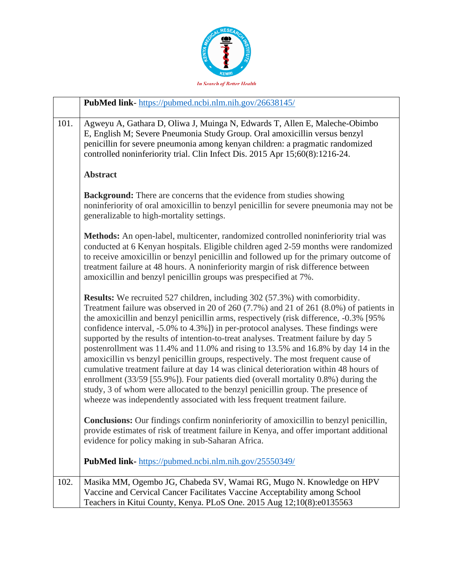

|      | PubMed link-https://pubmed.ncbi.nlm.nih.gov/26638145/                                                                                                                                                                                                                                                                                                                                                                                                                                                                                                                                                                                                                                                                                                                                                                                                                                                                                                                       |
|------|-----------------------------------------------------------------------------------------------------------------------------------------------------------------------------------------------------------------------------------------------------------------------------------------------------------------------------------------------------------------------------------------------------------------------------------------------------------------------------------------------------------------------------------------------------------------------------------------------------------------------------------------------------------------------------------------------------------------------------------------------------------------------------------------------------------------------------------------------------------------------------------------------------------------------------------------------------------------------------|
| 101. | Agweyu A, Gathara D, Oliwa J, Muinga N, Edwards T, Allen E, Maleche-Obimbo<br>E, English M; Severe Pneumonia Study Group. Oral amoxicillin versus benzyl<br>penicillin for severe pneumonia among kenyan children: a pragmatic randomized<br>controlled noninferiority trial. Clin Infect Dis. 2015 Apr 15;60(8):1216-24.                                                                                                                                                                                                                                                                                                                                                                                                                                                                                                                                                                                                                                                   |
|      | <b>Abstract</b>                                                                                                                                                                                                                                                                                                                                                                                                                                                                                                                                                                                                                                                                                                                                                                                                                                                                                                                                                             |
|      | <b>Background:</b> There are concerns that the evidence from studies showing<br>noninferiority of oral amoxicillin to benzyl penicillin for severe pneumonia may not be<br>generalizable to high-mortality settings.                                                                                                                                                                                                                                                                                                                                                                                                                                                                                                                                                                                                                                                                                                                                                        |
|      | Methods: An open-label, multicenter, randomized controlled noninferiority trial was<br>conducted at 6 Kenyan hospitals. Eligible children aged 2-59 months were randomized<br>to receive amoxicillin or benzyl penicillin and followed up for the primary outcome of<br>treatment failure at 48 hours. A noninferiority margin of risk difference between<br>amoxicillin and benzyl penicillin groups was prespecified at 7%.                                                                                                                                                                                                                                                                                                                                                                                                                                                                                                                                               |
|      | <b>Results:</b> We recruited 527 children, including 302 (57.3%) with comorbidity.<br>Treatment failure was observed in 20 of 260 (7.7%) and 21 of 261 (8.0%) of patients in<br>the amoxicillin and benzyl penicillin arms, respectively (risk difference, -0.3% [95%]<br>confidence interval, -5.0% to 4.3%]) in per-protocol analyses. These findings were<br>supported by the results of intention-to-treat analyses. Treatment failure by day 5<br>postenrollment was 11.4% and 11.0% and rising to 13.5% and 16.8% by day 14 in the<br>amoxicillin vs benzyl penicillin groups, respectively. The most frequent cause of<br>cumulative treatment failure at day 14 was clinical deterioration within 48 hours of<br>enrollment (33/59 [55.9%]). Four patients died (overall mortality 0.8%) during the<br>study, 3 of whom were allocated to the benzyl penicillin group. The presence of<br>wheeze was independently associated with less frequent treatment failure. |
|      | <b>Conclusions:</b> Our findings confirm noninferiority of amoxicillin to benzyl penicillin,<br>provide estimates of risk of treatment failure in Kenya, and offer important additional<br>evidence for policy making in sub-Saharan Africa.                                                                                                                                                                                                                                                                                                                                                                                                                                                                                                                                                                                                                                                                                                                                |
|      | PubMed link-https://pubmed.ncbi.nlm.nih.gov/25550349/                                                                                                                                                                                                                                                                                                                                                                                                                                                                                                                                                                                                                                                                                                                                                                                                                                                                                                                       |
| 102. | Masika MM, Ogembo JG, Chabeda SV, Wamai RG, Mugo N. Knowledge on HPV<br>Vaccine and Cervical Cancer Facilitates Vaccine Acceptability among School<br>Teachers in Kitui County, Kenya. PLoS One. 2015 Aug 12;10(8):e0135563                                                                                                                                                                                                                                                                                                                                                                                                                                                                                                                                                                                                                                                                                                                                                 |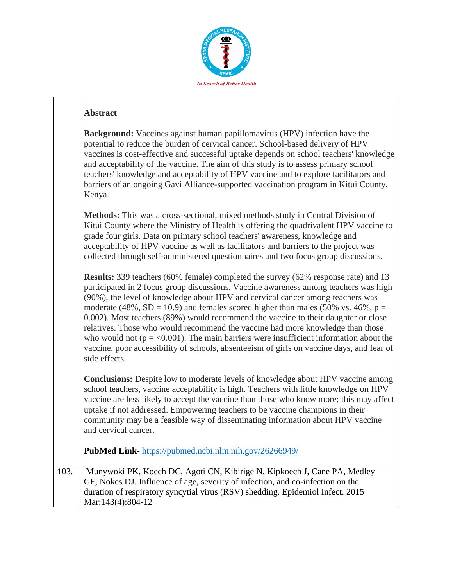

**Background:** Vaccines against human papillomavirus (HPV) infection have the potential to reduce the burden of cervical cancer. School-based delivery of HPV vaccines is cost-effective and successful uptake depends on school teachers' knowledge and acceptability of the vaccine. The aim of this study is to assess primary school teachers' knowledge and acceptability of HPV vaccine and to explore facilitators and barriers of an ongoing Gavi Alliance-supported vaccination program in Kitui County, Kenya.

**Methods:** This was a cross-sectional, mixed methods study in Central Division of Kitui County where the Ministry of Health is offering the quadrivalent HPV vaccine to grade four girls. Data on primary school teachers' awareness, knowledge and acceptability of HPV vaccine as well as facilitators and barriers to the project was collected through self-administered questionnaires and two focus group discussions.

**Results:** 339 teachers (60% female) completed the survey (62% response rate) and 13 participated in 2 focus group discussions. Vaccine awareness among teachers was high (90%), the level of knowledge about HPV and cervical cancer among teachers was moderate (48%,  $SD = 10.9$ ) and females scored higher than males (50% vs. 46%, p = 0.002). Most teachers (89%) would recommend the vaccine to their daughter or close relatives. Those who would recommend the vaccine had more knowledge than those who would not ( $p = < 0.001$ ). The main barriers were insufficient information about the vaccine, poor accessibility of schools, absenteeism of girls on vaccine days, and fear of side effects.

**Conclusions:** Despite low to moderate levels of knowledge about HPV vaccine among school teachers, vaccine acceptability is high. Teachers with little knowledge on HPV vaccine are less likely to accept the vaccine than those who know more; this may affect uptake if not addressed. Empowering teachers to be vaccine champions in their community may be a feasible way of disseminating information about HPV vaccine and cervical cancer.

**PubMed Link**- <https://pubmed.ncbi.nlm.nih.gov/26266949/>

103. | Munywoki PK, Koech DC, Agoti CN, Kibirige N, Kipkoech J, Cane PA, Medley GF, Nokes DJ. Influence of age, severity of infection, and co-infection on the duration of respiratory syncytial virus (RSV) shedding. Epidemiol Infect. 2015 Mar:143(4):804-12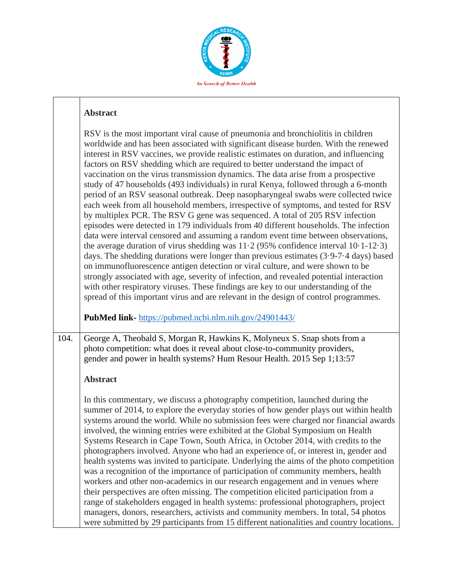

|      | RSV is the most important viral cause of pneumonia and bronchiolitis in children<br>worldwide and has been associated with significant disease burden. With the renewed<br>interest in RSV vaccines, we provide realistic estimates on duration, and influencing<br>factors on RSV shedding which are required to better understand the impact of<br>vaccination on the virus transmission dynamics. The data arise from a prospective<br>study of 47 households (493 individuals) in rural Kenya, followed through a 6-month<br>period of an RSV seasonal outbreak. Deep nasopharyngeal swabs were collected twice<br>each week from all household members, irrespective of symptoms, and tested for RSV<br>by multiplex PCR. The RSV G gene was sequenced. A total of 205 RSV infection<br>episodes were detected in 179 individuals from 40 different households. The infection<br>data were interval censored and assuming a random event time between observations,<br>the average duration of virus shedding was $11.2$ (95% confidence interval $10.1$ -12.3)<br>days. The shedding durations were longer than previous estimates $(3.9-7.4 \text{ days})$ based<br>on immunofluorescence antigen detection or viral culture, and were shown to be<br>strongly associated with age, severity of infection, and revealed potential interaction<br>with other respiratory viruses. These findings are key to our understanding of the<br>spread of this important virus and are relevant in the design of control programmes.<br>PubMed link-https://pubmed.ncbi.nlm.nih.gov/24901443/ |
|------|---------------------------------------------------------------------------------------------------------------------------------------------------------------------------------------------------------------------------------------------------------------------------------------------------------------------------------------------------------------------------------------------------------------------------------------------------------------------------------------------------------------------------------------------------------------------------------------------------------------------------------------------------------------------------------------------------------------------------------------------------------------------------------------------------------------------------------------------------------------------------------------------------------------------------------------------------------------------------------------------------------------------------------------------------------------------------------------------------------------------------------------------------------------------------------------------------------------------------------------------------------------------------------------------------------------------------------------------------------------------------------------------------------------------------------------------------------------------------------------------------------------------------------------------------------------------------------------------|
| 104. | George A, Theobald S, Morgan R, Hawkins K, Molyneux S. Snap shots from a<br>photo competition: what does it reveal about close-to-community providers,<br>gender and power in health systems? Hum Resour Health. 2015 Sep 1;13:57                                                                                                                                                                                                                                                                                                                                                                                                                                                                                                                                                                                                                                                                                                                                                                                                                                                                                                                                                                                                                                                                                                                                                                                                                                                                                                                                                           |
|      | <b>Abstract</b>                                                                                                                                                                                                                                                                                                                                                                                                                                                                                                                                                                                                                                                                                                                                                                                                                                                                                                                                                                                                                                                                                                                                                                                                                                                                                                                                                                                                                                                                                                                                                                             |
|      | In this commentary, we discuss a photography competition, launched during the<br>summer of 2014, to explore the everyday stories of how gender plays out within health<br>systems around the world. While no submission fees were charged nor financial awards<br>involved, the winning entries were exhibited at the Global Symposium on Health<br>Systems Research in Cape Town, South Africa, in October 2014, with credits to the<br>photographers involved. Anyone who had an experience of, or interest in, gender and<br>health systems was invited to participate. Underlying the aims of the photo competition<br>was a recognition of the importance of participation of community members, health<br>workers and other non-academics in our research engagement and in venues where<br>their perspectives are often missing. The competition elicited participation from a<br>range of stakeholders engaged in health systems: professional photographers, project<br>managers, donors, researchers, activists and community members. In total, 54 photos<br>were submitted by 29 participants from 15 different nationalities and country locations.                                                                                                                                                                                                                                                                                                                                                                                                                            |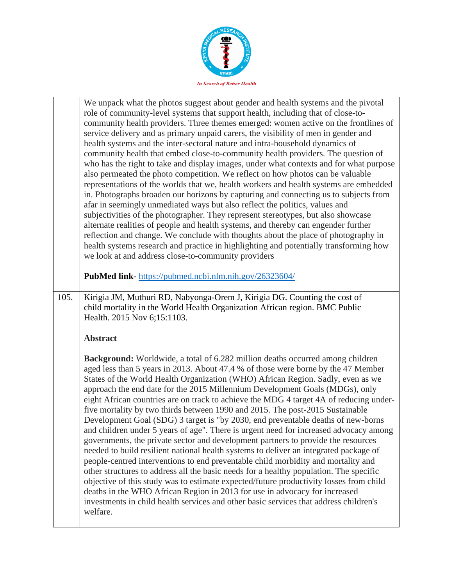

|      | We unpack what the photos suggest about gender and health systems and the pivotal<br>role of community-level systems that support health, including that of close-to-<br>community health providers. Three themes emerged: women active on the frontlines of<br>service delivery and as primary unpaid carers, the visibility of men in gender and<br>health systems and the inter-sectoral nature and intra-household dynamics of<br>community health that embed close-to-community health providers. The question of<br>who has the right to take and display images, under what contexts and for what purpose<br>also permeated the photo competition. We reflect on how photos can be valuable<br>representations of the worlds that we, health workers and health systems are embedded<br>in. Photographs broaden our horizons by capturing and connecting us to subjects from<br>afar in seemingly unmediated ways but also reflect the politics, values and<br>subjectivities of the photographer. They represent stereotypes, but also showcase<br>alternate realities of people and health systems, and thereby can engender further<br>reflection and change. We conclude with thoughts about the place of photography in<br>health systems research and practice in highlighting and potentially transforming how<br>we look at and address close-to-community providers |
|------|-------------------------------------------------------------------------------------------------------------------------------------------------------------------------------------------------------------------------------------------------------------------------------------------------------------------------------------------------------------------------------------------------------------------------------------------------------------------------------------------------------------------------------------------------------------------------------------------------------------------------------------------------------------------------------------------------------------------------------------------------------------------------------------------------------------------------------------------------------------------------------------------------------------------------------------------------------------------------------------------------------------------------------------------------------------------------------------------------------------------------------------------------------------------------------------------------------------------------------------------------------------------------------------------------------------------------------------------------------------------------------------|
|      | PubMed link-https://pubmed.ncbi.nlm.nih.gov/26323604/                                                                                                                                                                                                                                                                                                                                                                                                                                                                                                                                                                                                                                                                                                                                                                                                                                                                                                                                                                                                                                                                                                                                                                                                                                                                                                                               |
| 105. | Kirigia JM, Muthuri RD, Nabyonga-Orem J, Kirigia DG. Counting the cost of<br>child mortality in the World Health Organization African region. BMC Public<br>Health. 2015 Nov 6;15:1103.                                                                                                                                                                                                                                                                                                                                                                                                                                                                                                                                                                                                                                                                                                                                                                                                                                                                                                                                                                                                                                                                                                                                                                                             |
|      | <b>Abstract</b>                                                                                                                                                                                                                                                                                                                                                                                                                                                                                                                                                                                                                                                                                                                                                                                                                                                                                                                                                                                                                                                                                                                                                                                                                                                                                                                                                                     |
|      | Background: Worldwide, a total of 6.282 million deaths occurred among children<br>aged less than 5 years in 2013. About 47.4 % of those were borne by the 47 Member<br>States of the World Health Organization (WHO) African Region. Sadly, even as we<br>approach the end date for the 2015 Millennium Development Goals (MDGs), only<br>eight African countries are on track to achieve the MDG 4 target 4A of reducing under-<br>five mortality by two thirds between 1990 and 2015. The post-2015 Sustainable<br>Development Goal (SDG) 3 target is "by 2030, end preventable deaths of new-borns<br>and children under 5 years of age". There is urgent need for increased advocacy among<br>governments, the private sector and development partners to provide the resources<br>needed to build resilient national health systems to deliver an integrated package of<br>people-centred interventions to end preventable child morbidity and mortality and<br>other structures to address all the basic needs for a healthy population. The specific<br>objective of this study was to estimate expected/future productivity losses from child<br>deaths in the WHO African Region in 2013 for use in advocacy for increased<br>investments in child health services and other basic services that address children's<br>welfare.                                            |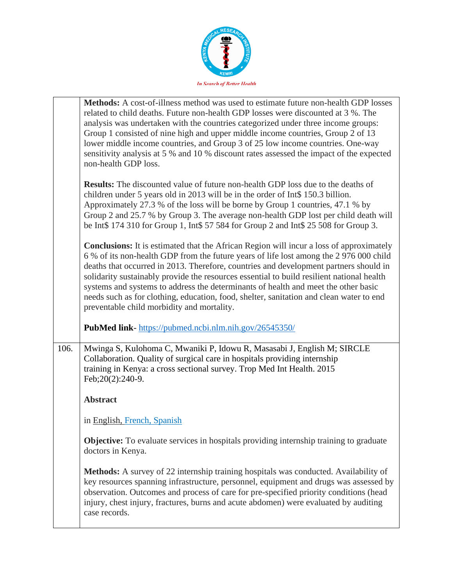

|      | Methods: A cost-of-illness method was used to estimate future non-health GDP losses<br>related to child deaths. Future non-health GDP losses were discounted at 3 %. The<br>analysis was undertaken with the countries categorized under three income groups:<br>Group 1 consisted of nine high and upper middle income countries, Group 2 of 13<br>lower middle income countries, and Group 3 of 25 low income countries. One-way<br>sensitivity analysis at 5 % and 10 % discount rates assessed the impact of the expected<br>non-health GDP loss.                                                         |
|------|---------------------------------------------------------------------------------------------------------------------------------------------------------------------------------------------------------------------------------------------------------------------------------------------------------------------------------------------------------------------------------------------------------------------------------------------------------------------------------------------------------------------------------------------------------------------------------------------------------------|
|      | <b>Results:</b> The discounted value of future non-health GDP loss due to the deaths of<br>children under 5 years old in 2013 will be in the order of Int\$ 150.3 billion.<br>Approximately 27.3 % of the loss will be borne by Group 1 countries, 47.1 % by<br>Group 2 and 25.7 % by Group 3. The average non-health GDP lost per child death will<br>be Int\$ 174 310 for Group 1, Int\$ 57 584 for Group 2 and Int\$ 25 508 for Group 3.                                                                                                                                                                   |
|      | <b>Conclusions:</b> It is estimated that the African Region will incur a loss of approximately<br>6 % of its non-health GDP from the future years of life lost among the 2 976 000 child<br>deaths that occurred in 2013. Therefore, countries and development partners should in<br>solidarity sustainably provide the resources essential to build resilient national health<br>systems and systems to address the determinants of health and meet the other basic<br>needs such as for clothing, education, food, shelter, sanitation and clean water to end<br>preventable child morbidity and mortality. |
|      | <b>PubMed link-</b> https://pubmed.ncbi.nlm.nih.gov/26545350/                                                                                                                                                                                                                                                                                                                                                                                                                                                                                                                                                 |
|      |                                                                                                                                                                                                                                                                                                                                                                                                                                                                                                                                                                                                               |
| 106. | Mwinga S, Kulohoma C, Mwaniki P, Idowu R, Masasabi J, English M; SIRCLE<br>Collaboration. Quality of surgical care in hospitals providing internship<br>training in Kenya: a cross sectional survey. Trop Med Int Health. 2015<br>Feb;20(2):240-9.                                                                                                                                                                                                                                                                                                                                                            |
|      | <b>Abstract</b>                                                                                                                                                                                                                                                                                                                                                                                                                                                                                                                                                                                               |
|      | in English, French, Spanish                                                                                                                                                                                                                                                                                                                                                                                                                                                                                                                                                                                   |
|      | <b>Objective:</b> To evaluate services in hospitals providing internship training to graduate<br>doctors in Kenya.                                                                                                                                                                                                                                                                                                                                                                                                                                                                                            |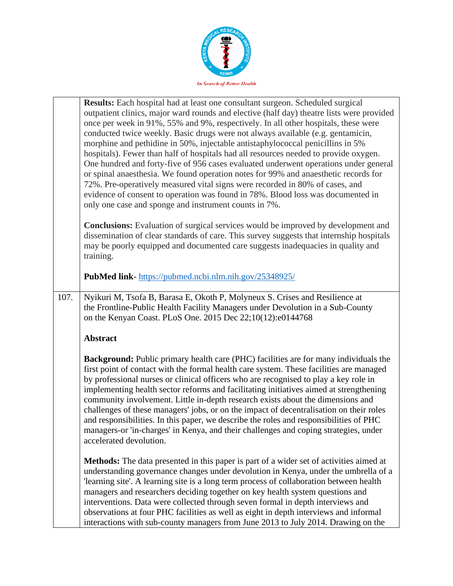

|      | Results: Each hospital had at least one consultant surgeon. Scheduled surgical<br>outpatient clinics, major ward rounds and elective (half day) theatre lists were provided<br>once per week in 91%, 55% and 9%, respectively. In all other hospitals, these were<br>conducted twice weekly. Basic drugs were not always available (e.g. gentamicin,<br>morphine and pethidine in 50%, injectable antistaphylococcal penicillins in 5%<br>hospitals). Fewer than half of hospitals had all resources needed to provide oxygen.<br>One hundred and forty-five of 956 cases evaluated underwent operations under general<br>or spinal anaesthesia. We found operation notes for 99% and anaesthetic records for<br>72%. Pre-operatively measured vital signs were recorded in 80% of cases, and<br>evidence of consent to operation was found in 78%. Blood loss was documented in<br>only one case and sponge and instrument counts in 7%.<br><b>Conclusions:</b> Evaluation of surgical services would be improved by development and<br>dissemination of clear standards of care. This survey suggests that internship hospitals<br>may be poorly equipped and documented care suggests inadequacies in quality and |
|------|----------------------------------------------------------------------------------------------------------------------------------------------------------------------------------------------------------------------------------------------------------------------------------------------------------------------------------------------------------------------------------------------------------------------------------------------------------------------------------------------------------------------------------------------------------------------------------------------------------------------------------------------------------------------------------------------------------------------------------------------------------------------------------------------------------------------------------------------------------------------------------------------------------------------------------------------------------------------------------------------------------------------------------------------------------------------------------------------------------------------------------------------------------------------------------------------------------------------|
|      | training.                                                                                                                                                                                                                                                                                                                                                                                                                                                                                                                                                                                                                                                                                                                                                                                                                                                                                                                                                                                                                                                                                                                                                                                                            |
|      | <b>PubMed link-</b> https://pubmed.ncbi.nlm.nih.gov/25348925/                                                                                                                                                                                                                                                                                                                                                                                                                                                                                                                                                                                                                                                                                                                                                                                                                                                                                                                                                                                                                                                                                                                                                        |
| 107. | Nyikuri M, Tsofa B, Barasa E, Okoth P, Molyneux S. Crises and Resilience at<br>the Frontline-Public Health Facility Managers under Devolution in a Sub-County<br>on the Kenyan Coast. PLoS One. 2015 Dec 22;10(12):e0144768                                                                                                                                                                                                                                                                                                                                                                                                                                                                                                                                                                                                                                                                                                                                                                                                                                                                                                                                                                                          |
|      | <b>Abstract</b>                                                                                                                                                                                                                                                                                                                                                                                                                                                                                                                                                                                                                                                                                                                                                                                                                                                                                                                                                                                                                                                                                                                                                                                                      |
|      | <b>Background:</b> Public primary health care (PHC) facilities are for many individuals the<br>first point of contact with the formal health care system. These facilities are managed<br>by professional nurses or clinical officers who are recognised to play a key role in<br>implementing health sector reforms and facilitating initiatives aimed at strengthening<br>community involvement. Little in-depth research exists about the dimensions and<br>challenges of these managers' jobs, or on the impact of decentralisation on their roles<br>and responsibilities. In this paper, we describe the roles and responsibilities of PHC<br>managers-or 'in-charges' in Kenya, and their challenges and coping strategies, under<br>accelerated devolution.                                                                                                                                                                                                                                                                                                                                                                                                                                                  |
|      | <b>Methods:</b> The data presented in this paper is part of a wider set of activities aimed at<br>understanding governance changes under devolution in Kenya, under the umbrella of a<br>'learning site'. A learning site is a long term process of collaboration between health<br>managers and researchers deciding together on key health system questions and<br>interventions. Data were collected through seven formal in depth interviews and<br>observations at four PHC facilities as well as eight in depth interviews and informal<br>interactions with sub-county managers from June 2013 to July 2014. Drawing on the                                                                                                                                                                                                                                                                                                                                                                                                                                                                                                                                                                                   |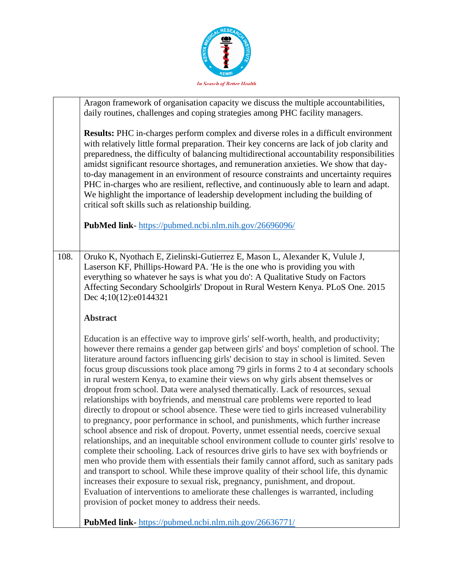

|      | Aragon framework of organisation capacity we discuss the multiple accountabilities,<br>daily routines, challenges and coping strategies among PHC facility managers.                                                                                                                                                                                                                                                                                                                                                                                                                                                                                                                                                                                                                                                                                                                                                                                                                                                                                                                                                                                                                                                                                                                                                                                                                                                                                                                                                                                                    |
|------|-------------------------------------------------------------------------------------------------------------------------------------------------------------------------------------------------------------------------------------------------------------------------------------------------------------------------------------------------------------------------------------------------------------------------------------------------------------------------------------------------------------------------------------------------------------------------------------------------------------------------------------------------------------------------------------------------------------------------------------------------------------------------------------------------------------------------------------------------------------------------------------------------------------------------------------------------------------------------------------------------------------------------------------------------------------------------------------------------------------------------------------------------------------------------------------------------------------------------------------------------------------------------------------------------------------------------------------------------------------------------------------------------------------------------------------------------------------------------------------------------------------------------------------------------------------------------|
|      | <b>Results:</b> PHC in-charges perform complex and diverse roles in a difficult environment<br>with relatively little formal preparation. Their key concerns are lack of job clarity and<br>preparedness, the difficulty of balancing multidirectional accountability responsibilities<br>amidst significant resource shortages, and remuneration anxieties. We show that day-<br>to-day management in an environment of resource constraints and uncertainty requires<br>PHC in-charges who are resilient, reflective, and continuously able to learn and adapt.<br>We highlight the importance of leadership development including the building of<br>critical soft skills such as relationship building.                                                                                                                                                                                                                                                                                                                                                                                                                                                                                                                                                                                                                                                                                                                                                                                                                                                             |
|      | PubMed link- https://pubmed.ncbi.nlm.nih.gov/26696096/                                                                                                                                                                                                                                                                                                                                                                                                                                                                                                                                                                                                                                                                                                                                                                                                                                                                                                                                                                                                                                                                                                                                                                                                                                                                                                                                                                                                                                                                                                                  |
| 108. | Oruko K, Nyothach E, Zielinski-Gutierrez E, Mason L, Alexander K, Vulule J,<br>Laserson KF, Phillips-Howard PA. 'He is the one who is providing you with<br>everything so whatever he says is what you do': A Qualitative Study on Factors<br>Affecting Secondary Schoolgirls' Dropout in Rural Western Kenya. PLoS One. 2015<br>Dec 4;10(12):e0144321                                                                                                                                                                                                                                                                                                                                                                                                                                                                                                                                                                                                                                                                                                                                                                                                                                                                                                                                                                                                                                                                                                                                                                                                                  |
|      | <b>Abstract</b>                                                                                                                                                                                                                                                                                                                                                                                                                                                                                                                                                                                                                                                                                                                                                                                                                                                                                                                                                                                                                                                                                                                                                                                                                                                                                                                                                                                                                                                                                                                                                         |
|      | Education is an effective way to improve girls' self-worth, health, and productivity;<br>however there remains a gender gap between girls' and boys' completion of school. The<br>literature around factors influencing girls' decision to stay in school is limited. Seven<br>focus group discussions took place among 79 girls in forms 2 to 4 at secondary schools<br>in rural western Kenya, to examine their views on why girls absent themselves or<br>dropout from school. Data were analysed thematically. Lack of resources, sexual<br>relationships with boyfriends, and menstrual care problems were reported to lead<br>directly to dropout or school absence. These were tied to girls increased vulnerability<br>to pregnancy, poor performance in school, and punishments, which further increase<br>school absence and risk of dropout. Poverty, unmet essential needs, coercive sexual<br>relationships, and an inequitable school environment collude to counter girls' resolve to<br>complete their schooling. Lack of resources drive girls to have sex with boyfriends or<br>men who provide them with essentials their family cannot afford, such as sanitary pads<br>and transport to school. While these improve quality of their school life, this dynamic<br>increases their exposure to sexual risk, pregnancy, punishment, and dropout.<br>Evaluation of interventions to ameliorate these challenges is warranted, including<br>provision of pocket money to address their needs.<br>PubMed link-https://pubmed.ncbi.nlm.nih.gov/26636771/ |
|      |                                                                                                                                                                                                                                                                                                                                                                                                                                                                                                                                                                                                                                                                                                                                                                                                                                                                                                                                                                                                                                                                                                                                                                                                                                                                                                                                                                                                                                                                                                                                                                         |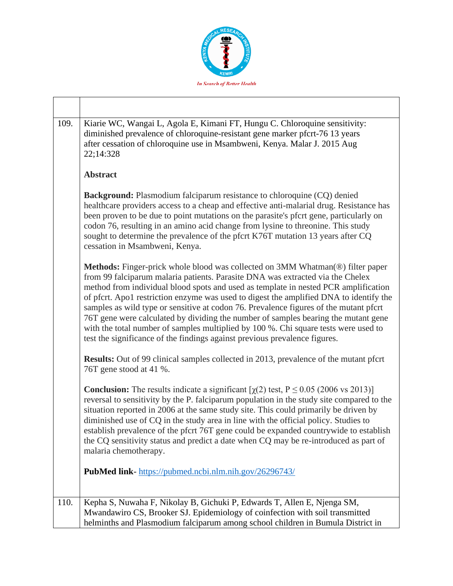

| 109. | Kiarie WC, Wangai L, Agola E, Kimani FT, Hungu C. Chloroquine sensitivity:<br>diminished prevalence of chloroquine-resistant gene marker pfcrt-76 13 years<br>after cessation of chloroquine use in Msambweni, Kenya. Malar J. 2015 Aug<br>22;14:328                                                                                                                                                                                                                                                                                                                                                                                                                                                  |
|------|-------------------------------------------------------------------------------------------------------------------------------------------------------------------------------------------------------------------------------------------------------------------------------------------------------------------------------------------------------------------------------------------------------------------------------------------------------------------------------------------------------------------------------------------------------------------------------------------------------------------------------------------------------------------------------------------------------|
|      | <b>Abstract</b>                                                                                                                                                                                                                                                                                                                                                                                                                                                                                                                                                                                                                                                                                       |
|      | Background: Plasmodium falciparum resistance to chloroquine (CQ) denied<br>healthcare providers access to a cheap and effective anti-malarial drug. Resistance has<br>been proven to be due to point mutations on the parasite's pfcrt gene, particularly on<br>codon 76, resulting in an amino acid change from lysine to threonine. This study<br>sought to determine the prevalence of the pfcrt K76T mutation 13 years after CQ<br>cessation in Msambweni, Kenya.                                                                                                                                                                                                                                 |
|      | Methods: Finger-prick whole blood was collected on 3MM Whatman(®) filter paper<br>from 99 falciparum malaria patients. Parasite DNA was extracted via the Chelex<br>method from individual blood spots and used as template in nested PCR amplification<br>of pfcrt. Apo1 restriction enzyme was used to digest the amplified DNA to identify the<br>samples as wild type or sensitive at codon 76. Prevalence figures of the mutant pfcrt<br>76T gene were calculated by dividing the number of samples bearing the mutant gene<br>with the total number of samples multiplied by 100 %. Chi square tests were used to<br>test the significance of the findings against previous prevalence figures. |
|      | <b>Results:</b> Out of 99 clinical samples collected in 2013, prevalence of the mutant pfcrt<br>76T gene stood at 41 %.                                                                                                                                                                                                                                                                                                                                                                                                                                                                                                                                                                               |
|      | <b>Conclusion:</b> The results indicate a significant $[\chi(2)$ test, $P \le 0.05$ (2006 vs 2013)]<br>reversal to sensitivity by the P. falciparum population in the study site compared to the<br>situation reported in 2006 at the same study site. This could primarily be driven by<br>diminished use of CQ in the study area in line with the official policy. Studies to<br>establish prevalence of the pfcrt 76T gene could be expanded countrywide to establish<br>the CQ sensitivity status and predict a date when CQ may be re-introduced as part of<br>malaria chemotherapy.                                                                                                             |
|      | <b>PubMed link-</b> https://pubmed.ncbi.nlm.nih.gov/26296743/                                                                                                                                                                                                                                                                                                                                                                                                                                                                                                                                                                                                                                         |
| 110. | Kepha S, Nuwaha F, Nikolay B, Gichuki P, Edwards T, Allen E, Njenga SM,<br>Mwandawiro CS, Brooker SJ. Epidemiology of coinfection with soil transmitted<br>helminths and Plasmodium falciparum among school children in Bumula District in                                                                                                                                                                                                                                                                                                                                                                                                                                                            |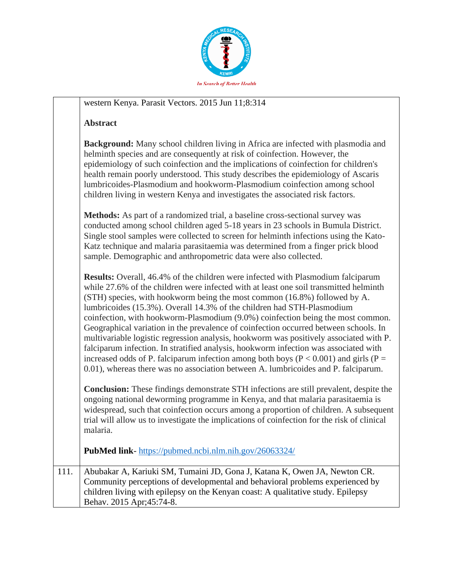

|      | western Kenya. Parasit Vectors. 2015 Jun 11;8:314                                                                                                                                                                                                                                                                                                                                                                                                                                                                                                                                                                                                                                                                                                                                                                                                                                  |
|------|------------------------------------------------------------------------------------------------------------------------------------------------------------------------------------------------------------------------------------------------------------------------------------------------------------------------------------------------------------------------------------------------------------------------------------------------------------------------------------------------------------------------------------------------------------------------------------------------------------------------------------------------------------------------------------------------------------------------------------------------------------------------------------------------------------------------------------------------------------------------------------|
|      | <b>Abstract</b>                                                                                                                                                                                                                                                                                                                                                                                                                                                                                                                                                                                                                                                                                                                                                                                                                                                                    |
|      | <b>Background:</b> Many school children living in Africa are infected with plasmodia and<br>helminth species and are consequently at risk of coinfection. However, the<br>epidemiology of such coinfection and the implications of coinfection for children's<br>health remain poorly understood. This study describes the epidemiology of Ascaris<br>lumbricoides-Plasmodium and hookworm-Plasmodium coinfection among school<br>children living in western Kenya and investigates the associated risk factors.                                                                                                                                                                                                                                                                                                                                                                   |
|      | Methods: As part of a randomized trial, a baseline cross-sectional survey was<br>conducted among school children aged 5-18 years in 23 schools in Bumula District.<br>Single stool samples were collected to screen for helminth infections using the Kato-<br>Katz technique and malaria parasitaemia was determined from a finger prick blood<br>sample. Demographic and anthropometric data were also collected.                                                                                                                                                                                                                                                                                                                                                                                                                                                                |
|      | Results: Overall, 46.4% of the children were infected with Plasmodium falciparum<br>while 27.6% of the children were infected with at least one soil transmitted helminth<br>(STH) species, with hookworm being the most common (16.8%) followed by A.<br>lumbricoides (15.3%). Overall 14.3% of the children had STH-Plasmodium<br>coinfection, with hookworm-Plasmodium (9.0%) coinfection being the most common.<br>Geographical variation in the prevalence of coinfection occurred between schools. In<br>multivariable logistic regression analysis, hookworm was positively associated with P.<br>falciparum infection. In stratified analysis, hookworm infection was associated with<br>increased odds of P. falciparum infection among both boys ( $P < 0.001$ ) and girls ( $P =$<br>0.01), whereas there was no association between A. lumbricoides and P. falciparum. |
|      | <b>Conclusion:</b> These findings demonstrate STH infections are still prevalent, despite the<br>ongoing national deworming programme in Kenya, and that malaria parasitaemia is<br>widespread, such that coinfection occurs among a proportion of children. A subsequent<br>trial will allow us to investigate the implications of coinfection for the risk of clinical<br>malaria.                                                                                                                                                                                                                                                                                                                                                                                                                                                                                               |
|      | PubMed link-https://pubmed.ncbi.nlm.nih.gov/26063324/                                                                                                                                                                                                                                                                                                                                                                                                                                                                                                                                                                                                                                                                                                                                                                                                                              |
| 111. | Abubakar A, Kariuki SM, Tumaini JD, Gona J, Katana K, Owen JA, Newton CR.<br>Community perceptions of developmental and behavioral problems experienced by<br>children living with epilepsy on the Kenyan coast: A qualitative study. Epilepsy<br>Behav. 2015 Apr;45:74-8.                                                                                                                                                                                                                                                                                                                                                                                                                                                                                                                                                                                                         |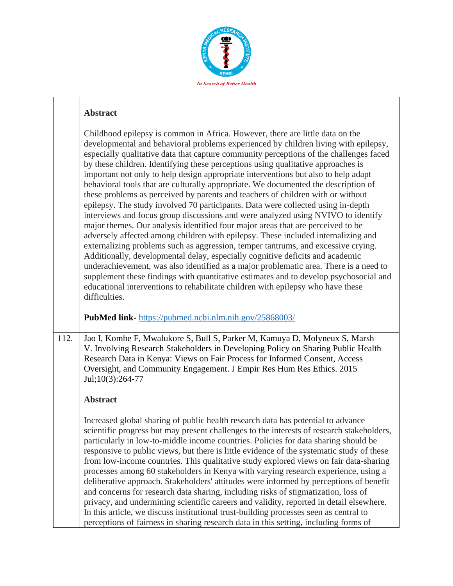

|      | Childhood epilepsy is common in Africa. However, there are little data on the<br>developmental and behavioral problems experienced by children living with epilepsy,<br>especially qualitative data that capture community perceptions of the challenges faced<br>by these children. Identifying these perceptions using qualitative approaches is<br>important not only to help design appropriate interventions but also to help adapt<br>behavioral tools that are culturally appropriate. We documented the description of<br>these problems as perceived by parents and teachers of children with or without<br>epilepsy. The study involved 70 participants. Data were collected using in-depth<br>interviews and focus group discussions and were analyzed using NVIVO to identify<br>major themes. Our analysis identified four major areas that are perceived to be<br>adversely affected among children with epilepsy. These included internalizing and<br>externalizing problems such as aggression, temper tantrums, and excessive crying.<br>Additionally, developmental delay, especially cognitive deficits and academic<br>underachievement, was also identified as a major problematic area. There is a need to<br>supplement these findings with quantitative estimates and to develop psychosocial and<br>educational interventions to rehabilitate children with epilepsy who have these<br>difficulties. |
|------|-------------------------------------------------------------------------------------------------------------------------------------------------------------------------------------------------------------------------------------------------------------------------------------------------------------------------------------------------------------------------------------------------------------------------------------------------------------------------------------------------------------------------------------------------------------------------------------------------------------------------------------------------------------------------------------------------------------------------------------------------------------------------------------------------------------------------------------------------------------------------------------------------------------------------------------------------------------------------------------------------------------------------------------------------------------------------------------------------------------------------------------------------------------------------------------------------------------------------------------------------------------------------------------------------------------------------------------------------------------------------------------------------------------------------------|
|      | PubMed link-https://pubmed.ncbi.nlm.nih.gov/25868003/                                                                                                                                                                                                                                                                                                                                                                                                                                                                                                                                                                                                                                                                                                                                                                                                                                                                                                                                                                                                                                                                                                                                                                                                                                                                                                                                                                         |
| 112. | Jao I, Kombe F, Mwalukore S, Bull S, Parker M, Kamuya D, Molyneux S, Marsh<br>V. Involving Research Stakeholders in Developing Policy on Sharing Public Health<br>Research Data in Kenya: Views on Fair Process for Informed Consent, Access<br>Oversight, and Community Engagement. J Empir Res Hum Res Ethics. 2015<br>Jul;10(3):264-77                                                                                                                                                                                                                                                                                                                                                                                                                                                                                                                                                                                                                                                                                                                                                                                                                                                                                                                                                                                                                                                                                     |
|      | <b>Abstract</b>                                                                                                                                                                                                                                                                                                                                                                                                                                                                                                                                                                                                                                                                                                                                                                                                                                                                                                                                                                                                                                                                                                                                                                                                                                                                                                                                                                                                               |
|      | Increased global sharing of public health research data has potential to advance<br>scientific progress but may present challenges to the interests of research stakeholders,<br>particularly in low-to-middle income countries. Policies for data sharing should be<br>responsive to public views, but there is little evidence of the systematic study of these<br>from low-income countries. This qualitative study explored views on fair data-sharing<br>processes among 60 stakeholders in Kenya with varying research experience, using a<br>deliberative approach. Stakeholders' attitudes were informed by perceptions of benefit<br>and concerns for research data sharing, including risks of stigmatization, loss of<br>privacy, and undermining scientific careers and validity, reported in detail elsewhere.<br>In this article, we discuss institutional trust-building processes seen as central to<br>perceptions of fairness in sharing research data in this setting, including forms of                                                                                                                                                                                                                                                                                                                                                                                                                  |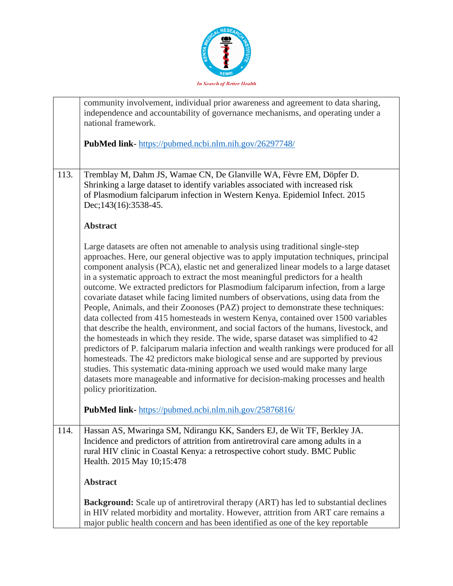

|      | community involvement, individual prior awareness and agreement to data sharing,<br>independence and accountability of governance mechanisms, and operating under a<br>national framework.                                                                                                                                                                                                                                                                                                                                                                                                                                                                                                                                                                                                                                                                                                                                                                                                                                                                                                                                                                                                                                                                                    |
|------|-------------------------------------------------------------------------------------------------------------------------------------------------------------------------------------------------------------------------------------------------------------------------------------------------------------------------------------------------------------------------------------------------------------------------------------------------------------------------------------------------------------------------------------------------------------------------------------------------------------------------------------------------------------------------------------------------------------------------------------------------------------------------------------------------------------------------------------------------------------------------------------------------------------------------------------------------------------------------------------------------------------------------------------------------------------------------------------------------------------------------------------------------------------------------------------------------------------------------------------------------------------------------------|
|      | PubMed link-https://pubmed.ncbi.nlm.nih.gov/26297748/                                                                                                                                                                                                                                                                                                                                                                                                                                                                                                                                                                                                                                                                                                                                                                                                                                                                                                                                                                                                                                                                                                                                                                                                                         |
| 113. | Tremblay M, Dahm JS, Wamae CN, De Glanville WA, Fèvre EM, Döpfer D.<br>Shrinking a large dataset to identify variables associated with increased risk<br>of Plasmodium falciparum infection in Western Kenya. Epidemiol Infect. 2015<br>Dec; 143(16): 3538-45.                                                                                                                                                                                                                                                                                                                                                                                                                                                                                                                                                                                                                                                                                                                                                                                                                                                                                                                                                                                                                |
|      | <b>Abstract</b>                                                                                                                                                                                                                                                                                                                                                                                                                                                                                                                                                                                                                                                                                                                                                                                                                                                                                                                                                                                                                                                                                                                                                                                                                                                               |
|      | Large datasets are often not amenable to analysis using traditional single-step<br>approaches. Here, our general objective was to apply imputation techniques, principal<br>component analysis (PCA), elastic net and generalized linear models to a large dataset<br>in a systematic approach to extract the most meaningful predictors for a health<br>outcome. We extracted predictors for Plasmodium falciparum infection, from a large<br>covariate dataset while facing limited numbers of observations, using data from the<br>People, Animals, and their Zoonoses (PAZ) project to demonstrate these techniques:<br>data collected from 415 homesteads in western Kenya, contained over 1500 variables<br>that describe the health, environment, and social factors of the humans, livestock, and<br>the homesteads in which they reside. The wide, sparse dataset was simplified to 42<br>predictors of P. falciparum malaria infection and wealth rankings were produced for all<br>homesteads. The 42 predictors make biological sense and are supported by previous<br>studies. This systematic data-mining approach we used would make many large<br>datasets more manageable and informative for decision-making processes and health<br>policy prioritization. |
|      | PubMed link- https://pubmed.ncbi.nlm.nih.gov/25876816/                                                                                                                                                                                                                                                                                                                                                                                                                                                                                                                                                                                                                                                                                                                                                                                                                                                                                                                                                                                                                                                                                                                                                                                                                        |
| 114. | Hassan AS, Mwaringa SM, Ndirangu KK, Sanders EJ, de Wit TF, Berkley JA.<br>Incidence and predictors of attrition from antiretroviral care among adults in a<br>rural HIV clinic in Coastal Kenya: a retrospective cohort study. BMC Public<br>Health. 2015 May 10;15:478                                                                                                                                                                                                                                                                                                                                                                                                                                                                                                                                                                                                                                                                                                                                                                                                                                                                                                                                                                                                      |
|      | <b>Abstract</b>                                                                                                                                                                                                                                                                                                                                                                                                                                                                                                                                                                                                                                                                                                                                                                                                                                                                                                                                                                                                                                                                                                                                                                                                                                                               |
|      | Background: Scale up of antiretroviral therapy (ART) has led to substantial declines<br>in HIV related morbidity and mortality. However, attrition from ART care remains a<br>major public health concern and has been identified as one of the key reportable                                                                                                                                                                                                                                                                                                                                                                                                                                                                                                                                                                                                                                                                                                                                                                                                                                                                                                                                                                                                                |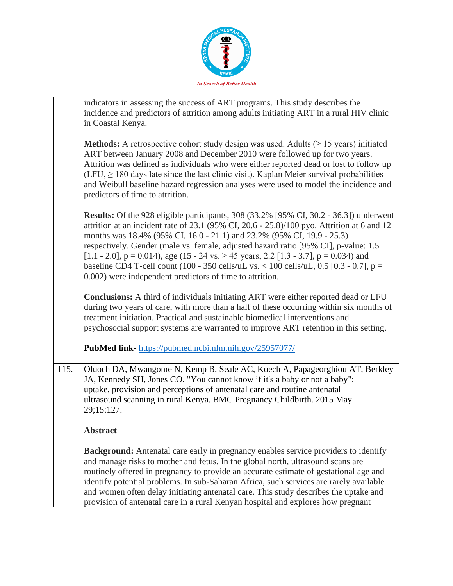

|      | indicators in assessing the success of ART programs. This study describes the<br>incidence and predictors of attrition among adults initiating ART in a rural HIV clinic<br>in Coastal Kenya.                                                                                                                                                                                                                                                                                                                                                                                                                      |
|------|--------------------------------------------------------------------------------------------------------------------------------------------------------------------------------------------------------------------------------------------------------------------------------------------------------------------------------------------------------------------------------------------------------------------------------------------------------------------------------------------------------------------------------------------------------------------------------------------------------------------|
|      | <b>Methods:</b> A retrospective cohort study design was used. Adults ( $\geq 15$ years) initiated<br>ART between January 2008 and December 2010 were followed up for two years.<br>Attrition was defined as individuals who were either reported dead or lost to follow up<br>$(LFU, \geq 180)$ days late since the last clinic visit). Kaplan Meier survival probabilities<br>and Weibull baseline hazard regression analyses were used to model the incidence and<br>predictors of time to attrition.                                                                                                            |
|      | <b>Results:</b> Of the 928 eligible participants, 308 (33.2% [95% CI, 30.2 - 36.3]) underwent<br>attrition at an incident rate of 23.1 (95% CI, 20.6 - 25.8)/100 pyo. Attrition at 6 and 12<br>months was 18.4% (95% CI, 16.0 - 21.1) and 23.2% (95% CI, 19.9 - 25.3)<br>respectively. Gender (male vs. female, adjusted hazard ratio [95% CI], p-value: 1.5<br>[1.1 - 2.0], p = 0.014), age (15 - 24 vs. $\geq$ 45 years, 2.2 [1.3 - 3.7], p = 0.034) and<br>baseline CD4 T-cell count (100 - 350 cells/uL vs. < 100 cells/uL, 0.5 [0.3 - 0.7], $p =$<br>0.002) were independent predictors of time to attrition. |
|      | <b>Conclusions:</b> A third of individuals initiating ART were either reported dead or LFU<br>during two years of care, with more than a half of these occurring within six months of<br>treatment initiation. Practical and sustainable biomedical interventions and<br>psychosocial support systems are warranted to improve ART retention in this setting.                                                                                                                                                                                                                                                      |
|      | PubMed link-https://pubmed.ncbi.nlm.nih.gov/25957077/                                                                                                                                                                                                                                                                                                                                                                                                                                                                                                                                                              |
| 115. | Oluoch DA, Mwangome N, Kemp B, Seale AC, Koech A, Papageorghiou AT, Berkley<br>JA, Kennedy SH, Jones CO. "You cannot know if it's a baby or not a baby":<br>uptake, provision and perceptions of antenatal care and routine antenatal<br>ultrasound scanning in rural Kenya. BMC Pregnancy Childbirth. 2015 May<br>29;15:127.                                                                                                                                                                                                                                                                                      |
|      | <b>Abstract</b>                                                                                                                                                                                                                                                                                                                                                                                                                                                                                                                                                                                                    |
|      | <b>Background:</b> Antenatal care early in pregnancy enables service providers to identify<br>and manage risks to mother and fetus. In the global north, ultrasound scans are<br>routinely offered in pregnancy to provide an accurate estimate of gestational age and<br>identify potential problems. In sub-Saharan Africa, such services are rarely available<br>and women often delay initiating antenatal care. This study describes the uptake and<br>provision of antenatal care in a rural Kenyan hospital and explores how pregnant                                                                       |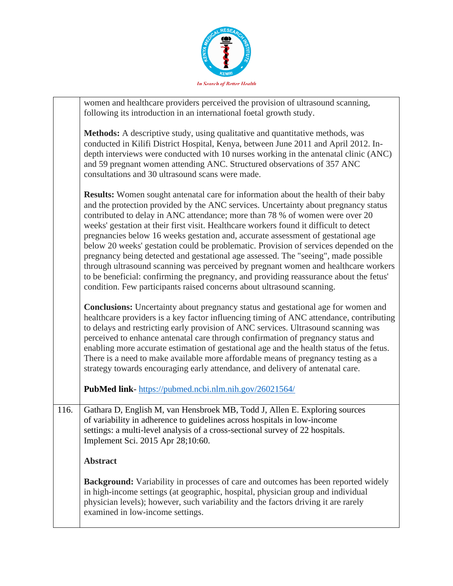

|      | women and healthcare providers perceived the provision of ultrasound scanning,<br>following its introduction in an international foetal growth study.                                                                                                                                                                                                                                                                                                                                                                                                                                                                                                                                                                                                                                                                                                                                    |
|------|------------------------------------------------------------------------------------------------------------------------------------------------------------------------------------------------------------------------------------------------------------------------------------------------------------------------------------------------------------------------------------------------------------------------------------------------------------------------------------------------------------------------------------------------------------------------------------------------------------------------------------------------------------------------------------------------------------------------------------------------------------------------------------------------------------------------------------------------------------------------------------------|
|      | Methods: A descriptive study, using qualitative and quantitative methods, was<br>conducted in Kilifi District Hospital, Kenya, between June 2011 and April 2012. In-<br>depth interviews were conducted with 10 nurses working in the antenatal clinic (ANC)<br>and 59 pregnant women attending ANC. Structured observations of 357 ANC<br>consultations and 30 ultrasound scans were made.                                                                                                                                                                                                                                                                                                                                                                                                                                                                                              |
|      | <b>Results:</b> Women sought antenatal care for information about the health of their baby<br>and the protection provided by the ANC services. Uncertainty about pregnancy status<br>contributed to delay in ANC attendance; more than 78 % of women were over 20<br>weeks' gestation at their first visit. Healthcare workers found it difficult to detect<br>pregnancies below 16 weeks gestation and, accurate assessment of gestational age<br>below 20 weeks' gestation could be problematic. Provision of services depended on the<br>pregnancy being detected and gestational age assessed. The "seeing", made possible<br>through ultrasound scanning was perceived by pregnant women and healthcare workers<br>to be beneficial: confirming the pregnancy, and providing reassurance about the fetus'<br>condition. Few participants raised concerns about ultrasound scanning. |
|      | <b>Conclusions:</b> Uncertainty about pregnancy status and gestational age for women and<br>healthcare providers is a key factor influencing timing of ANC attendance, contributing<br>to delays and restricting early provision of ANC services. Ultrasound scanning was<br>perceived to enhance antenatal care through confirmation of pregnancy status and<br>enabling more accurate estimation of gestational age and the health status of the fetus.<br>There is a need to make available more affordable means of pregnancy testing as a<br>strategy towards encouraging early attendance, and delivery of antenatal care.                                                                                                                                                                                                                                                         |
|      | PubMed link- https://pubmed.ncbi.nlm.nih.gov/26021564/                                                                                                                                                                                                                                                                                                                                                                                                                                                                                                                                                                                                                                                                                                                                                                                                                                   |
| 116. | Gathara D, English M, van Hensbroek MB, Todd J, Allen E. Exploring sources<br>of variability in adherence to guidelines across hospitals in low-income<br>settings: a multi-level analysis of a cross-sectional survey of 22 hospitals.<br>Implement Sci. 2015 Apr 28;10:60.                                                                                                                                                                                                                                                                                                                                                                                                                                                                                                                                                                                                             |
|      | <b>Abstract</b>                                                                                                                                                                                                                                                                                                                                                                                                                                                                                                                                                                                                                                                                                                                                                                                                                                                                          |
|      | <b>Background:</b> Variability in processes of care and outcomes has been reported widely<br>in high-income settings (at geographic, hospital, physician group and individual<br>physician levels); however, such variability and the factors driving it are rarely<br>examined in low-income settings.                                                                                                                                                                                                                                                                                                                                                                                                                                                                                                                                                                                  |
|      |                                                                                                                                                                                                                                                                                                                                                                                                                                                                                                                                                                                                                                                                                                                                                                                                                                                                                          |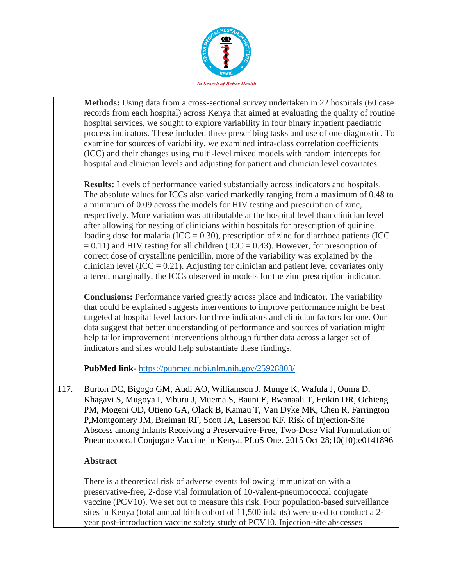

|      | Methods: Using data from a cross-sectional survey undertaken in 22 hospitals (60 case<br>records from each hospital) across Kenya that aimed at evaluating the quality of routine<br>hospital services, we sought to explore variability in four binary inpatient paediatric<br>process indicators. These included three prescribing tasks and use of one diagnostic. To<br>examine for sources of variability, we examined intra-class correlation coefficients<br>(ICC) and their changes using multi-level mixed models with random intercepts for<br>hospital and clinician levels and adjusting for patient and clinician level covariates.                                                                                                                                                                                                                                                                                |
|------|---------------------------------------------------------------------------------------------------------------------------------------------------------------------------------------------------------------------------------------------------------------------------------------------------------------------------------------------------------------------------------------------------------------------------------------------------------------------------------------------------------------------------------------------------------------------------------------------------------------------------------------------------------------------------------------------------------------------------------------------------------------------------------------------------------------------------------------------------------------------------------------------------------------------------------|
|      | <b>Results:</b> Levels of performance varied substantially across indicators and hospitals.<br>The absolute values for ICCs also varied markedly ranging from a maximum of 0.48 to<br>a minimum of 0.09 across the models for HIV testing and prescription of zinc,<br>respectively. More variation was attributable at the hospital level than clinician level<br>after allowing for nesting of clinicians within hospitals for prescription of quinine<br>loading dose for malaria (ICC = $0.30$ ), prescription of zinc for diarrhoea patients (ICC<br>$= 0.11$ ) and HIV testing for all children (ICC = 0.43). However, for prescription of<br>correct dose of crystalline penicillin, more of the variability was explained by the<br>clinician level (ICC = $0.21$ ). Adjusting for clinician and patient level covariates only<br>altered, marginally, the ICCs observed in models for the zinc prescription indicator. |
|      | <b>Conclusions:</b> Performance varied greatly across place and indicator. The variability<br>that could be explained suggests interventions to improve performance might be best<br>targeted at hospital level factors for three indicators and clinician factors for one. Our<br>data suggest that better understanding of performance and sources of variation might<br>help tailor improvement interventions although further data across a larger set of<br>indicators and sites would help substantiate these findings.                                                                                                                                                                                                                                                                                                                                                                                                   |
|      | PubMed link-https://pubmed.ncbi.nlm.nih.gov/25928803/                                                                                                                                                                                                                                                                                                                                                                                                                                                                                                                                                                                                                                                                                                                                                                                                                                                                           |
| 117. | Burton DC, Bigogo GM, Audi AO, Williamson J, Munge K, Wafula J, Ouma D,<br>Khagayi S, Mugoya I, Mburu J, Muema S, Bauni E, Bwanaali T, Feikin DR, Ochieng<br>PM, Mogeni OD, Otieno GA, Olack B, Kamau T, Van Dyke MK, Chen R, Farrington<br>P, Montgomery JM, Breiman RF, Scott JA, Laserson KF. Risk of Injection-Site<br>Abscess among Infants Receiving a Preservative-Free, Two-Dose Vial Formulation of<br>Pneumococcal Conjugate Vaccine in Kenya. PLoS One. 2015 Oct 28;10(10):e0141896                                                                                                                                                                                                                                                                                                                                                                                                                                  |
|      | <b>Abstract</b>                                                                                                                                                                                                                                                                                                                                                                                                                                                                                                                                                                                                                                                                                                                                                                                                                                                                                                                 |
|      | There is a theoretical risk of adverse events following immunization with a<br>preservative-free, 2-dose vial formulation of 10-valent-pneumococcal conjugate<br>vaccine (PCV10). We set out to measure this risk. Four population-based surveillance<br>sites in Kenya (total annual birth cohort of 11,500 infants) were used to conduct a 2-<br>year post-introduction vaccine safety study of PCV10. Injection-site abscesses                                                                                                                                                                                                                                                                                                                                                                                                                                                                                               |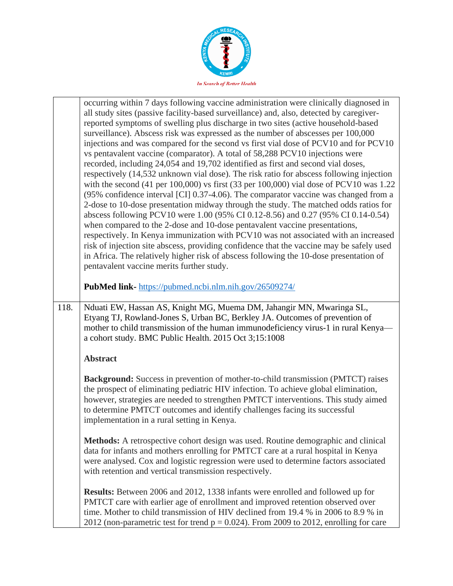

|      | occurring within 7 days following vaccine administration were clinically diagnosed in<br>all study sites (passive facility-based surveillance) and, also, detected by caregiver-<br>reported symptoms of swelling plus discharge in two sites (active household-based<br>surveillance). Abscess risk was expressed as the number of abscesses per 100,000<br>injections and was compared for the second vs first vial dose of PCV10 and for PCV10<br>vs pentavalent vaccine (comparator). A total of 58,288 PCV10 injections were<br>recorded, including 24,054 and 19,702 identified as first and second vial doses,<br>respectively (14,532 unknown vial dose). The risk ratio for abscess following injection<br>with the second $(41 \text{ per } 100,000)$ vs first $(33 \text{ per } 100,000)$ vial dose of PCV10 was 1.22<br>(95% confidence interval [CI] 0.37-4.06). The comparator vaccine was changed from a<br>2-dose to 10-dose presentation midway through the study. The matched odds ratios for<br>abscess following PCV10 were 1.00 (95% CI 0.12-8.56) and 0.27 (95% CI 0.14-0.54)<br>when compared to the 2-dose and 10-dose pentavalent vaccine presentations,<br>respectively. In Kenya immunization with PCV10 was not associated with an increased<br>risk of injection site abscess, providing confidence that the vaccine may be safely used<br>in Africa. The relatively higher risk of abscess following the 10-dose presentation of<br>pentavalent vaccine merits further study.<br>PubMed link- https://pubmed.ncbi.nlm.nih.gov/26509274/ |
|------|-----------------------------------------------------------------------------------------------------------------------------------------------------------------------------------------------------------------------------------------------------------------------------------------------------------------------------------------------------------------------------------------------------------------------------------------------------------------------------------------------------------------------------------------------------------------------------------------------------------------------------------------------------------------------------------------------------------------------------------------------------------------------------------------------------------------------------------------------------------------------------------------------------------------------------------------------------------------------------------------------------------------------------------------------------------------------------------------------------------------------------------------------------------------------------------------------------------------------------------------------------------------------------------------------------------------------------------------------------------------------------------------------------------------------------------------------------------------------------------------------------------------------------------------------------------------------|
| 118. | Nduati EW, Hassan AS, Knight MG, Muema DM, Jahangir MN, Mwaringa SL,<br>Etyang TJ, Rowland-Jones S, Urban BC, Berkley JA. Outcomes of prevention of<br>mother to child transmission of the human immunodeficiency virus-1 in rural Kenya—<br>a cohort study. BMC Public Health. 2015 Oct 3;15:1008                                                                                                                                                                                                                                                                                                                                                                                                                                                                                                                                                                                                                                                                                                                                                                                                                                                                                                                                                                                                                                                                                                                                                                                                                                                                    |
|      | <b>Abstract</b>                                                                                                                                                                                                                                                                                                                                                                                                                                                                                                                                                                                                                                                                                                                                                                                                                                                                                                                                                                                                                                                                                                                                                                                                                                                                                                                                                                                                                                                                                                                                                       |
|      | <b>Background:</b> Success in prevention of mother-to-child transmission (PMTCT) raises<br>the prospect of eliminating pediatric HIV infection. To achieve global elimination,<br>however, strategies are needed to strengthen PMTCT interventions. This study aimed<br>to determine PMTCT outcomes and identify challenges facing its successful<br>implementation in a rural setting in Kenya.                                                                                                                                                                                                                                                                                                                                                                                                                                                                                                                                                                                                                                                                                                                                                                                                                                                                                                                                                                                                                                                                                                                                                                      |
|      | Methods: A retrospective cohort design was used. Routine demographic and clinical<br>data for infants and mothers enrolling for PMTCT care at a rural hospital in Kenya<br>were analysed. Cox and logistic regression were used to determine factors associated<br>with retention and vertical transmission respectively.                                                                                                                                                                                                                                                                                                                                                                                                                                                                                                                                                                                                                                                                                                                                                                                                                                                                                                                                                                                                                                                                                                                                                                                                                                             |
|      | <b>Results:</b> Between 2006 and 2012, 1338 infants were enrolled and followed up for<br>PMTCT care with earlier age of enrollment and improved retention observed over<br>time. Mother to child transmission of HIV declined from 19.4 % in 2006 to 8.9 % in<br>2012 (non-parametric test for trend $p = 0.024$ ). From 2009 to 2012, enrolling for care                                                                                                                                                                                                                                                                                                                                                                                                                                                                                                                                                                                                                                                                                                                                                                                                                                                                                                                                                                                                                                                                                                                                                                                                             |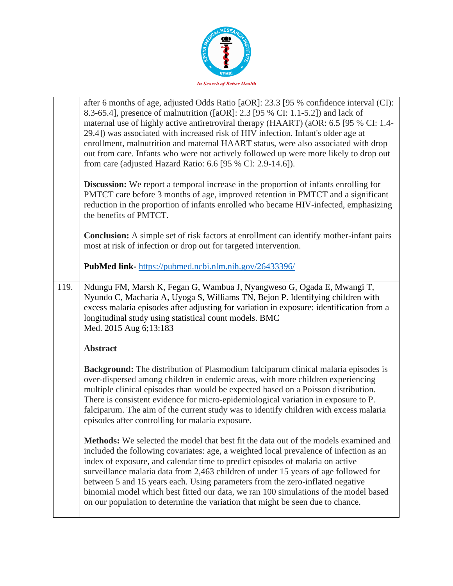

|      | after 6 months of age, adjusted Odds Ratio [aOR]: 23.3 [95 % confidence interval (CI):<br>8.3-65.4], presence of malnutrition ([aOR]: 2.3 [95 % CI: 1.1-5.2]) and lack of<br>maternal use of highly active antiretroviral therapy (HAART) (aOR: 6.5 [95 % CI: 1.4-<br>29.4]) was associated with increased risk of HIV infection. Infant's older age at<br>enrollment, malnutrition and maternal HAART status, were also associated with drop<br>out from care. Infants who were not actively followed up were more likely to drop out<br>from care (adjusted Hazard Ratio: 6.6 [95 % CI: 2.9-14.6]). |
|------|-------------------------------------------------------------------------------------------------------------------------------------------------------------------------------------------------------------------------------------------------------------------------------------------------------------------------------------------------------------------------------------------------------------------------------------------------------------------------------------------------------------------------------------------------------------------------------------------------------|
|      | <b>Discussion:</b> We report a temporal increase in the proportion of infants enrolling for<br>PMTCT care before 3 months of age, improved retention in PMTCT and a significant<br>reduction in the proportion of infants enrolled who became HIV-infected, emphasizing<br>the benefits of PMTCT.                                                                                                                                                                                                                                                                                                     |
|      | <b>Conclusion:</b> A simple set of risk factors at enrollment can identify mother-infant pairs<br>most at risk of infection or drop out for targeted intervention.                                                                                                                                                                                                                                                                                                                                                                                                                                    |
|      | PubMed link- https://pubmed.ncbi.nlm.nih.gov/26433396/                                                                                                                                                                                                                                                                                                                                                                                                                                                                                                                                                |
| 119. | Ndungu FM, Marsh K, Fegan G, Wambua J, Nyangweso G, Ogada E, Mwangi T,<br>Nyundo C, Macharia A, Uyoga S, Williams TN, Bejon P. Identifying children with<br>excess malaria episodes after adjusting for variation in exposure: identification from a<br>longitudinal study using statistical count models. BMC<br>Med. 2015 Aug 6;13:183                                                                                                                                                                                                                                                              |
|      | <b>Abstract</b>                                                                                                                                                                                                                                                                                                                                                                                                                                                                                                                                                                                       |
|      | <b>Background:</b> The distribution of Plasmodium falciparum clinical malaria episodes is<br>over-dispersed among children in endemic areas, with more children experiencing<br>multiple clinical episodes than would be expected based on a Poisson distribution.<br>There is consistent evidence for micro-epidemiological variation in exposure to P.<br>falciparum. The aim of the current study was to identify children with excess malaria<br>episodes after controlling for malaria exposure.                                                                                                 |
|      | <b>Methods:</b> We selected the model that best fit the data out of the models examined and<br>included the following covariates: age, a weighted local prevalence of infection as an                                                                                                                                                                                                                                                                                                                                                                                                                 |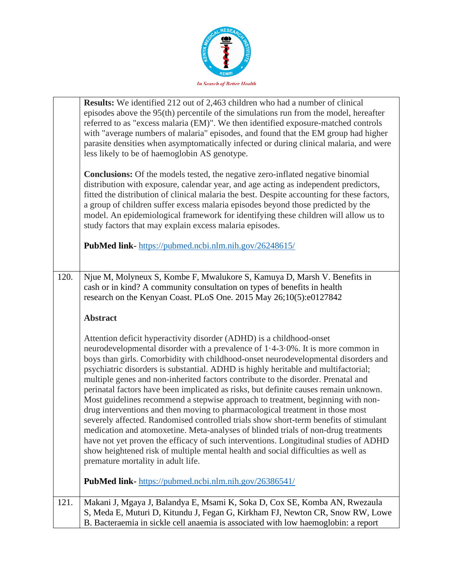

|      | Results: We identified 212 out of 2,463 children who had a number of clinical<br>episodes above the 95(th) percentile of the simulations run from the model, hereafter<br>referred to as "excess malaria (EM)". We then identified exposure-matched controls<br>with "average numbers of malaria" episodes, and found that the EM group had higher<br>parasite densities when asymptomatically infected or during clinical malaria, and were<br>less likely to be of haemoglobin AS genotype.                                                                                                                                                                                                                                                                                                                                                                                                                                                                                                                                                                                              |
|------|--------------------------------------------------------------------------------------------------------------------------------------------------------------------------------------------------------------------------------------------------------------------------------------------------------------------------------------------------------------------------------------------------------------------------------------------------------------------------------------------------------------------------------------------------------------------------------------------------------------------------------------------------------------------------------------------------------------------------------------------------------------------------------------------------------------------------------------------------------------------------------------------------------------------------------------------------------------------------------------------------------------------------------------------------------------------------------------------|
|      | <b>Conclusions:</b> Of the models tested, the negative zero-inflated negative binomial<br>distribution with exposure, calendar year, and age acting as independent predictors,<br>fitted the distribution of clinical malaria the best. Despite accounting for these factors,<br>a group of children suffer excess malaria episodes beyond those predicted by the<br>model. An epidemiological framework for identifying these children will allow us to<br>study factors that may explain excess malaria episodes.                                                                                                                                                                                                                                                                                                                                                                                                                                                                                                                                                                        |
|      | PubMed link-https://pubmed.ncbi.nlm.nih.gov/26248615/                                                                                                                                                                                                                                                                                                                                                                                                                                                                                                                                                                                                                                                                                                                                                                                                                                                                                                                                                                                                                                      |
| 120. | Njue M, Molyneux S, Kombe F, Mwalukore S, Kamuya D, Marsh V. Benefits in<br>cash or in kind? A community consultation on types of benefits in health<br>research on the Kenyan Coast. PLoS One. 2015 May 26;10(5):e0127842                                                                                                                                                                                                                                                                                                                                                                                                                                                                                                                                                                                                                                                                                                                                                                                                                                                                 |
|      | <b>Abstract</b>                                                                                                                                                                                                                                                                                                                                                                                                                                                                                                                                                                                                                                                                                                                                                                                                                                                                                                                                                                                                                                                                            |
|      | Attention deficit hyperactivity disorder (ADHD) is a childhood-onset<br>neurodevelopmental disorder with a prevalence of $1.4-3.0\%$ . It is more common in<br>boys than girls. Comorbidity with childhood-onset neurodevelopmental disorders and<br>psychiatric disorders is substantial. ADHD is highly heritable and multifactorial;<br>multiple genes and non-inherited factors contribute to the disorder. Prenatal and<br>perinatal factors have been implicated as risks, but definite causes remain unknown.<br>Most guidelines recommend a stepwise approach to treatment, beginning with non-<br>drug interventions and then moving to pharmacological treatment in those most<br>severely affected. Randomised controlled trials show short-term benefits of stimulant<br>medication and atomoxetine. Meta-analyses of blinded trials of non-drug treatments<br>have not yet proven the efficacy of such interventions. Longitudinal studies of ADHD<br>show heightened risk of multiple mental health and social difficulties as well as<br>premature mortality in adult life. |
|      | PubMed link-https://pubmed.ncbi.nlm.nih.gov/26386541/                                                                                                                                                                                                                                                                                                                                                                                                                                                                                                                                                                                                                                                                                                                                                                                                                                                                                                                                                                                                                                      |
| 121. | Makani J, Mgaya J, Balandya E, Msami K, Soka D, Cox SE, Komba AN, Rwezaula<br>S, Meda E, Muturi D, Kitundu J, Fegan G, Kirkham FJ, Newton CR, Snow RW, Lowe<br>B. Bacteraemia in sickle cell anaemia is associated with low haemoglobin: a report                                                                                                                                                                                                                                                                                                                                                                                                                                                                                                                                                                                                                                                                                                                                                                                                                                          |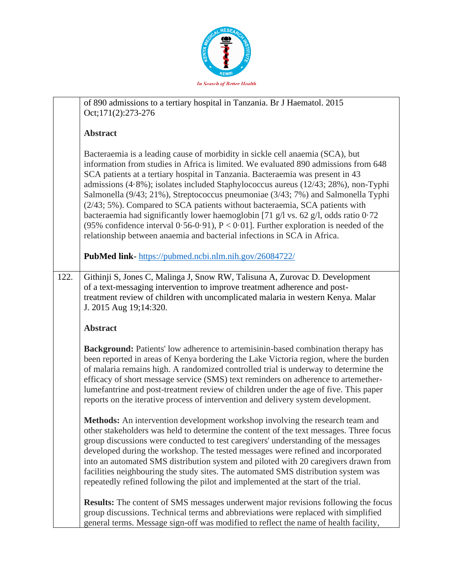

|      | of 890 admissions to a tertiary hospital in Tanzania. Br J Haematol. 2015<br>Oct;171(2):273-276                                                                                                                                                                                                                                                                                                                                                                                                                                                                                                                                                                                                                                                                                   |
|------|-----------------------------------------------------------------------------------------------------------------------------------------------------------------------------------------------------------------------------------------------------------------------------------------------------------------------------------------------------------------------------------------------------------------------------------------------------------------------------------------------------------------------------------------------------------------------------------------------------------------------------------------------------------------------------------------------------------------------------------------------------------------------------------|
|      | <b>Abstract</b>                                                                                                                                                                                                                                                                                                                                                                                                                                                                                                                                                                                                                                                                                                                                                                   |
|      | Bacteraemia is a leading cause of morbidity in sickle cell anaemia (SCA), but<br>information from studies in Africa is limited. We evaluated 890 admissions from 648<br>SCA patients at a tertiary hospital in Tanzania. Bacteraemia was present in 43<br>admissions (4.8%); isolates included Staphylococcus aureus (12/43; 28%), non-Typhi<br>Salmonella (9/43; 21%), Streptococcus pneumoniae (3/43; 7%) and Salmonella Typhi<br>(2/43; 5%). Compared to SCA patients without bacteraemia, SCA patients with<br>bacteraemia had significantly lower haemoglobin [71 g/l vs. 62 g/l, odds ratio $0.72$<br>(95% confidence interval $0.56-0.91$ ), $P < 0.01$ ]. Further exploration is needed of the<br>relationship between anaemia and bacterial infections in SCA in Africa. |
|      | PubMed link-https://pubmed.ncbi.nlm.nih.gov/26084722/                                                                                                                                                                                                                                                                                                                                                                                                                                                                                                                                                                                                                                                                                                                             |
| 122. | Githinji S, Jones C, Malinga J, Snow RW, Talisuna A, Zurovac D. Development<br>of a text-messaging intervention to improve treatment adherence and post-<br>treatment review of children with uncomplicated malaria in western Kenya. Malar<br>J. 2015 Aug 19;14:320.                                                                                                                                                                                                                                                                                                                                                                                                                                                                                                             |
|      | <b>Abstract</b>                                                                                                                                                                                                                                                                                                                                                                                                                                                                                                                                                                                                                                                                                                                                                                   |
|      | <b>Background:</b> Patients' low adherence to artemisinin-based combination therapy has<br>been reported in areas of Kenya bordering the Lake Victoria region, where the burden<br>of malaria remains high. A randomized controlled trial is underway to determine the<br>efficacy of short message service (SMS) text reminders on adherence to artemether-<br>lumefantrine and post-treatment review of children under the age of five. This paper<br>reports on the iterative process of intervention and delivery system development.                                                                                                                                                                                                                                         |
|      | Methods: An intervention development workshop involving the research team and<br>other stakeholders was held to determine the content of the text messages. Three focus<br>group discussions were conducted to test caregivers' understanding of the messages<br>developed during the workshop. The tested messages were refined and incorporated<br>into an automated SMS distribution system and piloted with 20 caregivers drawn from<br>facilities neighbouring the study sites. The automated SMS distribution system was<br>repeatedly refined following the pilot and implemented at the start of the trial.                                                                                                                                                               |
|      | <b>Results:</b> The content of SMS messages underwent major revisions following the focus<br>group discussions. Technical terms and abbreviations were replaced with simplified<br>general terms. Message sign-off was modified to reflect the name of health facility,                                                                                                                                                                                                                                                                                                                                                                                                                                                                                                           |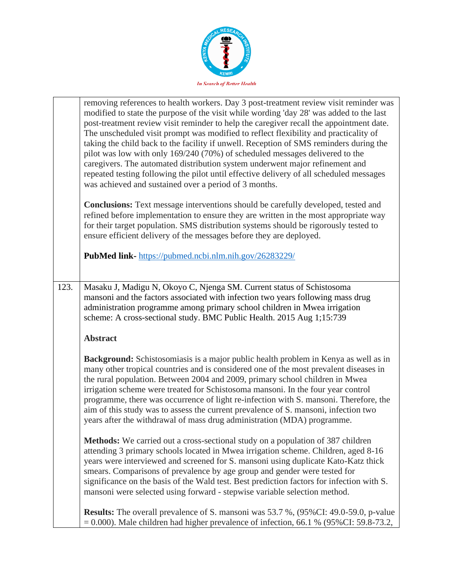

|      | removing references to health workers. Day 3 post-treatment review visit reminder was<br>modified to state the purpose of the visit while wording 'day 28' was added to the last<br>post-treatment review visit reminder to help the caregiver recall the appointment date.<br>The unscheduled visit prompt was modified to reflect flexibility and practicality of<br>taking the child back to the facility if unwell. Reception of SMS reminders during the<br>pilot was low with only 169/240 (70%) of scheduled messages delivered to the<br>caregivers. The automated distribution system underwent major refinement and<br>repeated testing following the pilot until effective delivery of all scheduled messages<br>was achieved and sustained over a period of 3 months. |
|------|-----------------------------------------------------------------------------------------------------------------------------------------------------------------------------------------------------------------------------------------------------------------------------------------------------------------------------------------------------------------------------------------------------------------------------------------------------------------------------------------------------------------------------------------------------------------------------------------------------------------------------------------------------------------------------------------------------------------------------------------------------------------------------------|
|      | Conclusions: Text message interventions should be carefully developed, tested and<br>refined before implementation to ensure they are written in the most appropriate way<br>for their target population. SMS distribution systems should be rigorously tested to<br>ensure efficient delivery of the messages before they are deployed.                                                                                                                                                                                                                                                                                                                                                                                                                                          |
|      | PubMed link- https://pubmed.ncbi.nlm.nih.gov/26283229/                                                                                                                                                                                                                                                                                                                                                                                                                                                                                                                                                                                                                                                                                                                            |
| 123. | Masaku J, Madigu N, Okoyo C, Njenga SM. Current status of Schistosoma<br>mansoni and the factors associated with infection two years following mass drug<br>administration programme among primary school children in Mwea irrigation<br>scheme: A cross-sectional study. BMC Public Health. 2015 Aug 1;15:739                                                                                                                                                                                                                                                                                                                                                                                                                                                                    |
|      | <b>Abstract</b>                                                                                                                                                                                                                                                                                                                                                                                                                                                                                                                                                                                                                                                                                                                                                                   |
|      | Background: Schistosomiasis is a major public health problem in Kenya as well as in<br>many other tropical countries and is considered one of the most prevalent diseases in<br>the rural population. Between 2004 and 2009, primary school children in Mwea<br>irrigation scheme were treated for Schistosoma mansoni. In the four year control<br>programme, there was occurrence of light re-infection with S. mansoni. Therefore, the<br>aim of this study was to assess the current prevalence of S. mansoni, infection two<br>years after the withdrawal of mass drug administration (MDA) programme.                                                                                                                                                                       |
|      | <b>Methods:</b> We carried out a cross-sectional study on a population of 387 children<br>attending 3 primary schools located in Mwea irrigation scheme. Children, aged 8-16<br>years were interviewed and screened for S. mansoni using duplicate Kato-Katz thick<br>smears. Comparisons of prevalence by age group and gender were tested for<br>significance on the basis of the Wald test. Best prediction factors for infection with S.<br>mansoni were selected using forward - stepwise variable selection method.                                                                                                                                                                                                                                                         |
|      | <b>Results:</b> The overall prevalence of S. mansoni was 53.7 %, (95%CI: 49.0-59.0, p-value<br>$= 0.000$ ). Male children had higher prevalence of infection, 66.1 % (95%CI: 59.8-73.2,                                                                                                                                                                                                                                                                                                                                                                                                                                                                                                                                                                                           |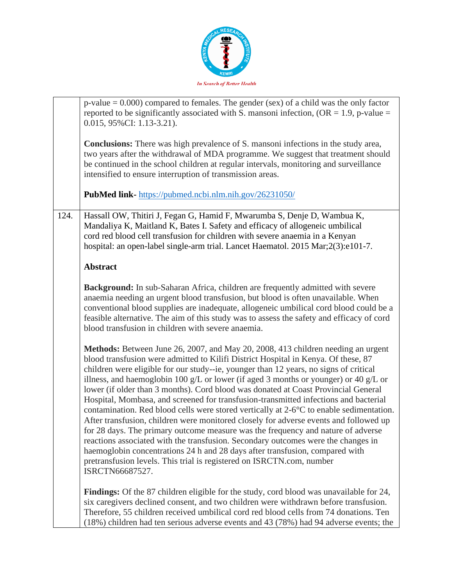

|      | $p$ -value = 0.000) compared to females. The gender (sex) of a child was the only factor<br>reported to be significantly associated with S. mansoni infection, (OR = 1.9, p-value =<br>$0.015, 95\%$ CI: 1.13-3.21).<br><b>Conclusions:</b> There was high prevalence of S. mansoni infections in the study area,<br>two years after the withdrawal of MDA programme. We suggest that treatment should<br>be continued in the school children at regular intervals, monitoring and surveillance                                                                                                                                                                                                                                                                                                                                                                                                                                                                                                                                                                                |
|------|--------------------------------------------------------------------------------------------------------------------------------------------------------------------------------------------------------------------------------------------------------------------------------------------------------------------------------------------------------------------------------------------------------------------------------------------------------------------------------------------------------------------------------------------------------------------------------------------------------------------------------------------------------------------------------------------------------------------------------------------------------------------------------------------------------------------------------------------------------------------------------------------------------------------------------------------------------------------------------------------------------------------------------------------------------------------------------|
|      | intensified to ensure interruption of transmission areas.                                                                                                                                                                                                                                                                                                                                                                                                                                                                                                                                                                                                                                                                                                                                                                                                                                                                                                                                                                                                                      |
|      | PubMed link-https://pubmed.ncbi.nlm.nih.gov/26231050/                                                                                                                                                                                                                                                                                                                                                                                                                                                                                                                                                                                                                                                                                                                                                                                                                                                                                                                                                                                                                          |
| 124. | Hassall OW, Thitiri J, Fegan G, Hamid F, Mwarumba S, Denje D, Wambua K,<br>Mandaliya K, Maitland K, Bates I. Safety and efficacy of allogeneic umbilical<br>cord red blood cell transfusion for children with severe anaemia in a Kenyan<br>hospital: an open-label single-arm trial. Lancet Haematol. 2015 Mar;2(3):e101-7.                                                                                                                                                                                                                                                                                                                                                                                                                                                                                                                                                                                                                                                                                                                                                   |
|      | <b>Abstract</b>                                                                                                                                                                                                                                                                                                                                                                                                                                                                                                                                                                                                                                                                                                                                                                                                                                                                                                                                                                                                                                                                |
|      | Background: In sub-Saharan Africa, children are frequently admitted with severe<br>anaemia needing an urgent blood transfusion, but blood is often unavailable. When<br>conventional blood supplies are inadequate, allogeneic umbilical cord blood could be a<br>feasible alternative. The aim of this study was to assess the safety and efficacy of cord<br>blood transfusion in children with severe anaemia.                                                                                                                                                                                                                                                                                                                                                                                                                                                                                                                                                                                                                                                              |
|      | Methods: Between June 26, 2007, and May 20, 2008, 413 children needing an urgent<br>blood transfusion were admitted to Kilifi District Hospital in Kenya. Of these, 87<br>children were eligible for our study--ie, younger than 12 years, no signs of critical<br>illness, and haemoglobin 100 g/L or lower (if aged 3 months or younger) or 40 g/L or<br>lower (if older than 3 months). Cord blood was donated at Coast Provincial General<br>Hospital, Mombasa, and screened for transfusion-transmitted infections and bacterial<br>contamination. Red blood cells were stored vertically at 2-6°C to enable sedimentation.<br>After transfusion, children were monitored closely for adverse events and followed up<br>for 28 days. The primary outcome measure was the frequency and nature of adverse<br>reactions associated with the transfusion. Secondary outcomes were the changes in<br>haemoglobin concentrations 24 h and 28 days after transfusion, compared with<br>pretransfusion levels. This trial is registered on ISRCTN.com, number<br>ISRCTN66687527. |
|      | <b>Findings:</b> Of the 87 children eligible for the study, cord blood was unavailable for 24,<br>six caregivers declined consent, and two children were withdrawn before transfusion.<br>Therefore, 55 children received umbilical cord red blood cells from 74 donations. Ten<br>(18%) children had ten serious adverse events and 43 (78%) had 94 adverse events; the                                                                                                                                                                                                                                                                                                                                                                                                                                                                                                                                                                                                                                                                                                       |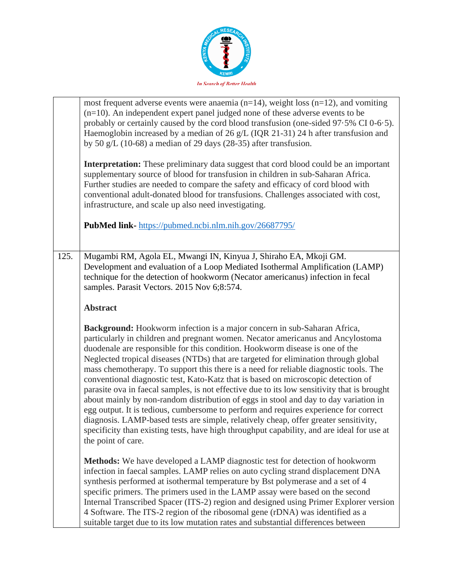

|      | most frequent adverse events were anaemia ( $n=14$ ), weight loss ( $n=12$ ), and vomiting<br>$(n=10)$ . An independent expert panel judged none of these adverse events to be<br>probably or certainly caused by the cord blood transfusion (one-sided $97.5\%$ CI 0-6.5).<br>Haemoglobin increased by a median of 26 g/L (IQR 21-31) 24 h after transfusion and<br>by 50 g/L (10-68) a median of 29 days (28-35) after transfusion.                                                                                                                                                                                                                                                                                                                                                                                                                                                                                                                                                                       |
|------|-------------------------------------------------------------------------------------------------------------------------------------------------------------------------------------------------------------------------------------------------------------------------------------------------------------------------------------------------------------------------------------------------------------------------------------------------------------------------------------------------------------------------------------------------------------------------------------------------------------------------------------------------------------------------------------------------------------------------------------------------------------------------------------------------------------------------------------------------------------------------------------------------------------------------------------------------------------------------------------------------------------|
|      | <b>Interpretation:</b> These preliminary data suggest that cord blood could be an important<br>supplementary source of blood for transfusion in children in sub-Saharan Africa.<br>Further studies are needed to compare the safety and efficacy of cord blood with<br>conventional adult-donated blood for transfusions. Challenges associated with cost,<br>infrastructure, and scale up also need investigating.                                                                                                                                                                                                                                                                                                                                                                                                                                                                                                                                                                                         |
|      | PubMed link- https://pubmed.ncbi.nlm.nih.gov/26687795/                                                                                                                                                                                                                                                                                                                                                                                                                                                                                                                                                                                                                                                                                                                                                                                                                                                                                                                                                      |
|      |                                                                                                                                                                                                                                                                                                                                                                                                                                                                                                                                                                                                                                                                                                                                                                                                                                                                                                                                                                                                             |
| 125. | Mugambi RM, Agola EL, Mwangi IN, Kinyua J, Shiraho EA, Mkoji GM.<br>Development and evaluation of a Loop Mediated Isothermal Amplification (LAMP)<br>technique for the detection of hookworm (Necator americanus) infection in fecal<br>samples. Parasit Vectors. 2015 Nov 6;8:574.                                                                                                                                                                                                                                                                                                                                                                                                                                                                                                                                                                                                                                                                                                                         |
|      | <b>Abstract</b>                                                                                                                                                                                                                                                                                                                                                                                                                                                                                                                                                                                                                                                                                                                                                                                                                                                                                                                                                                                             |
|      | Background: Hookworm infection is a major concern in sub-Saharan Africa,<br>particularly in children and pregnant women. Necator americanus and Ancylostoma<br>duodenale are responsible for this condition. Hookworm disease is one of the<br>Neglected tropical diseases (NTDs) that are targeted for elimination through global<br>mass chemotherapy. To support this there is a need for reliable diagnostic tools. The<br>conventional diagnostic test, Kato-Katz that is based on microscopic detection of<br>parasite ova in faecal samples, is not effective due to its low sensitivity that is brought<br>about mainly by non-random distribution of eggs in stool and day to day variation in<br>egg output. It is tedious, cumbersome to perform and requires experience for correct<br>diagnosis. LAMP-based tests are simple, relatively cheap, offer greater sensitivity,<br>specificity than existing tests, have high throughput capability, and are ideal for use at<br>the point of care. |
|      | <b>Methods:</b> We have developed a LAMP diagnostic test for detection of hookworm<br>infection in faecal samples. LAMP relies on auto cycling strand displacement DNA<br>synthesis performed at isothermal temperature by Bst polymerase and a set of 4<br>specific primers. The primers used in the LAMP assay were based on the second<br>Internal Transcribed Spacer (ITS-2) region and designed using Primer Explorer version<br>4 Software. The ITS-2 region of the ribosomal gene (rDNA) was identified as a<br>suitable target due to its low mutation rates and substantial differences between                                                                                                                                                                                                                                                                                                                                                                                                    |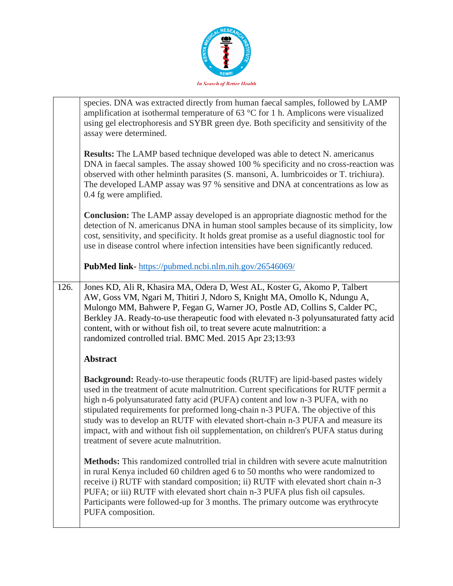

|      | species. DNA was extracted directly from human faecal samples, followed by LAMP<br>amplification at isothermal temperature of $63^{\circ}$ C for 1 h. Amplicons were visualized<br>using gel electrophoresis and SYBR green dye. Both specificity and sensitivity of the<br>assay were determined.                                                                                                                                                                                                                                                                |
|------|-------------------------------------------------------------------------------------------------------------------------------------------------------------------------------------------------------------------------------------------------------------------------------------------------------------------------------------------------------------------------------------------------------------------------------------------------------------------------------------------------------------------------------------------------------------------|
|      | <b>Results:</b> The LAMP based technique developed was able to detect N. americanus<br>DNA in faecal samples. The assay showed 100 % specificity and no cross-reaction was<br>observed with other helminth parasites (S. mansoni, A. lumbricoides or T. trichiura).<br>The developed LAMP assay was 97 % sensitive and DNA at concentrations as low as<br>0.4 fg were amplified.                                                                                                                                                                                  |
|      | <b>Conclusion:</b> The LAMP assay developed is an appropriate diagnostic method for the<br>detection of N. americanus DNA in human stool samples because of its simplicity, low<br>cost, sensitivity, and specificity. It holds great promise as a useful diagnostic tool for<br>use in disease control where infection intensities have been significantly reduced.                                                                                                                                                                                              |
|      | PubMed link-https://pubmed.ncbi.nlm.nih.gov/26546069/                                                                                                                                                                                                                                                                                                                                                                                                                                                                                                             |
| 126. | Jones KD, Ali R, Khasira MA, Odera D, West AL, Koster G, Akomo P, Talbert<br>AW, Goss VM, Ngari M, Thitiri J, Ndoro S, Knight MA, Omollo K, Ndungu A,<br>Mulongo MM, Bahwere P, Fegan G, Warner JO, Postle AD, Collins S, Calder PC,<br>Berkley JA. Ready-to-use therapeutic food with elevated n-3 polyunsaturated fatty acid<br>content, with or without fish oil, to treat severe acute malnutrition: a<br>randomized controlled trial. BMC Med. 2015 Apr 23;13:93                                                                                             |
|      | <b>Abstract</b>                                                                                                                                                                                                                                                                                                                                                                                                                                                                                                                                                   |
|      | Background: Ready-to-use therapeutic foods (RUTF) are lipid-based pastes widely<br>used in the treatment of acute malnutrition. Current specifications for RUTF permit a<br>high n-6 polyunsaturated fatty acid (PUFA) content and low n-3 PUFA, with no<br>stipulated requirements for preformed long-chain n-3 PUFA. The objective of this<br>study was to develop an RUTF with elevated short-chain n-3 PUFA and measure its<br>impact, with and without fish oil supplementation, on children's PUFA status during<br>treatment of severe acute malnutrition. |
|      | <b>Methods:</b> This randomized controlled trial in children with severe acute malnutrition<br>in rural Kenya included 60 children aged 6 to 50 months who were randomized to<br>receive i) RUTF with standard composition; ii) RUTF with elevated short chain n-3<br>PUFA; or iii) RUTF with elevated short chain n-3 PUFA plus fish oil capsules.<br>Participants were followed-up for 3 months. The primary outcome was erythrocyte<br>PUFA composition.                                                                                                       |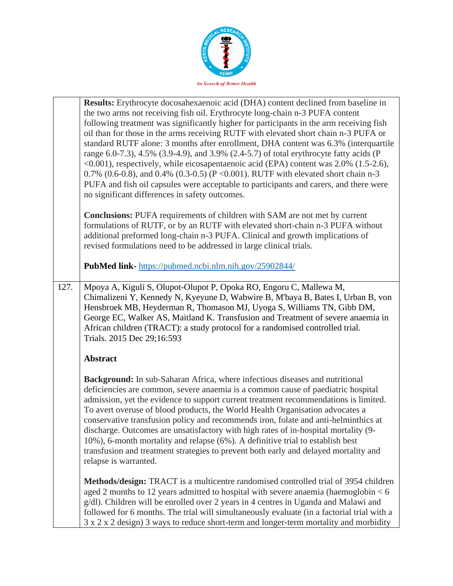

|      | Results: Erythrocyte docosahexaenoic acid (DHA) content declined from baseline in<br>the two arms not receiving fish oil. Erythrocyte long-chain n-3 PUFA content<br>following treatment was significantly higher for participants in the arm receiving fish<br>oil than for those in the arms receiving RUTF with elevated short chain n-3 PUFA or<br>standard RUTF alone: 3 months after enrollment, DHA content was 6.3% (interquartile<br>range 6.0-7.3), 4.5% (3.9-4.9), and 3.9% (2.4-5.7) of total erythrocyte fatty acids (P<br>$\leq 0.001$ ), respectively, while eicosapentaenoic acid (EPA) content was 2.0% (1.5-2.6),<br>0.7% (0.6-0.8), and 0.4% (0.3-0.5) (P < 0.001). RUTF with elevated short chain n-3<br>PUFA and fish oil capsules were acceptable to participants and carers, and there were<br>no significant differences in safety outcomes. |
|------|----------------------------------------------------------------------------------------------------------------------------------------------------------------------------------------------------------------------------------------------------------------------------------------------------------------------------------------------------------------------------------------------------------------------------------------------------------------------------------------------------------------------------------------------------------------------------------------------------------------------------------------------------------------------------------------------------------------------------------------------------------------------------------------------------------------------------------------------------------------------|
|      | <b>Conclusions:</b> PUFA requirements of children with SAM are not met by current<br>formulations of RUTF, or by an RUTF with elevated short-chain n-3 PUFA without<br>additional preformed long-chain n-3 PUFA. Clinical and growth implications of<br>revised formulations need to be addressed in large clinical trials.                                                                                                                                                                                                                                                                                                                                                                                                                                                                                                                                          |
|      | PubMed link-https://pubmed.ncbi.nlm.nih.gov/25902844/                                                                                                                                                                                                                                                                                                                                                                                                                                                                                                                                                                                                                                                                                                                                                                                                                |
| 127. | Mpoya A, Kiguli S, Olupot-Olupot P, Opoka RO, Engoru C, Mallewa M,<br>Chimalizeni Y, Kennedy N, Kyeyune D, Wabwire B, M'baya B, Bates I, Urban B, von<br>Hensbroek MB, Heyderman R, Thomason MJ, Uyoga S, Williams TN, Gibb DM,<br>George EC, Walker AS, Maitland K. Transfusion and Treatment of severe anaemia in<br>African children (TRACT): a study protocol for a randomised controlled trial.<br>Trials. 2015 Dec 29;16:593                                                                                                                                                                                                                                                                                                                                                                                                                                   |
|      | <b>Abstract</b>                                                                                                                                                                                                                                                                                                                                                                                                                                                                                                                                                                                                                                                                                                                                                                                                                                                      |
|      | Background: In sub-Saharan Africa, where infectious diseases and nutritional<br>deficiencies are common, severe anaemia is a common cause of paediatric hospital<br>admission, yet the evidence to support current treatment recommendations is limited.<br>To avert overuse of blood products, the World Health Organisation advocates a<br>conservative transfusion policy and recommends iron, folate and anti-helminthics at<br>discharge. Outcomes are unsatisfactory with high rates of in-hospital mortality (9-<br>10%), 6-month mortality and relapse (6%). A definitive trial to establish best<br>transfusion and treatment strategies to prevent both early and delayed mortality and<br>relapse is warranted.                                                                                                                                           |
|      | <b>Methods/design:</b> TRACT is a multicentre randomised controlled trial of 3954 children<br>aged 2 months to 12 years admitted to hospital with severe anaemia (haemoglobin $<$ 6<br>g/dl). Children will be enrolled over 2 years in 4 centres in Uganda and Malawi and<br>followed for 6 months. The trial will simultaneously evaluate (in a factorial trial with a<br>3 x 2 x 2 design) 3 ways to reduce short-term and longer-term mortality and morbidity                                                                                                                                                                                                                                                                                                                                                                                                    |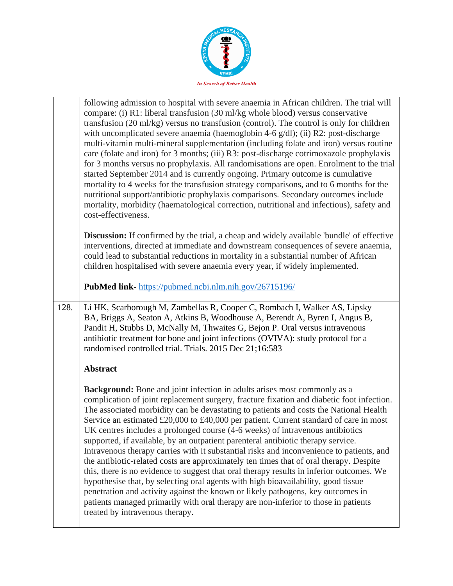

|      | following admission to hospital with severe anaemia in African children. The trial will<br>compare: (i) R1: liberal transfusion (30 ml/kg whole blood) versus conservative<br>transfusion (20 ml/kg) versus no transfusion (control). The control is only for children<br>with uncomplicated severe anaemia (haemoglobin 4-6 g/dl); (ii) R2: post-discharge<br>multi-vitamin multi-mineral supplementation (including folate and iron) versus routine<br>care (folate and iron) for 3 months; (iii) R3: post-discharge cotrimoxazole prophylaxis<br>for 3 months versus no prophylaxis. All randomisations are open. Enrolment to the trial<br>started September 2014 and is currently ongoing. Primary outcome is cumulative<br>mortality to 4 weeks for the transfusion strategy comparisons, and to 6 months for the<br>nutritional support/antibiotic prophylaxis comparisons. Secondary outcomes include<br>mortality, morbidity (haematological correction, nutritional and infectious), safety and<br>cost-effectiveness.                                                                                       |
|------|------------------------------------------------------------------------------------------------------------------------------------------------------------------------------------------------------------------------------------------------------------------------------------------------------------------------------------------------------------------------------------------------------------------------------------------------------------------------------------------------------------------------------------------------------------------------------------------------------------------------------------------------------------------------------------------------------------------------------------------------------------------------------------------------------------------------------------------------------------------------------------------------------------------------------------------------------------------------------------------------------------------------------------------------------------------------------------------------------------------------|
|      | <b>Discussion:</b> If confirmed by the trial, a cheap and widely available 'bundle' of effective<br>interventions, directed at immediate and downstream consequences of severe anaemia,<br>could lead to substantial reductions in mortality in a substantial number of African<br>children hospitalised with severe anaemia every year, if widely implemented.                                                                                                                                                                                                                                                                                                                                                                                                                                                                                                                                                                                                                                                                                                                                                        |
|      | <b>PubMed link-</b> https://pubmed.ncbi.nlm.nih.gov/26715196/                                                                                                                                                                                                                                                                                                                                                                                                                                                                                                                                                                                                                                                                                                                                                                                                                                                                                                                                                                                                                                                          |
| 128. | Li HK, Scarborough M, Zambellas R, Cooper C, Rombach I, Walker AS, Lipsky<br>BA, Briggs A, Seaton A, Atkins B, Woodhouse A, Berendt A, Byren I, Angus B,<br>Pandit H, Stubbs D, McNally M, Thwaites G, Bejon P. Oral versus intravenous<br>antibiotic treatment for bone and joint infections (OVIVA): study protocol for a<br>randomised controlled trial. Trials. 2015 Dec 21;16:583                                                                                                                                                                                                                                                                                                                                                                                                                                                                                                                                                                                                                                                                                                                                 |
|      | <b>Abstract</b>                                                                                                                                                                                                                                                                                                                                                                                                                                                                                                                                                                                                                                                                                                                                                                                                                                                                                                                                                                                                                                                                                                        |
|      | <b>Background:</b> Bone and joint infection in adults arises most commonly as a<br>complication of joint replacement surgery, fracture fixation and diabetic foot infection.<br>The associated morbidity can be devastating to patients and costs the National Health<br>Service an estimated £20,000 to £40,000 per patient. Current standard of care in most<br>UK centres includes a prolonged course (4-6 weeks) of intravenous antibiotics<br>supported, if available, by an outpatient parenteral antibiotic therapy service.<br>Intravenous therapy carries with it substantial risks and inconvenience to patients, and<br>the antibiotic-related costs are approximately ten times that of oral therapy. Despite<br>this, there is no evidence to suggest that oral therapy results in inferior outcomes. We<br>hypothesise that, by selecting oral agents with high bioavailability, good tissue<br>penetration and activity against the known or likely pathogens, key outcomes in<br>patients managed primarily with oral therapy are non-inferior to those in patients<br>treated by intravenous therapy. |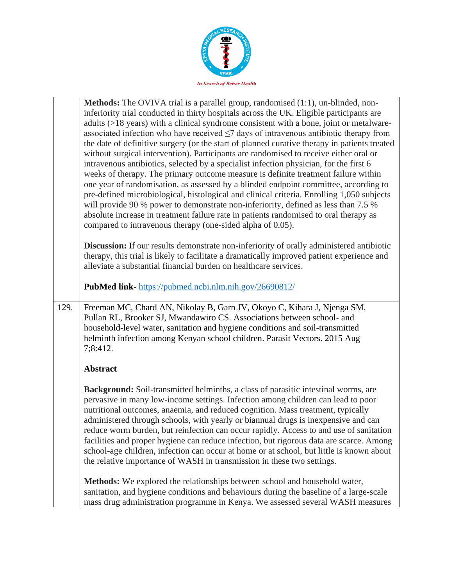

|      | Methods: The OVIVA trial is a parallel group, randomised (1:1), un-blinded, non-<br>inferiority trial conducted in thirty hospitals across the UK. Eligible participants are<br>adults $($ >18 years) with a clinical syndrome consistent with a bone, joint or metalware-<br>associated infection who have received $\leq$ 7 days of intravenous antibiotic therapy from<br>the date of definitive surgery (or the start of planned curative therapy in patients treated<br>without surgical intervention). Participants are randomised to receive either oral or<br>intravenous antibiotics, selected by a specialist infection physician, for the first 6<br>weeks of therapy. The primary outcome measure is definite treatment failure within<br>one year of randomisation, as assessed by a blinded endpoint committee, according to<br>pre-defined microbiological, histological and clinical criteria. Enrolling 1,050 subjects<br>will provide 90 % power to demonstrate non-inferiority, defined as less than 7.5 %<br>absolute increase in treatment failure rate in patients randomised to oral therapy as<br>compared to intravenous therapy (one-sided alpha of 0.05). |
|------|--------------------------------------------------------------------------------------------------------------------------------------------------------------------------------------------------------------------------------------------------------------------------------------------------------------------------------------------------------------------------------------------------------------------------------------------------------------------------------------------------------------------------------------------------------------------------------------------------------------------------------------------------------------------------------------------------------------------------------------------------------------------------------------------------------------------------------------------------------------------------------------------------------------------------------------------------------------------------------------------------------------------------------------------------------------------------------------------------------------------------------------------------------------------------------------|
|      | <b>Discussion:</b> If our results demonstrate non-inferiority of orally administered antibiotic<br>therapy, this trial is likely to facilitate a dramatically improved patient experience and<br>alleviate a substantial financial burden on healthcare services.                                                                                                                                                                                                                                                                                                                                                                                                                                                                                                                                                                                                                                                                                                                                                                                                                                                                                                                    |
|      | PubMed link-https://pubmed.ncbi.nlm.nih.gov/26690812/                                                                                                                                                                                                                                                                                                                                                                                                                                                                                                                                                                                                                                                                                                                                                                                                                                                                                                                                                                                                                                                                                                                                |
| 129. | Freeman MC, Chard AN, Nikolay B, Garn JV, Okoyo C, Kihara J, Njenga SM,<br>Pullan RL, Brooker SJ, Mwandawiro CS. Associations between school- and<br>household-level water, sanitation and hygiene conditions and soil-transmitted<br>helminth infection among Kenyan school children. Parasit Vectors. 2015 Aug<br>7;8:412.                                                                                                                                                                                                                                                                                                                                                                                                                                                                                                                                                                                                                                                                                                                                                                                                                                                         |
|      | Abstract                                                                                                                                                                                                                                                                                                                                                                                                                                                                                                                                                                                                                                                                                                                                                                                                                                                                                                                                                                                                                                                                                                                                                                             |
|      | Background: Soil-transmitted helminths, a class of parasitic intestinal worms, are<br>pervasive in many low-income settings. Infection among children can lead to poor<br>nutritional outcomes, anaemia, and reduced cognition. Mass treatment, typically<br>administered through schools, with yearly or biannual drugs is inexpensive and can<br>reduce worm burden, but reinfection can occur rapidly. Access to and use of sanitation<br>facilities and proper hygiene can reduce infection, but rigorous data are scarce. Among<br>school-age children, infection can occur at home or at school, but little is known about<br>the relative importance of WASH in transmission in these two settings.                                                                                                                                                                                                                                                                                                                                                                                                                                                                           |
|      | Methods: We explored the relationships between school and household water,<br>sanitation, and hygiene conditions and behaviours during the baseline of a large-scale<br>mass drug administration programme in Kenya. We assessed several WASH measures                                                                                                                                                                                                                                                                                                                                                                                                                                                                                                                                                                                                                                                                                                                                                                                                                                                                                                                               |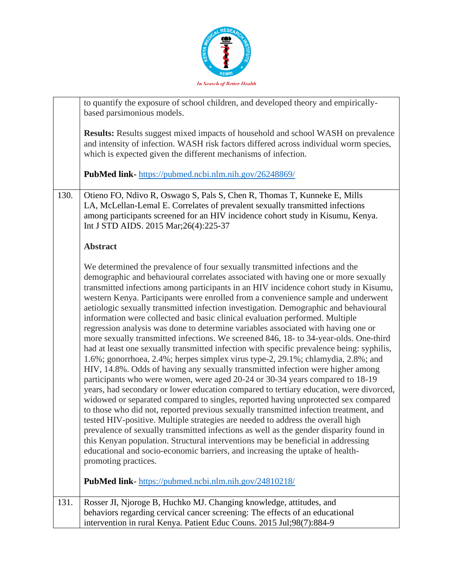

|      | to quantify the exposure of school children, and developed theory and empirically-                                                                                                                                                                                                                                                                                                                                                                                                                                                                                                                                                                                                                                                                                                                                                                                                                                                                                                                                                                                                                                                                                                                                                                                                                                                                                                                                                                                                                                                                                                                                                                                                                             |
|------|----------------------------------------------------------------------------------------------------------------------------------------------------------------------------------------------------------------------------------------------------------------------------------------------------------------------------------------------------------------------------------------------------------------------------------------------------------------------------------------------------------------------------------------------------------------------------------------------------------------------------------------------------------------------------------------------------------------------------------------------------------------------------------------------------------------------------------------------------------------------------------------------------------------------------------------------------------------------------------------------------------------------------------------------------------------------------------------------------------------------------------------------------------------------------------------------------------------------------------------------------------------------------------------------------------------------------------------------------------------------------------------------------------------------------------------------------------------------------------------------------------------------------------------------------------------------------------------------------------------------------------------------------------------------------------------------------------------|
|      | based parsimonious models.                                                                                                                                                                                                                                                                                                                                                                                                                                                                                                                                                                                                                                                                                                                                                                                                                                                                                                                                                                                                                                                                                                                                                                                                                                                                                                                                                                                                                                                                                                                                                                                                                                                                                     |
|      | <b>Results:</b> Results suggest mixed impacts of household and school WASH on prevalence<br>and intensity of infection. WASH risk factors differed across individual worm species,<br>which is expected given the different mechanisms of infection.                                                                                                                                                                                                                                                                                                                                                                                                                                                                                                                                                                                                                                                                                                                                                                                                                                                                                                                                                                                                                                                                                                                                                                                                                                                                                                                                                                                                                                                           |
|      | PubMed link- https://pubmed.ncbi.nlm.nih.gov/26248869/                                                                                                                                                                                                                                                                                                                                                                                                                                                                                                                                                                                                                                                                                                                                                                                                                                                                                                                                                                                                                                                                                                                                                                                                                                                                                                                                                                                                                                                                                                                                                                                                                                                         |
| 130. | Otieno FO, Ndivo R, Oswago S, Pals S, Chen R, Thomas T, Kunneke E, Mills<br>LA, McLellan-Lemal E. Correlates of prevalent sexually transmitted infections<br>among participants screened for an HIV incidence cohort study in Kisumu, Kenya.<br>Int J STD AIDS. 2015 Mar; 26(4): 225-37                                                                                                                                                                                                                                                                                                                                                                                                                                                                                                                                                                                                                                                                                                                                                                                                                                                                                                                                                                                                                                                                                                                                                                                                                                                                                                                                                                                                                        |
|      | <b>Abstract</b>                                                                                                                                                                                                                                                                                                                                                                                                                                                                                                                                                                                                                                                                                                                                                                                                                                                                                                                                                                                                                                                                                                                                                                                                                                                                                                                                                                                                                                                                                                                                                                                                                                                                                                |
|      | We determined the prevalence of four sexually transmitted infections and the<br>demographic and behavioural correlates associated with having one or more sexually<br>transmitted infections among participants in an HIV incidence cohort study in Kisumu,<br>western Kenya. Participants were enrolled from a convenience sample and underwent<br>aetiologic sexually transmitted infection investigation. Demographic and behavioural<br>information were collected and basic clinical evaluation performed. Multiple<br>regression analysis was done to determine variables associated with having one or<br>more sexually transmitted infections. We screened 846, 18- to 34-year-olds. One-third<br>had at least one sexually transmitted infection with specific prevalence being: syphilis,<br>1.6%; gonorrhoea, 2.4%; herpes simplex virus type-2, 29.1%; chlamydia, 2.8%; and<br>HIV, 14.8%. Odds of having any sexually transmitted infection were higher among<br>participants who were women, were aged 20-24 or 30-34 years compared to 18-19<br>years, had secondary or lower education compared to tertiary education, were divorced,<br>widowed or separated compared to singles, reported having unprotected sex compared<br>to those who did not, reported previous sexually transmitted infection treatment, and<br>tested HIV-positive. Multiple strategies are needed to address the overall high<br>prevalence of sexually transmitted infections as well as the gender disparity found in<br>this Kenyan population. Structural interventions may be beneficial in addressing<br>educational and socio-economic barriers, and increasing the uptake of health-<br>promoting practices. |
|      | <b>PubMed link-</b> https://pubmed.ncbi.nlm.nih.gov/24810218/                                                                                                                                                                                                                                                                                                                                                                                                                                                                                                                                                                                                                                                                                                                                                                                                                                                                                                                                                                                                                                                                                                                                                                                                                                                                                                                                                                                                                                                                                                                                                                                                                                                  |
| 131. | Rosser JI, Njoroge B, Huchko MJ. Changing knowledge, attitudes, and<br>behaviors regarding cervical cancer screening: The effects of an educational<br>intervention in rural Kenya. Patient Educ Couns. 2015 Jul;98(7):884-9                                                                                                                                                                                                                                                                                                                                                                                                                                                                                                                                                                                                                                                                                                                                                                                                                                                                                                                                                                                                                                                                                                                                                                                                                                                                                                                                                                                                                                                                                   |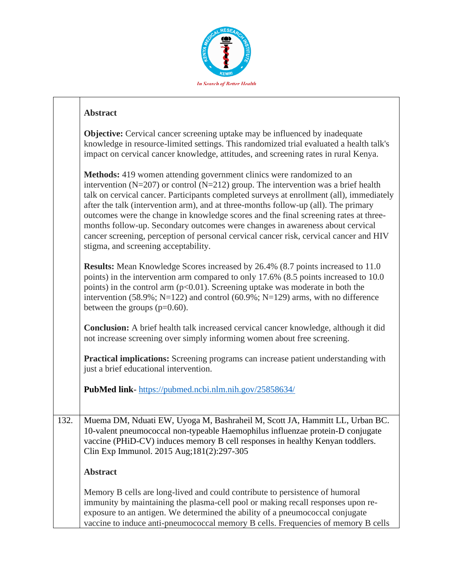

|      | <b>Abstract</b>                                                                                                                                                                                                                                                                                                                                                                                                                                                                                                                                                                                                                                           |
|------|-----------------------------------------------------------------------------------------------------------------------------------------------------------------------------------------------------------------------------------------------------------------------------------------------------------------------------------------------------------------------------------------------------------------------------------------------------------------------------------------------------------------------------------------------------------------------------------------------------------------------------------------------------------|
|      | <b>Objective:</b> Cervical cancer screening uptake may be influenced by inadequate<br>knowledge in resource-limited settings. This randomized trial evaluated a health talk's<br>impact on cervical cancer knowledge, attitudes, and screening rates in rural Kenya.                                                                                                                                                                                                                                                                                                                                                                                      |
|      | Methods: 419 women attending government clinics were randomized to an<br>intervention (N=207) or control (N=212) group. The intervention was a brief health<br>talk on cervical cancer. Participants completed surveys at enrollment (all), immediately<br>after the talk (intervention arm), and at three-months follow-up (all). The primary<br>outcomes were the change in knowledge scores and the final screening rates at three-<br>months follow-up. Secondary outcomes were changes in awareness about cervical<br>cancer screening, perception of personal cervical cancer risk, cervical cancer and HIV<br>stigma, and screening acceptability. |
|      | <b>Results:</b> Mean Knowledge Scores increased by 26.4% (8.7 points increased to 11.0)<br>points) in the intervention arm compared to only 17.6% (8.5 points increased to 10.0<br>points) in the control arm ( $p<0.01$ ). Screening uptake was moderate in both the<br>intervention $(58.9\%; N=122)$ and control $(60.9\%; N=129)$ arms, with no difference<br>between the groups $(p=0.60)$ .                                                                                                                                                                                                                                                         |
|      | <b>Conclusion:</b> A brief health talk increased cervical cancer knowledge, although it did<br>not increase screening over simply informing women about free screening.                                                                                                                                                                                                                                                                                                                                                                                                                                                                                   |
|      | Practical implications: Screening programs can increase patient understanding with<br>just a brief educational intervention.                                                                                                                                                                                                                                                                                                                                                                                                                                                                                                                              |
|      | PubMed link-https://pubmed.ncbi.nlm.nih.gov/25858634/                                                                                                                                                                                                                                                                                                                                                                                                                                                                                                                                                                                                     |
| 132. | Muema DM, Nduati EW, Uyoga M, Bashraheil M, Scott JA, Hammitt LL, Urban BC.<br>10-valent pneumococcal non-typeable Haemophilus influenzae protein-D conjugate<br>vaccine (PHiD-CV) induces memory B cell responses in healthy Kenyan toddlers.<br>Clin Exp Immunol. 2015 Aug;181(2):297-305                                                                                                                                                                                                                                                                                                                                                               |
|      | <b>Abstract</b>                                                                                                                                                                                                                                                                                                                                                                                                                                                                                                                                                                                                                                           |
|      | Memory B cells are long-lived and could contribute to persistence of humoral<br>immunity by maintaining the plasma-cell pool or making recall responses upon re-<br>exposure to an antigen. We determined the ability of a pneumococcal conjugate<br>vaccine to induce anti-pneumococcal memory B cells. Frequencies of memory B cells                                                                                                                                                                                                                                                                                                                    |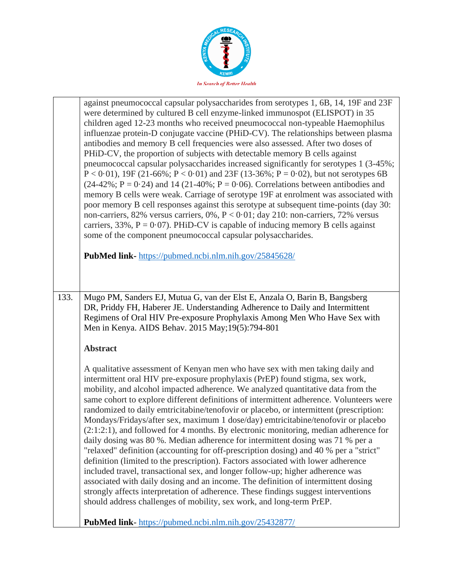

|      | against pneumococcal capsular polysaccharides from serotypes 1, 6B, 14, 19F and 23F<br>were determined by cultured B cell enzyme-linked immunospot (ELISPOT) in 35<br>children aged 12-23 months who received pneumococcal non-typeable Haemophilus<br>influenzae protein-D conjugate vaccine (PHiD-CV). The relationships between plasma<br>antibodies and memory B cell frequencies were also assessed. After two doses of<br>PHiD-CV, the proportion of subjects with detectable memory B cells against<br>pneumococcal capsular polysaccharides increased significantly for serotypes 1 (3-45%;<br>$P < 0.01$ ), 19F (21-66%; $P < 0.01$ ) and 23F (13-36%; $P = 0.02$ ), but not serotypes 6B<br>$(24-42\%; P = 0.24)$ and 14 (21-40%; P = 0.06). Correlations between antibodies and<br>memory B cells were weak. Carriage of serotype 19F at enrolment was associated with<br>poor memory B cell responses against this serotype at subsequent time-points (day 30:<br>non-carriers, 82% versus carriers, $0\%$ , $P < 0.01$ ; day 210: non-carriers, 72% versus<br>carriers, 33%, $P = 0.07$ ). PHiD-CV is capable of inducing memory B cells against<br>some of the component pneumococcal capsular polysaccharides.<br>PubMed link-https://pubmed.ncbi.nlm.nih.gov/25845628/     |
|------|--------------------------------------------------------------------------------------------------------------------------------------------------------------------------------------------------------------------------------------------------------------------------------------------------------------------------------------------------------------------------------------------------------------------------------------------------------------------------------------------------------------------------------------------------------------------------------------------------------------------------------------------------------------------------------------------------------------------------------------------------------------------------------------------------------------------------------------------------------------------------------------------------------------------------------------------------------------------------------------------------------------------------------------------------------------------------------------------------------------------------------------------------------------------------------------------------------------------------------------------------------------------------------------------|
| 133. | Mugo PM, Sanders EJ, Mutua G, van der Elst E, Anzala O, Barin B, Bangsberg<br>DR, Priddy FH, Haberer JE. Understanding Adherence to Daily and Intermittent<br>Regimens of Oral HIV Pre-exposure Prophylaxis Among Men Who Have Sex with<br>Men in Kenya. AIDS Behav. 2015 May;19(5):794-801                                                                                                                                                                                                                                                                                                                                                                                                                                                                                                                                                                                                                                                                                                                                                                                                                                                                                                                                                                                                |
|      | <b>Abstract</b>                                                                                                                                                                                                                                                                                                                                                                                                                                                                                                                                                                                                                                                                                                                                                                                                                                                                                                                                                                                                                                                                                                                                                                                                                                                                            |
|      | A qualitative assessment of Kenyan men who have sex with men taking daily and<br>intermittent oral HIV pre-exposure prophylaxis (PrEP) found stigma, sex work,<br>mobility, and alcohol impacted adherence. We analyzed quantitative data from the<br>same cohort to explore different definitions of intermittent adherence. Volunteers were<br>randomized to daily emtricitabine/tenofovir or placebo, or intermittent (prescription:<br>Mondays/Fridays/after sex, maximum 1 dose/day) emtricitabine/tenofovir or placebo<br>(2:1:2:1), and followed for 4 months. By electronic monitoring, median adherence for<br>daily dosing was 80 %. Median adherence for intermittent dosing was 71 % per a<br>"relaxed" definition (accounting for off-prescription dosing) and 40 % per a "strict"<br>definition (limited to the prescription). Factors associated with lower adherence<br>included travel, transactional sex, and longer follow-up; higher adherence was<br>associated with daily dosing and an income. The definition of intermittent dosing<br>strongly affects interpretation of adherence. These findings suggest interventions<br>should address challenges of mobility, sex work, and long-term PrEP.<br><b>PubMed link-</b> https://pubmed.ncbi.nlm.nih.gov/25432877/ |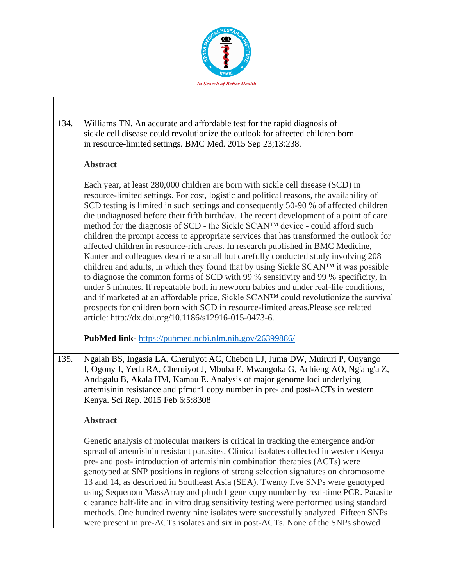

| 134. | Williams TN. An accurate and affordable test for the rapid diagnosis of<br>sickle cell disease could revolutionize the outlook for affected children born<br>in resource-limited settings. BMC Med. 2015 Sep 23;13:238.                                                                                                                                                                                                                                                                                                                                                                                                                                                                                                                                                                                                                                                                                                                                                                                                                                                                                                                                                                                                               |
|------|---------------------------------------------------------------------------------------------------------------------------------------------------------------------------------------------------------------------------------------------------------------------------------------------------------------------------------------------------------------------------------------------------------------------------------------------------------------------------------------------------------------------------------------------------------------------------------------------------------------------------------------------------------------------------------------------------------------------------------------------------------------------------------------------------------------------------------------------------------------------------------------------------------------------------------------------------------------------------------------------------------------------------------------------------------------------------------------------------------------------------------------------------------------------------------------------------------------------------------------|
|      | <b>Abstract</b>                                                                                                                                                                                                                                                                                                                                                                                                                                                                                                                                                                                                                                                                                                                                                                                                                                                                                                                                                                                                                                                                                                                                                                                                                       |
|      | Each year, at least 280,000 children are born with sickle cell disease (SCD) in<br>resource-limited settings. For cost, logistic and political reasons, the availability of<br>SCD testing is limited in such settings and consequently 50-90 % of affected children<br>die undiagnosed before their fifth birthday. The recent development of a point of care<br>method for the diagnosis of SCD - the Sickle SCANTM device - could afford such<br>children the prompt access to appropriate services that has transformed the outlook for<br>affected children in resource-rich areas. In research published in BMC Medicine,<br>Kanter and colleagues describe a small but carefully conducted study involving 208<br>children and adults, in which they found that by using Sickle SCANTM it was possible<br>to diagnose the common forms of SCD with 99 % sensitivity and 99 % specificity, in<br>under 5 minutes. If repeatable both in newborn babies and under real-life conditions,<br>and if marketed at an affordable price, Sickle SCANTM could revolutionize the survival<br>prospects for children born with SCD in resource-limited areas. Please see related<br>article: http://dx.doi.org/10.1186/s12916-015-0473-6. |
|      | PubMed link-https://pubmed.ncbi.nlm.nih.gov/26399886/                                                                                                                                                                                                                                                                                                                                                                                                                                                                                                                                                                                                                                                                                                                                                                                                                                                                                                                                                                                                                                                                                                                                                                                 |
| 135. | Ngalah BS, Ingasia LA, Cheruiyot AC, Chebon LJ, Juma DW, Muiruri P, Onyango<br>I, Ogony J, Yeda RA, Cheruiyot J, Mbuba E, Mwangoka G, Achieng AO, Ng'ang'a Z,<br>Andagalu B, Akala HM, Kamau E. Analysis of major genome loci underlying<br>artemisinin resistance and pfmdr1 copy number in pre- and post-ACTs in western<br>Kenya. Sci Rep. 2015 Feb 6;5:8308                                                                                                                                                                                                                                                                                                                                                                                                                                                                                                                                                                                                                                                                                                                                                                                                                                                                       |
|      | <b>Abstract</b>                                                                                                                                                                                                                                                                                                                                                                                                                                                                                                                                                                                                                                                                                                                                                                                                                                                                                                                                                                                                                                                                                                                                                                                                                       |
|      | Genetic analysis of molecular markers is critical in tracking the emergence and/or<br>spread of artemisinin resistant parasites. Clinical isolates collected in western Kenya<br>pre- and post- introduction of artemisinin combination therapies (ACTs) were<br>genotyped at SNP positions in regions of strong selection signatures on chromosome<br>13 and 14, as described in Southeast Asia (SEA). Twenty five SNPs were genotyped<br>using Sequenom MassArray and pfmdr1 gene copy number by real-time PCR. Parasite<br>clearance half-life and in vitro drug sensitivity testing were performed using standard<br>methods. One hundred twenty nine isolates were successfully analyzed. Fifteen SNPs<br>were present in pre-ACTs isolates and six in post-ACTs. None of the SNPs showed                                                                                                                                                                                                                                                                                                                                                                                                                                        |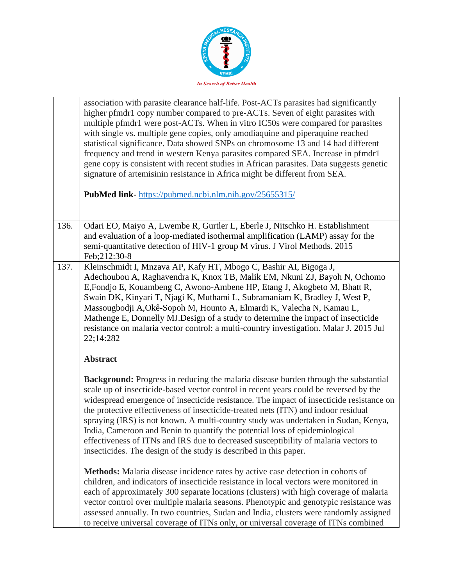

|      | association with parasite clearance half-life. Post-ACTs parasites had significantly<br>higher pfmdr1 copy number compared to pre-ACTs. Seven of eight parasites with<br>multiple pfmdr1 were post-ACTs. When in vitro IC50s were compared for parasites<br>with single vs. multiple gene copies, only amodiaquine and piperaquine reached<br>statistical significance. Data showed SNPs on chromosome 13 and 14 had different<br>frequency and trend in western Kenya parasites compared SEA. Increase in pfmdr1<br>gene copy is consistent with recent studies in African parasites. Data suggests genetic<br>signature of artemisinin resistance in Africa might be different from SEA.            |
|------|-------------------------------------------------------------------------------------------------------------------------------------------------------------------------------------------------------------------------------------------------------------------------------------------------------------------------------------------------------------------------------------------------------------------------------------------------------------------------------------------------------------------------------------------------------------------------------------------------------------------------------------------------------------------------------------------------------|
|      | PubMed link-https://pubmed.ncbi.nlm.nih.gov/25655315/                                                                                                                                                                                                                                                                                                                                                                                                                                                                                                                                                                                                                                                 |
| 136. | Odari EO, Maiyo A, Lwembe R, Gurtler L, Eberle J, Nitschko H. Establishment<br>and evaluation of a loop-mediated isothermal amplification (LAMP) assay for the<br>semi-quantitative detection of HIV-1 group M virus. J Virol Methods. 2015<br>Feb; 212:30-8                                                                                                                                                                                                                                                                                                                                                                                                                                          |
| 137. | Kleinschmidt I, Mnzava AP, Kafy HT, Mbogo C, Bashir AI, Bigoga J,<br>Adechoubou A, Raghavendra K, Knox TB, Malik EM, Nkuni ZJ, Bayoh N, Ochomo<br>E, Fondjo E, Kouambeng C, Awono-Ambene HP, Etang J, Akogbeto M, Bhatt R,<br>Swain DK, Kinyari T, Njagi K, Muthami L, Subramaniam K, Bradley J, West P,<br>Massougbodji A, Okê-Sopoh M, Hounto A, Elmardi K, Valecha N, Kamau L,<br>Mathenge E, Donnelly MJ. Design of a study to determine the impact of insecticide<br>resistance on malaria vector control: a multi-country investigation. Malar J. 2015 Jul<br>22;14:282                                                                                                                         |
|      | <b>Abstract</b>                                                                                                                                                                                                                                                                                                                                                                                                                                                                                                                                                                                                                                                                                       |
|      | <b>Background:</b> Progress in reducing the malaria disease burden through the substantial<br>scale up of insecticide-based vector control in recent years could be reversed by the<br>widespread emergence of insecticide resistance. The impact of insecticide resistance on<br>the protective effectiveness of insecticide-treated nets (ITN) and indoor residual<br>spraying (IRS) is not known. A multi-country study was undertaken in Sudan, Kenya,<br>India, Cameroon and Benin to quantify the potential loss of epidemiological<br>effectiveness of ITNs and IRS due to decreased susceptibility of malaria vectors to<br>insecticides. The design of the study is described in this paper. |
|      | Methods: Malaria disease incidence rates by active case detection in cohorts of<br>children, and indicators of insecticide resistance in local vectors were monitored in<br>each of approximately 300 separate locations (clusters) with high coverage of malaria<br>vector control over multiple malaria seasons. Phenotypic and genotypic resistance was<br>assessed annually. In two countries, Sudan and India, clusters were randomly assigned<br>to receive universal coverage of ITNs only, or universal coverage of ITNs combined                                                                                                                                                             |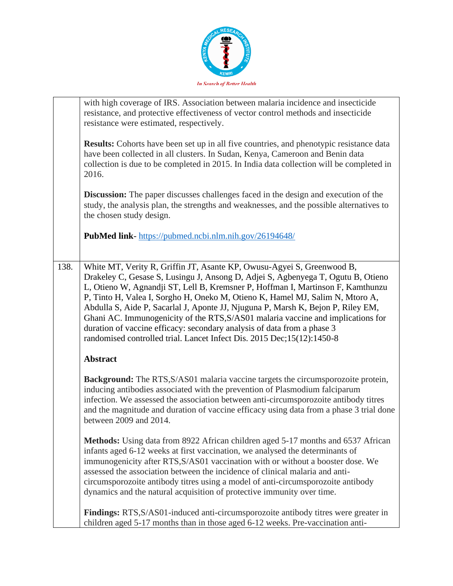

|      | with high coverage of IRS. Association between malaria incidence and insecticide<br>resistance, and protective effectiveness of vector control methods and insecticide<br>resistance were estimated, respectively.                                                                                                                                                                                                                                                                                                                                                                                                                                          |
|------|-------------------------------------------------------------------------------------------------------------------------------------------------------------------------------------------------------------------------------------------------------------------------------------------------------------------------------------------------------------------------------------------------------------------------------------------------------------------------------------------------------------------------------------------------------------------------------------------------------------------------------------------------------------|
|      | <b>Results:</b> Cohorts have been set up in all five countries, and phenotypic resistance data<br>have been collected in all clusters. In Sudan, Kenya, Cameroon and Benin data<br>collection is due to be completed in 2015. In India data collection will be completed in<br>2016.                                                                                                                                                                                                                                                                                                                                                                        |
|      | Discussion: The paper discusses challenges faced in the design and execution of the<br>study, the analysis plan, the strengths and weaknesses, and the possible alternatives to<br>the chosen study design.                                                                                                                                                                                                                                                                                                                                                                                                                                                 |
|      | <b>PubMed link-</b> https://pubmed.ncbi.nlm.nih.gov/26194648/                                                                                                                                                                                                                                                                                                                                                                                                                                                                                                                                                                                               |
| 138. | White MT, Verity R, Griffin JT, Asante KP, Owusu-Agyei S, Greenwood B,<br>Drakeley C, Gesase S, Lusingu J, Ansong D, Adjei S, Agbenyega T, Ogutu B, Otieno<br>L, Otieno W, Agnandji ST, Lell B, Kremsner P, Hoffman I, Martinson F, Kamthunzu<br>P, Tinto H, Valea I, Sorgho H, Oneko M, Otieno K, Hamel MJ, Salim N, Mtoro A,<br>Abdulla S, Aide P, Sacarlal J, Aponte JJ, Njuguna P, Marsh K, Bejon P, Riley EM,<br>Ghani AC. Immunogenicity of the RTS, S/AS01 malaria vaccine and implications for<br>duration of vaccine efficacy: secondary analysis of data from a phase 3<br>randomised controlled trial. Lancet Infect Dis. 2015 Dec;15(12):1450-8 |
|      | <b>Abstract</b>                                                                                                                                                                                                                                                                                                                                                                                                                                                                                                                                                                                                                                             |
|      | Background: The RTS, S/AS01 malaria vaccine targets the circumsporozoite protein,<br>inducing antibodies associated with the prevention of Plasmodium falciparum<br>infection. We assessed the association between anti-circumsporozoite antibody titres<br>and the magnitude and duration of vaccine efficacy using data from a phase 3 trial done<br>between 2009 and 2014.                                                                                                                                                                                                                                                                               |
|      | <b>Methods:</b> Using data from 8922 African children aged 5-17 months and 6537 African<br>infants aged 6-12 weeks at first vaccination, we analysed the determinants of<br>immunogenicity after RTS, S/AS01 vaccination with or without a booster dose. We<br>assessed the association between the incidence of clinical malaria and anti-<br>circumsporozoite antibody titres using a model of anti-circumsporozoite antibody<br>dynamics and the natural acquisition of protective immunity over time.                                                                                                                                                   |
|      | <b>Findings:</b> RTS, S/AS01-induced anti-circumsporozoite antibody titres were greater in<br>children aged 5-17 months than in those aged 6-12 weeks. Pre-vaccination anti-                                                                                                                                                                                                                                                                                                                                                                                                                                                                                |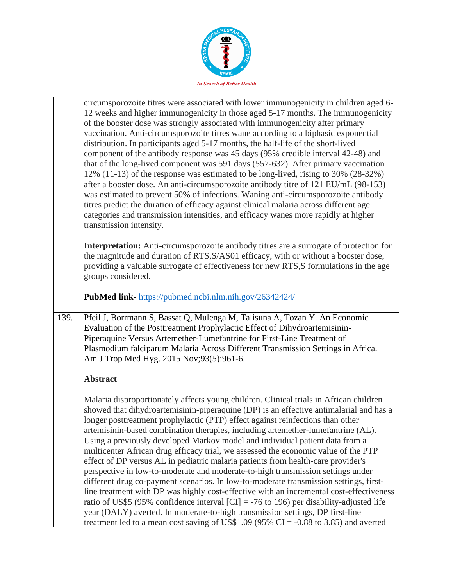

|      | circumsporozoite titres were associated with lower immunogenicity in children aged 6-<br>12 weeks and higher immunogenicity in those aged 5-17 months. The immunogenicity<br>of the booster dose was strongly associated with immunogenicity after primary<br>vaccination. Anti-circumsporozoite titres wane according to a biphasic exponential<br>distribution. In participants aged 5-17 months, the half-life of the short-lived<br>component of the antibody response was 45 days (95% credible interval 42-48) and<br>that of the long-lived component was 591 days (557-632). After primary vaccination<br>12% (11-13) of the response was estimated to be long-lived, rising to 30% (28-32%)<br>after a booster dose. An anti-circumsporozoite antibody titre of 121 EU/mL (98-153)<br>was estimated to prevent 50% of infections. Waning anti-circumsporozoite antibody<br>titres predict the duration of efficacy against clinical malaria across different age<br>categories and transmission intensities, and efficacy wanes more rapidly at higher<br>transmission intensity.<br><b>Interpretation:</b> Anti-circumsporozoite antibody titres are a surrogate of protection for<br>the magnitude and duration of RTS, S/AS01 efficacy, with or without a booster dose,<br>providing a valuable surrogate of effectiveness for new RTS,S formulations in the age<br>groups considered. |
|------|----------------------------------------------------------------------------------------------------------------------------------------------------------------------------------------------------------------------------------------------------------------------------------------------------------------------------------------------------------------------------------------------------------------------------------------------------------------------------------------------------------------------------------------------------------------------------------------------------------------------------------------------------------------------------------------------------------------------------------------------------------------------------------------------------------------------------------------------------------------------------------------------------------------------------------------------------------------------------------------------------------------------------------------------------------------------------------------------------------------------------------------------------------------------------------------------------------------------------------------------------------------------------------------------------------------------------------------------------------------------------------------------------|
|      | PubMed link- https://pubmed.ncbi.nlm.nih.gov/26342424/                                                                                                                                                                                                                                                                                                                                                                                                                                                                                                                                                                                                                                                                                                                                                                                                                                                                                                                                                                                                                                                                                                                                                                                                                                                                                                                                             |
| 139. | Pfeil J, Borrmann S, Bassat Q, Mulenga M, Talisuna A, Tozan Y. An Economic<br>Evaluation of the Posttreatment Prophylactic Effect of Dihydroartemisinin-<br>Piperaquine Versus Artemether-Lumefantrine for First-Line Treatment of<br>Plasmodium falciparum Malaria Across Different Transmission Settings in Africa.<br>Am J Trop Med Hyg. 2015 Nov;93(5):961-6.                                                                                                                                                                                                                                                                                                                                                                                                                                                                                                                                                                                                                                                                                                                                                                                                                                                                                                                                                                                                                                  |
|      | <b>Abstract</b>                                                                                                                                                                                                                                                                                                                                                                                                                                                                                                                                                                                                                                                                                                                                                                                                                                                                                                                                                                                                                                                                                                                                                                                                                                                                                                                                                                                    |
|      | Malaria disproportionately affects young children. Clinical trials in African children<br>showed that dihydroartemisinin-piperaquine (DP) is an effective antimalarial and has a<br>longer posttreatment prophylactic (PTP) effect against reinfections than other<br>artemisinin-based combination therapies, including artemether-lumefantrine (AL).<br>Using a previously developed Markov model and individual patient data from a<br>multicenter African drug efficacy trial, we assessed the economic value of the PTP<br>effect of DP versus AL in pediatric malaria patients from health-care provider's<br>perspective in low-to-moderate and moderate-to-high transmission settings under<br>different drug co-payment scenarios. In low-to-moderate transmission settings, first-<br>line treatment with DP was highly cost-effective with an incremental cost-effectiveness<br>ratio of US\$5 (95% confidence interval [CI] = -76 to 196) per disability-adjusted life<br>year (DALY) averted. In moderate-to-high transmission settings, DP first-line<br>treatment led to a mean cost saving of US\$1.09 (95% CI = $-0.88$ to 3.85) and averted                                                                                                                                                                                                                                      |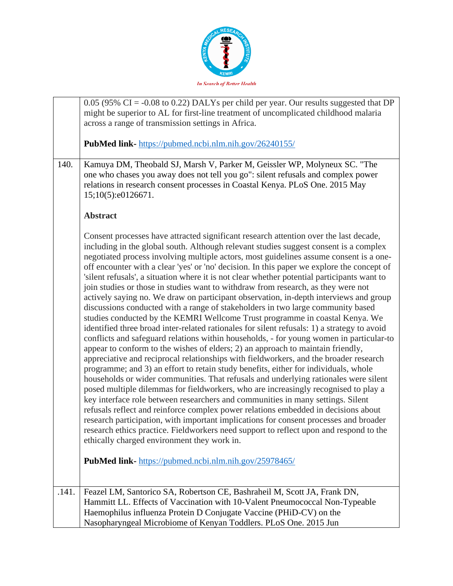

 $0.05$  (95% CI =  $-0.08$  to 0.22) DALYs per child per year. Our results suggested that DP might be superior to AL for first-line treatment of uncomplicated childhood malaria across a range of transmission settings in Africa. **PubMed link-** <https://pubmed.ncbi.nlm.nih.gov/26240155/> 140. Kamuya DM, Theobald SJ, Marsh V, Parker M, Geissler WP, Molyneux SC. "The one who chases you away does not tell you go": silent refusals and complex power relations in research consent processes in Coastal Kenya. PLoS One. 2015 May 15;10(5):e0126671. **Abstract** Consent processes have attracted significant research attention over the last decade, including in the global south. Although relevant studies suggest consent is a complex negotiated process involving multiple actors, most guidelines assume consent is a oneoff encounter with a clear 'yes' or 'no' decision. In this paper we explore the concept of 'silent refusals', a situation where it is not clear whether potential participants want to join studies or those in studies want to withdraw from research, as they were not actively saying no. We draw on participant observation, in-depth interviews and group discussions conducted with a range of stakeholders in two large community based studies conducted by the KEMRI Wellcome Trust programme in coastal Kenya. We identified three broad inter-related rationales for silent refusals: 1) a strategy to avoid conflicts and safeguard relations within households, - for young women in particular-to appear to conform to the wishes of elders; 2) an approach to maintain friendly, appreciative and reciprocal relationships with fieldworkers, and the broader research programme; and 3) an effort to retain study benefits, either for individuals, whole households or wider communities. That refusals and underlying rationales were silent posed multiple dilemmas for fieldworkers, who are increasingly recognised to play a key interface role between researchers and communities in many settings. Silent refusals reflect and reinforce complex power relations embedded in decisions about research participation, with important implications for consent processes and broader research ethics practice. Fieldworkers need support to reflect upon and respond to the ethically charged environment they work in. **PubMed link-** <https://pubmed.ncbi.nlm.nih.gov/25978465/> .141. Feazel LM, Santorico SA, Robertson CE, Bashraheil M, Scott JA, Frank DN, Hammitt LL. Effects of Vaccination with 10-Valent Pneumococcal Non-Typeable Haemophilus influenza Protein D Conjugate Vaccine (PHiD-CV) on the Nasopharyngeal Microbiome of Kenyan Toddlers. PLoS One. 2015 Jun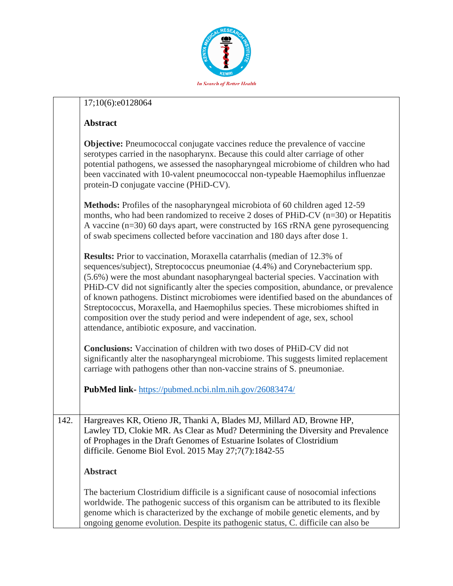

#### 17;10(6):e0128064

#### **Abstract**

**Objective:** Pneumococcal conjugate vaccines reduce the prevalence of vaccine serotypes carried in the nasopharynx. Because this could alter carriage of other potential pathogens, we assessed the nasopharyngeal microbiome of children who had been vaccinated with 10-valent pneumococcal non-typeable Haemophilus influenzae protein-D conjugate vaccine (PHiD-CV).

**Methods:** Profiles of the nasopharyngeal microbiota of 60 children aged 12-59 months, who had been randomized to receive 2 doses of PHiD-CV (n=30) or Hepatitis A vaccine (n=30) 60 days apart, were constructed by 16S rRNA gene pyrosequencing of swab specimens collected before vaccination and 180 days after dose 1.

**Results:** Prior to vaccination, Moraxella catarrhalis (median of 12.3% of sequences/subject), Streptococcus pneumoniae (4.4%) and Corynebacterium spp. (5.6%) were the most abundant nasopharyngeal bacterial species. Vaccination with PHiD-CV did not significantly alter the species composition, abundance, or prevalence of known pathogens. Distinct microbiomes were identified based on the abundances of Streptococcus, Moraxella, and Haemophilus species. These microbiomes shifted in composition over the study period and were independent of age, sex, school attendance, antibiotic exposure, and vaccination.

**Conclusions:** Vaccination of children with two doses of PHiD-CV did not significantly alter the nasopharyngeal microbiome. This suggests limited replacement carriage with pathogens other than non-vaccine strains of S. pneumoniae.

**PubMed link-** <https://pubmed.ncbi.nlm.nih.gov/26083474/>

142. Hargreaves KR, Otieno JR, Thanki A, Blades MJ, Millard AD, Browne HP, Lawley TD, Clokie MR. As Clear as Mud? Determining the Diversity and Prevalence of Prophages in the Draft Genomes of Estuarine Isolates of Clostridium difficile. Genome Biol Evol. 2015 May 27;7(7):1842-55

### **Abstract**

The bacterium Clostridium difficile is a significant cause of nosocomial infections worldwide. The pathogenic success of this organism can be attributed to its flexible genome which is characterized by the exchange of mobile genetic elements, and by ongoing genome evolution. Despite its pathogenic status, C. difficile can also be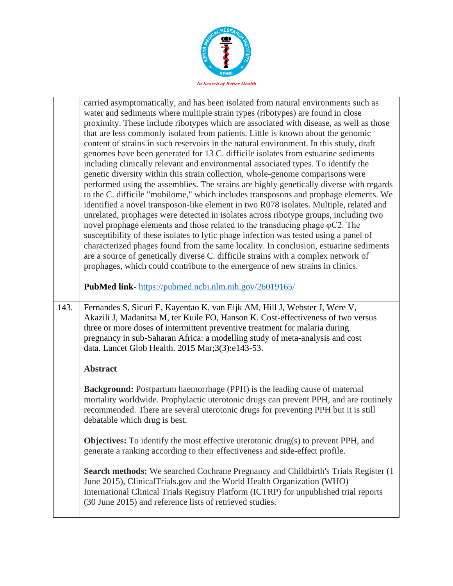

|      | carried asymptomatically, and has been isolated from natural environments such as<br>water and sediments where multiple strain types (ribotypes) are found in close<br>proximity. These include ribotypes which are associated with disease, as well as those<br>that are less commonly isolated from patients. Little is known about the genomic<br>content of strains in such reservoirs in the natural environment. In this study, draft<br>genomes have been generated for 13 C. difficile isolates from estuarine sediments<br>including clinically relevant and environmental associated types. To identify the<br>genetic diversity within this strain collection, whole-genome comparisons were<br>performed using the assemblies. The strains are highly genetically diverse with regards<br>to the C. difficile "mobilome," which includes transposons and prophage elements. We<br>identified a novel transposon-like element in two R078 isolates. Multiple, related and<br>unrelated, prophages were detected in isolates across ribotype groups, including two<br>novel prophage elements and those related to the transducing phage $\varphi$ C2. The<br>susceptibility of these isolates to lytic phage infection was tested using a panel of<br>characterized phages found from the same locality. In conclusion, estuarine sediments<br>are a source of genetically diverse C. difficile strains with a complex network of<br>prophages, which could contribute to the emergence of new strains in clinics. |
|------|-------------------------------------------------------------------------------------------------------------------------------------------------------------------------------------------------------------------------------------------------------------------------------------------------------------------------------------------------------------------------------------------------------------------------------------------------------------------------------------------------------------------------------------------------------------------------------------------------------------------------------------------------------------------------------------------------------------------------------------------------------------------------------------------------------------------------------------------------------------------------------------------------------------------------------------------------------------------------------------------------------------------------------------------------------------------------------------------------------------------------------------------------------------------------------------------------------------------------------------------------------------------------------------------------------------------------------------------------------------------------------------------------------------------------------------------------------------------------------------------------------------------------------|
|      | PubMed link- https://pubmed.ncbi.nlm.nih.gov/26019165/                                                                                                                                                                                                                                                                                                                                                                                                                                                                                                                                                                                                                                                                                                                                                                                                                                                                                                                                                                                                                                                                                                                                                                                                                                                                                                                                                                                                                                                                        |
| 143. | Fernandes S, Sicuri E, Kayentao K, van Eijk AM, Hill J, Webster J, Were V,<br>Akazili J, Madanitsa M, ter Kuile FO, Hanson K. Cost-effectiveness of two versus<br>three or more doses of intermittent preventive treatment for malaria during<br>pregnancy in sub-Saharan Africa: a modelling study of meta-analysis and cost<br>data. Lancet Glob Health. 2015 Mar;3(3):e143-53.                                                                                                                                                                                                                                                                                                                                                                                                                                                                                                                                                                                                                                                                                                                                                                                                                                                                                                                                                                                                                                                                                                                                             |
|      | <b>Abstract</b>                                                                                                                                                                                                                                                                                                                                                                                                                                                                                                                                                                                                                                                                                                                                                                                                                                                                                                                                                                                                                                                                                                                                                                                                                                                                                                                                                                                                                                                                                                               |
|      | <b>Background:</b> Postpartum haemorrhage (PPH) is the leading cause of maternal<br>mortality worldwide. Prophylactic uterotonic drugs can prevent PPH, and are routinely<br>recommended. There are several uterotonic drugs for preventing PPH but it is still<br>debatable which drug is best.                                                                                                                                                                                                                                                                                                                                                                                                                                                                                                                                                                                                                                                                                                                                                                                                                                                                                                                                                                                                                                                                                                                                                                                                                              |
|      | Objectives: To identify the most effective uterotonic drug(s) to prevent PPH, and<br>generate a ranking according to their effectiveness and side-effect profile.                                                                                                                                                                                                                                                                                                                                                                                                                                                                                                                                                                                                                                                                                                                                                                                                                                                                                                                                                                                                                                                                                                                                                                                                                                                                                                                                                             |
|      | Search methods: We searched Cochrane Pregnancy and Childbirth's Trials Register (1)<br>June 2015), ClinicalTrials.gov and the World Health Organization (WHO)<br>International Clinical Trials Registry Platform (ICTRP) for unpublished trial reports<br>(30 June 2015) and reference lists of retrieved studies.                                                                                                                                                                                                                                                                                                                                                                                                                                                                                                                                                                                                                                                                                                                                                                                                                                                                                                                                                                                                                                                                                                                                                                                                            |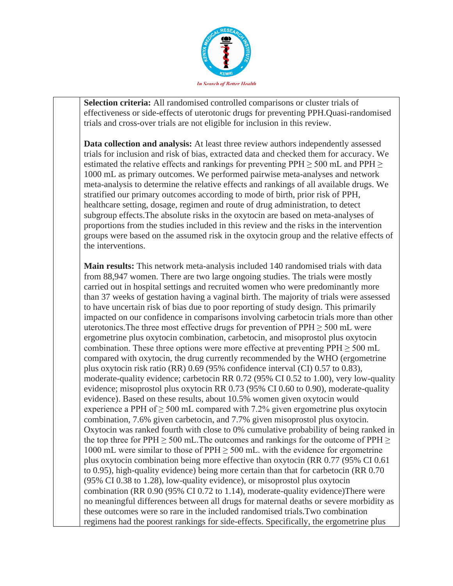

**Selection criteria:** All randomised controlled comparisons or cluster trials of effectiveness or side-effects of uterotonic drugs for preventing PPH.Quasi-randomised trials and cross-over trials are not eligible for inclusion in this review.

**Data collection and analysis:** At least three review authors independently assessed trials for inclusion and risk of bias, extracted data and checked them for accuracy. We estimated the relative effects and rankings for preventing PPH  $> 500$  mL and PPH  $>$ 1000 mL as primary outcomes. We performed pairwise meta-analyses and network meta-analysis to determine the relative effects and rankings of all available drugs. We stratified our primary outcomes according to mode of birth, prior risk of PPH, healthcare setting, dosage, regimen and route of drug administration, to detect subgroup effects.The absolute risks in the oxytocin are based on meta-analyses of proportions from the studies included in this review and the risks in the intervention groups were based on the assumed risk in the oxytocin group and the relative effects of the interventions.

**Main results:** This network meta-analysis included 140 randomised trials with data from 88,947 women. There are two large ongoing studies. The trials were mostly carried out in hospital settings and recruited women who were predominantly more than 37 weeks of gestation having a vaginal birth. The majority of trials were assessed to have uncertain risk of bias due to poor reporting of study design. This primarily impacted on our confidence in comparisons involving carbetocin trials more than other uterotonics. The three most effective drugs for prevention of  $PPH \geq 500$  mL were ergometrine plus oxytocin combination, carbetocin, and misoprostol plus oxytocin combination. These three options were more effective at preventing PPH ≥ 500 mL compared with oxytocin, the drug currently recommended by the WHO (ergometrine plus oxytocin risk ratio (RR) 0.69 (95% confidence interval (CI) 0.57 to 0.83), moderate-quality evidence; carbetocin RR 0.72 (95% CI 0.52 to 1.00), very low-quality evidence; misoprostol plus oxytocin RR 0.73 (95% CI 0.60 to 0.90), moderate-quality evidence). Based on these results, about 10.5% women given oxytocin would experience a PPH of  $\geq 500$  mL compared with 7.2% given ergometrine plus oxytocin combination, 7.6% given carbetocin, and 7.7% given misoprostol plus oxytocin. Oxytocin was ranked fourth with close to 0% cumulative probability of being ranked in the top three for PPH  $\geq$  500 mL. The outcomes and rankings for the outcome of PPH  $\geq$ 1000 mL were similar to those of PPH ≥ 500 mL. with the evidence for ergometrine plus oxytocin combination being more effective than oxytocin (RR 0.77 (95% CI 0.61 to 0.95), high-quality evidence) being more certain than that for carbetocin (RR 0.70 (95% CI 0.38 to 1.28), low-quality evidence), or misoprostol plus oxytocin combination (RR 0.90 (95% CI 0.72 to 1.14), moderate-quality evidence)There were no meaningful differences between all drugs for maternal deaths or severe morbidity as these outcomes were so rare in the included randomised trials.Two combination regimens had the poorest rankings for side-effects. Specifically, the ergometrine plus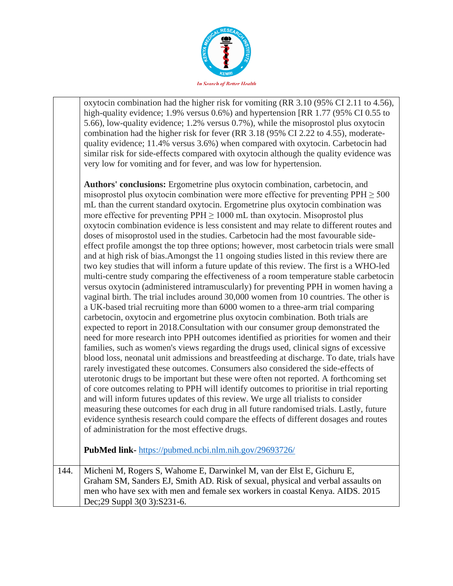

oxytocin combination had the higher risk for vomiting (RR 3.10 (95% CI 2.11 to 4.56), high-quality evidence; 1.9% versus 0.6%) and hypertension [RR 1.77 (95% CI 0.55 to 5.66), low-quality evidence; 1.2% versus 0.7%), while the misoprostol plus oxytocin combination had the higher risk for fever (RR 3.18 (95% CI 2.22 to 4.55), moderatequality evidence; 11.4% versus 3.6%) when compared with oxytocin. Carbetocin had similar risk for side-effects compared with oxytocin although the quality evidence was very low for vomiting and for fever, and was low for hypertension.

**Authors' conclusions:** Ergometrine plus oxytocin combination, carbetocin, and misoprostol plus oxytocin combination were more effective for preventing  $PPH \geq 500$ mL than the current standard oxytocin. Ergometrine plus oxytocin combination was more effective for preventing  $PPH \ge 1000$  mL than oxytocin. Misoprostol plus oxytocin combination evidence is less consistent and may relate to different routes and doses of misoprostol used in the studies. Carbetocin had the most favourable sideeffect profile amongst the top three options; however, most carbetocin trials were small and at high risk of bias.Amongst the 11 ongoing studies listed in this review there are two key studies that will inform a future update of this review. The first is a WHO-led multi-centre study comparing the effectiveness of a room temperature stable carbetocin versus oxytocin (administered intramuscularly) for preventing PPH in women having a vaginal birth. The trial includes around 30,000 women from 10 countries. The other is a UK-based trial recruiting more than 6000 women to a three-arm trial comparing carbetocin, oxytocin and ergometrine plus oxytocin combination. Both trials are expected to report in 2018.Consultation with our consumer group demonstrated the need for more research into PPH outcomes identified as priorities for women and their families, such as women's views regarding the drugs used, clinical signs of excessive blood loss, neonatal unit admissions and breastfeeding at discharge. To date, trials have rarely investigated these outcomes. Consumers also considered the side-effects of uterotonic drugs to be important but these were often not reported. A forthcoming set of core outcomes relating to PPH will identify outcomes to prioritise in trial reporting and will inform futures updates of this review. We urge all trialists to consider measuring these outcomes for each drug in all future randomised trials. Lastly, future evidence synthesis research could compare the effects of different dosages and routes of administration for the most effective drugs. **PubMed link-** <https://pubmed.ncbi.nlm.nih.gov/29693726/>

| 144. | Micheni M, Rogers S, Wahome E, Darwinkel M, van der Elst E, Gichuru E,           |
|------|----------------------------------------------------------------------------------|
|      | Graham SM, Sanders EJ, Smith AD. Risk of sexual, physical and verbal assaults on |
|      | men who have sex with men and female sex workers in coastal Kenya. AIDS. 2015    |
|      | Dec; 29 Suppl $3(0\ 3)$ : S231-6.                                                |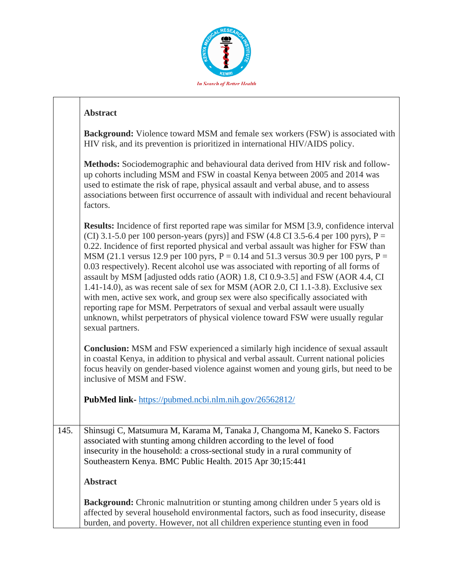| ESEARCH<br>EDICA<br><b>KEMR</b>   |
|-----------------------------------|
| <b>In Search of Better Health</b> |

#### **Abstract**

**Background:** Violence toward MSM and female sex workers (FSW) is associated with HIV risk, and its prevention is prioritized in international HIV/AIDS policy.

**Methods:** Sociodemographic and behavioural data derived from HIV risk and followup cohorts including MSM and FSW in coastal Kenya between 2005 and 2014 was used to estimate the risk of rape, physical assault and verbal abuse, and to assess associations between first occurrence of assault with individual and recent behavioural factors.

**Results:** Incidence of first reported rape was similar for MSM [3.9, confidence interval (CI) 3.1-5.0 per 100 person-years (pyrs)] and FSW (4.8 CI 3.5-6.4 per 100 pyrs),  $P =$ 0.22. Incidence of first reported physical and verbal assault was higher for FSW than MSM (21.1 versus 12.9 per 100 pyrs,  $P = 0.14$  and 51.3 versus 30.9 per 100 pyrs,  $P =$ 0.03 respectively). Recent alcohol use was associated with reporting of all forms of assault by MSM [adjusted odds ratio (AOR) 1.8, CI 0.9-3.5] and FSW (AOR 4.4, CI 1.41-14.0), as was recent sale of sex for MSM (AOR 2.0, CI 1.1-3.8). Exclusive sex with men, active sex work, and group sex were also specifically associated with reporting rape for MSM. Perpetrators of sexual and verbal assault were usually unknown, whilst perpetrators of physical violence toward FSW were usually regular sexual partners.

**Conclusion:** MSM and FSW experienced a similarly high incidence of sexual assault in coastal Kenya, in addition to physical and verbal assault. Current national policies focus heavily on gender-based violence against women and young girls, but need to be inclusive of MSM and FSW.

**PubMed link-** <https://pubmed.ncbi.nlm.nih.gov/26562812/>

145. Shinsugi C, Matsumura M, Karama M, Tanaka J, Changoma M, Kaneko S. Factors associated with stunting among children according to the level of food insecurity in the household: a cross-sectional study in a rural community of Southeastern Kenya. BMC Public Health. 2015 Apr 30;15:441

### **Abstract**

**Background:** Chronic malnutrition or stunting among children under 5 years old is affected by several household environmental factors, such as food insecurity, disease burden, and poverty. However, not all children experience stunting even in food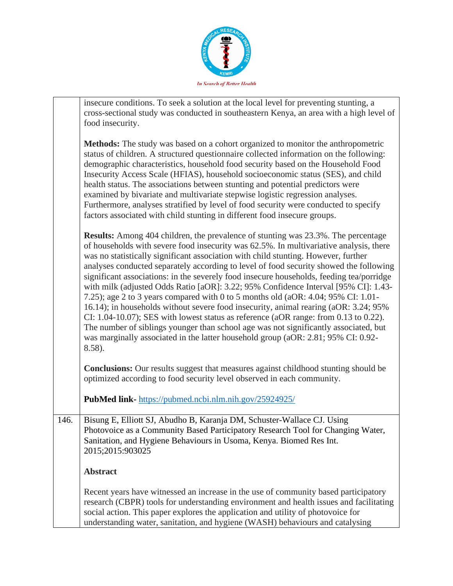

|      | insecure conditions. To seek a solution at the local level for preventing stunting, a<br>cross-sectional study was conducted in southeastern Kenya, an area with a high level of<br>food insecurity.                                                                                                                                                                                                                                                                                                                                                                                                                                                                                                                                                                                                                                                                                                                                                                                                                    |
|------|-------------------------------------------------------------------------------------------------------------------------------------------------------------------------------------------------------------------------------------------------------------------------------------------------------------------------------------------------------------------------------------------------------------------------------------------------------------------------------------------------------------------------------------------------------------------------------------------------------------------------------------------------------------------------------------------------------------------------------------------------------------------------------------------------------------------------------------------------------------------------------------------------------------------------------------------------------------------------------------------------------------------------|
|      | Methods: The study was based on a cohort organized to monitor the anthropometric<br>status of children. A structured questionnaire collected information on the following:<br>demographic characteristics, household food security based on the Household Food<br>Insecurity Access Scale (HFIAS), household socioeconomic status (SES), and child<br>health status. The associations between stunting and potential predictors were<br>examined by bivariate and multivariate stepwise logistic regression analyses.<br>Furthermore, analyses stratified by level of food security were conducted to specify<br>factors associated with child stunting in different food insecure groups.                                                                                                                                                                                                                                                                                                                              |
|      | <b>Results:</b> Among 404 children, the prevalence of stunting was 23.3%. The percentage<br>of households with severe food insecurity was 62.5%. In multivariative analysis, there<br>was no statistically significant association with child stunting. However, further<br>analyses conducted separately according to level of food security showed the following<br>significant associations: in the severely food insecure households, feeding tea/porridge<br>with milk (adjusted Odds Ratio [aOR]: 3.22; 95% Confidence Interval [95% CI]: 1.43-<br>7.25); age 2 to 3 years compared with 0 to 5 months old (aOR: $4.04$ ; $95\%$ CI: 1.01-<br>16.14); in households without severe food insecurity, animal rearing (aOR: 3.24; 95%<br>CI: 1.04-10.07); SES with lowest status as reference (aOR range: from 0.13 to 0.22).<br>The number of siblings younger than school age was not significantly associated, but<br>was marginally associated in the latter household group (aOR: 2.81; 95% CI: 0.92-<br>8.58). |
|      | <b>Conclusions:</b> Our results suggest that measures against childhood stunting should be<br>optimized according to food security level observed in each community.                                                                                                                                                                                                                                                                                                                                                                                                                                                                                                                                                                                                                                                                                                                                                                                                                                                    |
|      | PubMed link- https://pubmed.ncbi.nlm.nih.gov/25924925/                                                                                                                                                                                                                                                                                                                                                                                                                                                                                                                                                                                                                                                                                                                                                                                                                                                                                                                                                                  |
| 146. | Bisung E, Elliott SJ, Abudho B, Karanja DM, Schuster-Wallace CJ. Using<br>Photovoice as a Community Based Participatory Research Tool for Changing Water,<br>Sanitation, and Hygiene Behaviours in Usoma, Kenya. Biomed Res Int.<br>2015;2015:903025                                                                                                                                                                                                                                                                                                                                                                                                                                                                                                                                                                                                                                                                                                                                                                    |
|      | <b>Abstract</b>                                                                                                                                                                                                                                                                                                                                                                                                                                                                                                                                                                                                                                                                                                                                                                                                                                                                                                                                                                                                         |
|      | Recent years have witnessed an increase in the use of community based participatory<br>research (CBPR) tools for understanding environment and health issues and facilitating<br>social action. This paper explores the application and utility of photovoice for                                                                                                                                                                                                                                                                                                                                                                                                                                                                                                                                                                                                                                                                                                                                                       |

understanding water, sanitation, and hygiene (WASH) behaviours and catalysing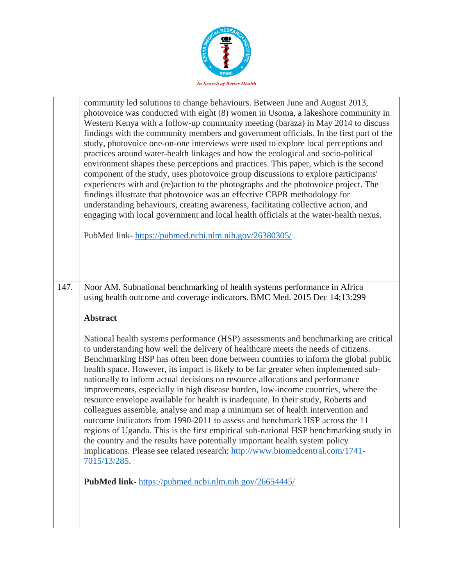

|      | community led solutions to change behaviours. Between June and August 2013,<br>photovoice was conducted with eight (8) women in Usoma, a lakeshore community in<br>Western Kenya with a follow-up community meeting (baraza) in May 2014 to discuss<br>findings with the community members and government officials. In the first part of the<br>study, photovoice one-on-one interviews were used to explore local perceptions and<br>practices around water-health linkages and how the ecological and socio-political<br>environment shapes these perceptions and practices. This paper, which is the second<br>component of the study, uses photovoice group discussions to explore participants'<br>experiences with and (re)action to the photographs and the photovoice project. The<br>findings illustrate that photovoice was an effective CBPR methodology for<br>understanding behaviours, creating awareness, facilitating collective action, and<br>engaging with local government and local health officials at the water-health nexus.<br>PubMed link-https://pubmed.ncbi.nlm.nih.gov/26380305/ |
|------|----------------------------------------------------------------------------------------------------------------------------------------------------------------------------------------------------------------------------------------------------------------------------------------------------------------------------------------------------------------------------------------------------------------------------------------------------------------------------------------------------------------------------------------------------------------------------------------------------------------------------------------------------------------------------------------------------------------------------------------------------------------------------------------------------------------------------------------------------------------------------------------------------------------------------------------------------------------------------------------------------------------------------------------------------------------------------------------------------------------|
| 147. | Noor AM. Subnational benchmarking of health systems performance in Africa                                                                                                                                                                                                                                                                                                                                                                                                                                                                                                                                                                                                                                                                                                                                                                                                                                                                                                                                                                                                                                      |
|      | using health outcome and coverage indicators. BMC Med. 2015 Dec 14;13:299                                                                                                                                                                                                                                                                                                                                                                                                                                                                                                                                                                                                                                                                                                                                                                                                                                                                                                                                                                                                                                      |
|      | <b>Abstract</b>                                                                                                                                                                                                                                                                                                                                                                                                                                                                                                                                                                                                                                                                                                                                                                                                                                                                                                                                                                                                                                                                                                |
|      | National health systems performance (HSP) assessments and benchmarking are critical<br>to understanding how well the delivery of healthcare meets the needs of citizens.<br>Benchmarking HSP has often been done between countries to inform the global public<br>health space. However, its impact is likely to be far greater when implemented sub-<br>nationally to inform actual decisions on resource allocations and performance<br>improvements, especially in high disease burden, low-income countries, where the<br>resource envelope available for health is inadequate. In their study, Roberts and<br>colleagues assemble, analyse and map a minimum set of health intervention and<br>outcome indicators from 1990-2011 to assess and benchmark HSP across the 11<br>regions of Uganda. This is the first empirical sub-national HSP benchmarking study in<br>the country and the results have potentially important health system policy<br>implications. Please see related research: http://www.biomedcentral.com/1741-<br>7015/13/285.                                                       |
|      | PubMed link-https://pubmed.ncbi.nlm.nih.gov/26654445/                                                                                                                                                                                                                                                                                                                                                                                                                                                                                                                                                                                                                                                                                                                                                                                                                                                                                                                                                                                                                                                          |
|      |                                                                                                                                                                                                                                                                                                                                                                                                                                                                                                                                                                                                                                                                                                                                                                                                                                                                                                                                                                                                                                                                                                                |
|      |                                                                                                                                                                                                                                                                                                                                                                                                                                                                                                                                                                                                                                                                                                                                                                                                                                                                                                                                                                                                                                                                                                                |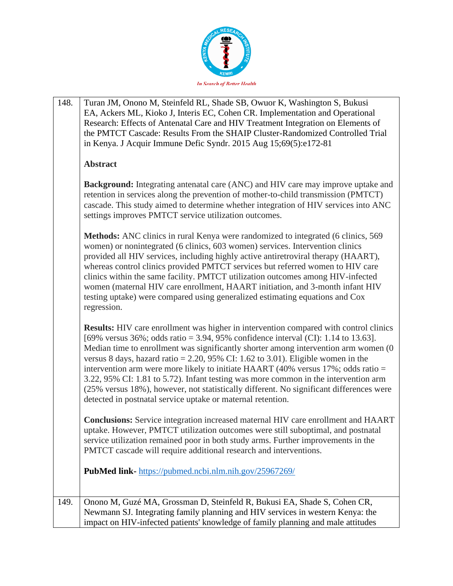

# 148. Turan JM, Onono M, Steinfeld RL, Shade SB, Owuor K, Washington S, Bukusi EA, Ackers ML, Kioko J, Interis EC, Cohen CR. Implementation and Operational Research: Effects of Antenatal Care and HIV Treatment Integration on Elements of the PMTCT Cascade: Results From the SHAIP Cluster-Randomized Controlled Trial in Kenya. J Acquir Immune Defic Syndr. 2015 Aug 15;69(5):e172-81 **Abstract Background:** Integrating antenatal care (ANC) and HIV care may improve uptake and retention in services along the prevention of mother-to-child transmission (PMTCT) cascade. This study aimed to determine whether integration of HIV services into ANC settings improves PMTCT service utilization outcomes. **Methods:** ANC clinics in rural Kenya were randomized to integrated (6 clinics, 569 women) or nonintegrated (6 clinics, 603 women) services. Intervention clinics provided all HIV services, including highly active antiretroviral therapy (HAART), whereas control clinics provided PMTCT services but referred women to HIV care clinics within the same facility. PMTCT utilization outcomes among HIV-infected women (maternal HIV care enrollment, HAART initiation, and 3-month infant HIV testing uptake) were compared using generalized estimating equations and Cox regression. **Results:** HIV care enrollment was higher in intervention compared with control clinics [69% versus 36%; odds ratio = 3.94, 95% confidence interval (CI): 1.14 to 13.63]. Median time to enrollment was significantly shorter among intervention arm women (0 versus 8 days, hazard ratio =  $2.20, 95\%$  CI: 1.62 to 3.01). Eligible women in the intervention arm were more likely to initiate HAART  $(40\%$  versus 17%; odds ratio = 3.22, 95% CI: 1.81 to 5.72). Infant testing was more common in the intervention arm (25% versus 18%), however, not statistically different. No significant differences were detected in postnatal service uptake or maternal retention. **Conclusions:** Service integration increased maternal HIV care enrollment and HAART uptake. However, PMTCT utilization outcomes were still suboptimal, and postnatal service utilization remained poor in both study arms. Further improvements in the PMTCT cascade will require additional research and interventions. **PubMed link-** <https://pubmed.ncbi.nlm.nih.gov/25967269/> 149. Onono M, Guzé MA, Grossman D, Steinfeld R, Bukusi EA, Shade S, Cohen CR, Newmann SJ. Integrating family planning and HIV services in western Kenya: the impact on HIV-infected patients' knowledge of family planning and male attitudes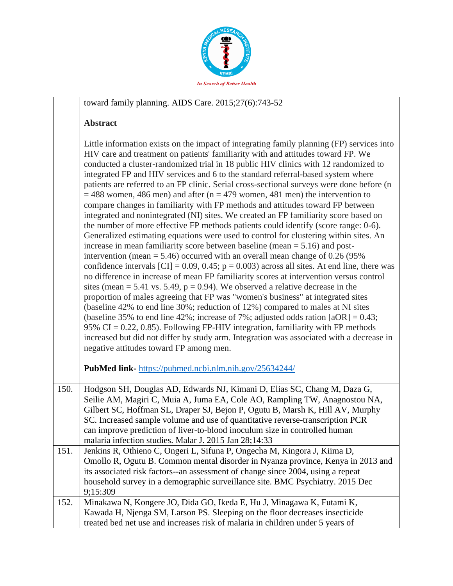

# toward family planning. AIDS Care. 2015;27(6):743-52 **Abstract** Little information exists on the impact of integrating family planning (FP) services into HIV care and treatment on patients' familiarity with and attitudes toward FP. We conducted a cluster-randomized trial in 18 public HIV clinics with 12 randomized to integrated FP and HIV services and 6 to the standard referral-based system where patients are referred to an FP clinic. Serial cross-sectional surveys were done before (n  $= 488$  women, 486 men) and after (n = 479 women, 481 men) the intervention to compare changes in familiarity with FP methods and attitudes toward FP between integrated and nonintegrated (NI) sites. We created an FP familiarity score based on the number of more effective FP methods patients could identify (score range: 0-6). Generalized estimating equations were used to control for clustering within sites. An increase in mean familiarity score between baseline (mean = 5.16) and postintervention (mean  $= 5.46$ ) occurred with an overall mean change of 0.26 (95%) confidence intervals  $\text{[CI]} = 0.09, 0.45$ ;  $p = 0.003$ ) across all sites. At end line, there was no difference in increase of mean FP familiarity scores at intervention versus control sites (mean  $= 5.41$  vs. 5.49,  $p = 0.94$ ). We observed a relative decrease in the proportion of males agreeing that FP was "women's business" at integrated sites (baseline 42% to end line 30%; reduction of 12%) compared to males at NI sites (baseline 35% to end line 42%; increase of 7%; adjusted odds ration  $[aOR] = 0.43$ ; 95%  $CI = 0.22, 0.85$ . Following FP-HIV integration, familiarity with FP methods increased but did not differ by study arm. Integration was associated with a decrease in negative attitudes toward FP among men. **PubMed link-** <https://pubmed.ncbi.nlm.nih.gov/25634244/> 150. Hodgson SH, Douglas AD, Edwards NJ, Kimani D, Elias SC, Chang M, Daza G, Seilie AM, Magiri C, Muia A, Juma EA, Cole AO, Rampling TW, Anagnostou NA, Gilbert SC, Hoffman SL, Draper SJ, Bejon P, Ogutu B, Marsh K, Hill AV, Murphy SC. Increased sample volume and use of quantitative reverse-transcription PCR can improve prediction of liver-to-blood inoculum size in controlled human malaria infection studies. Malar J. 2015 Jan 28;14:33

| 151. | Jenkins R, Othieno C, Ongeri L, Sifuna P, Ongecha M, Kingora J, Kiima D,        |
|------|---------------------------------------------------------------------------------|
|      | Omollo R, Ogutu B. Common mental disorder in Nyanza province, Kenya in 2013 and |
|      | its associated risk factors--an assessment of change since 2004, using a repeat |
|      | household survey in a demographic surveillance site. BMC Psychiatry. 2015 Dec   |
|      | 9;15:309                                                                        |
| 152. | Minakawa N, Kongere JO, Dida GO, Ikeda E, Hu J, Minagawa K, Futami K,           |
|      | Kawada H, Njenga SM, Larson PS. Sleeping on the floor decreases insecticide     |
|      | treated bed net use and increases risk of malaria in children under 5 years of  |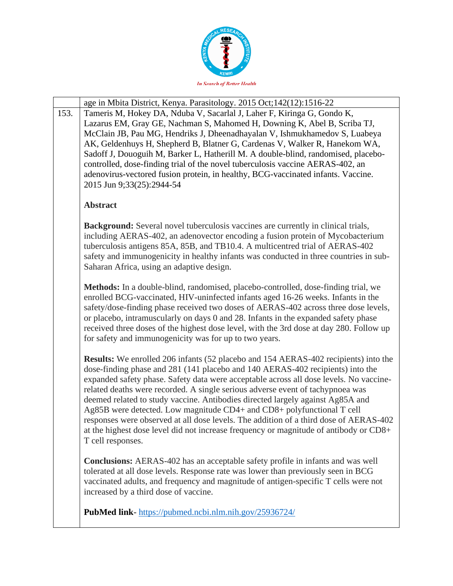

|      | age in Mbita District, Kenya. Parasitology. 2015 Oct; 142(12): 1516-22                                                                                                                                                                                                                                                                                                                                                                                                                                                                                                                                                                                                                                                      |
|------|-----------------------------------------------------------------------------------------------------------------------------------------------------------------------------------------------------------------------------------------------------------------------------------------------------------------------------------------------------------------------------------------------------------------------------------------------------------------------------------------------------------------------------------------------------------------------------------------------------------------------------------------------------------------------------------------------------------------------------|
| 153. | Tameris M, Hokey DA, Nduba V, Sacarlal J, Laher F, Kiringa G, Gondo K,<br>Lazarus EM, Gray GE, Nachman S, Mahomed H, Downing K, Abel B, Scriba TJ,<br>McClain JB, Pau MG, Hendriks J, Dheenadhayalan V, Ishmukhamedov S, Luabeya<br>AK, Geldenhuys H, Shepherd B, Blatner G, Cardenas V, Walker R, Hanekom WA,<br>Sadoff J, Douoguih M, Barker L, Hatherill M. A double-blind, randomised, placebo-<br>controlled, dose-finding trial of the novel tuberculosis vaccine AERAS-402, an<br>adenovirus-vectored fusion protein, in healthy, BCG-vaccinated infants. Vaccine.<br>2015 Jun 9;33(25):2944-54                                                                                                                      |
|      | <b>Abstract</b>                                                                                                                                                                                                                                                                                                                                                                                                                                                                                                                                                                                                                                                                                                             |
|      | <b>Background:</b> Several novel tuberculosis vaccines are currently in clinical trials,<br>including AERAS-402, an adenovector encoding a fusion protein of Mycobacterium<br>tuberculosis antigens 85A, 85B, and TB10.4. A multicentred trial of AERAS-402<br>safety and immunogenicity in healthy infants was conducted in three countries in sub-<br>Saharan Africa, using an adaptive design.                                                                                                                                                                                                                                                                                                                           |
|      | Methods: In a double-blind, randomised, placebo-controlled, dose-finding trial, we<br>enrolled BCG-vaccinated, HIV-uninfected infants aged 16-26 weeks. Infants in the<br>safety/dose-finding phase received two doses of AERAS-402 across three dose levels,<br>or placebo, intramuscularly on days 0 and 28. Infants in the expanded safety phase<br>received three doses of the highest dose level, with the 3rd dose at day 280. Follow up<br>for safety and immunogenicity was for up to two years.                                                                                                                                                                                                                    |
|      | <b>Results:</b> We enrolled 206 infants (52 placebo and 154 AERAS-402 recipients) into the<br>dose-finding phase and 281 (141 placebo and 140 AERAS-402 recipients) into the<br>expanded safety phase. Safety data were acceptable across all dose levels. No vaccine-<br>related deaths were recorded. A single serious adverse event of tachypnoea was<br>deemed related to study vaccine. Antibodies directed largely against Ag85A and<br>Ag85B were detected. Low magnitude CD4+ and CD8+ polyfunctional T cell<br>responses were observed at all dose levels. The addition of a third dose of AERAS-402<br>at the highest dose level did not increase frequency or magnitude of antibody or CD8+<br>T cell responses. |
|      | <b>Conclusions:</b> AERAS-402 has an acceptable safety profile in infants and was well<br>tolerated at all dose levels. Response rate was lower than previously seen in BCG<br>vaccinated adults, and frequency and magnitude of antigen-specific T cells were not<br>increased by a third dose of vaccine.                                                                                                                                                                                                                                                                                                                                                                                                                 |
|      | <b>PubMed link-</b> https://pubmed.ncbi.nlm.nih.gov/25936724/                                                                                                                                                                                                                                                                                                                                                                                                                                                                                                                                                                                                                                                               |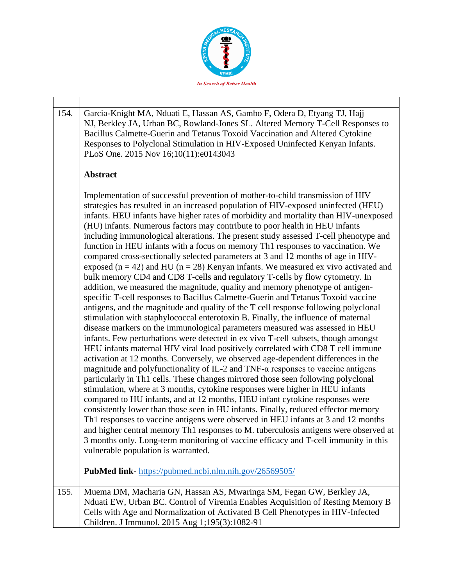

## 154. Garcia-Knight MA, Nduati E, Hassan AS, Gambo F, Odera D, Etyang TJ, Hajj NJ, Berkley JA, Urban BC, Rowland-Jones SL. Altered Memory T-Cell Responses to Bacillus Calmette-Guerin and Tetanus Toxoid Vaccination and Altered Cytokine Responses to Polyclonal Stimulation in HIV-Exposed Uninfected Kenyan Infants. PLoS One. 2015 Nov 16;10(11):e0143043 **Abstract** Implementation of successful prevention of mother-to-child transmission of HIV strategies has resulted in an increased population of HIV-exposed uninfected (HEU) infants. HEU infants have higher rates of morbidity and mortality than HIV-unexposed (HU) infants. Numerous factors may contribute to poor health in HEU infants including immunological alterations. The present study assessed T-cell phenotype and function in HEU infants with a focus on memory Th1 responses to vaccination. We compared cross-sectionally selected parameters at 3 and 12 months of age in HIVexposed ( $n = 42$ ) and HU ( $n = 28$ ) Kenyan infants. We measured ex vivo activated and bulk memory CD4 and CD8 T-cells and regulatory T-cells by flow cytometry. In addition, we measured the magnitude, quality and memory phenotype of antigenspecific T-cell responses to Bacillus Calmette-Guerin and Tetanus Toxoid vaccine antigens, and the magnitude and quality of the T cell response following polyclonal stimulation with staphylococcal enterotoxin B. Finally, the influence of maternal disease markers on the immunological parameters measured was assessed in HEU infants. Few perturbations were detected in ex vivo T-cell subsets, though amongst HEU infants maternal HIV viral load positively correlated with CD8 T cell immune activation at 12 months. Conversely, we observed age-dependent differences in the magnitude and polyfunctionality of IL-2 and TNF-α responses to vaccine antigens particularly in Th1 cells. These changes mirrored those seen following polyclonal stimulation, where at 3 months, cytokine responses were higher in HEU infants compared to HU infants, and at 12 months, HEU infant cytokine responses were consistently lower than those seen in HU infants. Finally, reduced effector memory Th1 responses to vaccine antigens were observed in HEU infants at 3 and 12 months and higher central memory Th1 responses to M. tuberculosis antigens were observed at 3 months only. Long-term monitoring of vaccine efficacy and T-cell immunity in this vulnerable population is warranted. **PubMed link-** <https://pubmed.ncbi.nlm.nih.gov/26569505/> 155. Muema DM, Macharia GN, Hassan AS, Mwaringa SM, Fegan GW, Berkley JA, Nduati EW, Urban BC. Control of Viremia Enables Acquisition of Resting Memory B Cells with Age and Normalization of Activated B Cell Phenotypes in HIV-Infected

Children. J Immunol. 2015 Aug 1;195(3):1082-91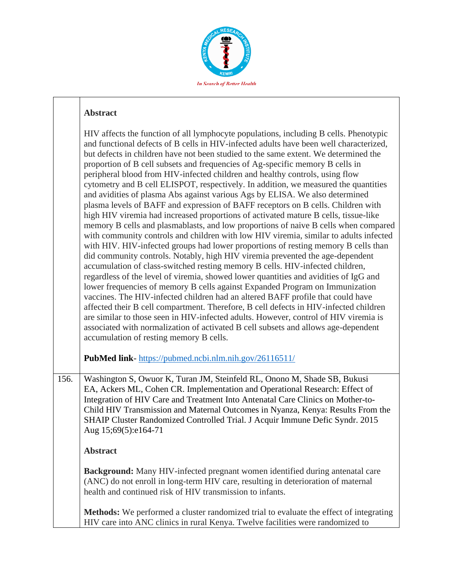

## **Abstract**

|      | HIV affects the function of all lymphocyte populations, including B cells. Phenotypic<br>and functional defects of B cells in HIV-infected adults have been well characterized,<br>but defects in children have not been studied to the same extent. We determined the<br>proportion of B cell subsets and frequencies of Ag-specific memory B cells in<br>peripheral blood from HIV-infected children and healthy controls, using flow<br>cytometry and B cell ELISPOT, respectively. In addition, we measured the quantities<br>and avidities of plasma Abs against various Ags by ELISA. We also determined<br>plasma levels of BAFF and expression of BAFF receptors on B cells. Children with<br>high HIV viremia had increased proportions of activated mature B cells, tissue-like<br>memory B cells and plasmablasts, and low proportions of naive B cells when compared<br>with community controls and children with low HIV viremia, similar to adults infected<br>with HIV. HIV-infected groups had lower proportions of resting memory B cells than<br>did community controls. Notably, high HIV viremia prevented the age-dependent<br>accumulation of class-switched resting memory B cells. HIV-infected children,<br>regardless of the level of viremia, showed lower quantities and avidities of IgG and<br>lower frequencies of memory B cells against Expanded Program on Immunization<br>vaccines. The HIV-infected children had an altered BAFF profile that could have<br>affected their B cell compartment. Therefore, B cell defects in HIV-infected children<br>are similar to those seen in HIV-infected adults. However, control of HIV viremia is<br>associated with normalization of activated B cell subsets and allows age-dependent<br>accumulation of resting memory B cells. |
|------|----------------------------------------------------------------------------------------------------------------------------------------------------------------------------------------------------------------------------------------------------------------------------------------------------------------------------------------------------------------------------------------------------------------------------------------------------------------------------------------------------------------------------------------------------------------------------------------------------------------------------------------------------------------------------------------------------------------------------------------------------------------------------------------------------------------------------------------------------------------------------------------------------------------------------------------------------------------------------------------------------------------------------------------------------------------------------------------------------------------------------------------------------------------------------------------------------------------------------------------------------------------------------------------------------------------------------------------------------------------------------------------------------------------------------------------------------------------------------------------------------------------------------------------------------------------------------------------------------------------------------------------------------------------------------------------------------------------------------------------------------------------------------------------------------------------|
|      | PubMed link-https://pubmed.ncbi.nlm.nih.gov/26116511/                                                                                                                                                                                                                                                                                                                                                                                                                                                                                                                                                                                                                                                                                                                                                                                                                                                                                                                                                                                                                                                                                                                                                                                                                                                                                                                                                                                                                                                                                                                                                                                                                                                                                                                                                          |
| 156. | Washington S, Owuor K, Turan JM, Steinfeld RL, Onono M, Shade SB, Bukusi<br>EA, Ackers ML, Cohen CR. Implementation and Operational Research: Effect of<br>Integration of HIV Care and Treatment Into Antenatal Care Clinics on Mother-to-<br>Child HIV Transmission and Maternal Outcomes in Nyanza, Kenya: Results From the<br>SHAIP Cluster Randomized Controlled Trial. J Acquir Immune Defic Syndr. 2015<br>Aug 15;69(5):e164-71                                                                                                                                                                                                                                                                                                                                                                                                                                                                                                                                                                                                                                                                                                                                                                                                                                                                                                                                                                                                                                                                                                                                                                                                                                                                                                                                                                          |
|      | <b>Abstract</b>                                                                                                                                                                                                                                                                                                                                                                                                                                                                                                                                                                                                                                                                                                                                                                                                                                                                                                                                                                                                                                                                                                                                                                                                                                                                                                                                                                                                                                                                                                                                                                                                                                                                                                                                                                                                |
|      | <b>Background:</b> Many HIV-infected pregnant women identified during antenatal care<br>(ANC) do not enroll in long-term HIV care, resulting in deterioration of maternal<br>health and continued risk of HIV transmission to infants.                                                                                                                                                                                                                                                                                                                                                                                                                                                                                                                                                                                                                                                                                                                                                                                                                                                                                                                                                                                                                                                                                                                                                                                                                                                                                                                                                                                                                                                                                                                                                                         |
|      | <b>Methods:</b> We performed a cluster randomized trial to evaluate the effect of integrating<br>HIV care into ANC clinics in rural Kenya. Twelve facilities were randomized to                                                                                                                                                                                                                                                                                                                                                                                                                                                                                                                                                                                                                                                                                                                                                                                                                                                                                                                                                                                                                                                                                                                                                                                                                                                                                                                                                                                                                                                                                                                                                                                                                                |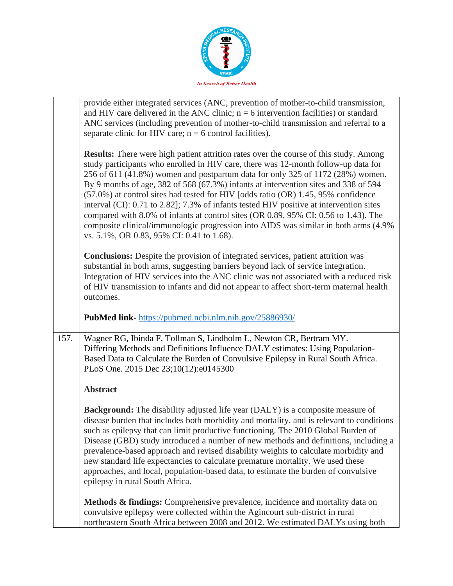| ESEARCH<br>EDICAL<br>Ē<br><b>KEMR</b> |
|---------------------------------------|
| <b>In Search of Better Health</b>     |

|      | provide either integrated services (ANC, prevention of mother-to-child transmission,<br>and HIV care delivered in the ANC clinic; $n = 6$ intervention facilities) or standard<br>ANC services (including prevention of mother-to-child transmission and referral to a<br>separate clinic for HIV care; $n = 6$ control facilities).                                                                                                                                                                                                                                                                                                                                                                                                                                   |
|------|------------------------------------------------------------------------------------------------------------------------------------------------------------------------------------------------------------------------------------------------------------------------------------------------------------------------------------------------------------------------------------------------------------------------------------------------------------------------------------------------------------------------------------------------------------------------------------------------------------------------------------------------------------------------------------------------------------------------------------------------------------------------|
|      | <b>Results:</b> There were high patient attrition rates over the course of this study. Among<br>study participants who enrolled in HIV care, there was 12-month follow-up data for<br>256 of 611 (41.8%) women and postpartum data for only 325 of 1172 (28%) women.<br>By 9 months of age, 382 of 568 (67.3%) infants at intervention sites and 338 of 594<br>(57.0%) at control sites had tested for HIV [odds ratio (OR) 1.45, 95% confidence<br>interval (CI): 0.71 to 2.82]; 7.3% of infants tested HIV positive at intervention sites<br>compared with 8.0% of infants at control sites (OR 0.89, 95% CI: 0.56 to 1.43). The<br>composite clinical/immunologic progression into AIDS was similar in both arms (4.9%<br>vs. 5.1%, OR 0.83, 95% CI: 0.41 to 1.68). |
|      | Conclusions: Despite the provision of integrated services, patient attrition was<br>substantial in both arms, suggesting barriers beyond lack of service integration.<br>Integration of HIV services into the ANC clinic was not associated with a reduced risk<br>of HIV transmission to infants and did not appear to affect short-term maternal health<br>outcomes.                                                                                                                                                                                                                                                                                                                                                                                                 |
|      | PubMed link- https://pubmed.ncbi.nlm.nih.gov/25886930/                                                                                                                                                                                                                                                                                                                                                                                                                                                                                                                                                                                                                                                                                                                 |
| 157. | Wagner RG, Ibinda F, Tollman S, Lindholm L, Newton CR, Bertram MY.<br>Differing Methods and Definitions Influence DALY estimates: Using Population-<br>Based Data to Calculate the Burden of Convulsive Epilepsy in Rural South Africa.<br>PLoS One. 2015 Dec 23;10(12):e0145300                                                                                                                                                                                                                                                                                                                                                                                                                                                                                       |
|      | <b>Abstract</b>                                                                                                                                                                                                                                                                                                                                                                                                                                                                                                                                                                                                                                                                                                                                                        |
|      | <b>Background:</b> The disability adjusted life year (DALY) is a composite measure of<br>disease burden that includes both morbidity and mortality, and is relevant to conditions<br>such as epilepsy that can limit productive functioning. The 2010 Global Burden of<br>Disease (GBD) study introduced a number of new methods and definitions, including a<br>prevalence-based approach and revised disability weights to calculate morbidity and<br>new standard life expectancies to calculate premature mortality. We used these<br>approaches, and local, population-based data, to estimate the burden of convulsive<br>epilepsy in rural South Africa.                                                                                                        |
|      | <b>Methods &amp; findings:</b> Comprehensive prevalence, incidence and mortality data on<br>convulsive epilepsy were collected within the Agincourt sub-district in rural<br>northeastern South Africa between 2008 and 2012. We estimated DALYs using both                                                                                                                                                                                                                                                                                                                                                                                                                                                                                                            |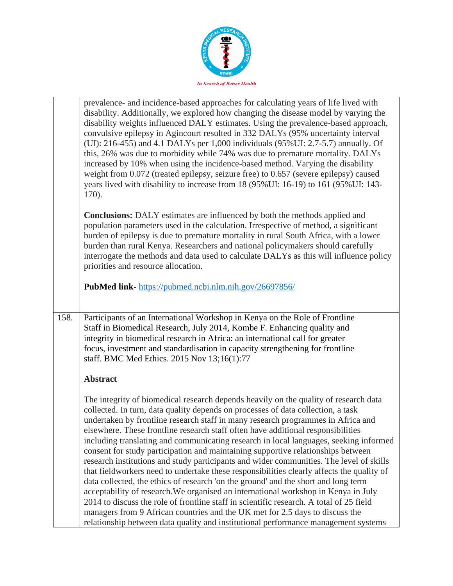

|      | prevalence- and incidence-based approaches for calculating years of life lived with<br>disability. Additionally, we explored how changing the disease model by varying the<br>disability weights influenced DALY estimates. Using the prevalence-based approach,<br>convulsive epilepsy in Agincourt resulted in 332 DALYs (95% uncertainty interval<br>(UI): 216-455) and 4.1 DALYs per 1,000 individuals (95% UI: 2.7-5.7) annually. Of<br>this, 26% was due to morbidity while 74% was due to premature mortality. DALYs<br>increased by 10% when using the incidence-based method. Varying the disability<br>weight from 0.072 (treated epilepsy, seizure free) to 0.657 (severe epilepsy) caused<br>years lived with disability to increase from 18 (95% UI: 16-19) to 161 (95% UI: 143-<br>170).                                                                                                                                                                                       |
|------|----------------------------------------------------------------------------------------------------------------------------------------------------------------------------------------------------------------------------------------------------------------------------------------------------------------------------------------------------------------------------------------------------------------------------------------------------------------------------------------------------------------------------------------------------------------------------------------------------------------------------------------------------------------------------------------------------------------------------------------------------------------------------------------------------------------------------------------------------------------------------------------------------------------------------------------------------------------------------------------------|
|      | <b>Conclusions:</b> DALY estimates are influenced by both the methods applied and<br>population parameters used in the calculation. Irrespective of method, a significant<br>burden of epilepsy is due to premature mortality in rural South Africa, with a lower<br>burden than rural Kenya. Researchers and national policymakers should carefully<br>interrogate the methods and data used to calculate DALYs as this will influence policy<br>priorities and resource allocation.                                                                                                                                                                                                                                                                                                                                                                                                                                                                                                        |
|      | PubMed link-https://pubmed.ncbi.nlm.nih.gov/26697856/                                                                                                                                                                                                                                                                                                                                                                                                                                                                                                                                                                                                                                                                                                                                                                                                                                                                                                                                        |
| 158. | Participants of an International Workshop in Kenya on the Role of Frontline<br>Staff in Biomedical Research, July 2014, Kombe F. Enhancing quality and<br>integrity in biomedical research in Africa: an international call for greater<br>focus, investment and standardisation in capacity strengthening for frontline<br>staff. BMC Med Ethics. 2015 Nov 13;16(1):77                                                                                                                                                                                                                                                                                                                                                                                                                                                                                                                                                                                                                      |
|      | <b>Abstract</b>                                                                                                                                                                                                                                                                                                                                                                                                                                                                                                                                                                                                                                                                                                                                                                                                                                                                                                                                                                              |
|      | The integrity of biomedical research depends heavily on the quality of research data<br>collected. In turn, data quality depends on processes of data collection, a task<br>undertaken by frontline research staff in many research programmes in Africa and<br>elsewhere. These frontline research staff often have additional responsibilities<br>including translating and communicating research in local languages, seeking informed<br>consent for study participation and maintaining supportive relationships between<br>research institutions and study participants and wider communities. The level of skills<br>that fieldworkers need to undertake these responsibilities clearly affects the quality of<br>data collected, the ethics of research 'on the ground' and the short and long term<br>acceptability of research. We organised an international workshop in Kenya in July<br>2014 to discuss the role of frontline staff in scientific research. A total of 25 field |
|      | managers from 9 African countries and the UK met for 2.5 days to discuss the<br>relationship between data quality and institutional performance management systems                                                                                                                                                                                                                                                                                                                                                                                                                                                                                                                                                                                                                                                                                                                                                                                                                           |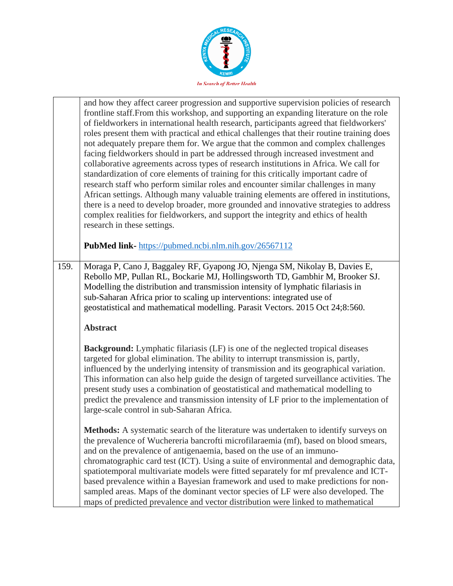

|      | and how they affect career progression and supportive supervision policies of research<br>frontline staff. From this workshop, and supporting an expanding literature on the role<br>of fieldworkers in international health research, participants agreed that fieldworkers'<br>roles present them with practical and ethical challenges that their routine training does<br>not adequately prepare them for. We argue that the common and complex challenges<br>facing fieldworkers should in part be addressed through increased investment and<br>collaborative agreements across types of research institutions in Africa. We call for<br>standardization of core elements of training for this critically important cadre of<br>research staff who perform similar roles and encounter similar challenges in many<br>African settings. Although many valuable training elements are offered in institutions,<br>there is a need to develop broader, more grounded and innovative strategies to address<br>complex realities for fieldworkers, and support the integrity and ethics of health<br>research in these settings.<br><b>PubMed link-</b> https://pubmed.ncbi.nlm.nih.gov/26567112 |
|------|---------------------------------------------------------------------------------------------------------------------------------------------------------------------------------------------------------------------------------------------------------------------------------------------------------------------------------------------------------------------------------------------------------------------------------------------------------------------------------------------------------------------------------------------------------------------------------------------------------------------------------------------------------------------------------------------------------------------------------------------------------------------------------------------------------------------------------------------------------------------------------------------------------------------------------------------------------------------------------------------------------------------------------------------------------------------------------------------------------------------------------------------------------------------------------------------------|
|      |                                                                                                                                                                                                                                                                                                                                                                                                                                                                                                                                                                                                                                                                                                                                                                                                                                                                                                                                                                                                                                                                                                                                                                                                   |
| 159. | Moraga P, Cano J, Baggaley RF, Gyapong JO, Njenga SM, Nikolay B, Davies E,<br>Rebollo MP, Pullan RL, Bockarie MJ, Hollingsworth TD, Gambhir M, Brooker SJ.<br>Modelling the distribution and transmission intensity of lymphatic filariasis in<br>sub-Saharan Africa prior to scaling up interventions: integrated use of<br>geostatistical and mathematical modelling. Parasit Vectors. 2015 Oct 24;8:560.<br><b>Abstract</b><br><b>Background:</b> Lymphatic filariasis (LF) is one of the neglected tropical diseases<br>targeted for global elimination. The ability to interrupt transmission is, partly,<br>influenced by the underlying intensity of transmission and its geographical variation.<br>This information can also help guide the design of targeted surveillance activities. The<br>present study uses a combination of geostatistical and mathematical modelling to<br>predict the prevalence and transmission intensity of LF prior to the implementation of<br>large-scale control in sub-Saharan Africa.                                                                                                                                                                  |
|      | Methods: A systematic search of the literature was undertaken to identify surveys on<br>the prevalence of Wuchereria bancrofti microfilaraemia (mf), based on blood smears,<br>and on the prevalence of antigenaemia, based on the use of an immuno-<br>chromatographic card test (ICT). Using a suite of environmental and demographic data,<br>spatiotemporal multivariate models were fitted separately for mf prevalence and ICT-<br>based prevalence within a Bayesian framework and used to make predictions for non-<br>sampled areas. Maps of the dominant vector species of LF were also developed. The<br>maps of predicted prevalence and vector distribution were linked to mathematical                                                                                                                                                                                                                                                                                                                                                                                                                                                                                              |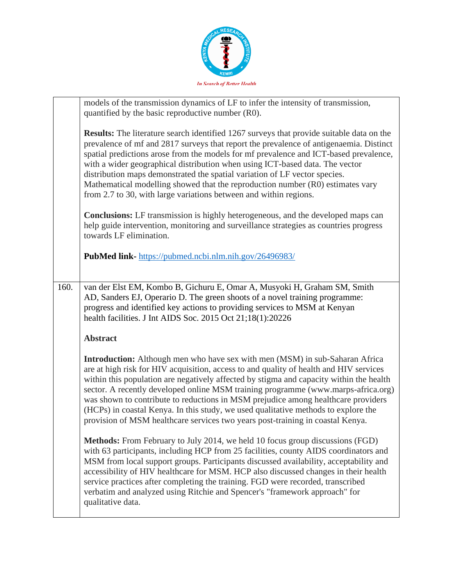

|      | models of the transmission dynamics of LF to infer the intensity of transmission,<br>quantified by the basic reproductive number (R0).<br><b>Results:</b> The literature search identified 1267 surveys that provide suitable data on the<br>prevalence of mf and 2817 surveys that report the prevalence of antigenaemia. Distinct<br>spatial predictions arose from the models for mf prevalence and ICT-based prevalence,<br>with a wider geographical distribution when using ICT-based data. The vector<br>distribution maps demonstrated the spatial variation of LF vector species.<br>Mathematical modelling showed that the reproduction number (R0) estimates vary<br>from 2.7 to 30, with large variations between and within regions. |
|------|---------------------------------------------------------------------------------------------------------------------------------------------------------------------------------------------------------------------------------------------------------------------------------------------------------------------------------------------------------------------------------------------------------------------------------------------------------------------------------------------------------------------------------------------------------------------------------------------------------------------------------------------------------------------------------------------------------------------------------------------------|
|      | <b>Conclusions:</b> LF transmission is highly heterogeneous, and the developed maps can<br>help guide intervention, monitoring and surveillance strategies as countries progress<br>towards LF elimination.                                                                                                                                                                                                                                                                                                                                                                                                                                                                                                                                       |
|      | PubMed link-https://pubmed.ncbi.nlm.nih.gov/26496983/                                                                                                                                                                                                                                                                                                                                                                                                                                                                                                                                                                                                                                                                                             |
| 160. | van der Elst EM, Kombo B, Gichuru E, Omar A, Musyoki H, Graham SM, Smith<br>AD, Sanders EJ, Operario D. The green shoots of a novel training programme:<br>progress and identified key actions to providing services to MSM at Kenyan<br>health facilities. J Int AIDS Soc. 2015 Oct 21;18(1):20226                                                                                                                                                                                                                                                                                                                                                                                                                                               |
|      | <b>Abstract</b>                                                                                                                                                                                                                                                                                                                                                                                                                                                                                                                                                                                                                                                                                                                                   |
|      | <b>Introduction:</b> Although men who have sex with men (MSM) in sub-Saharan Africa<br>are at high risk for HIV acquisition, access to and quality of health and HIV services<br>within this population are negatively affected by stigma and capacity within the health<br>sector. A recently developed online MSM training programme (www.marps-africa.org)<br>was shown to contribute to reductions in MSM prejudice among healthcare providers<br>(HCPs) in coastal Kenya. In this study, we used qualitative methods to explore the<br>provision of MSM healthcare services two years post-training in coastal Kenya.                                                                                                                        |
|      | <b>Methods:</b> From February to July 2014, we held 10 focus group discussions (FGD)<br>with 63 participants, including HCP from 25 facilities, county AIDS coordinators and<br>MSM from local support groups. Participants discussed availability, acceptability and<br>accessibility of HIV healthcare for MSM. HCP also discussed changes in their health<br>service practices after completing the training. FGD were recorded, transcribed<br>verbatim and analyzed using Ritchie and Spencer's "framework approach" for<br>qualitative data.                                                                                                                                                                                                |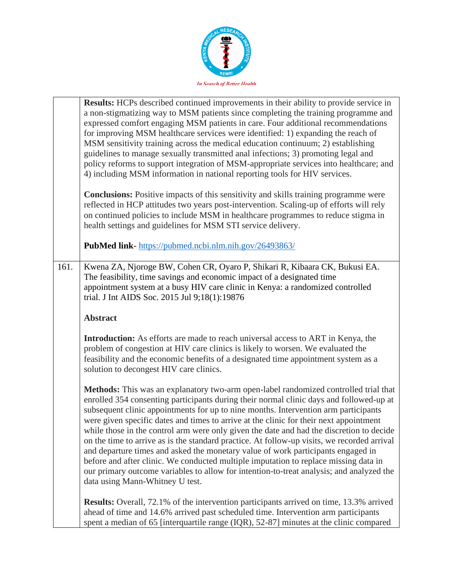

|      | <b>Results:</b> HCPs described continued improvements in their ability to provide service in<br>a non-stigmatizing way to MSM patients since completing the training programme and<br>expressed comfort engaging MSM patients in care. Four additional recommendations<br>for improving MSM healthcare services were identified: 1) expanding the reach of<br>MSM sensitivity training across the medical education continuum; 2) establishing<br>guidelines to manage sexually transmitted anal infections; 3) promoting legal and<br>policy reforms to support integration of MSM-appropriate services into healthcare; and<br>4) including MSM information in national reporting tools for HIV services.                                                                                                                                                            |
|------|------------------------------------------------------------------------------------------------------------------------------------------------------------------------------------------------------------------------------------------------------------------------------------------------------------------------------------------------------------------------------------------------------------------------------------------------------------------------------------------------------------------------------------------------------------------------------------------------------------------------------------------------------------------------------------------------------------------------------------------------------------------------------------------------------------------------------------------------------------------------|
|      | Conclusions: Positive impacts of this sensitivity and skills training programme were<br>reflected in HCP attitudes two years post-intervention. Scaling-up of efforts will rely<br>on continued policies to include MSM in healthcare programmes to reduce stigma in<br>health settings and guidelines for MSM STI service delivery.                                                                                                                                                                                                                                                                                                                                                                                                                                                                                                                                   |
|      | PubMed link- https://pubmed.ncbi.nlm.nih.gov/26493863/                                                                                                                                                                                                                                                                                                                                                                                                                                                                                                                                                                                                                                                                                                                                                                                                                 |
| 161. | Kwena ZA, Njoroge BW, Cohen CR, Oyaro P, Shikari R, Kibaara CK, Bukusi EA.<br>The feasibility, time savings and economic impact of a designated time<br>appointment system at a busy HIV care clinic in Kenya: a randomized controlled<br>trial. J Int AIDS Soc. 2015 Jul 9;18(1):19876                                                                                                                                                                                                                                                                                                                                                                                                                                                                                                                                                                                |
|      | <b>Abstract</b>                                                                                                                                                                                                                                                                                                                                                                                                                                                                                                                                                                                                                                                                                                                                                                                                                                                        |
|      | <b>Introduction:</b> As efforts are made to reach universal access to ART in Kenya, the<br>problem of congestion at HIV care clinics is likely to worsen. We evaluated the<br>feasibility and the economic benefits of a designated time appointment system as a<br>solution to decongest HIV care clinics.                                                                                                                                                                                                                                                                                                                                                                                                                                                                                                                                                            |
|      | Methods: This was an explanatory two-arm open-label randomized controlled trial that<br>enrolled 354 consenting participants during their normal clinic days and followed-up at<br>subsequent clinic appointments for up to nine months. Intervention arm participants<br>were given specific dates and times to arrive at the clinic for their next appointment<br>while those in the control arm were only given the date and had the discretion to decide<br>on the time to arrive as is the standard practice. At follow-up visits, we recorded arrival<br>and departure times and asked the monetary value of work participants engaged in<br>before and after clinic. We conducted multiple imputation to replace missing data in<br>our primary outcome variables to allow for intention-to-treat analysis; and analyzed the<br>data using Mann-Whitney U test. |
|      | <b>Results:</b> Overall, 72.1% of the intervention participants arrived on time, 13.3% arrived<br>ahead of time and 14.6% arrived past scheduled time. Intervention arm participants<br>spent a median of 65 [interquartile range (IQR), 52-87] minutes at the clinic compared                                                                                                                                                                                                                                                                                                                                                                                                                                                                                                                                                                                         |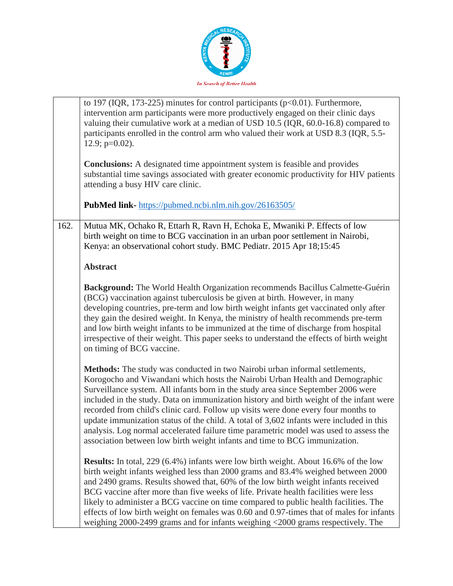

|      | to 197 (IQR, 173-225) minutes for control participants ( $p<0.01$ ). Furthermore,<br>intervention arm participants were more productively engaged on their clinic days<br>valuing their cumulative work at a median of USD 10.5 (IQR, 60.0-16.8) compared to<br>participants enrolled in the control arm who valued their work at USD 8.3 (IQR, 5.5-<br>12.9; $p=0.02$ ).                                                                                                                                                                                                                                                                                                                           |
|------|-----------------------------------------------------------------------------------------------------------------------------------------------------------------------------------------------------------------------------------------------------------------------------------------------------------------------------------------------------------------------------------------------------------------------------------------------------------------------------------------------------------------------------------------------------------------------------------------------------------------------------------------------------------------------------------------------------|
|      | <b>Conclusions:</b> A designated time appointment system is feasible and provides<br>substantial time savings associated with greater economic productivity for HIV patients<br>attending a busy HIV care clinic.                                                                                                                                                                                                                                                                                                                                                                                                                                                                                   |
|      | <b>PubMed link-</b> https://pubmed.ncbi.nlm.nih.gov/26163505/                                                                                                                                                                                                                                                                                                                                                                                                                                                                                                                                                                                                                                       |
| 162. | Mutua MK, Ochako R, Ettarh R, Ravn H, Echoka E, Mwaniki P. Effects of low<br>birth weight on time to BCG vaccination in an urban poor settlement in Nairobi,<br>Kenya: an observational cohort study. BMC Pediatr. 2015 Apr 18;15:45                                                                                                                                                                                                                                                                                                                                                                                                                                                                |
|      | <b>Abstract</b>                                                                                                                                                                                                                                                                                                                                                                                                                                                                                                                                                                                                                                                                                     |
|      | Background: The World Health Organization recommends Bacillus Calmette-Guérin<br>(BCG) vaccination against tuberculosis be given at birth. However, in many<br>developing countries, pre-term and low birth weight infants get vaccinated only after<br>they gain the desired weight. In Kenya, the ministry of health recommends pre-term<br>and low birth weight infants to be immunized at the time of discharge from hospital<br>irrespective of their weight. This paper seeks to understand the effects of birth weight<br>on timing of BCG vaccine.                                                                                                                                          |
|      | Methods: The study was conducted in two Nairobi urban informal settlements,<br>Korogocho and Viwandani which hosts the Nairobi Urban Health and Demographic<br>Surveillance system. All infants born in the study area since September 2006 were<br>included in the study. Data on immunization history and birth weight of the infant were<br>recorded from child's clinic card. Follow up visits were done every four months to<br>update immunization status of the child. A total of 3,602 infants were included in this<br>analysis. Log normal accelerated failure time parametric model was used to assess the<br>association between low birth weight infants and time to BCG immunization. |
|      | <b>Results:</b> In total, 229 (6.4%) infants were low birth weight. About 16.6% of the low<br>birth weight infants weighed less than 2000 grams and 83.4% weighed between 2000<br>and 2490 grams. Results showed that, 60% of the low birth weight infants received<br>BCG vaccine after more than five weeks of life. Private health facilities were less<br>likely to administer a BCG vaccine on time compared to public health facilities. The<br>effects of low birth weight on females was 0.60 and 0.97-times that of males for infants<br>weighing 2000-2499 grams and for infants weighing <2000 grams respectively. The                                                                   |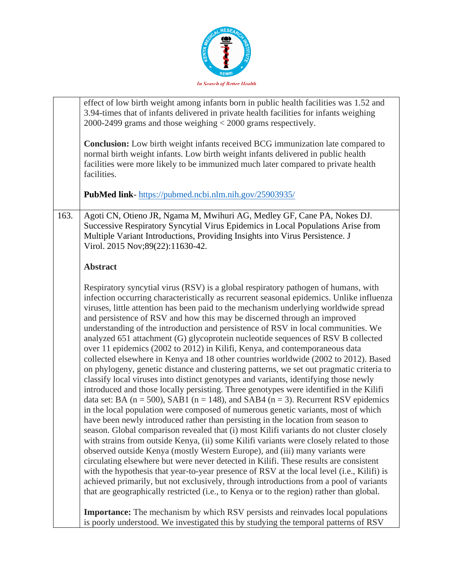

|      | effect of low birth weight among infants born in public health facilities was 1.52 and<br>3.94-times that of infants delivered in private health facilities for infants weighing<br>$2000-2499$ grams and those weighing $< 2000$ grams respectively.                                                                                                                                                                                                                                                                                                                                                                                                                                                                                                                                                                                                                                                                                                                                                                                                                                                                                                                                                                                                                                                                                                                                                                                                                                                                                                                                                                                                                                                                                                                                                                                                                                                                                                                                                   |
|------|---------------------------------------------------------------------------------------------------------------------------------------------------------------------------------------------------------------------------------------------------------------------------------------------------------------------------------------------------------------------------------------------------------------------------------------------------------------------------------------------------------------------------------------------------------------------------------------------------------------------------------------------------------------------------------------------------------------------------------------------------------------------------------------------------------------------------------------------------------------------------------------------------------------------------------------------------------------------------------------------------------------------------------------------------------------------------------------------------------------------------------------------------------------------------------------------------------------------------------------------------------------------------------------------------------------------------------------------------------------------------------------------------------------------------------------------------------------------------------------------------------------------------------------------------------------------------------------------------------------------------------------------------------------------------------------------------------------------------------------------------------------------------------------------------------------------------------------------------------------------------------------------------------------------------------------------------------------------------------------------------------|
|      | <b>Conclusion:</b> Low birth weight infants received BCG immunization late compared to<br>normal birth weight infants. Low birth weight infants delivered in public health<br>facilities were more likely to be immunized much later compared to private health<br>facilities.                                                                                                                                                                                                                                                                                                                                                                                                                                                                                                                                                                                                                                                                                                                                                                                                                                                                                                                                                                                                                                                                                                                                                                                                                                                                                                                                                                                                                                                                                                                                                                                                                                                                                                                          |
|      | <b>PubMed link-</b> https://pubmed.ncbi.nlm.nih.gov/25903935/                                                                                                                                                                                                                                                                                                                                                                                                                                                                                                                                                                                                                                                                                                                                                                                                                                                                                                                                                                                                                                                                                                                                                                                                                                                                                                                                                                                                                                                                                                                                                                                                                                                                                                                                                                                                                                                                                                                                           |
| 163. | Agoti CN, Otieno JR, Ngama M, Mwihuri AG, Medley GF, Cane PA, Nokes DJ.<br>Successive Respiratory Syncytial Virus Epidemics in Local Populations Arise from<br>Multiple Variant Introductions, Providing Insights into Virus Persistence. J<br>Virol. 2015 Nov;89(22):11630-42.                                                                                                                                                                                                                                                                                                                                                                                                                                                                                                                                                                                                                                                                                                                                                                                                                                                                                                                                                                                                                                                                                                                                                                                                                                                                                                                                                                                                                                                                                                                                                                                                                                                                                                                         |
|      | <b>Abstract</b>                                                                                                                                                                                                                                                                                                                                                                                                                                                                                                                                                                                                                                                                                                                                                                                                                                                                                                                                                                                                                                                                                                                                                                                                                                                                                                                                                                                                                                                                                                                                                                                                                                                                                                                                                                                                                                                                                                                                                                                         |
|      | Respiratory syncytial virus (RSV) is a global respiratory pathogen of humans, with<br>infection occurring characteristically as recurrent seasonal epidemics. Unlike influenza<br>viruses, little attention has been paid to the mechanism underlying worldwide spread<br>and persistence of RSV and how this may be discerned through an improved<br>understanding of the introduction and persistence of RSV in local communities. We<br>analyzed 651 attachment (G) glycoprotein nucleotide sequences of RSV B collected<br>over 11 epidemics (2002 to 2012) in Kilifi, Kenya, and contemporaneous data<br>collected elsewhere in Kenya and 18 other countries worldwide (2002 to 2012). Based<br>on phylogeny, genetic distance and clustering patterns, we set out pragmatic criteria to<br>classify local viruses into distinct genotypes and variants, identifying those newly<br>introduced and those locally persisting. Three genotypes were identified in the Kilifi<br>data set: BA ( $n = 500$ ), SAB1 ( $n = 148$ ), and SAB4 ( $n = 3$ ). Recurrent RSV epidemics<br>in the local population were composed of numerous genetic variants, most of which<br>have been newly introduced rather than persisting in the location from season to<br>season. Global comparison revealed that (i) most Kilifi variants do not cluster closely<br>with strains from outside Kenya, (ii) some Kilifi variants were closely related to those<br>observed outside Kenya (mostly Western Europe), and (iii) many variants were<br>circulating elsewhere but were never detected in Kilifi. These results are consistent<br>with the hypothesis that year-to-year presence of RSV at the local level (i.e., Kilifi) is<br>achieved primarily, but not exclusively, through introductions from a pool of variants<br>that are geographically restricted (i.e., to Kenya or to the region) rather than global.<br><b>Importance:</b> The mechanism by which RSV persists and reinvades local populations |

is poorly understood. We investigated this by studying the temporal patterns of RSV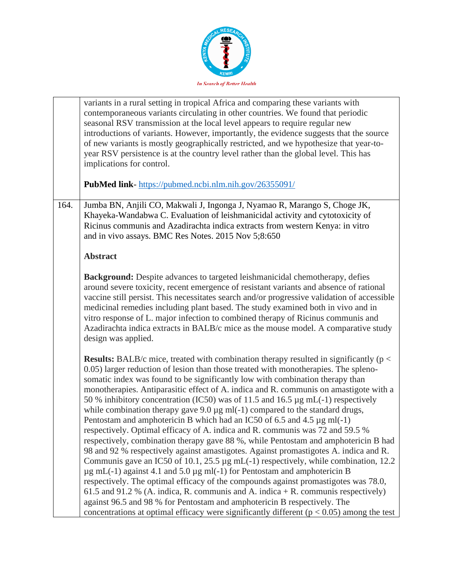

|      | variants in a rural setting in tropical Africa and comparing these variants with<br>contemporaneous variants circulating in other countries. We found that periodic<br>seasonal RSV transmission at the local level appears to require regular new<br>introductions of variants. However, importantly, the evidence suggests that the source<br>of new variants is mostly geographically restricted, and we hypothesize that year-to-<br>year RSV persistence is at the country level rather than the global level. This has<br>implications for control.<br><b>PubMed link-</b> https://pubmed.ncbi.nlm.nih.gov/26355091/                                                                                                                                                                                                                                                                                                                                                                                                                                                                                                                                                                                                                                                                                                                                                                                                        |
|------|-----------------------------------------------------------------------------------------------------------------------------------------------------------------------------------------------------------------------------------------------------------------------------------------------------------------------------------------------------------------------------------------------------------------------------------------------------------------------------------------------------------------------------------------------------------------------------------------------------------------------------------------------------------------------------------------------------------------------------------------------------------------------------------------------------------------------------------------------------------------------------------------------------------------------------------------------------------------------------------------------------------------------------------------------------------------------------------------------------------------------------------------------------------------------------------------------------------------------------------------------------------------------------------------------------------------------------------------------------------------------------------------------------------------------------------|
| 164. | Jumba BN, Anjili CO, Makwali J, Ingonga J, Nyamao R, Marango S, Choge JK,<br>Khayeka-Wandabwa C. Evaluation of leishmanicidal activity and cytotoxicity of<br>Ricinus communis and Azadirachta indica extracts from western Kenya: in vitro<br>and in vivo assays. BMC Res Notes. 2015 Nov 5;8:650                                                                                                                                                                                                                                                                                                                                                                                                                                                                                                                                                                                                                                                                                                                                                                                                                                                                                                                                                                                                                                                                                                                                |
|      | <b>Abstract</b>                                                                                                                                                                                                                                                                                                                                                                                                                                                                                                                                                                                                                                                                                                                                                                                                                                                                                                                                                                                                                                                                                                                                                                                                                                                                                                                                                                                                                   |
|      | Background: Despite advances to targeted leishmanicidal chemotherapy, defies<br>around severe toxicity, recent emergence of resistant variants and absence of rational<br>vaccine still persist. This necessitates search and/or progressive validation of accessible<br>medicinal remedies including plant based. The study examined both in vivo and in<br>vitro response of L. major infection to combined therapy of Ricinus communis and<br>Azadirachta indica extracts in BALB/c mice as the mouse model. A comparative study<br>design was applied.                                                                                                                                                                                                                                                                                                                                                                                                                                                                                                                                                                                                                                                                                                                                                                                                                                                                        |
|      | <b>Results:</b> BALB/c mice, treated with combination therapy resulted in significantly ( $p <$<br>0.05) larger reduction of lesion than those treated with monotherapies. The spleno-<br>somatic index was found to be significantly low with combination therapy than<br>monotherapies. Antiparasitic effect of A. indica and R. communis on amastigote with a<br>50 % inhibitory concentration (IC50) was of 11.5 and 16.5 µg mL(-1) respectively<br>while combination therapy gave $9.0 \mu g$ ml(-1) compared to the standard drugs,<br>Pentostam and amphotericin B which had an IC50 of 6.5 and 4.5 $\mu$ g ml(-1)<br>respectively. Optimal efficacy of A. indica and R. communis was 72 and 59.5 %<br>respectively, combination therapy gave 88 %, while Pentostam and amphotericin B had<br>98 and 92 % respectively against amastigotes. Against promastigotes A. indica and R.<br>Communis gave an IC50 of 10.1, 25.5 µg mL(-1) respectively, while combination, 12.2<br>$\mu$ g mL(-1) against 4.1 and 5.0 $\mu$ g ml(-1) for Pentostam and amphotericin B<br>respectively. The optimal efficacy of the compounds against promastigotes was 78.0,<br>61.5 and 91.2 % (A. indica, R. communis and A. indica $+$ R. communis respectively)<br>against 96.5 and 98 % for Pentostam and amphotericin B respectively. The<br>concentrations at optimal efficacy were significantly different ( $p < 0.05$ ) among the test |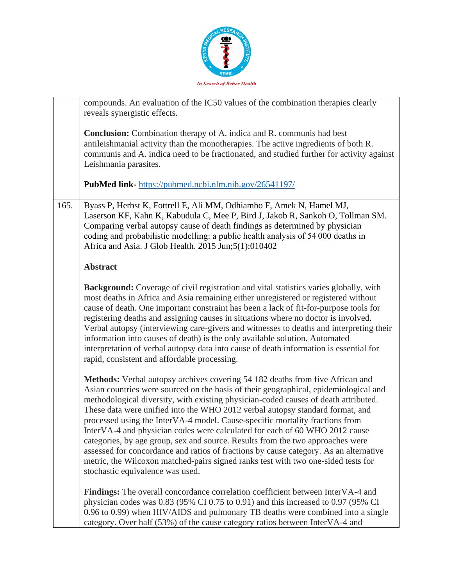

|      | compounds. An evaluation of the IC50 values of the combination therapies clearly<br>reveals synergistic effects.                                                                                                                                                                                                                                                                                                                                                                                                                                                                                                                                                                                                                                                                                                        |
|------|-------------------------------------------------------------------------------------------------------------------------------------------------------------------------------------------------------------------------------------------------------------------------------------------------------------------------------------------------------------------------------------------------------------------------------------------------------------------------------------------------------------------------------------------------------------------------------------------------------------------------------------------------------------------------------------------------------------------------------------------------------------------------------------------------------------------------|
|      | <b>Conclusion:</b> Combination therapy of A. indica and R. communis had best<br>antileishmanial activity than the monotherapies. The active ingredients of both R.<br>communis and A. indica need to be fractionated, and studied further for activity against<br>Leishmania parasites.                                                                                                                                                                                                                                                                                                                                                                                                                                                                                                                                 |
|      | PubMed link- https://pubmed.ncbi.nlm.nih.gov/26541197/                                                                                                                                                                                                                                                                                                                                                                                                                                                                                                                                                                                                                                                                                                                                                                  |
| 165. | Byass P, Herbst K, Fottrell E, Ali MM, Odhiambo F, Amek N, Hamel MJ,<br>Laserson KF, Kahn K, Kabudula C, Mee P, Bird J, Jakob R, Sankoh O, Tollman SM.<br>Comparing verbal autopsy cause of death findings as determined by physician<br>coding and probabilistic modelling: a public health analysis of 54 000 deaths in<br>Africa and Asia. J Glob Health. 2015 Jun;5(1):010402                                                                                                                                                                                                                                                                                                                                                                                                                                       |
|      | <b>Abstract</b>                                                                                                                                                                                                                                                                                                                                                                                                                                                                                                                                                                                                                                                                                                                                                                                                         |
|      | Background: Coverage of civil registration and vital statistics varies globally, with<br>most deaths in Africa and Asia remaining either unregistered or registered without<br>cause of death. One important constraint has been a lack of fit-for-purpose tools for<br>registering deaths and assigning causes in situations where no doctor is involved.<br>Verbal autopsy (interviewing care-givers and witnesses to deaths and interpreting their<br>information into causes of death) is the only available solution. Automated<br>interpretation of verbal autopsy data into cause of death information is essential for<br>rapid, consistent and affordable processing.                                                                                                                                          |
|      | <b>Methods:</b> Verbal autopsy archives covering 54 182 deaths from five African and<br>Asian countries were sourced on the basis of their geographical, epidemiological and<br>methodological diversity, with existing physician-coded causes of death attributed.<br>These data were unified into the WHO 2012 verbal autopsy standard format, and<br>processed using the InterVA-4 model. Cause-specific mortality fractions from<br>InterVA-4 and physician codes were calculated for each of 60 WHO 2012 cause<br>categories, by age group, sex and source. Results from the two approaches were<br>assessed for concordance and ratios of fractions by cause category. As an alternative<br>metric, the Wilcoxon matched-pairs signed ranks test with two one-sided tests for<br>stochastic equivalence was used. |
|      | Findings: The overall concordance correlation coefficient between InterVA-4 and<br>physician codes was 0.83 (95% CI 0.75 to 0.91) and this increased to 0.97 (95% CI<br>0.96 to 0.99) when HIV/AIDS and pulmonary TB deaths were combined into a single<br>category. Over half (53%) of the cause category ratios between InterVA-4 and                                                                                                                                                                                                                                                                                                                                                                                                                                                                                 |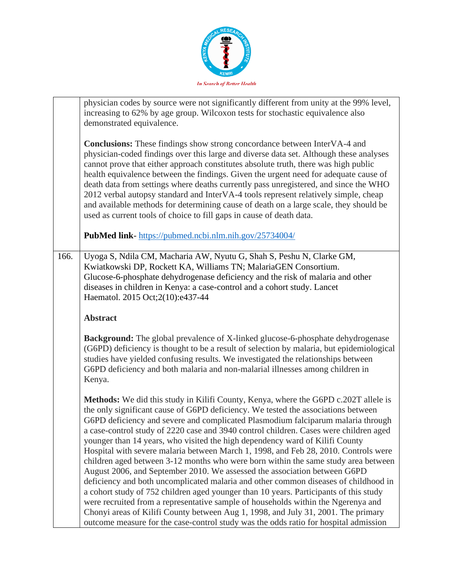

|      | physician codes by source were not significantly different from unity at the 99% level,<br>increasing to 62% by age group. Wilcoxon tests for stochastic equivalence also<br>demonstrated equivalence.                                                                                                                                                                                                                                                                                                                                                                                                                                                                                                                                                                                                                                                                                                                                                                                                                                                                                                                                            |
|------|---------------------------------------------------------------------------------------------------------------------------------------------------------------------------------------------------------------------------------------------------------------------------------------------------------------------------------------------------------------------------------------------------------------------------------------------------------------------------------------------------------------------------------------------------------------------------------------------------------------------------------------------------------------------------------------------------------------------------------------------------------------------------------------------------------------------------------------------------------------------------------------------------------------------------------------------------------------------------------------------------------------------------------------------------------------------------------------------------------------------------------------------------|
|      | <b>Conclusions:</b> These findings show strong concordance between InterVA-4 and<br>physician-coded findings over this large and diverse data set. Although these analyses<br>cannot prove that either approach constitutes absolute truth, there was high public<br>health equivalence between the findings. Given the urgent need for adequate cause of<br>death data from settings where deaths currently pass unregistered, and since the WHO<br>2012 verbal autopsy standard and InterVA-4 tools represent relatively simple, cheap<br>and available methods for determining cause of death on a large scale, they should be<br>used as current tools of choice to fill gaps in cause of death data.                                                                                                                                                                                                                                                                                                                                                                                                                                         |
|      | <b>PubMed link-</b> https://pubmed.ncbi.nlm.nih.gov/25734004/                                                                                                                                                                                                                                                                                                                                                                                                                                                                                                                                                                                                                                                                                                                                                                                                                                                                                                                                                                                                                                                                                     |
| 166. | Uyoga S, Ndila CM, Macharia AW, Nyutu G, Shah S, Peshu N, Clarke GM,<br>Kwiatkowski DP, Rockett KA, Williams TN; MalariaGEN Consortium.<br>Glucose-6-phosphate dehydrogenase deficiency and the risk of malaria and other<br>diseases in children in Kenya: a case-control and a cohort study. Lancet<br>Haematol. 2015 Oct;2(10):e437-44                                                                                                                                                                                                                                                                                                                                                                                                                                                                                                                                                                                                                                                                                                                                                                                                         |
|      | <b>Abstract</b>                                                                                                                                                                                                                                                                                                                                                                                                                                                                                                                                                                                                                                                                                                                                                                                                                                                                                                                                                                                                                                                                                                                                   |
|      | <b>Background:</b> The global prevalence of X-linked glucose-6-phosphate dehydrogenase<br>(G6PD) deficiency is thought to be a result of selection by malaria, but epidemiological<br>studies have yielded confusing results. We investigated the relationships between<br>G6PD deficiency and both malaria and non-malarial illnesses among children in<br>Kenya.                                                                                                                                                                                                                                                                                                                                                                                                                                                                                                                                                                                                                                                                                                                                                                                |
|      | Methods: We did this study in Kilifi County, Kenya, where the G6PD c.202T allele is<br>the only significant cause of G6PD deficiency. We tested the associations between<br>G6PD deficiency and severe and complicated Plasmodium falciparum malaria through<br>a case-control study of 2220 case and 3940 control children. Cases were children aged<br>younger than 14 years, who visited the high dependency ward of Kilifi County<br>Hospital with severe malaria between March 1, 1998, and Feb 28, 2010. Controls were<br>children aged between 3-12 months who were born within the same study area between<br>August 2006, and September 2010. We assessed the association between G6PD<br>deficiency and both uncomplicated malaria and other common diseases of childhood in<br>a cohort study of 752 children aged younger than 10 years. Participants of this study<br>were recruited from a representative sample of households within the Ngerenya and<br>Chonyi areas of Kilifi County between Aug 1, 1998, and July 31, 2001. The primary<br>outcome measure for the case-control study was the odds ratio for hospital admission |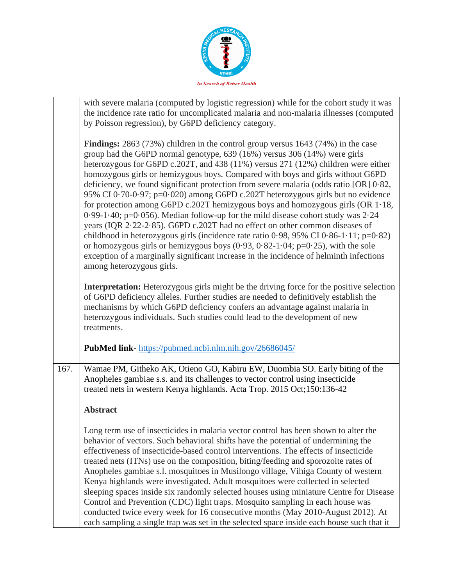

|      | with severe malaria (computed by logistic regression) while for the cohort study it was<br>the incidence rate ratio for uncomplicated malaria and non-malaria illnesses (computed<br>by Poisson regression), by G6PD deficiency category.                                                                                                                                                                                                                                                                                                                                                                                                                                                                                                                                                                                                                                                                                                                                                                                                                                                    |
|------|----------------------------------------------------------------------------------------------------------------------------------------------------------------------------------------------------------------------------------------------------------------------------------------------------------------------------------------------------------------------------------------------------------------------------------------------------------------------------------------------------------------------------------------------------------------------------------------------------------------------------------------------------------------------------------------------------------------------------------------------------------------------------------------------------------------------------------------------------------------------------------------------------------------------------------------------------------------------------------------------------------------------------------------------------------------------------------------------|
|      | Findings: 2863 (73%) children in the control group versus 1643 (74%) in the case<br>group had the G6PD normal genotype, 639 (16%) versus 306 (14%) were girls<br>heterozygous for G6PD c.202T, and 438 (11%) versus 271 (12%) children were either<br>homozygous girls or hemizygous boys. Compared with boys and girls without G6PD<br>deficiency, we found significant protection from severe malaria (odds ratio [OR] 0.82,<br>95% CI 0.70-0.97; p=0.020) among G6PD c.202T heterozygous girls but no evidence<br>for protection among G6PD c.202T hemizygous boys and homozygous girls $(OR 1.18,$<br>$0.99-1.40$ ; p=0.056). Median follow-up for the mild disease cohort study was 2.24<br>years (IQR 2.22-2.85). G6PD c.202T had no effect on other common diseases of<br>childhood in heterozygous girls (incidence rate ratio $0.98$ , $95\%$ CI $0.86$ -1.11; p=0.82)<br>or homozygous girls or hemizygous boys $(0.93, 0.82-1.04; p=0.25)$ , with the sole<br>exception of a marginally significant increase in the incidence of helminth infections<br>among heterozygous girls. |
|      | <b>Interpretation:</b> Heterozygous girls might be the driving force for the positive selection<br>of G6PD deficiency alleles. Further studies are needed to definitively establish the<br>mechanisms by which G6PD deficiency confers an advantage against malaria in<br>heterozygous individuals. Such studies could lead to the development of new<br>treatments.                                                                                                                                                                                                                                                                                                                                                                                                                                                                                                                                                                                                                                                                                                                         |
|      | PubMed link- https://pubmed.ncbi.nlm.nih.gov/26686045/                                                                                                                                                                                                                                                                                                                                                                                                                                                                                                                                                                                                                                                                                                                                                                                                                                                                                                                                                                                                                                       |
| 167. | Wamae PM, Githeko AK, Otieno GO, Kabiru EW, Duombia SO. Early biting of the<br>Anopheles gambiae s.s. and its challenges to vector control using insecticide<br>treated nets in western Kenya highlands. Acta Trop. 2015 Oct;150:136-42                                                                                                                                                                                                                                                                                                                                                                                                                                                                                                                                                                                                                                                                                                                                                                                                                                                      |
|      | <b>Abstract</b>                                                                                                                                                                                                                                                                                                                                                                                                                                                                                                                                                                                                                                                                                                                                                                                                                                                                                                                                                                                                                                                                              |
|      | Long term use of insecticides in malaria vector control has been shown to alter the<br>behavior of vectors. Such behavioral shifts have the potential of undermining the<br>effectiveness of insecticide-based control interventions. The effects of insecticide<br>treated nets (ITNs) use on the composition, biting/feeding and sporozoite rates of<br>Anopheles gambiae s.l. mosquitoes in Musilongo village, Vihiga County of western<br>Kenya highlands were investigated. Adult mosquitoes were collected in selected<br>sleeping spaces inside six randomly selected houses using miniature Centre for Disease<br>Control and Prevention (CDC) light traps. Mosquito sampling in each house was<br>conducted twice every week for 16 consecutive months (May 2010-August 2012). At                                                                                                                                                                                                                                                                                                   |

each sampling a single trap was set in the selected space inside each house such that it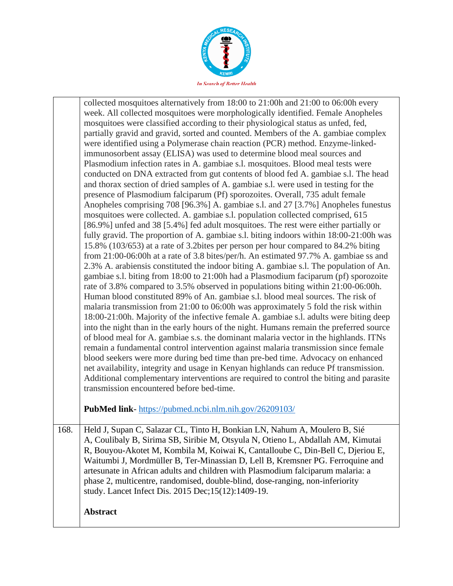

collected mosquitoes alternatively from 18:00 to 21:00h and 21:00 to 06:00h every week. All collected mosquitoes were morphologically identified. Female Anopheles mosquitoes were classified according to their physiological status as unfed, fed, partially gravid and gravid, sorted and counted. Members of the A. gambiae complex were identified using a Polymerase chain reaction (PCR) method. Enzyme-linkedimmunosorbent assay (ELISA) was used to determine blood meal sources and Plasmodium infection rates in A. gambiae s.l. mosquitoes. Blood meal tests were conducted on DNA extracted from gut contents of blood fed A. gambiae s.l. The head and thorax section of dried samples of A. gambiae s.l. were used in testing for the presence of Plasmodium falciparum (Pf) sporozoites. Overall, 735 adult female Anopheles comprising 708 [96.3%] A. gambiae s.l. and 27 [3.7%] Anopheles funestus mosquitoes were collected. A. gambiae s.l. population collected comprised, 615 [86.9%] unfed and 38 [5.4%] fed adult mosquitoes. The rest were either partially or fully gravid. The proportion of A. gambiae s.l. biting indoors within 18:00-21:00h was 15.8% (103/653) at a rate of 3.2bites per person per hour compared to 84.2% biting from 21:00-06:00h at a rate of 3.8 bites/per/h. An estimated 97.7% A. gambiae ss and 2.3% A. arabiensis constituted the indoor biting A. gambiae s.l. The population of An. gambiae s.l. biting from 18:00 to 21:00h had a Plasmodium faciparum (pf) sporozoite rate of 3.8% compared to 3.5% observed in populations biting within 21:00-06:00h. Human blood constituted 89% of An. gambiae s.l. blood meal sources. The risk of malaria transmission from 21:00 to 06:00h was approximately 5 fold the risk within 18:00-21:00h. Majority of the infective female A. gambiae s.l. adults were biting deep into the night than in the early hours of the night. Humans remain the preferred source of blood meal for A. gambiae s.s. the dominant malaria vector in the highlands. ITNs remain a fundamental control intervention against malaria transmission since female blood seekers were more during bed time than pre-bed time. Advocacy on enhanced net availability, integrity and usage in Kenyan highlands can reduce Pf transmission. Additional complementary interventions are required to control the biting and parasite transmission encountered before bed-time.

**PubMed link**- <https://pubmed.ncbi.nlm.nih.gov/26209103/>

168. Held J, Supan C, Salazar CL, Tinto H, Bonkian LN, Nahum A, Moulero B, Sié A, Coulibaly B, Sirima SB, Siribie M, Otsyula N, Otieno L, Abdallah AM, Kimutai R, Bouyou-Akotet M, Kombila M, Koiwai K, Cantalloube C, Din-Bell C, Djeriou E, Waitumbi J, Mordmüller B, Ter-Minassian D, Lell B, Kremsner PG. Ferroquine and artesunate in African adults and children with Plasmodium falciparum malaria: a phase 2, multicentre, randomised, double-blind, dose-ranging, non-inferiority study. Lancet Infect Dis. 2015 Dec;15(12):1409-19.

**Abstract**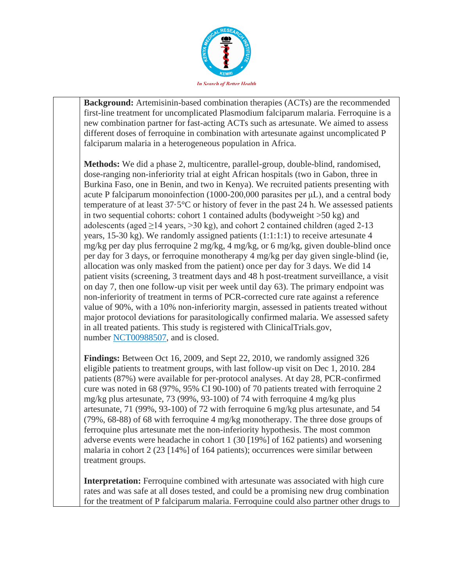

**Background:** Artemisinin-based combination therapies (ACTs) are the recommended first-line treatment for uncomplicated Plasmodium falciparum malaria. Ferroquine is a new combination partner for fast-acting ACTs such as artesunate. We aimed to assess different doses of ferroquine in combination with artesunate against uncomplicated P falciparum malaria in a heterogeneous population in Africa.

**Methods:** We did a phase 2, multicentre, parallel-group, double-blind, randomised, dose-ranging non-inferiority trial at eight African hospitals (two in Gabon, three in Burkina Faso, one in Benin, and two in Kenya). We recruited patients presenting with acute P falciparum monoinfection (1000-200,000 parasites per  $\mu$ L), and a central body temperature of at least 37·5°C or history of fever in the past 24 h. We assessed patients in two sequential cohorts: cohort 1 contained adults (bodyweight >50 kg) and adolescents (aged  $\geq$ 14 years,  $>$ 30 kg), and cohort 2 contained children (aged 2-13 years, 15-30 kg). We randomly assigned patients  $(1:1:1:1)$  to receive artesunate 4 mg/kg per day plus ferroquine 2 mg/kg, 4 mg/kg, or 6 mg/kg, given double-blind once per day for 3 days, or ferroquine monotherapy 4 mg/kg per day given single-blind (ie, allocation was only masked from the patient) once per day for 3 days. We did 14 patient visits (screening, 3 treatment days and 48 h post-treatment surveillance, a visit on day 7, then one follow-up visit per week until day 63). The primary endpoint was non-inferiority of treatment in terms of PCR-corrected cure rate against a reference value of 90%, with a 10% non-inferiority margin, assessed in patients treated without major protocol deviations for parasitologically confirmed malaria. We assessed safety in all treated patients. This study is registered with ClinicalTrials.gov, number [NCT00988507,](http://clinicaltrials.gov/show/NCT00988507) and is closed.

**Findings:** Between Oct 16, 2009, and Sept 22, 2010, we randomly assigned 326 eligible patients to treatment groups, with last follow-up visit on Dec 1, 2010. 284 patients (87%) were available for per-protocol analyses. At day 28, PCR-confirmed cure was noted in 68 (97%, 95% CI 90-100) of 70 patients treated with ferroquine 2 mg/kg plus artesunate, 73 (99%, 93-100) of 74 with ferroquine 4 mg/kg plus artesunate, 71 (99%, 93-100) of 72 with ferroquine 6 mg/kg plus artesunate, and 54 (79%, 68-88) of 68 with ferroquine 4 mg/kg monotherapy. The three dose groups of ferroquine plus artesunate met the non-inferiority hypothesis. The most common adverse events were headache in cohort 1 (30 [19%] of 162 patients) and worsening malaria in cohort 2 (23 [14%] of 164 patients); occurrences were similar between treatment groups.

**Interpretation:** Ferroquine combined with artesunate was associated with high cure rates and was safe at all doses tested, and could be a promising new drug combination for the treatment of P falciparum malaria. Ferroquine could also partner other drugs to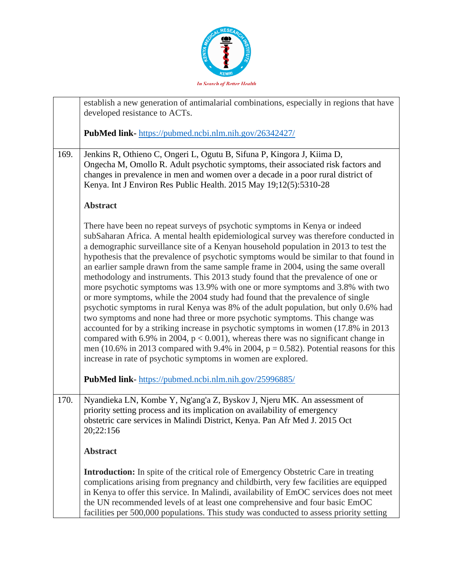

|      | establish a new generation of antimalarial combinations, especially in regions that have<br>developed resistance to ACTs.                                                                                                                                                                                                                                                                                                                                                                                                                                                                                                                                                                                                                                                                                                                                                                                                                                                                                                                                                                                                                                                                                            |
|------|----------------------------------------------------------------------------------------------------------------------------------------------------------------------------------------------------------------------------------------------------------------------------------------------------------------------------------------------------------------------------------------------------------------------------------------------------------------------------------------------------------------------------------------------------------------------------------------------------------------------------------------------------------------------------------------------------------------------------------------------------------------------------------------------------------------------------------------------------------------------------------------------------------------------------------------------------------------------------------------------------------------------------------------------------------------------------------------------------------------------------------------------------------------------------------------------------------------------|
|      | PubMed link- https://pubmed.ncbi.nlm.nih.gov/26342427/                                                                                                                                                                                                                                                                                                                                                                                                                                                                                                                                                                                                                                                                                                                                                                                                                                                                                                                                                                                                                                                                                                                                                               |
| 169. | Jenkins R, Othieno C, Ongeri L, Ogutu B, Sifuna P, Kingora J, Kiima D,<br>Ongecha M, Omollo R. Adult psychotic symptoms, their associated risk factors and<br>changes in prevalence in men and women over a decade in a poor rural district of<br>Kenya. Int J Environ Res Public Health. 2015 May 19;12(5):5310-28                                                                                                                                                                                                                                                                                                                                                                                                                                                                                                                                                                                                                                                                                                                                                                                                                                                                                                  |
|      | <b>Abstract</b>                                                                                                                                                                                                                                                                                                                                                                                                                                                                                                                                                                                                                                                                                                                                                                                                                                                                                                                                                                                                                                                                                                                                                                                                      |
|      | There have been no repeat surveys of psychotic symptoms in Kenya or indeed<br>subSaharan Africa. A mental health epidemiological survey was therefore conducted in<br>a demographic surveillance site of a Kenyan household population in 2013 to test the<br>hypothesis that the prevalence of psychotic symptoms would be similar to that found in<br>an earlier sample drawn from the same sample frame in 2004, using the same overall<br>methodology and instruments. This 2013 study found that the prevalence of one or<br>more psychotic symptoms was 13.9% with one or more symptoms and 3.8% with two<br>or more symptoms, while the 2004 study had found that the prevalence of single<br>psychotic symptoms in rural Kenya was 8% of the adult population, but only 0.6% had<br>two symptoms and none had three or more psychotic symptoms. This change was<br>accounted for by a striking increase in psychotic symptoms in women (17.8% in 2013)<br>compared with 6.9% in 2004, $p < 0.001$ ), whereas there was no significant change in<br>men (10.6% in 2013 compared with 9.4% in 2004, $p = 0.582$ ). Potential reasons for this<br>increase in rate of psychotic symptoms in women are explored. |
|      | PubMed link- https://pubmed.ncbi.nlm.nih.gov/25996885/                                                                                                                                                                                                                                                                                                                                                                                                                                                                                                                                                                                                                                                                                                                                                                                                                                                                                                                                                                                                                                                                                                                                                               |
| 170. | Nyandieka LN, Kombe Y, Ng'ang'a Z, Byskov J, Njeru MK. An assessment of<br>priority setting process and its implication on availability of emergency<br>obstetric care services in Malindi District, Kenya. Pan Afr Med J. 2015 Oct<br>20;22:156                                                                                                                                                                                                                                                                                                                                                                                                                                                                                                                                                                                                                                                                                                                                                                                                                                                                                                                                                                     |
|      | <b>Abstract</b>                                                                                                                                                                                                                                                                                                                                                                                                                                                                                                                                                                                                                                                                                                                                                                                                                                                                                                                                                                                                                                                                                                                                                                                                      |
|      | <b>Introduction:</b> In spite of the critical role of Emergency Obstetric Care in treating<br>complications arising from pregnancy and childbirth, very few facilities are equipped<br>in Kenya to offer this service. In Malindi, availability of EmOC services does not meet<br>the UN recommended levels of at least one comprehensive and four basic EmOC<br>facilities per 500,000 populations. This study was conducted to assess priority setting                                                                                                                                                                                                                                                                                                                                                                                                                                                                                                                                                                                                                                                                                                                                                             |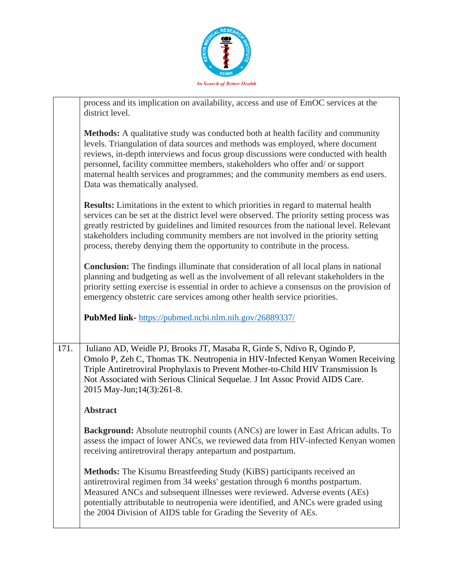

|      | process and its implication on availability, access and use of EmOC services at the<br>district level.                                                                                                                                                                                                                                                                                                                                                                   |
|------|--------------------------------------------------------------------------------------------------------------------------------------------------------------------------------------------------------------------------------------------------------------------------------------------------------------------------------------------------------------------------------------------------------------------------------------------------------------------------|
|      | <b>Methods:</b> A qualitative study was conducted both at health facility and community<br>levels. Triangulation of data sources and methods was employed, where document<br>reviews, in-depth interviews and focus group discussions were conducted with health<br>personnel, facility committee members, stakeholders who offer and/ or support<br>maternal health services and programmes; and the community members as end users.<br>Data was thematically analysed. |
|      | <b>Results:</b> Limitations in the extent to which priorities in regard to maternal health<br>services can be set at the district level were observed. The priority setting process was<br>greatly restricted by guidelines and limited resources from the national level. Relevant<br>stakeholders including community members are not involved in the priority setting<br>process, thereby denying them the opportunity to contribute in the process.                  |
|      | <b>Conclusion:</b> The findings illuminate that consideration of all local plans in national<br>planning and budgeting as well as the involvement of all relevant stakeholders in the<br>priority setting exercise is essential in order to achieve a consensus on the provision of<br>emergency obstetric care services among other health service priorities.                                                                                                          |
|      | PubMed link-https://pubmed.ncbi.nlm.nih.gov/26889337/                                                                                                                                                                                                                                                                                                                                                                                                                    |
| 171. | Iuliano AD, Weidle PJ, Brooks JT, Masaba R, Girde S, Ndivo R, Ogindo P,<br>Omolo P, Zeh C, Thomas TK. Neutropenia in HIV-Infected Kenyan Women Receiving<br>Triple Antiretroviral Prophylaxis to Prevent Mother-to-Child HIV Transmission Is<br>Not Associated with Serious Clinical Sequelae. J Int Assoc Provid AIDS Care.<br>2015 May-Jun; 14(3): 261-8.                                                                                                              |
|      | <b>Abstract</b>                                                                                                                                                                                                                                                                                                                                                                                                                                                          |
|      | <b>Background:</b> Absolute neutrophil counts (ANCs) are lower in East African adults. To<br>assess the impact of lower ANCs, we reviewed data from HIV-infected Kenyan women<br>receiving antiretroviral therapy antepartum and postpartum.                                                                                                                                                                                                                             |
|      | <b>Methods:</b> The Kisumu Breastfeeding Study (KiBS) participants received an<br>antiretroviral regimen from 34 weeks' gestation through 6 months postpartum.<br>Measured ANCs and subsequent illnesses were reviewed. Adverse events (AEs)<br>potentially attributable to neutropenia were identified, and ANCs were graded using                                                                                                                                      |